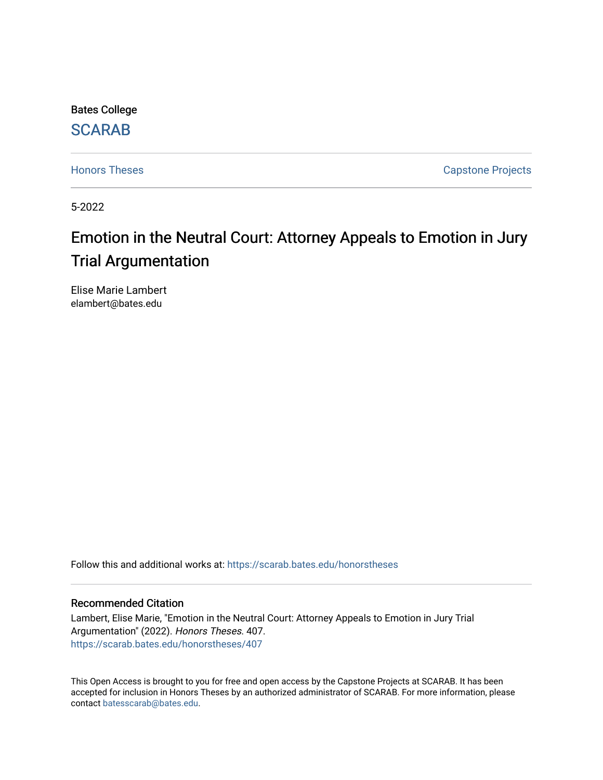Bates College

## **SCARAB**

[Honors Theses](https://scarab.bates.edu/honorstheses) **Capstone Projects** 

5-2022

## Emotion in the Neutral Court: Attorney Appeals to Emotion in Jury Trial Argumentation

Elise Marie Lambert elambert@bates.edu

Follow this and additional works at: [https://scarab.bates.edu/honorstheses](https://scarab.bates.edu/honorstheses?utm_source=scarab.bates.edu%2Fhonorstheses%2F407&utm_medium=PDF&utm_campaign=PDFCoverPages) 

#### Recommended Citation

Lambert, Elise Marie, "Emotion in the Neutral Court: Attorney Appeals to Emotion in Jury Trial Argumentation" (2022). Honors Theses. 407. [https://scarab.bates.edu/honorstheses/407](https://scarab.bates.edu/honorstheses/407?utm_source=scarab.bates.edu%2Fhonorstheses%2F407&utm_medium=PDF&utm_campaign=PDFCoverPages) 

This Open Access is brought to you for free and open access by the Capstone Projects at SCARAB. It has been accepted for inclusion in Honors Theses by an authorized administrator of SCARAB. For more information, please contact [batesscarab@bates.edu](mailto:batesscarab@bates.edu).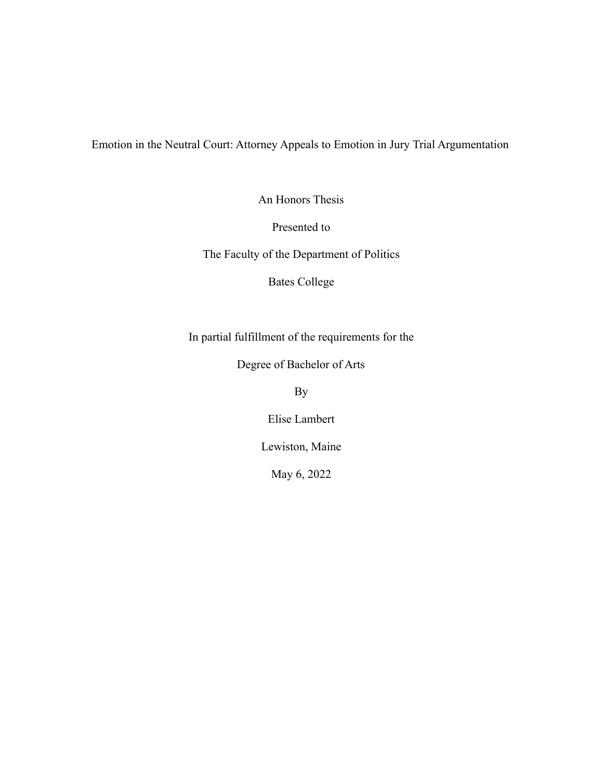Emotion in the Neutral Court: Attorney Appeals to Emotion in Jury Trial Argumentation

An Honors Thesis

Presented to

The Faculty of the Department of Politics

Bates College

In partial fulfillment of the requirements for the

Degree of Bachelor of Arts

By

Elise Lambert

Lewiston, Maine

May 6, 2022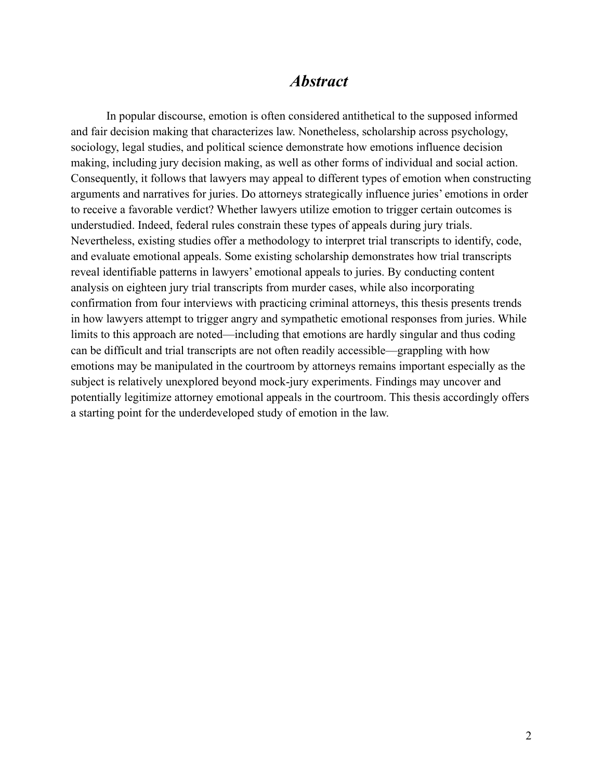## *Abstract*

In popular discourse, emotion is often considered antithetical to the supposed informed and fair decision making that characterizes law. Nonetheless, scholarship across psychology, sociology, legal studies, and political science demonstrate how emotions influence decision making, including jury decision making, as well as other forms of individual and social action. Consequently, it follows that lawyers may appeal to different types of emotion when constructing arguments and narratives for juries. Do attorneys strategically influence juries' emotions in order to receive a favorable verdict? Whether lawyers utilize emotion to trigger certain outcomes is understudied. Indeed, federal rules constrain these types of appeals during jury trials. Nevertheless, existing studies offer a methodology to interpret trial transcripts to identify, code, and evaluate emotional appeals. Some existing scholarship demonstrates how trial transcripts reveal identifiable patterns in lawyers' emotional appeals to juries. By conducting content analysis on eighteen jury trial transcripts from murder cases, while also incorporating confirmation from four interviews with practicing criminal attorneys, this thesis presents trends in how lawyers attempt to trigger angry and sympathetic emotional responses from juries. While limits to this approach are noted—including that emotions are hardly singular and thus coding can be difficult and trial transcripts are not often readily accessible—grappling with how emotions may be manipulated in the courtroom by attorneys remains important especially as the subject is relatively unexplored beyond mock-jury experiments. Findings may uncover and potentially legitimize attorney emotional appeals in the courtroom. This thesis accordingly offers a starting point for the underdeveloped study of emotion in the law.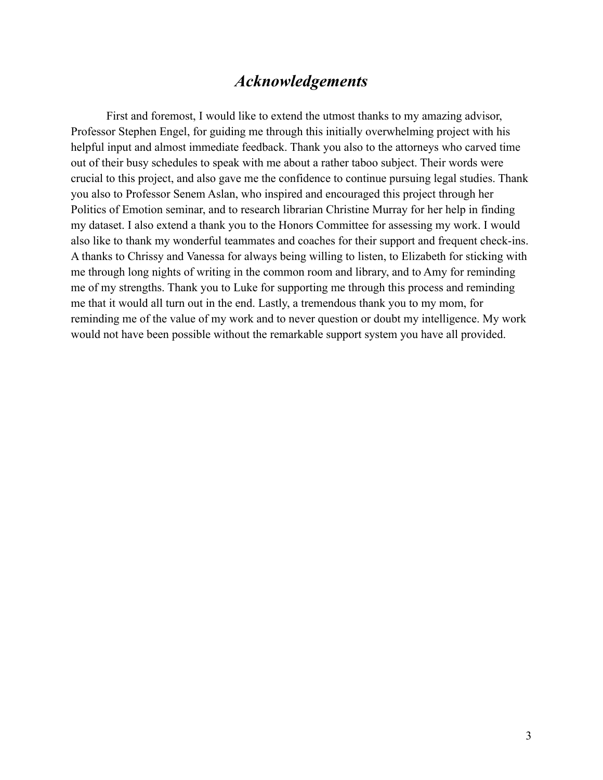## *Acknowledgements*

First and foremost, I would like to extend the utmost thanks to my amazing advisor, Professor Stephen Engel, for guiding me through this initially overwhelming project with his helpful input and almost immediate feedback. Thank you also to the attorneys who carved time out of their busy schedules to speak with me about a rather taboo subject. Their words were crucial to this project, and also gave me the confidence to continue pursuing legal studies. Thank you also to Professor Senem Aslan, who inspired and encouraged this project through her Politics of Emotion seminar, and to research librarian Christine Murray for her help in finding my dataset. I also extend a thank you to the Honors Committee for assessing my work. I would also like to thank my wonderful teammates and coaches for their support and frequent check-ins. A thanks to Chrissy and Vanessa for always being willing to listen, to Elizabeth for sticking with me through long nights of writing in the common room and library, and to Amy for reminding me of my strengths. Thank you to Luke for supporting me through this process and reminding me that it would all turn out in the end. Lastly, a tremendous thank you to my mom, for reminding me of the value of my work and to never question or doubt my intelligence. My work would not have been possible without the remarkable support system you have all provided.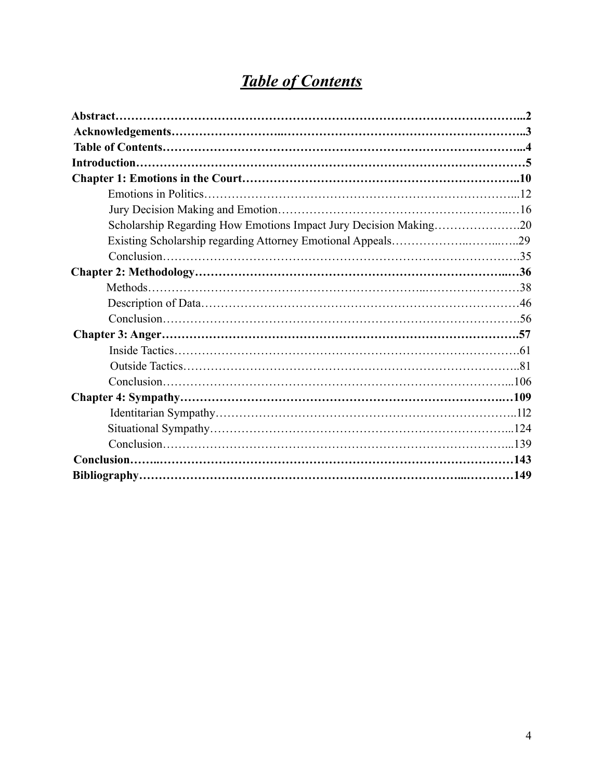# *Table of Contents*

| Scholarship Regarding How Emotions Impact Jury Decision Making20 |  |
|------------------------------------------------------------------|--|
|                                                                  |  |
|                                                                  |  |
|                                                                  |  |
|                                                                  |  |
|                                                                  |  |
|                                                                  |  |
|                                                                  |  |
|                                                                  |  |
|                                                                  |  |
|                                                                  |  |
|                                                                  |  |
|                                                                  |  |
|                                                                  |  |
|                                                                  |  |
|                                                                  |  |
|                                                                  |  |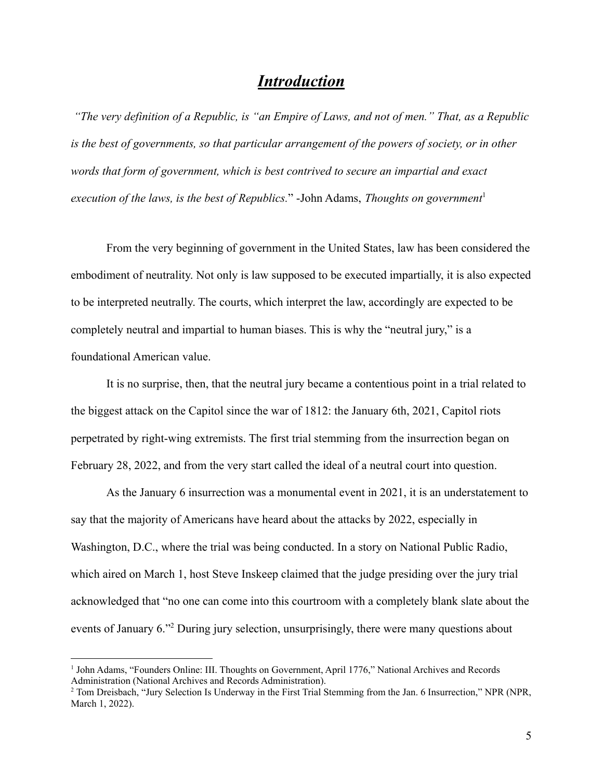### *Introduction*

*"The very definition of a Republic, is "an Empire of Laws, and not of men." That, as a Republic is the best of governments, so that particular arrangement of the powers of society, or in other words that form of government, which is best contrived to secure an impartial and exact execution of the laws, is the best of Republics.*" -John Adams, *Thoughts on government*<sup>1</sup>

From the very beginning of government in the United States, law has been considered the embodiment of neutrality. Not only is law supposed to be executed impartially, it is also expected to be interpreted neutrally. The courts, which interpret the law, accordingly are expected to be completely neutral and impartial to human biases. This is why the "neutral jury," is a foundational American value.

It is no surprise, then, that the neutral jury became a contentious point in a trial related to the biggest attack on the Capitol since the war of 1812: the January 6th, 2021, Capitol riots perpetrated by right-wing extremists. The first trial stemming from the insurrection began on February 28, 2022, and from the very start called the ideal of a neutral court into question.

As the January 6 insurrection was a monumental event in 2021, it is an understatement to say that the majority of Americans have heard about the attacks by 2022, especially in Washington, D.C., where the trial was being conducted. In a story on National Public Radio, which aired on March 1, host Steve Inskeep claimed that the judge presiding over the jury trial acknowledged that "no one can come into this courtroom with a completely blank slate about the events of January 6."<sup>2</sup> During jury selection, unsurprisingly, there were many questions about

<sup>&</sup>lt;sup>1</sup> John Adams, "Founders Online: III. Thoughts on Government, April 1776," National Archives and Records Administration (National Archives and Records Administration).

<sup>&</sup>lt;sup>2</sup> Tom Dreisbach, "Jury Selection Is Underway in the First Trial Stemming from the Jan. 6 Insurrection," NPR (NPR, March 1, 2022).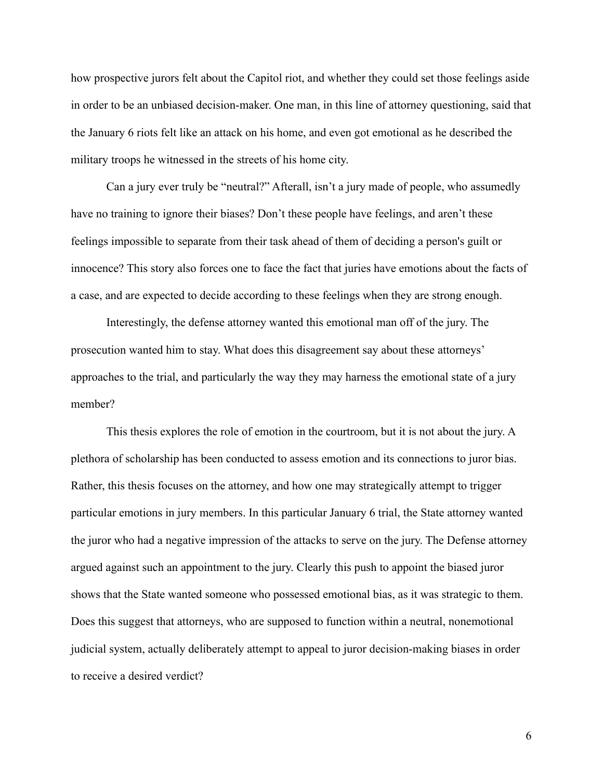how prospective jurors felt about the Capitol riot, and whether they could set those feelings aside in order to be an unbiased decision-maker. One man, in this line of attorney questioning, said that the January 6 riots felt like an attack on his home, and even got emotional as he described the military troops he witnessed in the streets of his home city.

Can a jury ever truly be "neutral?" Afterall, isn't a jury made of people, who assumedly have no training to ignore their biases? Don't these people have feelings, and aren't these feelings impossible to separate from their task ahead of them of deciding a person's guilt or innocence? This story also forces one to face the fact that juries have emotions about the facts of a case, and are expected to decide according to these feelings when they are strong enough.

Interestingly, the defense attorney wanted this emotional man off of the jury. The prosecution wanted him to stay. What does this disagreement say about these attorneys' approaches to the trial, and particularly the way they may harness the emotional state of a jury member?

This thesis explores the role of emotion in the courtroom, but it is not about the jury. A plethora of scholarship has been conducted to assess emotion and its connections to juror bias. Rather, this thesis focuses on the attorney, and how one may strategically attempt to trigger particular emotions in jury members. In this particular January 6 trial, the State attorney wanted the juror who had a negative impression of the attacks to serve on the jury. The Defense attorney argued against such an appointment to the jury. Clearly this push to appoint the biased juror shows that the State wanted someone who possessed emotional bias, as it was strategic to them. Does this suggest that attorneys, who are supposed to function within a neutral, nonemotional judicial system, actually deliberately attempt to appeal to juror decision-making biases in order to receive a desired verdict?

6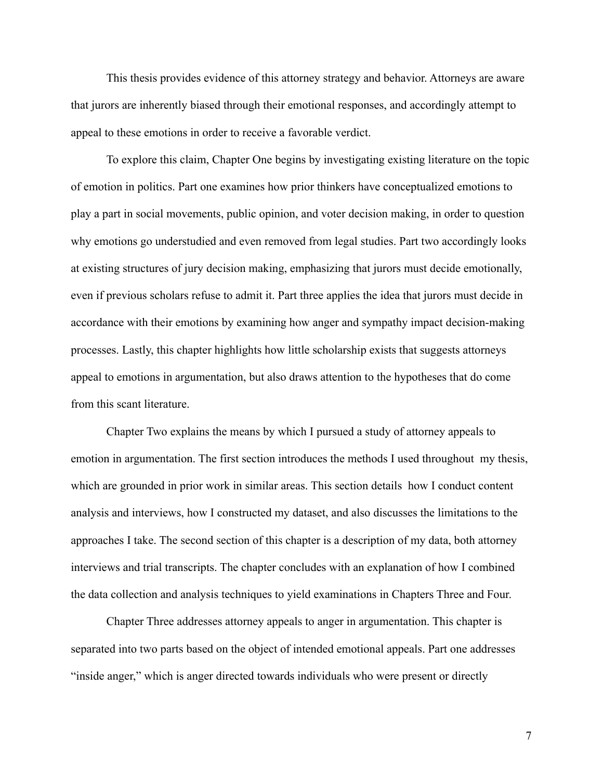This thesis provides evidence of this attorney strategy and behavior. Attorneys are aware that jurors are inherently biased through their emotional responses, and accordingly attempt to appeal to these emotions in order to receive a favorable verdict.

To explore this claim, Chapter One begins by investigating existing literature on the topic of emotion in politics. Part one examines how prior thinkers have conceptualized emotions to play a part in social movements, public opinion, and voter decision making, in order to question why emotions go understudied and even removed from legal studies. Part two accordingly looks at existing structures of jury decision making, emphasizing that jurors must decide emotionally, even if previous scholars refuse to admit it. Part three applies the idea that jurors must decide in accordance with their emotions by examining how anger and sympathy impact decision-making processes. Lastly, this chapter highlights how little scholarship exists that suggests attorneys appeal to emotions in argumentation, but also draws attention to the hypotheses that do come from this scant literature.

Chapter Two explains the means by which I pursued a study of attorney appeals to emotion in argumentation. The first section introduces the methods I used throughout my thesis, which are grounded in prior work in similar areas. This section details how I conduct content analysis and interviews, how I constructed my dataset, and also discusses the limitations to the approaches I take. The second section of this chapter is a description of my data, both attorney interviews and trial transcripts. The chapter concludes with an explanation of how I combined the data collection and analysis techniques to yield examinations in Chapters Three and Four.

Chapter Three addresses attorney appeals to anger in argumentation. This chapter is separated into two parts based on the object of intended emotional appeals. Part one addresses "inside anger," which is anger directed towards individuals who were present or directly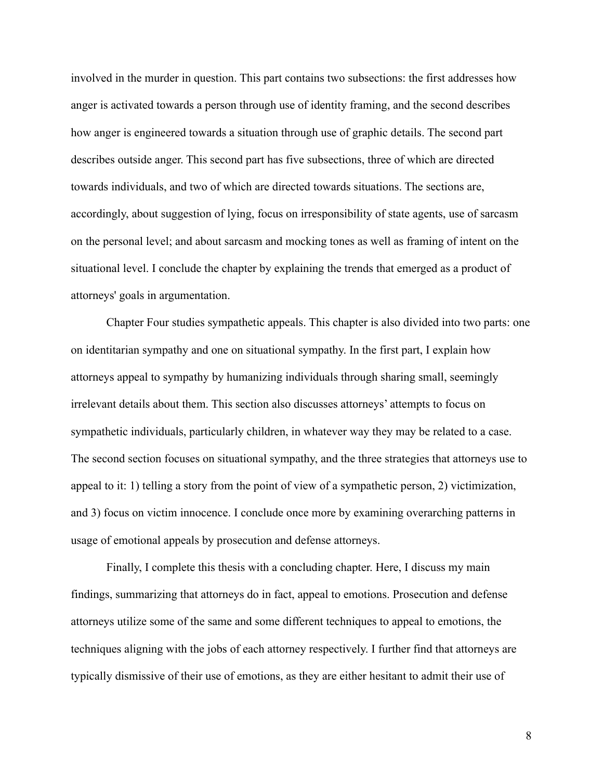involved in the murder in question. This part contains two subsections: the first addresses how anger is activated towards a person through use of identity framing, and the second describes how anger is engineered towards a situation through use of graphic details. The second part describes outside anger. This second part has five subsections, three of which are directed towards individuals, and two of which are directed towards situations. The sections are, accordingly, about suggestion of lying, focus on irresponsibility of state agents, use of sarcasm on the personal level; and about sarcasm and mocking tones as well as framing of intent on the situational level. I conclude the chapter by explaining the trends that emerged as a product of attorneys' goals in argumentation.

Chapter Four studies sympathetic appeals. This chapter is also divided into two parts: one on identitarian sympathy and one on situational sympathy. In the first part, I explain how attorneys appeal to sympathy by humanizing individuals through sharing small, seemingly irrelevant details about them. This section also discusses attorneys' attempts to focus on sympathetic individuals, particularly children, in whatever way they may be related to a case. The second section focuses on situational sympathy, and the three strategies that attorneys use to appeal to it: 1) telling a story from the point of view of a sympathetic person, 2) victimization, and 3) focus on victim innocence. I conclude once more by examining overarching patterns in usage of emotional appeals by prosecution and defense attorneys.

Finally, I complete this thesis with a concluding chapter. Here, I discuss my main findings, summarizing that attorneys do in fact, appeal to emotions. Prosecution and defense attorneys utilize some of the same and some different techniques to appeal to emotions, the techniques aligning with the jobs of each attorney respectively. I further find that attorneys are typically dismissive of their use of emotions, as they are either hesitant to admit their use of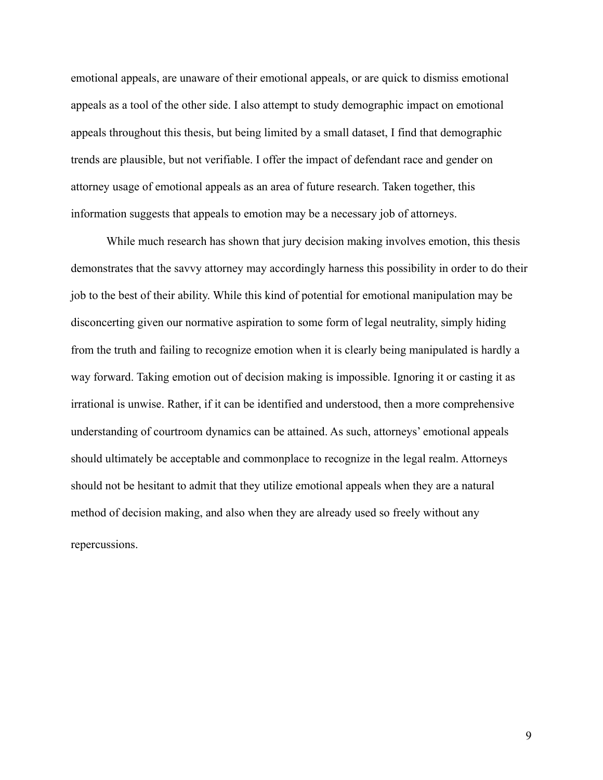emotional appeals, are unaware of their emotional appeals, or are quick to dismiss emotional appeals as a tool of the other side. I also attempt to study demographic impact on emotional appeals throughout this thesis, but being limited by a small dataset, I find that demographic trends are plausible, but not verifiable. I offer the impact of defendant race and gender on attorney usage of emotional appeals as an area of future research. Taken together, this information suggests that appeals to emotion may be a necessary job of attorneys.

While much research has shown that jury decision making involves emotion, this thesis demonstrates that the savvy attorney may accordingly harness this possibility in order to do their job to the best of their ability. While this kind of potential for emotional manipulation may be disconcerting given our normative aspiration to some form of legal neutrality, simply hiding from the truth and failing to recognize emotion when it is clearly being manipulated is hardly a way forward. Taking emotion out of decision making is impossible. Ignoring it or casting it as irrational is unwise. Rather, if it can be identified and understood, then a more comprehensive understanding of courtroom dynamics can be attained. As such, attorneys' emotional appeals should ultimately be acceptable and commonplace to recognize in the legal realm. Attorneys should not be hesitant to admit that they utilize emotional appeals when they are a natural method of decision making, and also when they are already used so freely without any repercussions.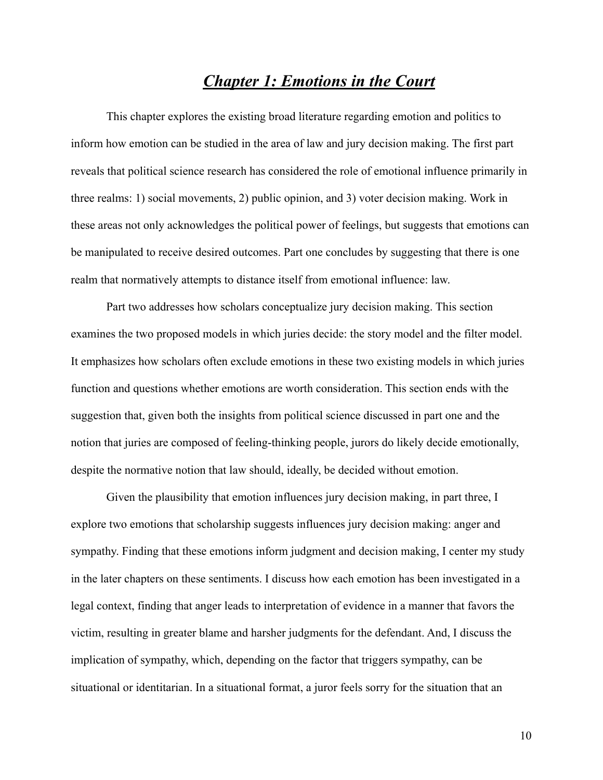## *Chapter 1: Emotions in the Court*

This chapter explores the existing broad literature regarding emotion and politics to inform how emotion can be studied in the area of law and jury decision making. The first part reveals that political science research has considered the role of emotional influence primarily in three realms: 1) social movements, 2) public opinion, and 3) voter decision making. Work in these areas not only acknowledges the political power of feelings, but suggests that emotions can be manipulated to receive desired outcomes. Part one concludes by suggesting that there is one realm that normatively attempts to distance itself from emotional influence: law.

Part two addresses how scholars conceptualize jury decision making. This section examines the two proposed models in which juries decide: the story model and the filter model. It emphasizes how scholars often exclude emotions in these two existing models in which juries function and questions whether emotions are worth consideration. This section ends with the suggestion that, given both the insights from political science discussed in part one and the notion that juries are composed of feeling-thinking people, jurors do likely decide emotionally, despite the normative notion that law should, ideally, be decided without emotion.

Given the plausibility that emotion influences jury decision making, in part three, I explore two emotions that scholarship suggests influences jury decision making: anger and sympathy. Finding that these emotions inform judgment and decision making, I center my study in the later chapters on these sentiments. I discuss how each emotion has been investigated in a legal context, finding that anger leads to interpretation of evidence in a manner that favors the victim, resulting in greater blame and harsher judgments for the defendant. And, I discuss the implication of sympathy, which, depending on the factor that triggers sympathy, can be situational or identitarian. In a situational format, a juror feels sorry for the situation that an

10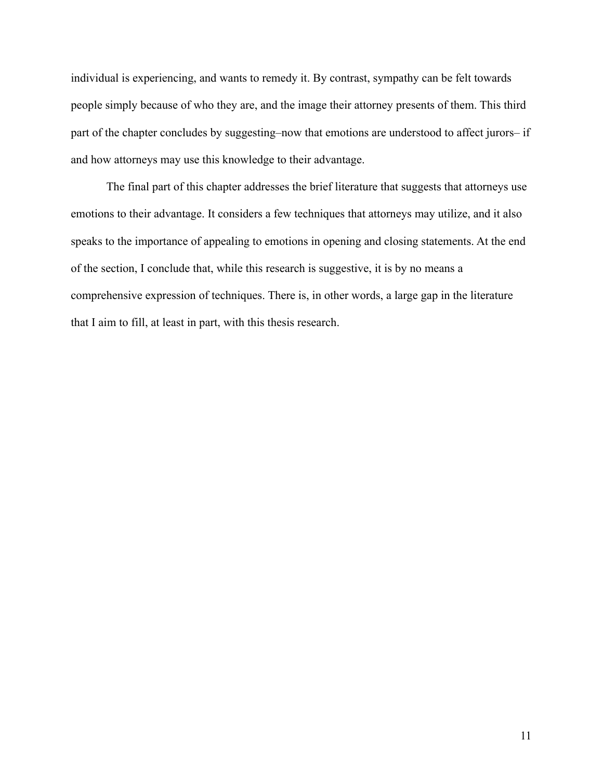individual is experiencing, and wants to remedy it. By contrast, sympathy can be felt towards people simply because of who they are, and the image their attorney presents of them. This third part of the chapter concludes by suggesting–now that emotions are understood to affect jurors– if and how attorneys may use this knowledge to their advantage.

The final part of this chapter addresses the brief literature that suggests that attorneys use emotions to their advantage. It considers a few techniques that attorneys may utilize, and it also speaks to the importance of appealing to emotions in opening and closing statements. At the end of the section, I conclude that, while this research is suggestive, it is by no means a comprehensive expression of techniques. There is, in other words, a large gap in the literature that I aim to fill, at least in part, with this thesis research.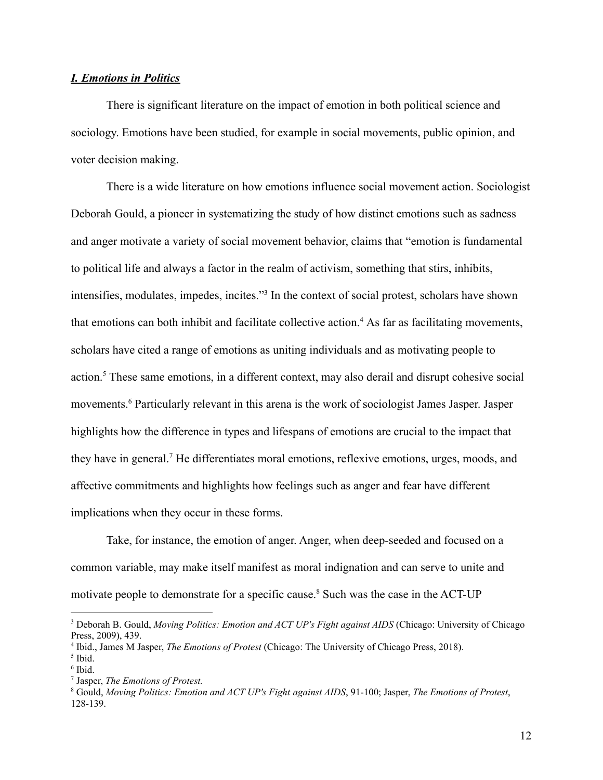#### *I. Emotions in Politics*

There is significant literature on the impact of emotion in both political science and sociology. Emotions have been studied, for example in social movements, public opinion, and voter decision making.

There is a wide literature on how emotions influence social movement action. Sociologist Deborah Gould, a pioneer in systematizing the study of how distinct emotions such as sadness and anger motivate a variety of social movement behavior, claims that "emotion is fundamental to political life and always a factor in the realm of activism, something that stirs, inhibits, intensifies, modulates, impedes, incites."<sup>3</sup> In the context of social protest, scholars have shown that emotions can both inhibit and facilitate collective action.<sup>4</sup> As far as facilitating movements, scholars have cited a range of emotions as uniting individuals and as motivating people to action.<sup>5</sup> These same emotions, in a different context, may also derail and disrupt cohesive social movements.<sup>6</sup> Particularly relevant in this arena is the work of sociologist James Jasper. Jasper highlights how the difference in types and lifespans of emotions are crucial to the impact that they have in general.<sup>7</sup> He differentiates moral emotions, reflexive emotions, urges, moods, and affective commitments and highlights how feelings such as anger and fear have different implications when they occur in these forms.

Take, for instance, the emotion of anger. Anger, when deep-seeded and focused on a common variable, may make itself manifest as moral indignation and can serve to unite and motivate people to demonstrate for a specific cause.<sup>8</sup> Such was the case in the ACT-UP

<sup>3</sup> Deborah B. Gould, *Moving Politics: Emotion and ACT UP's Fight against AIDS* (Chicago: University of Chicago Press, 2009), 439.

<sup>4</sup> Ibid., James M Jasper, *The Emotions of Protest* (Chicago: The University of Chicago Press, 2018).

<sup>6</sup> Ibid. 5 Ibid.

<sup>7</sup> Jasper, *The Emotions of Protest.*

<sup>8</sup> Gould, *Moving Politics: Emotion and ACT UP's Fight against AIDS*, 91-100; Jasper, *The Emotions of Protest*, 128-139.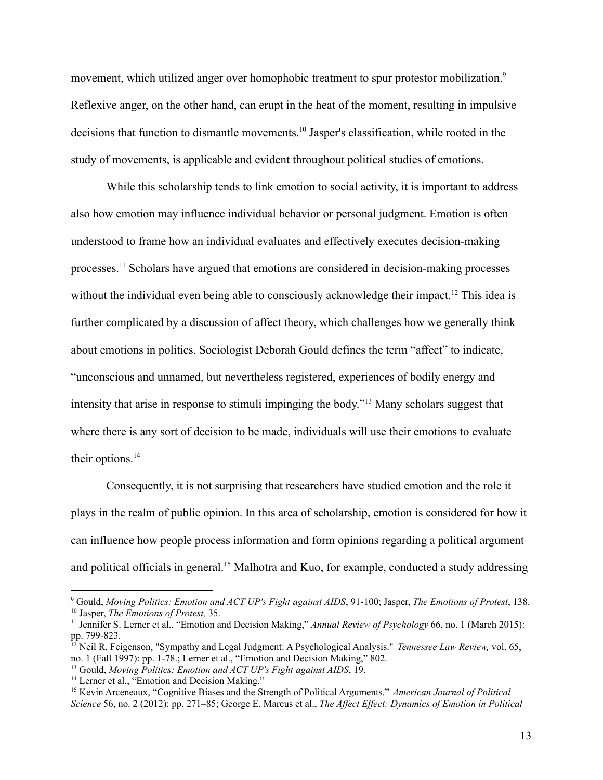movement, which utilized anger over homophobic treatment to spur protestor mobilization.<sup>9</sup> Reflexive anger, on the other hand, can erupt in the heat of the moment, resulting in impulsive decisions that function to dismantle movements.<sup>10</sup> Jasper's classification, while rooted in the study of movements, is applicable and evident throughout political studies of emotions.

While this scholarship tends to link emotion to social activity, it is important to address also how emotion may influence individual behavior or personal judgment. Emotion is often understood to frame how an individual evaluates and effectively executes decision-making processes.<sup>11</sup> Scholars have argued that emotions are considered in decision-making processes without the individual even being able to consciously acknowledge their impact.<sup>12</sup> This idea is further complicated by a discussion of affect theory, which challenges how we generally think about emotions in politics. Sociologist Deborah Gould defines the term "affect" to indicate, "unconscious and unnamed, but nevertheless registered, experiences of bodily energy and intensity that arise in response to stimuli impinging the body."<sup>13</sup> Many scholars suggest that where there is any sort of decision to be made, individuals will use their emotions to evaluate their options.<sup>14</sup>

Consequently, it is not surprising that researchers have studied emotion and the role it plays in the realm of public opinion. In this area of scholarship, emotion is considered for how it can influence how people process information and form opinions regarding a political argument and political officials in general.<sup>15</sup> Malhotra and Kuo, for example, conducted a study addressing

<sup>10</sup> Jasper, *The Emotions of Protest,* 35. <sup>9</sup> Gould, *Moving Politics: Emotion and ACT UP's Fight against AIDS*, 91-100; Jasper, *The Emotions of Protest*, 138.

<sup>11</sup> Jennifer S. Lerner et al., "Emotion and Decision Making," *Annual Review of Psychology* 66, no. 1 (March 2015): pp. 799-823.

<sup>12</sup> Neil R. Feigenson, "Sympathy and Legal Judgment: A Psychological Analysis." *Tennessee Law Review,* vol. 65, no. 1 (Fall 1997): pp. 1-78.; Lerner et al., "Emotion and Decision Making," 802.

<sup>13</sup> Gould, *Moving Politics: Emotion and ACT UP's Fight against AIDS*, 19.

<sup>&</sup>lt;sup>14</sup> Lerner et al., "Emotion and Decision Making."

<sup>15</sup> Kevin Arceneaux, "Cognitive Biases and the Strength of Political Arguments." *American Journal of Political Science* 56, no. 2 (2012): pp. 271–85; George E. Marcus et al., *The Af ect Ef ect: Dynamics of Emotion in Political*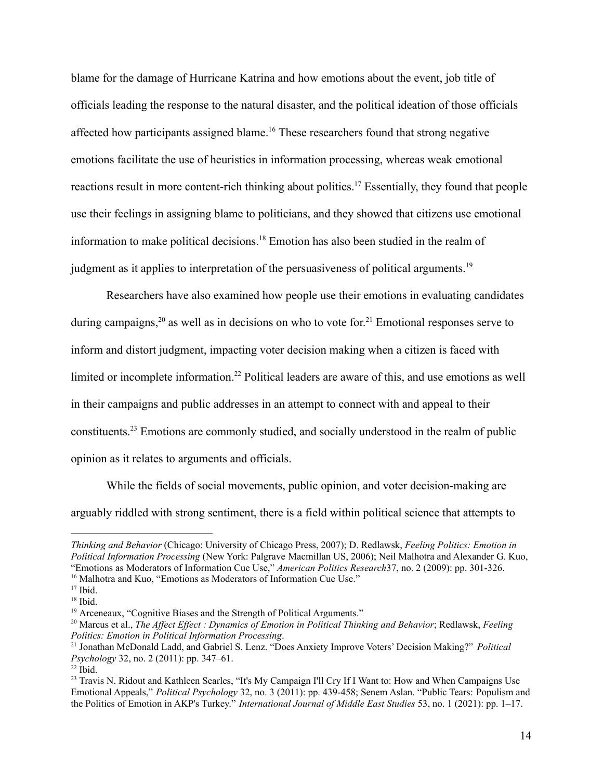blame for the damage of Hurricane Katrina and how emotions about the event, job title of officials leading the response to the natural disaster, and the political ideation of those officials affected how participants assigned blame.<sup>16</sup> These researchers found that strong negative emotions facilitate the use of heuristics in information processing, whereas weak emotional reactions result in more content-rich thinking about politics.<sup>17</sup> Essentially, they found that people use their feelings in assigning blame to politicians, and they showed that citizens use emotional information to make political decisions.<sup>18</sup> Emotion has also been studied in the realm of judgment as it applies to interpretation of the persuasiveness of political arguments.<sup>19</sup>

Researchers have also examined how people use their emotions in evaluating candidates during campaigns,<sup>20</sup> as well as in decisions on who to vote for.<sup>21</sup> Emotional responses serve to inform and distort judgment, impacting voter decision making when a citizen is faced with limited or incomplete information.<sup>22</sup> Political leaders are aware of this, and use emotions as well in their campaigns and public addresses in an attempt to connect with and appeal to their constituents.<sup>23</sup> Emotions are commonly studied, and socially understood in the realm of public opinion as it relates to arguments and officials.

While the fields of social movements, public opinion, and voter decision-making are arguably riddled with strong sentiment, there is a field within political science that attempts to

*Thinking and Behavior* (Chicago: University of Chicago Press, 2007); D. Redlawsk, *Feeling Politics: Emotion in Political Information Processing* (New York: Palgrave Macmillan US, 2006); Neil Malhotra and Alexander G. Kuo, "Emotions as Moderators of Information Cue Use," *American Politics Research*37, no. 2 (2009): pp. 301-326.

<sup>&</sup>lt;sup>16</sup> Malhotra and Kuo, "Emotions as Moderators of Information Cue Use."

 $17$  Ibid.

 $18$  Ibid.

<sup>&</sup>lt;sup>19</sup> Arceneaux, "Cognitive Biases and the Strength of Political Arguments."

<sup>20</sup> Marcus et al., *The Af ect Ef ect : Dynamics of Emotion in Political Thinking and Behavior*; Redlawsk, *Feeling Politics: Emotion in Political Information Processing*.

<sup>21</sup> Jonathan McDonald Ladd, and Gabriel S. Lenz. "Does Anxiety Improve Voters' Decision Making?" *Political Psychology* 32, no. 2 (2011): pp. 347–61.

 $22$  Ibid.

<sup>&</sup>lt;sup>23</sup> Travis N. Ridout and Kathleen Searles, "It's My Campaign I'll Cry If I Want to: How and When Campaigns Use Emotional Appeals," *Political Psychology* 32, no. 3 (2011): pp. 439-458; Senem Aslan. "Public Tears: Populism and the Politics of Emotion in AKP's Turkey." *International Journal of Middle East Studies* 53, no. 1 (2021): pp. 1–17.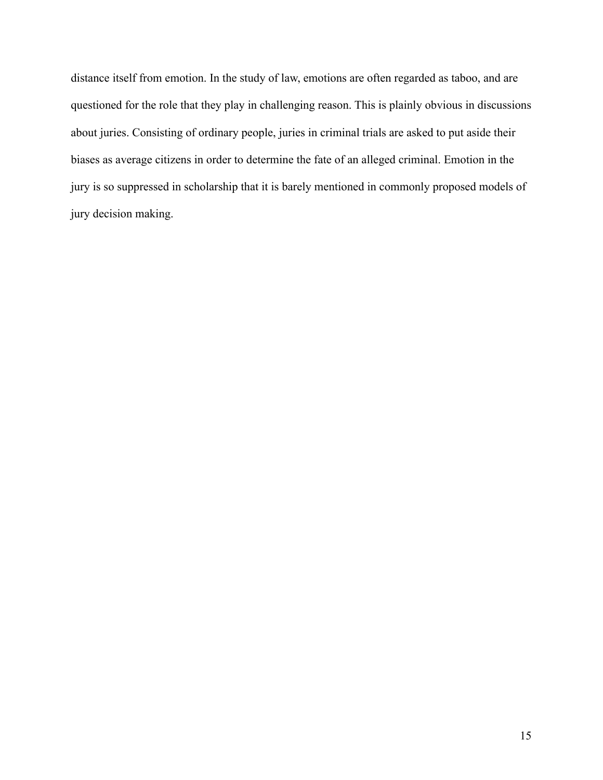distance itself from emotion. In the study of law, emotions are often regarded as taboo, and are questioned for the role that they play in challenging reason. This is plainly obvious in discussions about juries. Consisting of ordinary people, juries in criminal trials are asked to put aside their biases as average citizens in order to determine the fate of an alleged criminal. Emotion in the jury is so suppressed in scholarship that it is barely mentioned in commonly proposed models of jury decision making.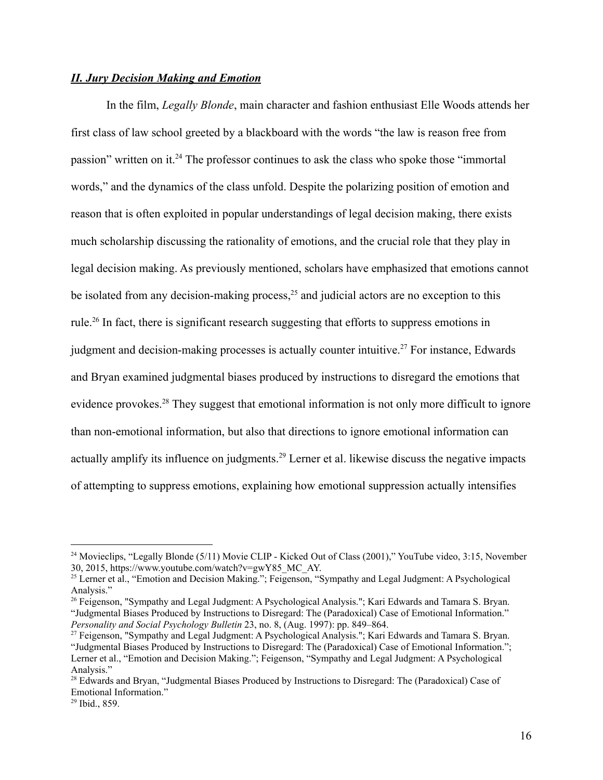#### *II. Jury Decision Making and Emotion*

In the film, *Legally Blonde*, main character and fashion enthusiast Elle Woods attends her first class of law school greeted by a blackboard with the words "the law is reason free from passion" written on it.<sup>24</sup> The professor continues to ask the class who spoke those "immortal words," and the dynamics of the class unfold. Despite the polarizing position of emotion and reason that is often exploited in popular understandings of legal decision making, there exists much scholarship discussing the rationality of emotions, and the crucial role that they play in legal decision making. As previously mentioned, scholars have emphasized that emotions cannot be isolated from any decision-making process,  $^{25}$  and judicial actors are no exception to this rule.<sup>26</sup> In fact, there is significant research suggesting that efforts to suppress emotions in judgment and decision-making processes is actually counter intuitive.<sup>27</sup> For instance, Edwards and Bryan examined judgmental biases produced by instructions to disregard the emotions that evidence provokes.<sup>28</sup> They suggest that emotional information is not only more difficult to ignore than non-emotional information, but also that directions to ignore emotional information can actually amplify its influence on judgments.<sup>29</sup> Lerner et al. likewise discuss the negative impacts of attempting to suppress emotions, explaining how emotional suppression actually intensifies

<sup>&</sup>lt;sup>24</sup> Movieclips, "Legally Blonde (5/11) Movie CLIP - Kicked Out of Class (2001)," YouTube video, 3:15, November 30, 2015, https://www.youtube.com/watch?v=gwY85\_MC\_AY.

<sup>&</sup>lt;sup>25</sup> Lerner et al., "Emotion and Decision Making."; Feigenson, "Sympathy and Legal Judgment: A Psychological Analysis."

<sup>&</sup>lt;sup>26</sup> Feigenson, "Sympathy and Legal Judgment: A Psychological Analysis."; Kari Edwards and Tamara S. Bryan. "Judgmental Biases Produced by Instructions to Disregard: The (Paradoxical) Case of Emotional Information." *Personality and Social Psychology Bulletin* 23, no. 8, (Aug. 1997): pp. 849–864.

<sup>&</sup>lt;sup>27</sup> Feigenson, "Sympathy and Legal Judgment: A Psychological Analysis."; Kari Edwards and Tamara S. Bryan. "Judgmental Biases Produced by Instructions to Disregard: The (Paradoxical) Case of Emotional Information."; Lerner et al., "Emotion and Decision Making."; Feigenson, "Sympathy and Legal Judgment: A Psychological Analysis."

<sup>&</sup>lt;sup>28</sup> Edwards and Bryan, "Judgmental Biases Produced by Instructions to Disregard: The (Paradoxical) Case of Emotional Information."

<sup>29</sup> Ibid., 859.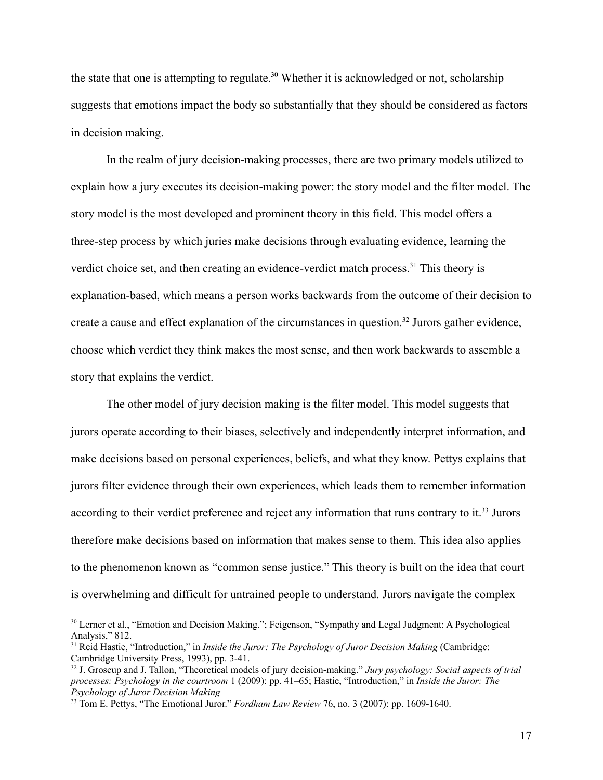the state that one is attempting to regulate.<sup>30</sup> Whether it is acknowledged or not, scholarship suggests that emotions impact the body so substantially that they should be considered as factors in decision making.

In the realm of jury decision-making processes, there are two primary models utilized to explain how a jury executes its decision-making power: the story model and the filter model. The story model is the most developed and prominent theory in this field. This model offers a three-step process by which juries make decisions through evaluating evidence, learning the verdict choice set, and then creating an evidence-verdict match process.<sup>31</sup> This theory is explanation-based, which means a person works backwards from the outcome of their decision to create a cause and effect explanation of the circumstances in question.<sup>32</sup> Jurors gather evidence, choose which verdict they think makes the most sense, and then work backwards to assemble a story that explains the verdict.

The other model of jury decision making is the filter model. This model suggests that jurors operate according to their biases, selectively and independently interpret information, and make decisions based on personal experiences, beliefs, and what they know. Pettys explains that jurors filter evidence through their own experiences, which leads them to remember information according to their verdict preference and reject any information that runs contrary to it.<sup>33</sup> Jurors therefore make decisions based on information that makes sense to them. This idea also applies to the phenomenon known as "common sense justice." This theory is built on the idea that court is overwhelming and difficult for untrained people to understand. Jurors navigate the complex

<sup>&</sup>lt;sup>30</sup> Lerner et al., "Emotion and Decision Making."; Feigenson, "Sympathy and Legal Judgment: A Psychological Analysis," 812.

<sup>31</sup> Reid Hastie, "Introduction," in *Inside the Juror: The Psychology of Juror Decision Making* (Cambridge: Cambridge University Press, 1993), pp. 3-41.

<sup>32</sup> J. Groscup and J. Tallon, "Theoretical models of jury decision-making." *Jury psychology: Social aspects of trial processes: Psychology in the courtroom* 1 (2009): pp. 41–65; Hastie, "Introduction," in *Inside the Juror: The Psychology of Juror Decision Making*

<sup>33</sup> Tom E. Pettys, "The Emotional Juror." *Fordham Law Review* 76, no. 3 (2007): pp. 1609-1640.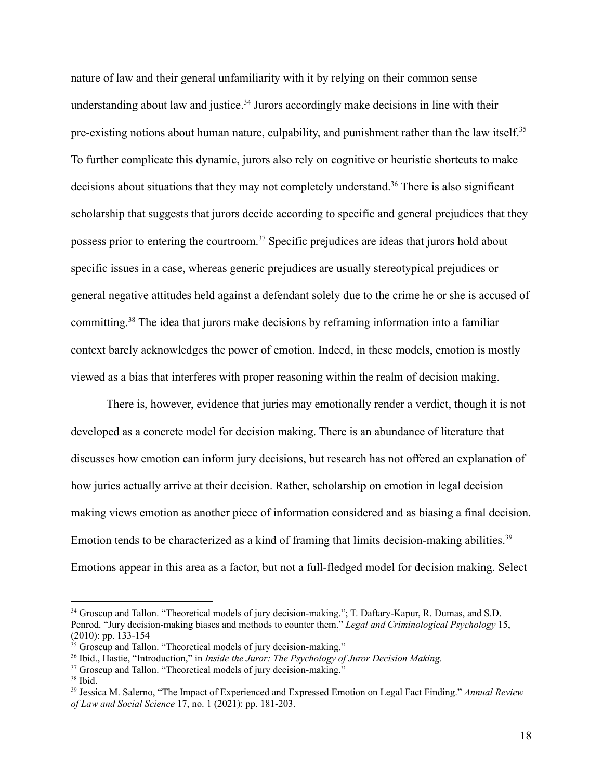nature of law and their general unfamiliarity with it by relying on their common sense understanding about law and justice.<sup>34</sup> Jurors accordingly make decisions in line with their pre-existing notions about human nature, culpability, and punishment rather than the law itself.<sup>35</sup> To further complicate this dynamic, jurors also rely on cognitive or heuristic shortcuts to make decisions about situations that they may not completely understand.<sup>36</sup> There is also significant scholarship that suggests that jurors decide according to specific and general prejudices that they possess prior to entering the courtroom.<sup>37</sup> Specific prejudices are ideas that jurors hold about specific issues in a case, whereas generic prejudices are usually stereotypical prejudices or general negative attitudes held against a defendant solely due to the crime he or she is accused of committing.<sup>38</sup> The idea that jurors make decisions by reframing information into a familiar context barely acknowledges the power of emotion. Indeed, in these models, emotion is mostly viewed as a bias that interferes with proper reasoning within the realm of decision making.

There is, however, evidence that juries may emotionally render a verdict, though it is not developed as a concrete model for decision making. There is an abundance of literature that discusses how emotion can inform jury decisions, but research has not offered an explanation of how juries actually arrive at their decision. Rather, scholarship on emotion in legal decision making views emotion as another piece of information considered and as biasing a final decision. Emotion tends to be characterized as a kind of framing that limits decision-making abilities.<sup>39</sup> Emotions appear in this area as a factor, but not a full-fledged model for decision making. Select

<sup>&</sup>lt;sup>34</sup> Groscup and Tallon. "Theoretical models of jury decision-making."; T. Daftary-Kapur, R. Dumas, and S.D. Penrod. "Jury decision-making biases and methods to counter them." *Legal and Criminological Psychology* 15, (2010): pp. 133-154

 $35$  Groscup and Tallon. "Theoretical models of jury decision-making."

<sup>36</sup> Ibid., Hastie, "Introduction," in *Inside the Juror: The Psychology of Juror Decision Making.*

<sup>&</sup>lt;sup>37</sup> Groscup and Tallon. "Theoretical models of jury decision-making."

 $38$  Ibid.

<sup>39</sup> Jessica M. Salerno, "The Impact of Experienced and Expressed Emotion on Legal Fact Finding." *Annual Review of Law and Social Science* 17, no. 1 (2021): pp. 181-203.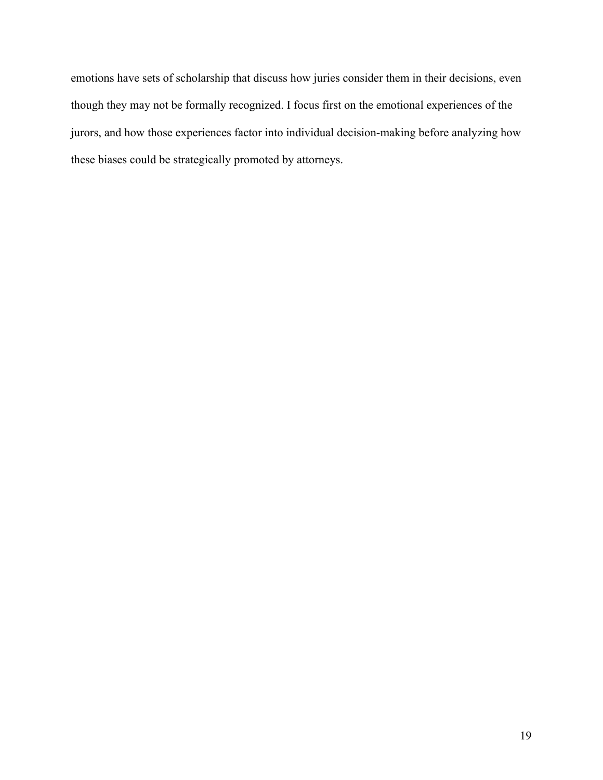emotions have sets of scholarship that discuss how juries consider them in their decisions, even though they may not be formally recognized. I focus first on the emotional experiences of the jurors, and how those experiences factor into individual decision-making before analyzing how these biases could be strategically promoted by attorneys.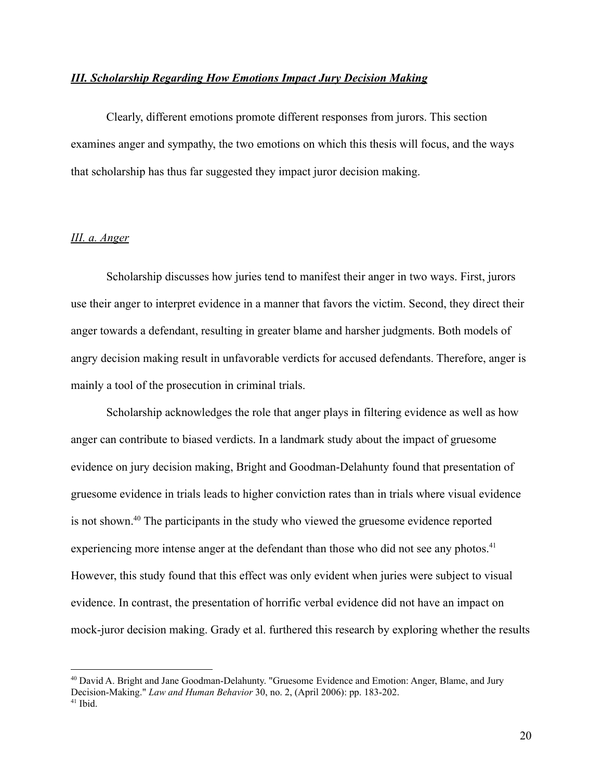#### *III. Scholarship Regarding How Emotions Impact Jury Decision Making*

Clearly, different emotions promote different responses from jurors. This section examines anger and sympathy, the two emotions on which this thesis will focus, and the ways that scholarship has thus far suggested they impact juror decision making.

#### *III. a. Anger*

Scholarship discusses how juries tend to manifest their anger in two ways. First, jurors use their anger to interpret evidence in a manner that favors the victim. Second, they direct their anger towards a defendant, resulting in greater blame and harsher judgments. Both models of angry decision making result in unfavorable verdicts for accused defendants. Therefore, anger is mainly a tool of the prosecution in criminal trials.

Scholarship acknowledges the role that anger plays in filtering evidence as well as how anger can contribute to biased verdicts. In a landmark study about the impact of gruesome evidence on jury decision making, Bright and Goodman-Delahunty found that presentation of gruesome evidence in trials leads to higher conviction rates than in trials where visual evidence is not shown.<sup>40</sup> The participants in the study who viewed the gruesome evidence reported experiencing more intense anger at the defendant than those who did not see any photos.<sup>41</sup> However, this study found that this effect was only evident when juries were subject to visual evidence. In contrast, the presentation of horrific verbal evidence did not have an impact on mock-juror decision making. Grady et al. furthered this research by exploring whether the results

<sup>41</sup> Ibid. <sup>40</sup> David A. Bright and Jane Goodman-Delahunty. "Gruesome Evidence and Emotion: Anger, Blame, and Jury Decision-Making." *Law and Human Behavior* 30, no. 2, (April 2006): pp. 183-202.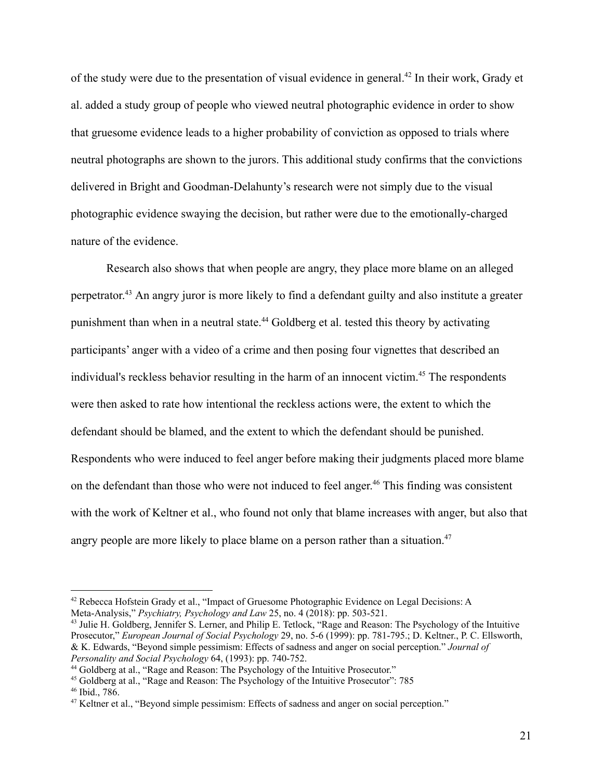of the study were due to the presentation of visual evidence in general.<sup>42</sup> In their work, Grady et al. added a study group of people who viewed neutral photographic evidence in order to show that gruesome evidence leads to a higher probability of conviction as opposed to trials where neutral photographs are shown to the jurors. This additional study confirms that the convictions delivered in Bright and Goodman-Delahunty's research were not simply due to the visual photographic evidence swaying the decision, but rather were due to the emotionally-charged nature of the evidence.

Research also shows that when people are angry, they place more blame on an alleged perpetrator. <sup>43</sup> An angry juror is more likely to find a defendant guilty and also institute a greater punishment than when in a neutral state.<sup>44</sup> Goldberg et al. tested this theory by activating participants' anger with a video of a crime and then posing four vignettes that described an individual's reckless behavior resulting in the harm of an innocent victim.<sup>45</sup> The respondents were then asked to rate how intentional the reckless actions were, the extent to which the defendant should be blamed, and the extent to which the defendant should be punished. Respondents who were induced to feel anger before making their judgments placed more blame on the defendant than those who were not induced to feel anger. <sup>46</sup> This finding was consistent with the work of Keltner et al., who found not only that blame increases with anger, but also that angry people are more likely to place blame on a person rather than a situation.<sup>47</sup>

<sup>42</sup> Rebecca Hofstein Grady et al., "Impact of Gruesome Photographic Evidence on Legal Decisions: A Meta-Analysis," *Psychiatry, Psychology and Law* 25, no. 4 (2018): pp. 503-521.

<sup>&</sup>lt;sup>43</sup> Julie H. Goldberg, Jennifer S. Lerner, and Philip E. Tetlock, "Rage and Reason: The Psychology of the Intuitive Prosecutor," *European Journal of Social Psychology* 29, no. 5-6 (1999): pp. 781-795.; D. Keltner., P. C. Ellsworth, & K. Edwards, "Beyond simple pessimism: Effects of sadness and anger on social perception." *Journal of Personality and Social Psychology* 64, (1993): pp. 740-752.

<sup>&</sup>lt;sup>44</sup> Goldberg at al., "Rage and Reason: The Psychology of the Intuitive Prosecutor."

<sup>45</sup> Goldberg at al., "Rage and Reason: The Psychology of the Intuitive Prosecutor": 785

<sup>46</sup> Ibid., 786.

<sup>&</sup>lt;sup>47</sup> Keltner et al., "Beyond simple pessimism: Effects of sadness and anger on social perception."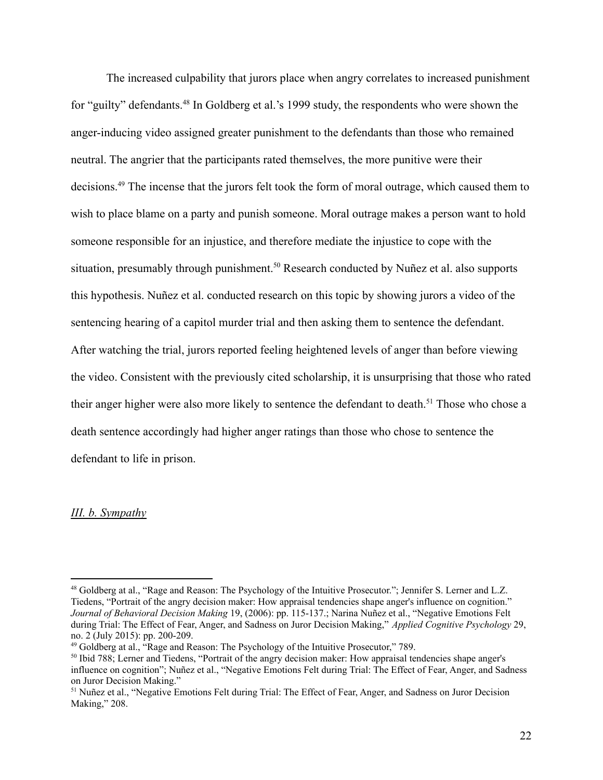The increased culpability that jurors place when angry correlates to increased punishment for "guilty" defendants.<sup>48</sup> In Goldberg et al.'s 1999 study, the respondents who were shown the anger-inducing video assigned greater punishment to the defendants than those who remained neutral. The angrier that the participants rated themselves, the more punitive were their decisions.<sup>49</sup> The incense that the jurors felt took the form of moral outrage, which caused them to wish to place blame on a party and punish someone. Moral outrage makes a person want to hold someone responsible for an injustice, and therefore mediate the injustice to cope with the situation, presumably through punishment.<sup>50</sup> Research conducted by Nuñez et al. also supports this hypothesis. Nuñez et al. conducted research on this topic by showing jurors a video of the sentencing hearing of a capitol murder trial and then asking them to sentence the defendant. After watching the trial, jurors reported feeling heightened levels of anger than before viewing the video. Consistent with the previously cited scholarship, it is unsurprising that those who rated their anger higher were also more likely to sentence the defendant to death.<sup>51</sup> Those who chose a death sentence accordingly had higher anger ratings than those who chose to sentence the defendant to life in prison.

#### *III. b. Sympathy*

<sup>&</sup>lt;sup>48</sup> Goldberg at al., "Rage and Reason: The Psychology of the Intuitive Prosecutor."; Jennifer S. Lerner and L.Z. Tiedens, "Portrait of the angry decision maker: How appraisal tendencies shape anger's influence on cognition." *Journal of Behavioral Decision Making* 19, (2006): pp. 115-137.; Narina Nuñez et al., "Negative Emotions Felt during Trial: The Effect of Fear, Anger, and Sadness on Juror Decision Making," *Applied Cognitive Psychology* 29, no. 2 (July 2015): pp. 200-209.

<sup>&</sup>lt;sup>49</sup> Goldberg at al., "Rage and Reason: The Psychology of the Intuitive Prosecutor," 789.

<sup>50</sup> Ibid 788; Lerner and Tiedens, "Portrait of the angry decision maker: How appraisal tendencies shape anger's influence on cognition"; Nuñez et al., "Negative Emotions Felt during Trial: The Effect of Fear, Anger, and Sadness on Juror Decision Making."

<sup>&</sup>lt;sup>51</sup> Nuñez et al., "Negative Emotions Felt during Trial: The Effect of Fear, Anger, and Sadness on Juror Decision Making," 208.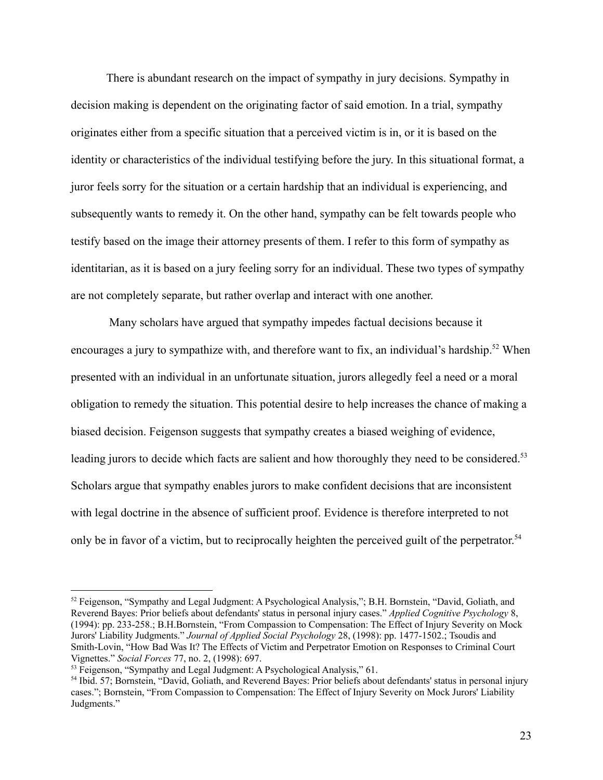There is abundant research on the impact of sympathy in jury decisions. Sympathy in decision making is dependent on the originating factor of said emotion. In a trial, sympathy originates either from a specific situation that a perceived victim is in, or it is based on the identity or characteristics of the individual testifying before the jury. In this situational format, a juror feels sorry for the situation or a certain hardship that an individual is experiencing, and subsequently wants to remedy it. On the other hand, sympathy can be felt towards people who testify based on the image their attorney presents of them. I refer to this form of sympathy as identitarian, as it is based on a jury feeling sorry for an individual. These two types of sympathy are not completely separate, but rather overlap and interact with one another.

Many scholars have argued that sympathy impedes factual decisions because it encourages a jury to sympathize with, and therefore want to fix, an individual's hardship.<sup>52</sup> When presented with an individual in an unfortunate situation, jurors allegedly feel a need or a moral obligation to remedy the situation. This potential desire to help increases the chance of making a biased decision. Feigenson suggests that sympathy creates a biased weighing of evidence, leading jurors to decide which facts are salient and how thoroughly they need to be considered.<sup>53</sup> Scholars argue that sympathy enables jurors to make confident decisions that are inconsistent with legal doctrine in the absence of sufficient proof. Evidence is therefore interpreted to not only be in favor of a victim, but to reciprocally heighten the perceived guilt of the perpetrator. 54

<sup>52</sup> Feigenson, "Sympathy and Legal Judgment: A Psychological Analysis,"; B.H. Bornstein, "David, Goliath, and Reverend Bayes: Prior beliefs about defendants' status in personal injury cases." *Applied Cognitive Psychology* 8, (1994): pp. 233-258.; B.H.Bornstein, "From Compassion to Compensation: The Effect of Injury Severity on Mock Jurors' Liability Judgments." *Journal of Applied Social Psychology* 28, (1998): pp. 1477-1502.; Tsoudis and Smith-Lovin, "How Bad Was It? The Effects of Victim and Perpetrator Emotion on Responses to Criminal Court Vignettes." *Social Forces* 77, no. 2, (1998): 697.

<sup>&</sup>lt;sup>53</sup> Feigenson, "Sympathy and Legal Judgment: A Psychological Analysis," 61.

<sup>54</sup> Ibid. 57; Bornstein, "David, Goliath, and Reverend Bayes: Prior beliefs about defendants' status in personal injury cases."; Bornstein, "From Compassion to Compensation: The Effect of Injury Severity on Mock Jurors' Liability Judgments."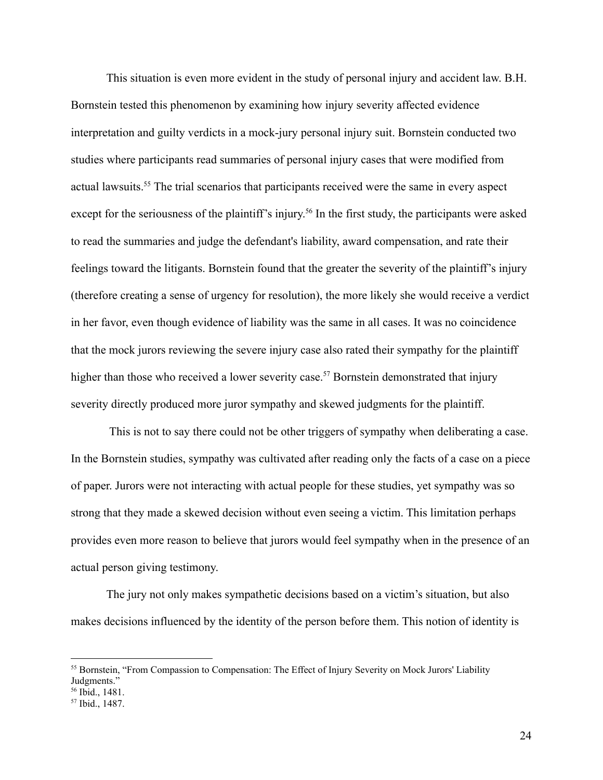This situation is even more evident in the study of personal injury and accident law. B.H. Bornstein tested this phenomenon by examining how injury severity affected evidence interpretation and guilty verdicts in a mock-jury personal injury suit. Bornstein conducted two studies where participants read summaries of personal injury cases that were modified from actual lawsuits.<sup>55</sup> The trial scenarios that participants received were the same in every aspect except for the seriousness of the plaintiff's injury.<sup>56</sup> In the first study, the participants were asked to read the summaries and judge the defendant's liability, award compensation, and rate their feelings toward the litigants. Bornstein found that the greater the severity of the plaintiff's injury (therefore creating a sense of urgency for resolution), the more likely she would receive a verdict in her favor, even though evidence of liability was the same in all cases. It was no coincidence that the mock jurors reviewing the severe injury case also rated their sympathy for the plaintiff higher than those who received a lower severity case.<sup>57</sup> Bornstein demonstrated that injury severity directly produced more juror sympathy and skewed judgments for the plaintiff.

This is not to say there could not be other triggers of sympathy when deliberating a case. In the Bornstein studies, sympathy was cultivated after reading only the facts of a case on a piece of paper. Jurors were not interacting with actual people for these studies, yet sympathy was so strong that they made a skewed decision without even seeing a victim. This limitation perhaps provides even more reason to believe that jurors would feel sympathy when in the presence of an actual person giving testimony.

The jury not only makes sympathetic decisions based on a victim's situation, but also makes decisions influenced by the identity of the person before them. This notion of identity is

<sup>&</sup>lt;sup>55</sup> Bornstein, "From Compassion to Compensation: The Effect of Injury Severity on Mock Jurors' Liability Judgments."

<sup>56</sup> Ibid., 1481.

<sup>57</sup> Ibid., 1487.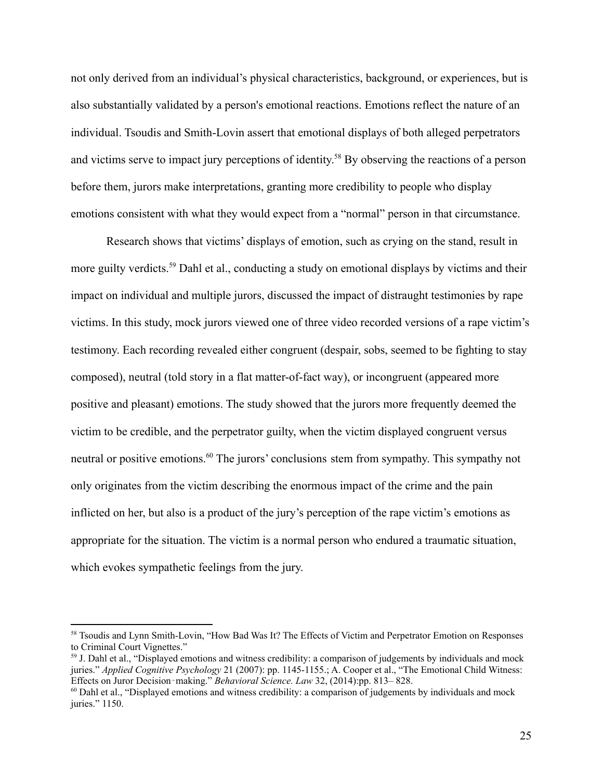not only derived from an individual's physical characteristics, background, or experiences, but is also substantially validated by a person's emotional reactions. Emotions reflect the nature of an individual. Tsoudis and Smith-Lovin assert that emotional displays of both alleged perpetrators and victims serve to impact jury perceptions of identity.<sup>58</sup> By observing the reactions of a person before them, jurors make interpretations, granting more credibility to people who display emotions consistent with what they would expect from a "normal" person in that circumstance.

Research shows that victims' displays of emotion, such as crying on the stand, result in more guilty verdicts.<sup>59</sup> Dahl et al., conducting a study on emotional displays by victims and their impact on individual and multiple jurors, discussed the impact of distraught testimonies by rape victims. In this study, mock jurors viewed one of three video recorded versions of a rape victim's testimony. Each recording revealed either congruent (despair, sobs, seemed to be fighting to stay composed), neutral (told story in a flat matter-of-fact way), or incongruent (appeared more positive and pleasant) emotions. The study showed that the jurors more frequently deemed the victim to be credible, and the perpetrator guilty, when the victim displayed congruent versus neutral or positive emotions.<sup>60</sup> The jurors' conclusions stem from sympathy. This sympathy not only originates from the victim describing the enormous impact of the crime and the pain inflicted on her, but also is a product of the jury's perception of the rape victim's emotions as appropriate for the situation. The victim is a normal person who endured a traumatic situation, which evokes sympathetic feelings from the jury.

<sup>58</sup> Tsoudis and Lynn Smith-Lovin, "How Bad Was It? The Effects of Victim and Perpetrator Emotion on Responses to Criminal Court Vignettes."

<sup>&</sup>lt;sup>59</sup> J. Dahl et al., "Displayed emotions and witness credibility: a comparison of judgements by individuals and mock juries." *Applied Cognitive Psychology* 21 (2007): pp. 1145-1155.; A. Cooper et al., "The Emotional Child Witness: Effects on Juror Decision‐making." *Behavioral Science. Law* 32, (2014):pp. 813– 828.

<sup>60</sup> Dahl et al., "Displayed emotions and witness credibility: a comparison of judgements by individuals and mock juries." 1150.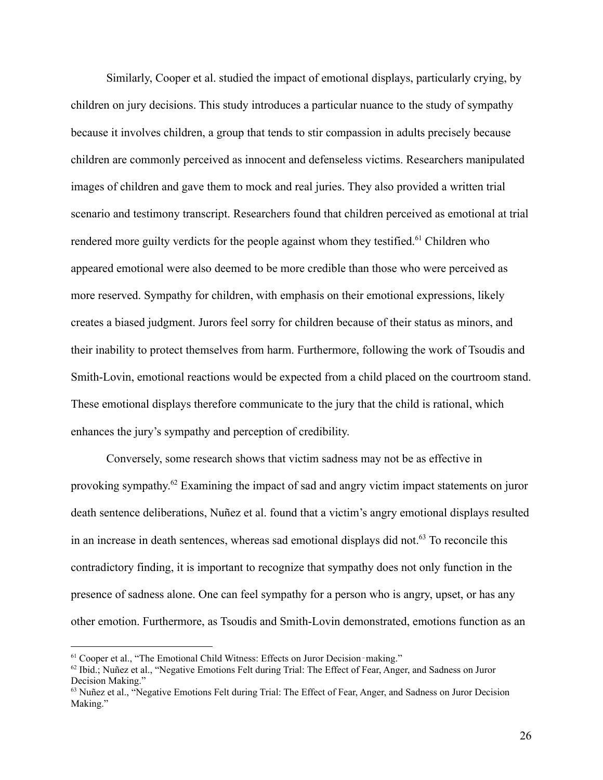Similarly, Cooper et al. studied the impact of emotional displays, particularly crying, by children on jury decisions. This study introduces a particular nuance to the study of sympathy because it involves children, a group that tends to stir compassion in adults precisely because children are commonly perceived as innocent and defenseless victims. Researchers manipulated images of children and gave them to mock and real juries. They also provided a written trial scenario and testimony transcript. Researchers found that children perceived as emotional at trial rendered more guilty verdicts for the people against whom they testified.<sup>61</sup> Children who appeared emotional were also deemed to be more credible than those who were perceived as more reserved. Sympathy for children, with emphasis on their emotional expressions, likely creates a biased judgment. Jurors feel sorry for children because of their status as minors, and their inability to protect themselves from harm. Furthermore, following the work of Tsoudis and Smith-Lovin, emotional reactions would be expected from a child placed on the courtroom stand. These emotional displays therefore communicate to the jury that the child is rational, which enhances the jury's sympathy and perception of credibility.

Conversely, some research shows that victim sadness may not be as effective in provoking sympathy. <sup>62</sup> Examining the impact of sad and angry victim impact statements on juror death sentence deliberations, Nuñez et al. found that a victim's angry emotional displays resulted in an increase in death sentences, whereas sad emotional displays did not.<sup>63</sup> To reconcile this contradictory finding, it is important to recognize that sympathy does not only function in the presence of sadness alone. One can feel sympathy for a person who is angry, upset, or has any other emotion. Furthermore, as Tsoudis and Smith-Lovin demonstrated, emotions function as an

<sup>&</sup>lt;sup>61</sup> Cooper et al., "The Emotional Child Witness: Effects on Juror Decision-making."

 $62$  Ibid.; Nuñez et al., "Negative Emotions Felt during Trial: The Effect of Fear, Anger, and Sadness on Juror Decision Making."

<sup>&</sup>lt;sup>63</sup> Nuñez et al., "Negative Emotions Felt during Trial: The Effect of Fear, Anger, and Sadness on Juror Decision Making."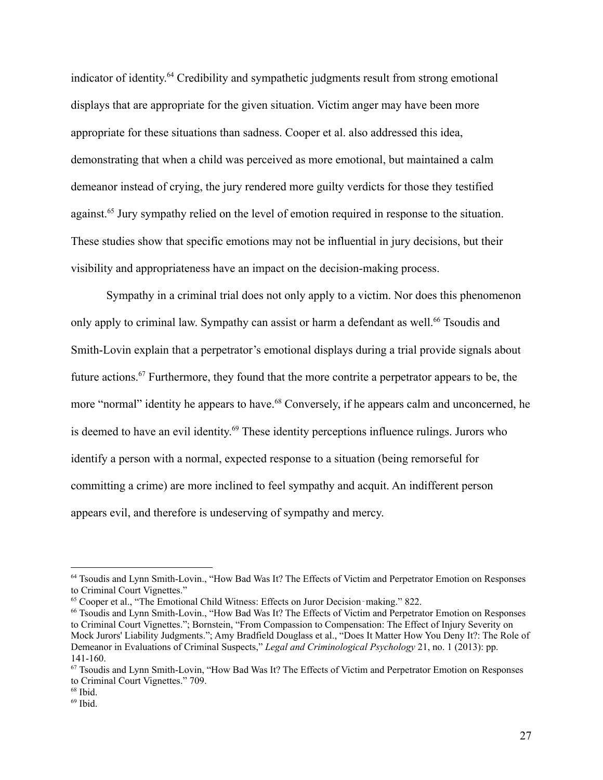indicator of identity. <sup>64</sup> Credibility and sympathetic judgments result from strong emotional displays that are appropriate for the given situation. Victim anger may have been more appropriate for these situations than sadness. Cooper et al. also addressed this idea, demonstrating that when a child was perceived as more emotional, but maintained a calm demeanor instead of crying, the jury rendered more guilty verdicts for those they testified against.<sup>65</sup> Jury sympathy relied on the level of emotion required in response to the situation. These studies show that specific emotions may not be influential in jury decisions, but their visibility and appropriateness have an impact on the decision-making process.

Sympathy in a criminal trial does not only apply to a victim. Nor does this phenomenon only apply to criminal law. Sympathy can assist or harm a defendant as well.<sup>66</sup> Tsoudis and Smith-Lovin explain that a perpetrator's emotional displays during a trial provide signals about future actions.<sup>67</sup> Furthermore, they found that the more contrite a perpetrator appears to be, the more "normal" identity he appears to have.<sup>68</sup> Conversely, if he appears calm and unconcerned, he is deemed to have an evil identity.<sup>69</sup> These identity perceptions influence rulings. Jurors who identify a person with a normal, expected response to a situation (being remorseful for committing a crime) are more inclined to feel sympathy and acquit. An indifferent person appears evil, and therefore is undeserving of sympathy and mercy.

<sup>64</sup> Tsoudis and Lynn Smith-Lovin., "How Bad Was It? The Effects of Victim and Perpetrator Emotion on Responses to Criminal Court Vignettes."

<sup>65</sup> Cooper et al., "The Emotional Child Witness: Effects on Juror Decision‐making." 822.

<sup>&</sup>lt;sup>66</sup> Tsoudis and Lynn Smith-Lovin., "How Bad Was It? The Effects of Victim and Perpetrator Emotion on Responses to Criminal Court Vignettes."; Bornstein, "From Compassion to Compensation: The Effect of Injury Severity on Mock Jurors' Liability Judgments."; Amy Bradfield Douglass et al., "Does It Matter How You Deny It?: The Role of Demeanor in Evaluations of Criminal Suspects," *Legal and Criminological Psychology* 21, no. 1 (2013): pp. 141-160.

<sup>67</sup> Tsoudis and Lynn Smith-Lovin, "How Bad Was It? The Effects of Victim and Perpetrator Emotion on Responses to Criminal Court Vignettes." 709.

 $68$  Ibid.

 $69$  Ibid.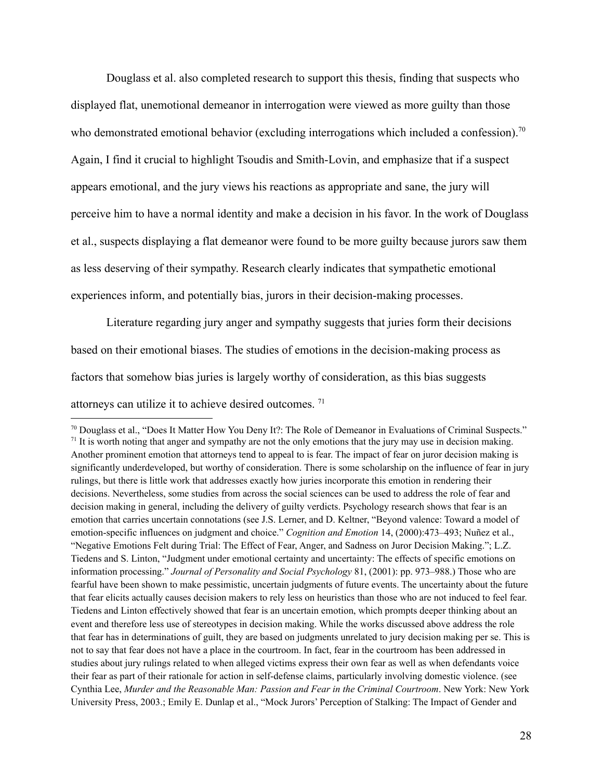Douglass et al. also completed research to support this thesis, finding that suspects who displayed flat, unemotional demeanor in interrogation were viewed as more guilty than those who demonstrated emotional behavior (excluding interrogations which included a confession).<sup>70</sup> Again, I find it crucial to highlight Tsoudis and Smith-Lovin, and emphasize that if a suspect appears emotional, and the jury views his reactions as appropriate and sane, the jury will perceive him to have a normal identity and make a decision in his favor. In the work of Douglass et al., suspects displaying a flat demeanor were found to be more guilty because jurors saw them as less deserving of their sympathy. Research clearly indicates that sympathetic emotional experiences inform, and potentially bias, jurors in their decision-making processes.

Literature regarding jury anger and sympathy suggests that juries form their decisions based on their emotional biases. The studies of emotions in the decision-making process as factors that somehow bias juries is largely worthy of consideration, as this bias suggests attorneys can utilize it to achieve desired outcomes. <sup>71</sup>

 $71$  It is worth noting that anger and sympathy are not the only emotions that the jury may use in decision making. Another prominent emotion that attorneys tend to appeal to is fear. The impact of fear on juror decision making is significantly underdeveloped, but worthy of consideration. There is some scholarship on the influence of fear in jury rulings, but there is little work that addresses exactly how juries incorporate this emotion in rendering their decisions. Nevertheless, some studies from across the social sciences can be used to address the role of fear and decision making in general, including the delivery of guilty verdicts. Psychology research shows that fear is an emotion that carries uncertain connotations (see J.S. Lerner, and D. Keltner, "Beyond valence: Toward a model of emotion-specific influences on judgment and choice." *Cognition and Emotion* 14, (2000):473–493; Nuñez et al., "Negative Emotions Felt during Trial: The Effect of Fear, Anger, and Sadness on Juror Decision Making."; L.Z. Tiedens and S. Linton, "Judgment under emotional certainty and uncertainty: The effects of specific emotions on information processing." *Journal of Personality and Social Psychology* 81, (2001): pp. 973–988.) Those who are fearful have been shown to make pessimistic, uncertain judgments of future events. The uncertainty about the future that fear elicits actually causes decision makers to rely less on heuristics than those who are not induced to feel fear. Tiedens and Linton effectively showed that fear is an uncertain emotion, which prompts deeper thinking about an event and therefore less use of stereotypes in decision making. While the works discussed above address the role that fear has in determinations of guilt, they are based on judgments unrelated to jury decision making per se. This is not to say that fear does not have a place in the courtroom. In fact, fear in the courtroom has been addressed in studies about jury rulings related to when alleged victims express their own fear as well as when defendants voice their fear as part of their rationale for action in self-defense claims, particularly involving domestic violence. (see Cynthia Lee, *Murder and the Reasonable Man: Passion and Fear in the Criminal Courtroom*. New York: New York University Press, 2003.; Emily E. Dunlap et al., "Mock Jurors' Perception of Stalking: The Impact of Gender and <sup>70</sup> Douglass et al., "Does It Matter How You Deny It?: The Role of Demeanor in Evaluations of Criminal Suspects."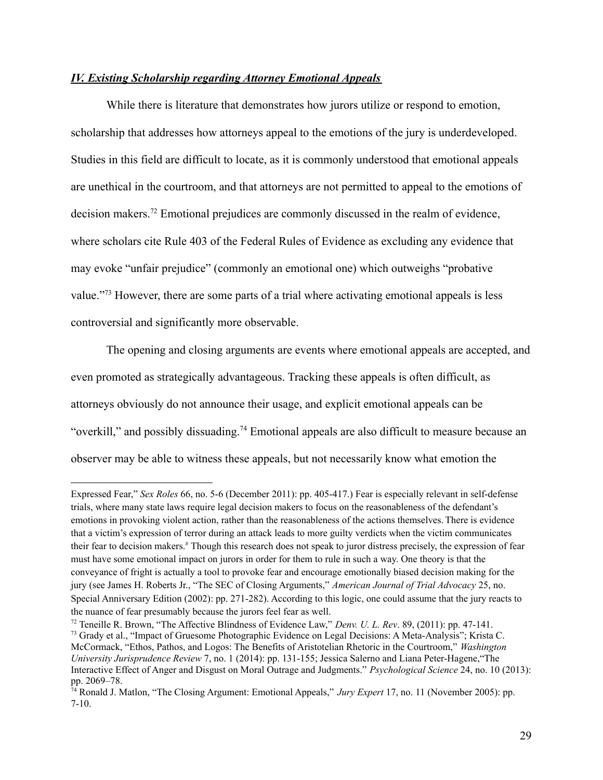#### *IV. Existing Scholarship regarding Attorney Emotional Appeals*

While there is literature that demonstrates how jurors utilize or respond to emotion, scholarship that addresses how attorneys appeal to the emotions of the jury is underdeveloped. Studies in this field are difficult to locate, as it is commonly understood that emotional appeals are unethical in the courtroom, and that attorneys are not permitted to appeal to the emotions of decision makers.<sup>72</sup> Emotional prejudices are commonly discussed in the realm of evidence, where scholars cite Rule 403 of the Federal Rules of Evidence as excluding any evidence that may evoke "unfair prejudice" (commonly an emotional one) which outweighs "probative value."<sup>73</sup> However, there are some parts of a trial where activating emotional appeals is less controversial and significantly more observable.

The opening and closing arguments are events where emotional appeals are accepted, and even promoted as strategically advantageous. Tracking these appeals is often difficult, as attorneys obviously do not announce their usage, and explicit emotional appeals can be "overkill," and possibly dissuading.<sup>74</sup> Emotional appeals are also difficult to measure because an observer may be able to witness these appeals, but not necessarily know what emotion the

Expressed Fear," *Sex Roles* 66, no. 5-6 (December 2011): pp. 405-417.) Fear is especially relevant in self-defense trials, where many state laws require legal decision makers to focus on the reasonableness of the defendant's emotions in provoking violent action, rather than the reasonableness of the actions themselves.There is evidence that a victim's expression of terror during an attack leads to more guilty verdicts when the victim communicates their fear to decision makers. # Though this research does not speak to juror distress precisely, the expression of fear must have some emotional impact on jurors in order for them to rule in such a way. One theory is that the conveyance of fright is actually a tool to provoke fear and encourage emotionally biased decision making for the jury (see James H. Roberts Jr., "The SEC of Closing Arguments," *American Journal of Trial Advocacy* 25, no. Special Anniversary Edition (2002): pp. 271-282). According to this logic, one could assume that the jury reacts to the nuance of fear presumably because the jurors feel fear as well.

<sup>73</sup> Grady et al., "Impact of Gruesome Photographic Evidence on Legal Decisions: A Meta-Analysis"; Krista C. McCormack, "Ethos, Pathos, and Logos: The Benefits of Aristotelian Rhetoric in the Courtroom," *Washington University Jurisprudence Review* 7, no. 1 (2014): pp. 131-155; Jessica Salerno and Liana Peter-Hagene,"The Interactive Effect of Anger and Disgust on Moral Outrage and Judgments." *Psychological Science* 24, no. 10 (2013): pp. 2069–78. <sup>72</sup> Teneille R. Brown, "The Affective Blindness of Evidence Law," *Denv. U. L. Rev*. 89, (2011): pp. 47-141.

<sup>74</sup> Ronald J. Matlon, "The Closing Argument: Emotional Appeals," *Jury Expert* 17, no. 11 (November 2005): pp. 7-10.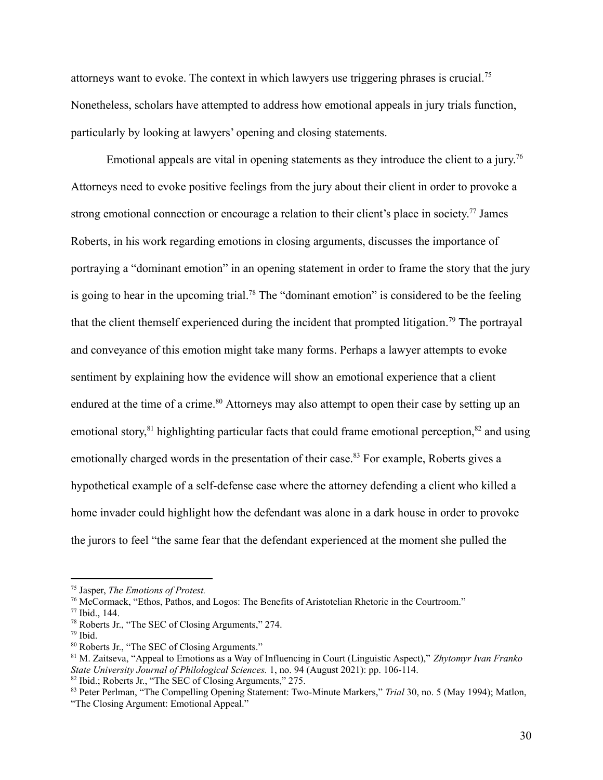attorneys want to evoke. The context in which lawyers use triggering phrases is crucial.<sup>75</sup> Nonetheless, scholars have attempted to address how emotional appeals in jury trials function, particularly by looking at lawyers' opening and closing statements.

Emotional appeals are vital in opening statements as they introduce the client to a jury.<sup>76</sup> Attorneys need to evoke positive feelings from the jury about their client in order to provoke a strong emotional connection or encourage a relation to their client's place in society.<sup>77</sup> James Roberts, in his work regarding emotions in closing arguments, discusses the importance of portraying a "dominant emotion" in an opening statement in order to frame the story that the jury is going to hear in the upcoming trial.<sup>78</sup> The "dominant emotion" is considered to be the feeling that the client themself experienced during the incident that prompted litigation.<sup>79</sup> The portrayal and conveyance of this emotion might take many forms. Perhaps a lawyer attempts to evoke sentiment by explaining how the evidence will show an emotional experience that a client endured at the time of a crime.<sup>80</sup> Attorneys may also attempt to open their case by setting up an emotional story,<sup>81</sup> highlighting particular facts that could frame emotional perception,<sup>82</sup> and using emotionally charged words in the presentation of their case.<sup>83</sup> For example, Roberts gives a hypothetical example of a self-defense case where the attorney defending a client who killed a home invader could highlight how the defendant was alone in a dark house in order to provoke the jurors to feel "the same fear that the defendant experienced at the moment she pulled the

<sup>75</sup> Jasper, *The Emotions of Protest.*

<sup>76</sup> McCormack, "Ethos, Pathos, and Logos: The Benefits of Aristotelian Rhetoric in the Courtroom."

<sup>77</sup> Ibid., 144.

<sup>78</sup> Roberts Jr., "The SEC of Closing Arguments," 274.

 $79$  Ibid.

<sup>80</sup> Roberts Jr., "The SEC of Closing Arguments."

<sup>81</sup> M. Zaitseva, "Appeal to Emotions as a Way of Influencing in Court (Linguistic Aspect)," *Zhytomyr Ivan Franko State University Journal of Philological Sciences.* 1, no. 94 (August 2021): pp. 106-114.

<sup>&</sup>lt;sup>82</sup> Ibid.; Roberts Jr., "The SEC of Closing Arguments," 275.

<sup>&</sup>lt;sup>83</sup> Peter Perlman, "The Compelling Opening Statement: Two-Minute Markers," *Trial* 30, no. 5 (May 1994); Matlon, "The Closing Argument: Emotional Appeal."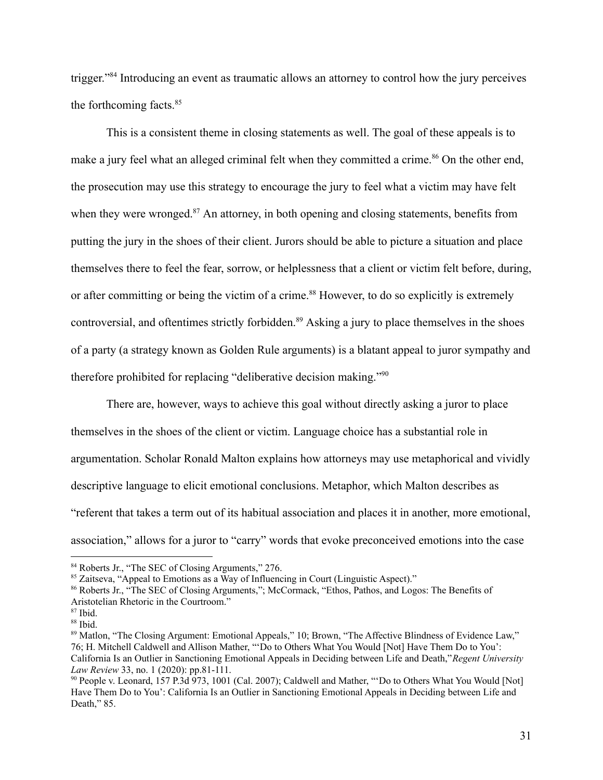trigger."<sup>84</sup> Introducing an event as traumatic allows an attorney to control how the jury perceives the forthcoming facts.<sup>85</sup>

This is a consistent theme in closing statements as well. The goal of these appeals is to make a jury feel what an alleged criminal felt when they committed a crime.<sup>86</sup> On the other end, the prosecution may use this strategy to encourage the jury to feel what a victim may have felt when they were wronged.<sup>87</sup> An attorney, in both opening and closing statements, benefits from putting the jury in the shoes of their client. Jurors should be able to picture a situation and place themselves there to feel the fear, sorrow, or helplessness that a client or victim felt before, during, or after committing or being the victim of a crime.<sup>88</sup> However, to do so explicitly is extremely controversial, and oftentimes strictly forbidden.<sup>89</sup> Asking a jury to place themselves in the shoes of a party (a strategy known as Golden Rule arguments) is a blatant appeal to juror sympathy and therefore prohibited for replacing "deliberative decision making."<sup>90</sup>

There are, however, ways to achieve this goal without directly asking a juror to place themselves in the shoes of the client or victim. Language choice has a substantial role in argumentation. Scholar Ronald Malton explains how attorneys may use metaphorical and vividly descriptive language to elicit emotional conclusions. Metaphor, which Malton describes as "referent that takes a term out of its habitual association and places it in another, more emotional, association," allows for a juror to "carry" words that evoke preconceived emotions into the case

<sup>84</sup> Roberts Jr., "The SEC of Closing Arguments," 276.

<sup>&</sup>lt;sup>85</sup> Zaitseva, "Appeal to Emotions as a Way of Influencing in Court (Linguistic Aspect)."

<sup>86</sup> Roberts Jr., "The SEC of Closing Arguments,"; McCormack, "Ethos, Pathos, and Logos: The Benefits of Aristotelian Rhetoric in the Courtroom."

 $87$  Ibid.

<sup>88</sup> Ibid.

<sup>89</sup> Matlon, "The Closing Argument: Emotional Appeals," 10; Brown, "The Affective Blindness of Evidence Law," 76; H. Mitchell Caldwell and Allison Mather, "'Do to Others What You Would [Not] Have Them Do to You': California Is an Outlier in Sanctioning Emotional Appeals in Deciding between Life and Death,"*Regent University Law Review* 33, no. 1 (2020): pp.81-111.

<sup>90</sup> People v. Leonard, 157 P.3d 973, 1001 (Cal. 2007); Caldwell and Mather, "'Do to Others What You Would [Not] Have Them Do to You': California Is an Outlier in Sanctioning Emotional Appeals in Deciding between Life and Death," 85.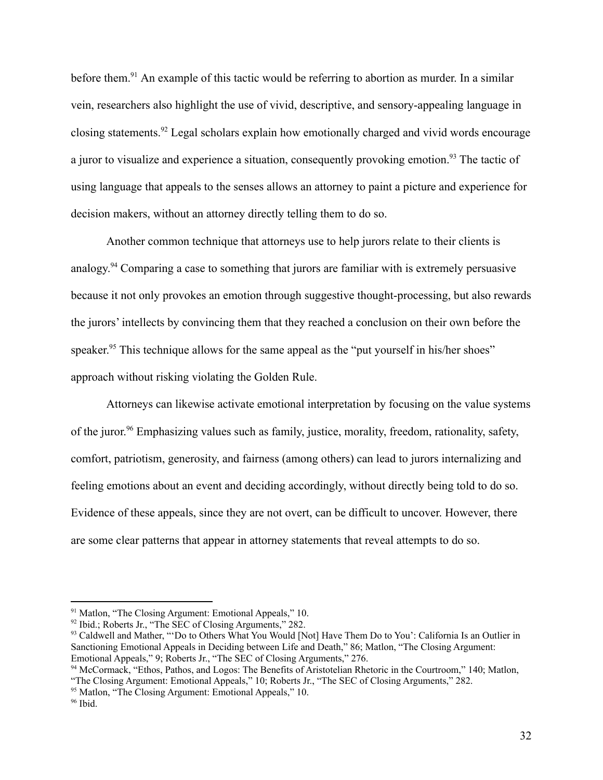before them.<sup>91</sup> An example of this tactic would be referring to abortion as murder. In a similar vein, researchers also highlight the use of vivid, descriptive, and sensory-appealing language in closing statements.<sup>92</sup> Legal scholars explain how emotionally charged and vivid words encourage a juror to visualize and experience a situation, consequently provoking emotion.<sup>93</sup> The tactic of using language that appeals to the senses allows an attorney to paint a picture and experience for decision makers, without an attorney directly telling them to do so.

Another common technique that attorneys use to help jurors relate to their clients is analogy.<sup>94</sup> Comparing a case to something that jurors are familiar with is extremely persuasive because it not only provokes an emotion through suggestive thought-processing, but also rewards the jurors' intellects by convincing them that they reached a conclusion on their own before the speaker.<sup>95</sup> This technique allows for the same appeal as the "put yourself in his/her shoes" approach without risking violating the Golden Rule.

Attorneys can likewise activate emotional interpretation by focusing on the value systems of the juror.<sup>96</sup> Emphasizing values such as family, justice, morality, freedom, rationality, safety, comfort, patriotism, generosity, and fairness (among others) can lead to jurors internalizing and feeling emotions about an event and deciding accordingly, without directly being told to do so. Evidence of these appeals, since they are not overt, can be difficult to uncover. However, there are some clear patterns that appear in attorney statements that reveal attempts to do so.

<sup>91</sup> Matlon, "The Closing Argument: Emotional Appeals," 10.

 $92$  Ibid.; Roberts Jr., "The SEC of Closing Arguments," 282.

<sup>93</sup> Caldwell and Mather, "'Do to Others What You Would [Not] Have Them Do to You': California Is an Outlier in Sanctioning Emotional Appeals in Deciding between Life and Death," 86; Matlon, "The Closing Argument: Emotional Appeals," 9; Roberts Jr., "The SEC of Closing Arguments," 276.

<sup>&</sup>lt;sup>94</sup> McCormack, "Ethos, Pathos, and Logos: The Benefits of Aristotelian Rhetoric in the Courtroom," 140; Matlon, "The Closing Argument: Emotional Appeals," 10; Roberts Jr., "The SEC of Closing Arguments," 282.

<sup>&</sup>lt;sup>95</sup> Matlon, "The Closing Argument: Emotional Appeals," 10.

<sup>&</sup>lt;sup>96</sup> Ibid.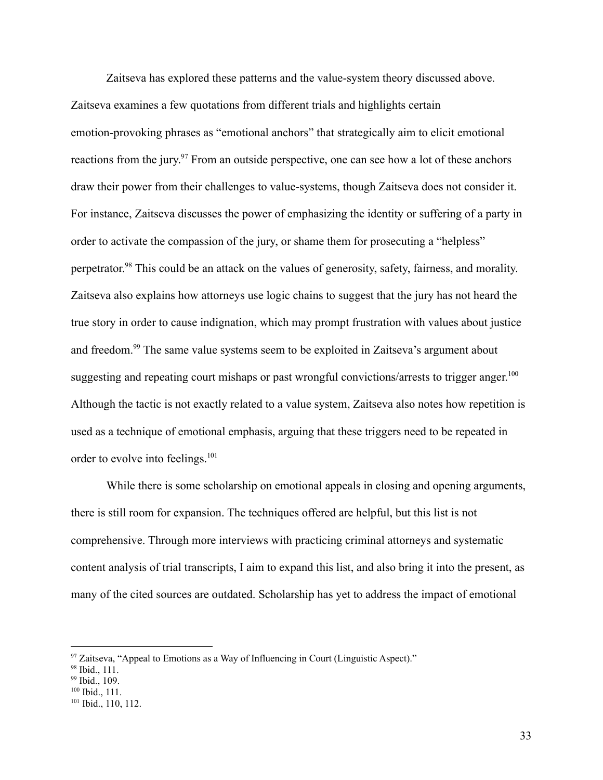Zaitseva has explored these patterns and the value-system theory discussed above. Zaitseva examines a few quotations from different trials and highlights certain emotion-provoking phrases as "emotional anchors" that strategically aim to elicit emotional reactions from the jury.<sup>97</sup> From an outside perspective, one can see how a lot of these anchors draw their power from their challenges to value-systems, though Zaitseva does not consider it. For instance, Zaitseva discusses the power of emphasizing the identity or suffering of a party in order to activate the compassion of the jury, or shame them for prosecuting a "helpless" perpetrator.<sup>98</sup> This could be an attack on the values of generosity, safety, fairness, and morality. Zaitseva also explains how attorneys use logic chains to suggest that the jury has not heard the true story in order to cause indignation, which may prompt frustration with values about justice and freedom.<sup>99</sup> The same value systems seem to be exploited in Zaitseva's argument about suggesting and repeating court mishaps or past wrongful convictions/arrests to trigger anger.<sup>100</sup> Although the tactic is not exactly related to a value system, Zaitseva also notes how repetition is used as a technique of emotional emphasis, arguing that these triggers need to be repeated in order to evolve into feelings.<sup>101</sup>

While there is some scholarship on emotional appeals in closing and opening arguments, there is still room for expansion. The techniques offered are helpful, but this list is not comprehensive. Through more interviews with practicing criminal attorneys and systematic content analysis of trial transcripts, I aim to expand this list, and also bring it into the present, as many of the cited sources are outdated. Scholarship has yet to address the impact of emotional

 $97$  Zaitseva, "Appeal to Emotions as a Way of Influencing in Court (Linguistic Aspect)."

<sup>98</sup> Ibid., 111.

<sup>99</sup> Ibid., 109.

 $100$  Ibid., 111.

<sup>&</sup>lt;sup>101</sup> Ibid., 110, 112.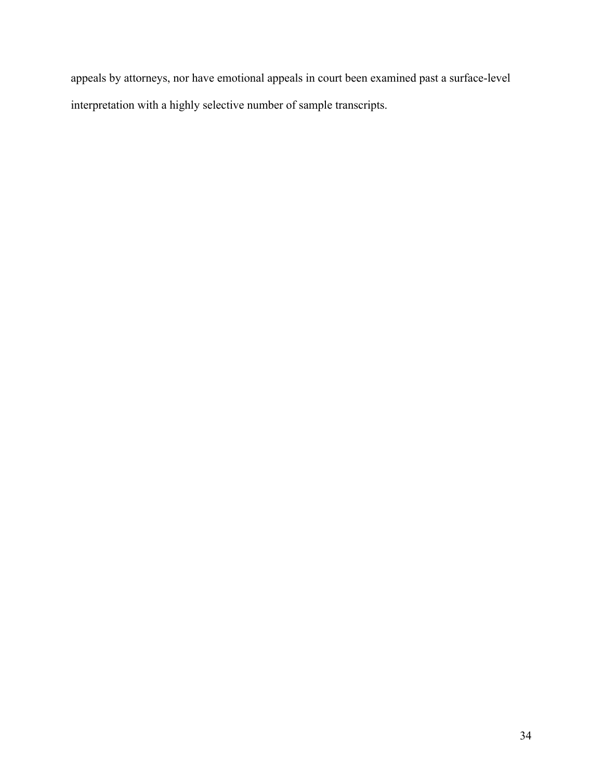appeals by attorneys, nor have emotional appeals in court been examined past a surface-level interpretation with a highly selective number of sample transcripts.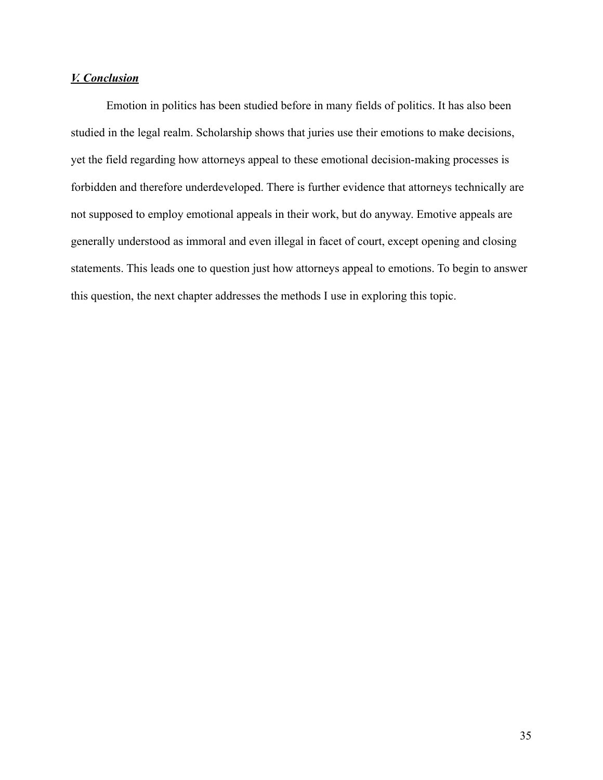#### *V. Conclusion*

Emotion in politics has been studied before in many fields of politics. It has also been studied in the legal realm. Scholarship shows that juries use their emotions to make decisions, yet the field regarding how attorneys appeal to these emotional decision-making processes is forbidden and therefore underdeveloped. There is further evidence that attorneys technically are not supposed to employ emotional appeals in their work, but do anyway. Emotive appeals are generally understood as immoral and even illegal in facet of court, except opening and closing statements. This leads one to question just how attorneys appeal to emotions. To begin to answer this question, the next chapter addresses the methods I use in exploring this topic.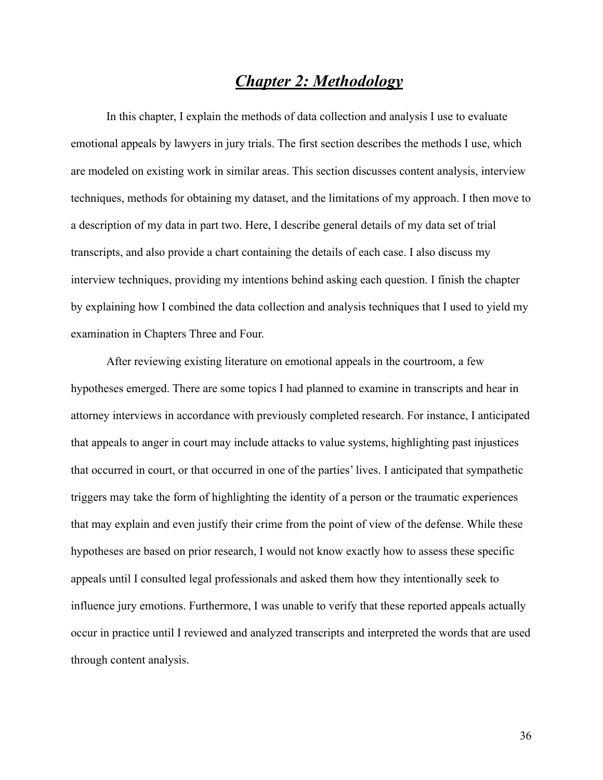# *Chapter 2: Methodology*

In this chapter, I explain the methods of data collection and analysis I use to evaluate emotional appeals by lawyers in jury trials. The first section describes the methods I use, which are modeled on existing work in similar areas. This section discusses content analysis, interview techniques, methods for obtaining my dataset, and the limitations of my approach. I then move to a description of my data in part two. Here, I describe general details of my data set of trial transcripts, and also provide a chart containing the details of each case. I also discuss my interview techniques, providing my intentions behind asking each question. I finish the chapter by explaining how I combined the data collection and analysis techniques that I used to yield my examination in Chapters Three and Four.

After reviewing existing literature on emotional appeals in the courtroom, a few hypotheses emerged. There are some topics I had planned to examine in transcripts and hear in attorney interviews in accordance with previously completed research. For instance, I anticipated that appeals to anger in court may include attacks to value systems, highlighting past injustices that occurred in court, or that occurred in one of the parties' lives. I anticipated that sympathetic triggers may take the form of highlighting the identity of a person or the traumatic experiences that may explain and even justify their crime from the point of view of the defense. While these hypotheses are based on prior research, I would not know exactly how to assess these specific appeals until I consulted legal professionals and asked them how they intentionally seek to influence jury emotions. Furthermore, I was unable to verify that these reported appeals actually occur in practice until I reviewed and analyzed transcripts and interpreted the words that are used through content analysis.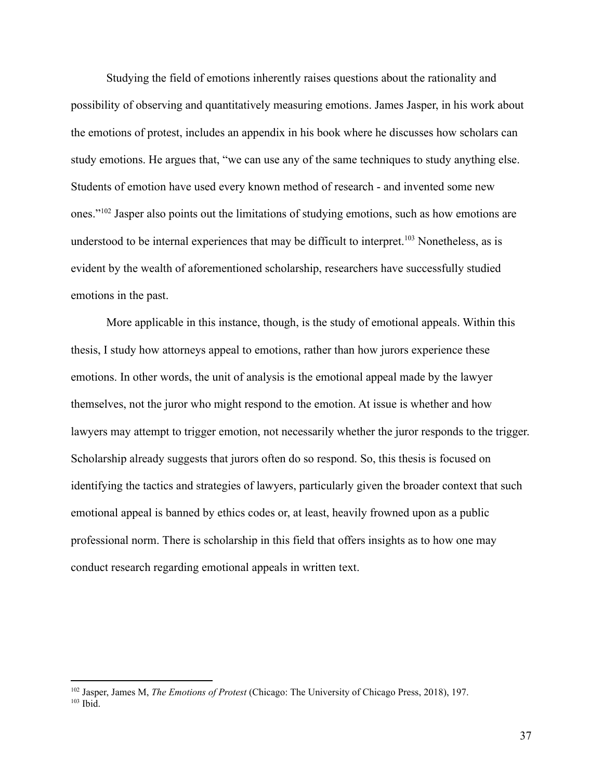Studying the field of emotions inherently raises questions about the rationality and possibility of observing and quantitatively measuring emotions. James Jasper, in his work about the emotions of protest, includes an appendix in his book where he discusses how scholars can study emotions. He argues that, "we can use any of the same techniques to study anything else. Students of emotion have used every known method of research - and invented some new ones."<sup>102</sup> Jasper also points out the limitations of studying emotions, such as how emotions are understood to be internal experiences that may be difficult to interpret.<sup>103</sup> Nonetheless, as is evident by the wealth of aforementioned scholarship, researchers have successfully studied emotions in the past.

More applicable in this instance, though, is the study of emotional appeals. Within this thesis, I study how attorneys appeal to emotions, rather than how jurors experience these emotions. In other words, the unit of analysis is the emotional appeal made by the lawyer themselves, not the juror who might respond to the emotion. At issue is whether and how lawyers may attempt to trigger emotion, not necessarily whether the juror responds to the trigger. Scholarship already suggests that jurors often do so respond. So, this thesis is focused on identifying the tactics and strategies of lawyers, particularly given the broader context that such emotional appeal is banned by ethics codes or, at least, heavily frowned upon as a public professional norm. There is scholarship in this field that offers insights as to how one may conduct research regarding emotional appeals in written text.

 $103$  Ibid. <sup>102</sup> Jasper, James M, *The Emotions of Protest* (Chicago: The University of Chicago Press, 2018), 197.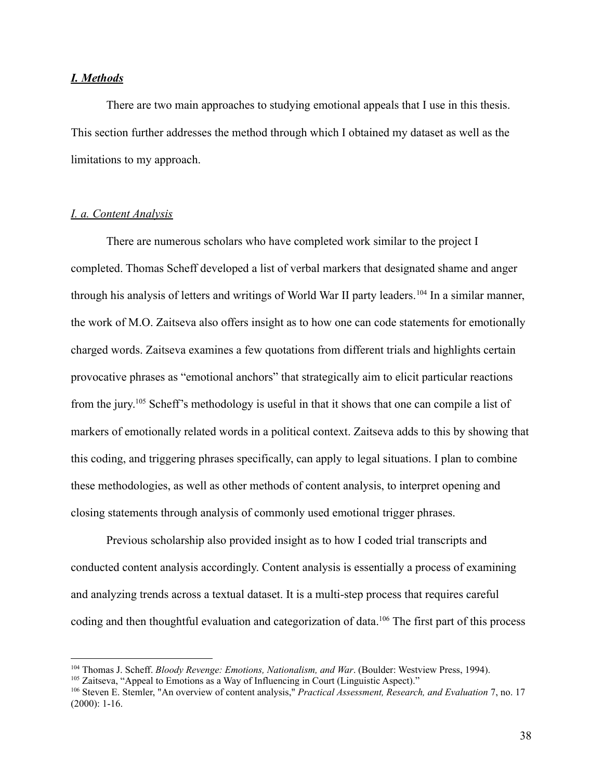# *I. Methods*

There are two main approaches to studying emotional appeals that I use in this thesis. This section further addresses the method through which I obtained my dataset as well as the limitations to my approach.

#### *I. a. Content Analysis*

There are numerous scholars who have completed work similar to the project I completed. Thomas Scheff developed a list of verbal markers that designated shame and anger through his analysis of letters and writings of World War II party leaders.<sup>104</sup> In a similar manner, the work of M.O. Zaitseva also offers insight as to how one can code statements for emotionally charged words. Zaitseva examines a few quotations from different trials and highlights certain provocative phrases as "emotional anchors" that strategically aim to elicit particular reactions from the jury.<sup>105</sup> Scheff's methodology is useful in that it shows that one can compile a list of markers of emotionally related words in a political context. Zaitseva adds to this by showing that this coding, and triggering phrases specifically, can apply to legal situations. I plan to combine these methodologies, as well as other methods of content analysis, to interpret opening and closing statements through analysis of commonly used emotional trigger phrases.

Previous scholarship also provided insight as to how I coded trial transcripts and conducted content analysis accordingly. Content analysis is essentially a process of examining and analyzing trends across a textual dataset. It is a multi-step process that requires careful coding and then thoughtful evaluation and categorization of data.<sup>106</sup> The first part of this process

<sup>104</sup> Thomas J. Scheff. *Bloody Revenge: Emotions, Nationalism, and War*. (Boulder: Westview Press, 1994).

<sup>&</sup>lt;sup>105</sup> Zaitseva, "Appeal to Emotions as a Way of Influencing in Court (Linguistic Aspect)."

<sup>106</sup> Steven E. Stemler, "An overview of content analysis," *Practical Assessment, Research, and Evaluation* 7, no. 17 (2000): 1-16.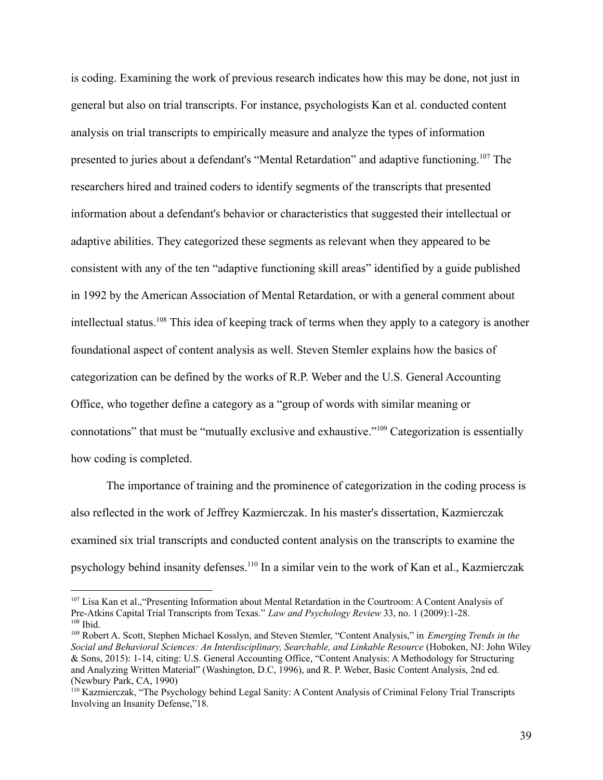is coding. Examining the work of previous research indicates how this may be done, not just in general but also on trial transcripts. For instance, psychologists Kan et al. conducted content analysis on trial transcripts to empirically measure and analyze the types of information presented to juries about a defendant's "Mental Retardation" and adaptive functioning.<sup>107</sup> The researchers hired and trained coders to identify segments of the transcripts that presented information about a defendant's behavior or characteristics that suggested their intellectual or adaptive abilities. They categorized these segments as relevant when they appeared to be consistent with any of the ten "adaptive functioning skill areas" identified by a guide published in 1992 by the American Association of Mental Retardation, or with a general comment about intellectual status.<sup>108</sup> This idea of keeping track of terms when they apply to a category is another foundational aspect of content analysis as well. Steven Stemler explains how the basics of categorization can be defined by the works of R.P. Weber and the U.S. General Accounting Office, who together define a category as a "group of words with similar meaning or connotations" that must be "mutually exclusive and exhaustive."<sup>109</sup> Categorization is essentially how coding is completed.

The importance of training and the prominence of categorization in the coding process is also reflected in the work of Jeffrey Kazmierczak. In his master's dissertation, Kazmierczak examined six trial transcripts and conducted content analysis on the transcripts to examine the psychology behind insanity defenses.<sup>110</sup> In a similar vein to the work of Kan et al., Kazmierczak

 $108$  Ibid. <sup>107</sup> Lisa Kan et al.,"Presenting Information about Mental Retardation in the Courtroom: A Content Analysis of Pre-Atkins Capital Trial Transcripts from Texas." *Law and Psychology Review* 33, no. 1 (2009):1-28.

<sup>109</sup> Robert A. Scott, Stephen Michael Kosslyn, and Steven Stemler, "Content Analysis," in *Emerging Trends in the Social and Behavioral Sciences: An Interdisciplinary, Searchable, and Linkable Resource* (Hoboken, NJ: John Wiley & Sons, 2015): 1-14, citing: U.S. General Accounting Office, "Content Analysis: A Methodology for Structuring and Analyzing Written Material" (Washington, D.C, 1996), and R. P. Weber, Basic Content Analysis, 2nd ed. (Newbury Park, CA, 1990)

<sup>110</sup> Kazmierczak, "The Psychology behind Legal Sanity: A Content Analysis of Criminal Felony Trial Transcripts Involving an Insanity Defense,"18.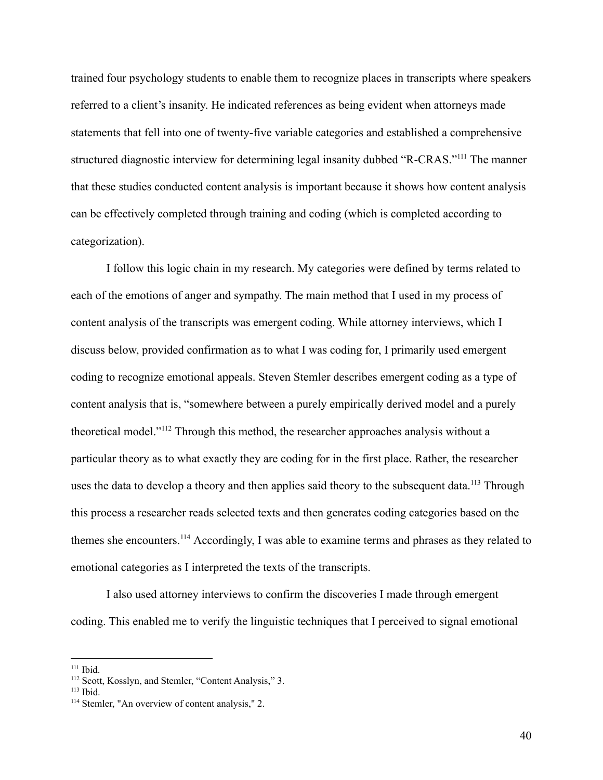trained four psychology students to enable them to recognize places in transcripts where speakers referred to a client's insanity. He indicated references as being evident when attorneys made statements that fell into one of twenty-five variable categories and established a comprehensive structured diagnostic interview for determining legal insanity dubbed "R-CRAS."<sup>111</sup> The manner that these studies conducted content analysis is important because it shows how content analysis can be effectively completed through training and coding (which is completed according to categorization).

I follow this logic chain in my research. My categories were defined by terms related to each of the emotions of anger and sympathy. The main method that I used in my process of content analysis of the transcripts was emergent coding. While attorney interviews, which I discuss below, provided confirmation as to what I was coding for, I primarily used emergent coding to recognize emotional appeals. Steven Stemler describes emergent coding as a type of content analysis that is, "somewhere between a purely empirically derived model and a purely theoretical model."<sup>112</sup> Through this method, the researcher approaches analysis without a particular theory as to what exactly they are coding for in the first place. Rather, the researcher uses the data to develop a theory and then applies said theory to the subsequent data.<sup>113</sup> Through this process a researcher reads selected texts and then generates coding categories based on the themes she encounters.<sup>114</sup> Accordingly, I was able to examine terms and phrases as they related to emotional categories as I interpreted the texts of the transcripts.

I also used attorney interviews to confirm the discoveries I made through emergent coding. This enabled me to verify the linguistic techniques that I perceived to signal emotional

<sup>111</sup> Ibid.

<sup>112</sup> Scott, Kosslyn, and Stemler, "Content Analysis," 3.

 $113$  Ibid.

<sup>114</sup> Stemler, "An overview of content analysis," 2.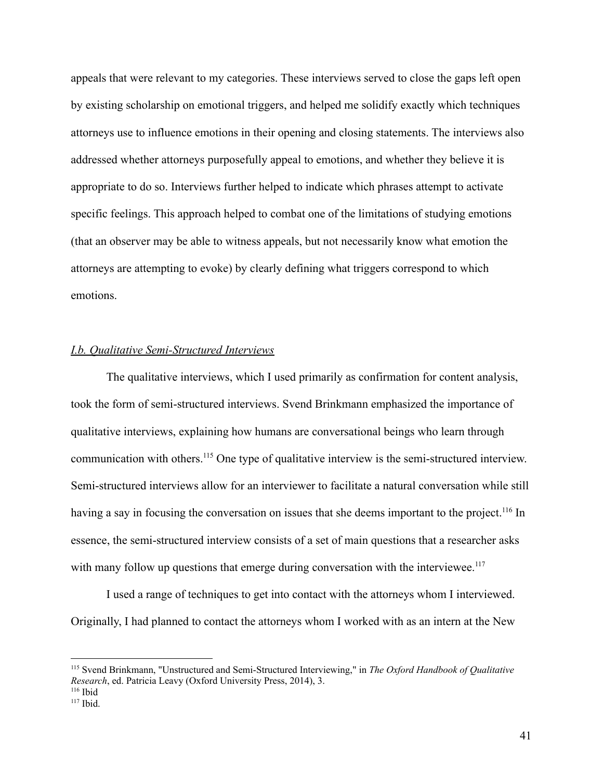appeals that were relevant to my categories. These interviews served to close the gaps left open by existing scholarship on emotional triggers, and helped me solidify exactly which techniques attorneys use to influence emotions in their opening and closing statements. The interviews also addressed whether attorneys purposefully appeal to emotions, and whether they believe it is appropriate to do so. Interviews further helped to indicate which phrases attempt to activate specific feelings. This approach helped to combat one of the limitations of studying emotions (that an observer may be able to witness appeals, but not necessarily know what emotion the attorneys are attempting to evoke) by clearly defining what triggers correspond to which emotions.

#### *I.b. Qualitative Semi-Structured Interviews*

The qualitative interviews, which I used primarily as confirmation for content analysis, took the form of semi-structured interviews. Svend Brinkmann emphasized the importance of qualitative interviews, explaining how humans are conversational beings who learn through communication with others.<sup>115</sup> One type of qualitative interview is the semi-structured interview. Semi-structured interviews allow for an interviewer to facilitate a natural conversation while still having a say in focusing the conversation on issues that she deems important to the project.<sup>116</sup> In essence, the semi-structured interview consists of a set of main questions that a researcher asks with many follow up questions that emerge during conversation with the interviewee.<sup>117</sup>

I used a range of techniques to get into contact with the attorneys whom I interviewed. Originally, I had planned to contact the attorneys whom I worked with as an intern at the New

<sup>115</sup> Svend Brinkmann, "Unstructured and Semi-Structured Interviewing," in *The Oxford Handbook of Qualitative Research*, ed. Patricia Leavy (Oxford University Press, 2014), 3.

 $116$  Ibid

 $117$  Ibid.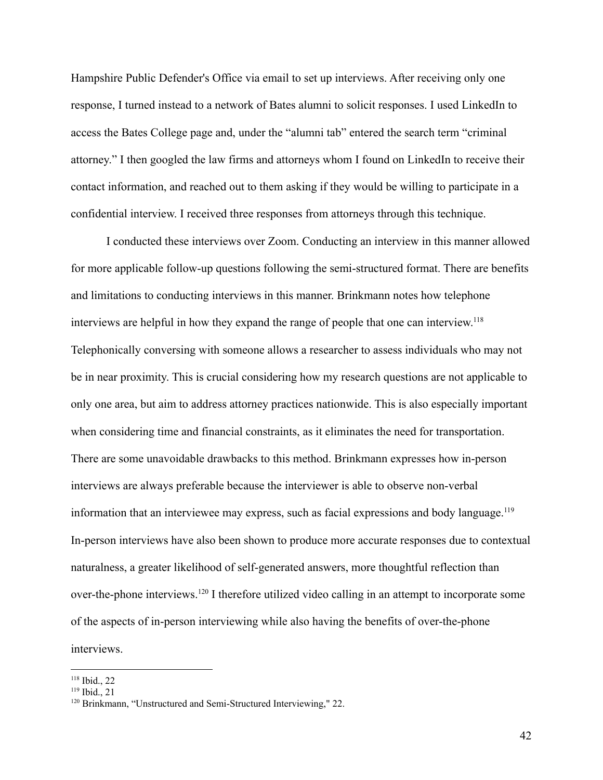Hampshire Public Defender's Office via email to set up interviews. After receiving only one response, I turned instead to a network of Bates alumni to solicit responses. I used LinkedIn to access the Bates College page and, under the "alumni tab" entered the search term "criminal attorney." I then googled the law firms and attorneys whom I found on LinkedIn to receive their contact information, and reached out to them asking if they would be willing to participate in a confidential interview. I received three responses from attorneys through this technique.

I conducted these interviews over Zoom. Conducting an interview in this manner allowed for more applicable follow-up questions following the semi-structured format. There are benefits and limitations to conducting interviews in this manner. Brinkmann notes how telephone interviews are helpful in how they expand the range of people that one can interview. 118 Telephonically conversing with someone allows a researcher to assess individuals who may not be in near proximity. This is crucial considering how my research questions are not applicable to only one area, but aim to address attorney practices nationwide. This is also especially important when considering time and financial constraints, as it eliminates the need for transportation. There are some unavoidable drawbacks to this method. Brinkmann expresses how in-person interviews are always preferable because the interviewer is able to observe non-verbal information that an interviewee may express, such as facial expressions and body language.<sup>119</sup> In-person interviews have also been shown to produce more accurate responses due to contextual naturalness, a greater likelihood of self-generated answers, more thoughtful reflection than over-the-phone interviews.<sup>120</sup> I therefore utilized video calling in an attempt to incorporate some of the aspects of in-person interviewing while also having the benefits of over-the-phone interviews.

<sup>118</sup> Ibid., 22

<sup>119</sup> Ibid., 21

<sup>120</sup> Brinkmann, "Unstructured and Semi-Structured Interviewing," 22.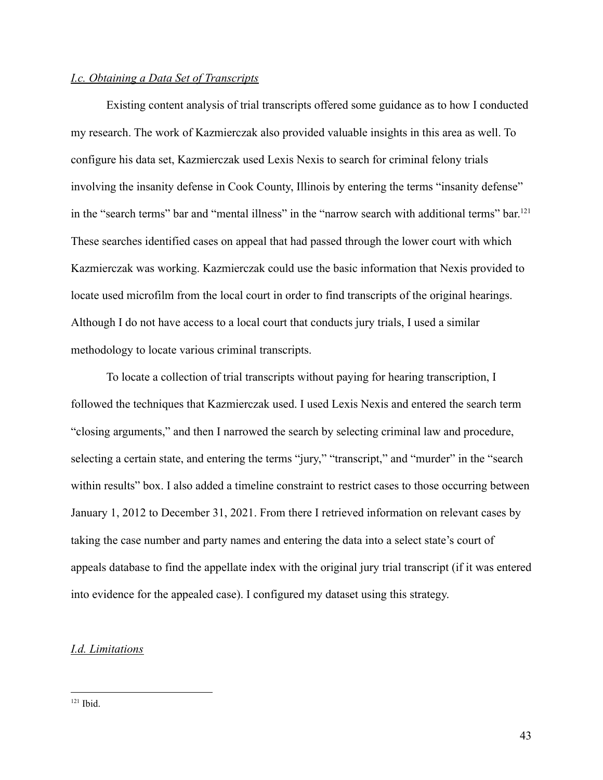# *I.c. Obtaining a Data Set of Transcripts*

Existing content analysis of trial transcripts offered some guidance as to how I conducted my research. The work of Kazmierczak also provided valuable insights in this area as well. To configure his data set, Kazmierczak used Lexis Nexis to search for criminal felony trials involving the insanity defense in Cook County, Illinois by entering the terms "insanity defense" in the "search terms" bar and "mental illness" in the "narrow search with additional terms" bar.<sup>121</sup> These searches identified cases on appeal that had passed through the lower court with which Kazmierczak was working. Kazmierczak could use the basic information that Nexis provided to locate used microfilm from the local court in order to find transcripts of the original hearings. Although I do not have access to a local court that conducts jury trials, I used a similar methodology to locate various criminal transcripts.

To locate a collection of trial transcripts without paying for hearing transcription, I followed the techniques that Kazmierczak used. I used Lexis Nexis and entered the search term "closing arguments," and then I narrowed the search by selecting criminal law and procedure, selecting a certain state, and entering the terms "jury," "transcript," and "murder" in the "search within results" box. I also added a timeline constraint to restrict cases to those occurring between January 1, 2012 to December 31, 2021. From there I retrieved information on relevant cases by taking the case number and party names and entering the data into a select state's court of appeals database to find the appellate index with the original jury trial transcript (if it was entered into evidence for the appealed case). I configured my dataset using this strategy.

# *I.d. Limitations*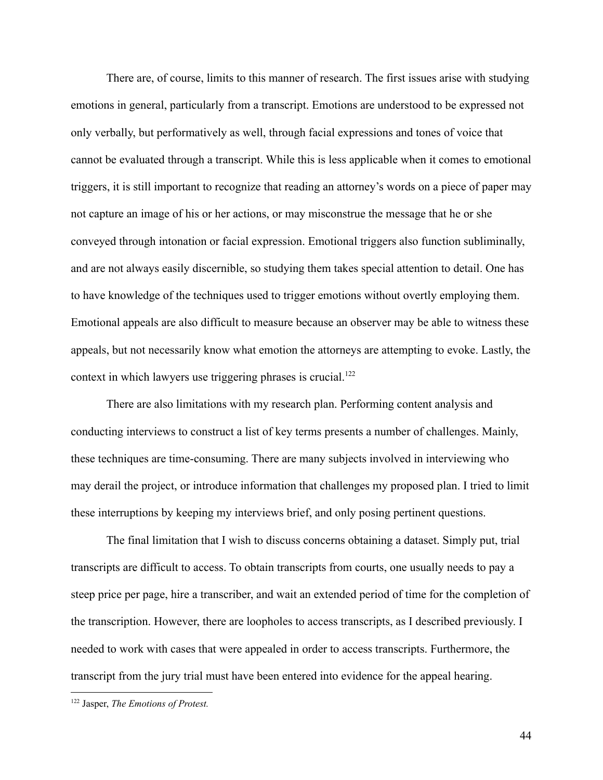There are, of course, limits to this manner of research. The first issues arise with studying emotions in general, particularly from a transcript. Emotions are understood to be expressed not only verbally, but performatively as well, through facial expressions and tones of voice that cannot be evaluated through a transcript. While this is less applicable when it comes to emotional triggers, it is still important to recognize that reading an attorney's words on a piece of paper may not capture an image of his or her actions, or may misconstrue the message that he or she conveyed through intonation or facial expression. Emotional triggers also function subliminally, and are not always easily discernible, so studying them takes special attention to detail. One has to have knowledge of the techniques used to trigger emotions without overtly employing them. Emotional appeals are also difficult to measure because an observer may be able to witness these appeals, but not necessarily know what emotion the attorneys are attempting to evoke. Lastly, the context in which lawyers use triggering phrases is crucial.<sup>122</sup>

There are also limitations with my research plan. Performing content analysis and conducting interviews to construct a list of key terms presents a number of challenges. Mainly, these techniques are time-consuming. There are many subjects involved in interviewing who may derail the project, or introduce information that challenges my proposed plan. I tried to limit these interruptions by keeping my interviews brief, and only posing pertinent questions.

The final limitation that I wish to discuss concerns obtaining a dataset. Simply put, trial transcripts are difficult to access. To obtain transcripts from courts, one usually needs to pay a steep price per page, hire a transcriber, and wait an extended period of time for the completion of the transcription. However, there are loopholes to access transcripts, as I described previously. I needed to work with cases that were appealed in order to access transcripts. Furthermore, the transcript from the jury trial must have been entered into evidence for the appeal hearing.

<sup>122</sup> Jasper, *The Emotions of Protest.*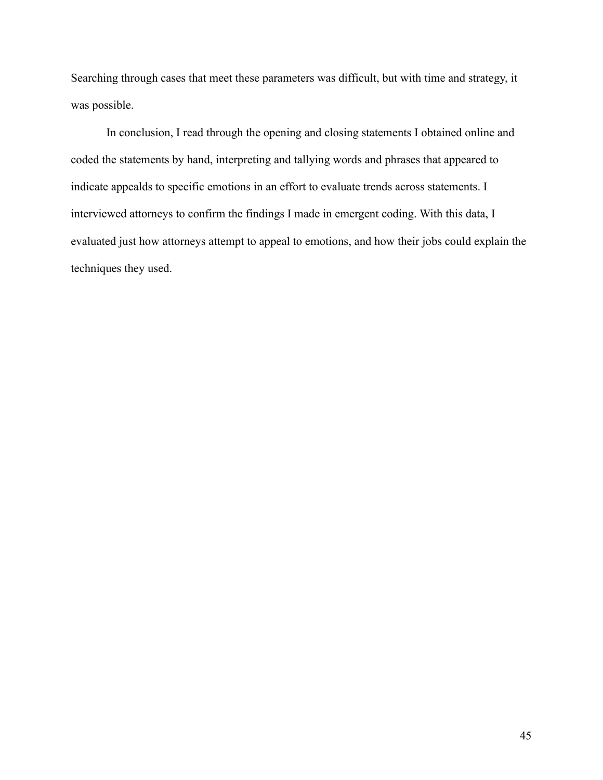Searching through cases that meet these parameters was difficult, but with time and strategy, it was possible.

In conclusion, I read through the opening and closing statements I obtained online and coded the statements by hand, interpreting and tallying words and phrases that appeared to indicate appealds to specific emotions in an effort to evaluate trends across statements. I interviewed attorneys to confirm the findings I made in emergent coding. With this data, I evaluated just how attorneys attempt to appeal to emotions, and how their jobs could explain the techniques they used.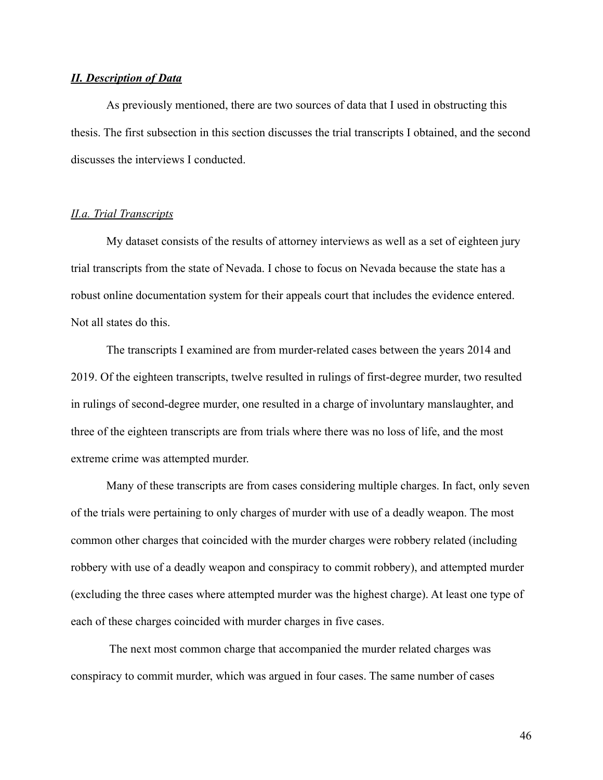### *II. Description of Data*

As previously mentioned, there are two sources of data that I used in obstructing this thesis. The first subsection in this section discusses the trial transcripts I obtained, and the second discusses the interviews I conducted.

#### *II.a. Trial Transcripts*

My dataset consists of the results of attorney interviews as well as a set of eighteen jury trial transcripts from the state of Nevada. I chose to focus on Nevada because the state has a robust online documentation system for their appeals court that includes the evidence entered. Not all states do this.

The transcripts I examined are from murder-related cases between the years 2014 and 2019. Of the eighteen transcripts, twelve resulted in rulings of first-degree murder, two resulted in rulings of second-degree murder, one resulted in a charge of involuntary manslaughter, and three of the eighteen transcripts are from trials where there was no loss of life, and the most extreme crime was attempted murder.

Many of these transcripts are from cases considering multiple charges. In fact, only seven of the trials were pertaining to only charges of murder with use of a deadly weapon. The most common other charges that coincided with the murder charges were robbery related (including robbery with use of a deadly weapon and conspiracy to commit robbery), and attempted murder (excluding the three cases where attempted murder was the highest charge). At least one type of each of these charges coincided with murder charges in five cases.

The next most common charge that accompanied the murder related charges was conspiracy to commit murder, which was argued in four cases. The same number of cases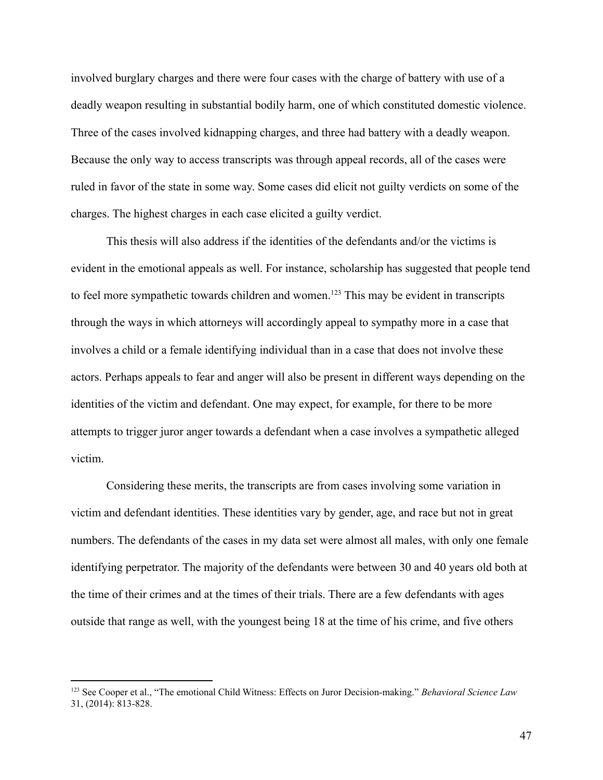involved burglary charges and there were four cases with the charge of battery with use of a deadly weapon resulting in substantial bodily harm, one of which constituted domestic violence. Three of the cases involved kidnapping charges, and three had battery with a deadly weapon. Because the only way to access transcripts was through appeal records, all of the cases were ruled in favor of the state in some way. Some cases did elicit not guilty verdicts on some of the charges. The highest charges in each case elicited a guilty verdict.

This thesis will also address if the identities of the defendants and/or the victims is evident in the emotional appeals as well. For instance, scholarship has suggested that people tend to feel more sympathetic towards children and women.<sup>123</sup> This may be evident in transcripts through the ways in which attorneys will accordingly appeal to sympathy more in a case that involves a child or a female identifying individual than in a case that does not involve these actors. Perhaps appeals to fear and anger will also be present in different ways depending on the identities of the victim and defendant. One may expect, for example, for there to be more attempts to trigger juror anger towards a defendant when a case involves a sympathetic alleged victim.

Considering these merits, the transcripts are from cases involving some variation in victim and defendant identities. These identities vary by gender, age, and race but not in great numbers. The defendants of the cases in my data set were almost all males, with only one female identifying perpetrator. The majority of the defendants were between 30 and 40 years old both at the time of their crimes and at the times of their trials. There are a few defendants with ages outside that range as well, with the youngest being 18 at the time of his crime, and five others

<sup>123</sup> See Cooper et al., "The emotional Child Witness: Effects on Juror Decision-making." *Behavioral Science Law* 31, (2014): 813-828.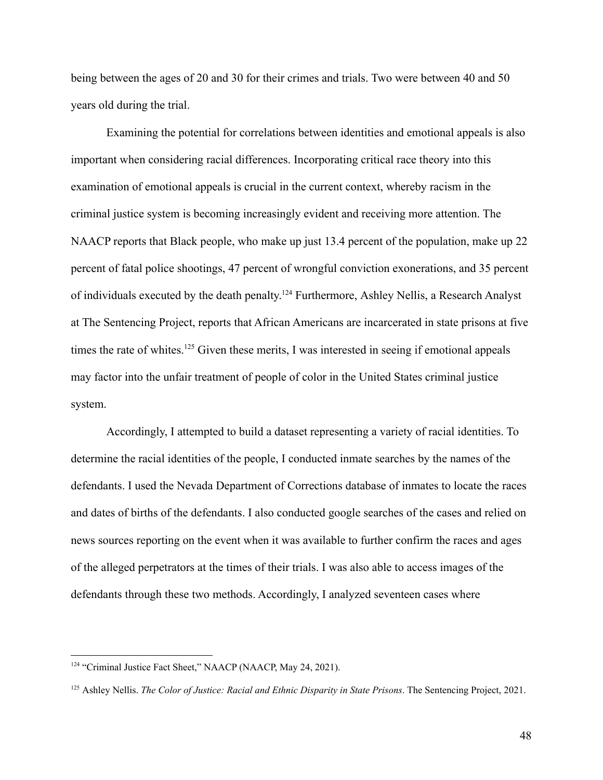being between the ages of 20 and 30 for their crimes and trials. Two were between 40 and 50 years old during the trial.

Examining the potential for correlations between identities and emotional appeals is also important when considering racial differences. Incorporating critical race theory into this examination of emotional appeals is crucial in the current context, whereby racism in the criminal justice system is becoming increasingly evident and receiving more attention. The NAACP reports that Black people, who make up just 13.4 percent of the population, make up 22 percent of fatal police shootings, 47 percent of wrongful conviction exonerations, and 35 percent of individuals executed by the death penalty.<sup>124</sup> Furthermore, Ashley Nellis, a Research Analyst at The Sentencing Project, reports that African Americans are incarcerated in state prisons at five times the rate of whites.<sup>125</sup> Given these merits, I was interested in seeing if emotional appeals may factor into the unfair treatment of people of color in the United States criminal justice system.

Accordingly, I attempted to build a dataset representing a variety of racial identities. To determine the racial identities of the people, I conducted inmate searches by the names of the defendants. I used the Nevada Department of Corrections database of inmates to locate the races and dates of births of the defendants. I also conducted google searches of the cases and relied on news sources reporting on the event when it was available to further confirm the races and ages of the alleged perpetrators at the times of their trials. I was also able to access images of the defendants through these two methods. Accordingly, I analyzed seventeen cases where

48

<sup>&</sup>lt;sup>124</sup> "Criminal Justice Fact Sheet," NAACP (NAACP, May 24, 2021).

<sup>125</sup> Ashley Nellis. *The Color of Justice: Racial and Ethnic Disparity in State Prisons*. The Sentencing Project, 2021.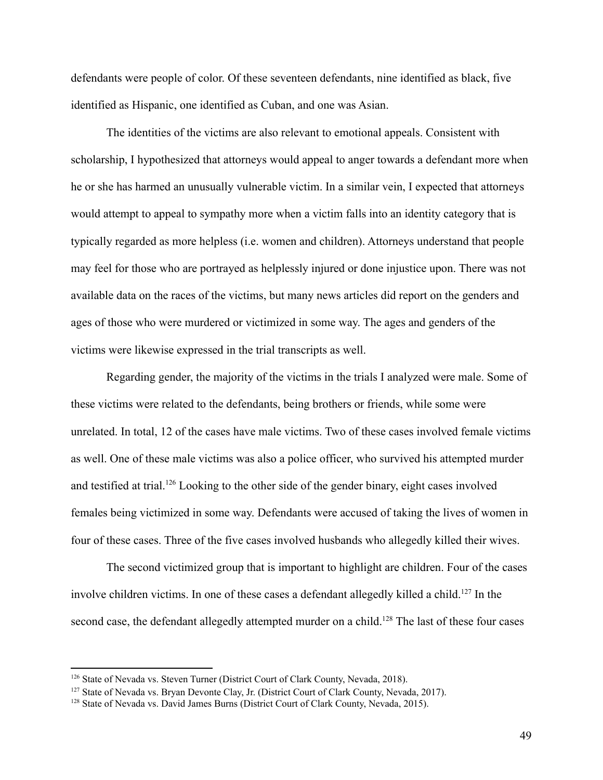defendants were people of color. Of these seventeen defendants, nine identified as black, five identified as Hispanic, one identified as Cuban, and one was Asian.

The identities of the victims are also relevant to emotional appeals. Consistent with scholarship, I hypothesized that attorneys would appeal to anger towards a defendant more when he or she has harmed an unusually vulnerable victim. In a similar vein, I expected that attorneys would attempt to appeal to sympathy more when a victim falls into an identity category that is typically regarded as more helpless (i.e. women and children). Attorneys understand that people may feel for those who are portrayed as helplessly injured or done injustice upon. There was not available data on the races of the victims, but many news articles did report on the genders and ages of those who were murdered or victimized in some way. The ages and genders of the victims were likewise expressed in the trial transcripts as well.

Regarding gender, the majority of the victims in the trials I analyzed were male. Some of these victims were related to the defendants, being brothers or friends, while some were unrelated. In total, 12 of the cases have male victims. Two of these cases involved female victims as well. One of these male victims was also a police officer, who survived his attempted murder and testified at trial.<sup>126</sup> Looking to the other side of the gender binary, eight cases involved females being victimized in some way. Defendants were accused of taking the lives of women in four of these cases. Three of the five cases involved husbands who allegedly killed their wives.

The second victimized group that is important to highlight are children. Four of the cases involve children victims. In one of these cases a defendant allegedly killed a child.<sup>127</sup> In the second case, the defendant allegedly attempted murder on a child.<sup>128</sup> The last of these four cases

<sup>&</sup>lt;sup>126</sup> State of Nevada vs. Steven Turner (District Court of Clark County, Nevada, 2018).

<sup>&</sup>lt;sup>127</sup> State of Nevada vs. Bryan Devonte Clay, Jr. (District Court of Clark County, Nevada, 2017).

<sup>&</sup>lt;sup>128</sup> State of Nevada vs. David James Burns (District Court of Clark County, Nevada, 2015).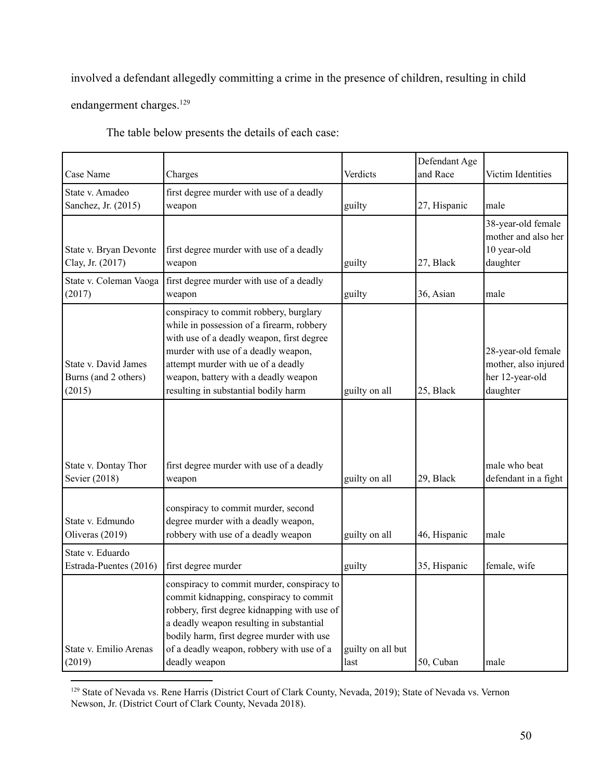involved a defendant allegedly committing a crime in the presence of children, resulting in child

endangerment charges.<sup>129</sup>

| Case Name                                              | Charges                                                                                                                                                                                                                                                                                       | Verdicts                  | Defendant Age<br>and Race | <b>Victim Identities</b>                                                  |
|--------------------------------------------------------|-----------------------------------------------------------------------------------------------------------------------------------------------------------------------------------------------------------------------------------------------------------------------------------------------|---------------------------|---------------------------|---------------------------------------------------------------------------|
| State v. Amadeo<br>Sanchez, Jr. (2015)                 | first degree murder with use of a deadly<br>weapon                                                                                                                                                                                                                                            | guilty                    | 27, Hispanic              | male                                                                      |
| State v. Bryan Devonte<br>Clay, Jr. (2017)             | first degree murder with use of a deadly<br>weapon                                                                                                                                                                                                                                            | guilty                    | 27, Black                 | 38-year-old female<br>mother and also her<br>10 year-old<br>daughter      |
| State v. Coleman Vaoga<br>(2017)                       | first degree murder with use of a deadly<br>weapon                                                                                                                                                                                                                                            | guilty                    | 36, Asian                 | male                                                                      |
| State v. David James<br>Burns (and 2 others)<br>(2015) | conspiracy to commit robbery, burglary<br>while in possession of a firearm, robbery<br>with use of a deadly weapon, first degree<br>murder with use of a deadly weapon,<br>attempt murder with ue of a deadly<br>weapon, battery with a deadly weapon<br>resulting in substantial bodily harm | guilty on all             | 25, Black                 | 28-year-old female<br>mother, also injured<br>her 12-year-old<br>daughter |
| State v. Dontay Thor<br>Sevier (2018)                  | first degree murder with use of a deadly<br>weapon                                                                                                                                                                                                                                            | guilty on all             | 29, Black                 | male who beat<br>defendant in a fight                                     |
| State v. Edmundo<br>Oliveras (2019)                    | conspiracy to commit murder, second<br>degree murder with a deadly weapon,<br>robbery with use of a deadly weapon                                                                                                                                                                             | guilty on all             | 46, Hispanic              | male                                                                      |
| State v. Eduardo<br>Estrada-Puentes (2016)             | first degree murder                                                                                                                                                                                                                                                                           | guilty                    | 35, Hispanic              | female, wife                                                              |
| State v. Emilio Arenas<br>(2019)                       | conspiracy to commit murder, conspiracy to<br>commit kidnapping, conspiracy to commit<br>robbery, first degree kidnapping with use of<br>a deadly weapon resulting in substantial<br>bodily harm, first degree murder with use<br>of a deadly weapon, robbery with use of a<br>deadly weapon  | guilty on all but<br>last | 50, Cuban                 | male                                                                      |

The table below presents the details of each case:

<sup>&</sup>lt;sup>129</sup> State of Nevada vs. Rene Harris (District Court of Clark County, Nevada, 2019); State of Nevada vs. Vernon Newson, Jr. (District Court of Clark County, Nevada 2018).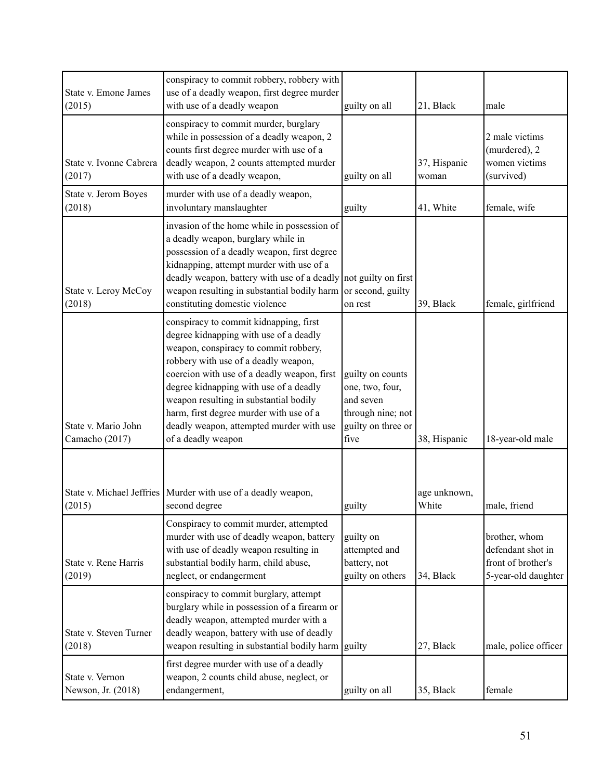| State v. Emone James<br>(2015)        | conspiracy to commit robbery, robbery with<br>use of a deadly weapon, first degree murder<br>with use of a deadly weapon                                                                                                                                                                                                                                                                                          | guilty on all                                                                                       | 21, Black             | male                                                                            |
|---------------------------------------|-------------------------------------------------------------------------------------------------------------------------------------------------------------------------------------------------------------------------------------------------------------------------------------------------------------------------------------------------------------------------------------------------------------------|-----------------------------------------------------------------------------------------------------|-----------------------|---------------------------------------------------------------------------------|
| State v. Ivonne Cabrera<br>(2017)     | conspiracy to commit murder, burglary<br>while in possession of a deadly weapon, 2<br>counts first degree murder with use of a<br>deadly weapon, 2 counts attempted murder<br>with use of a deadly weapon,                                                                                                                                                                                                        | guilty on all                                                                                       | 37, Hispanic<br>woman | 2 male victims<br>(murdered), 2<br>women victims<br>(survived)                  |
| State v. Jerom Boyes<br>(2018)        | murder with use of a deadly weapon,<br>involuntary manslaughter                                                                                                                                                                                                                                                                                                                                                   | guilty                                                                                              | 41, White             | female, wife                                                                    |
| State v. Leroy McCoy<br>(2018)        | invasion of the home while in possession of<br>a deadly weapon, burglary while in<br>possession of a deadly weapon, first degree<br>kidnapping, attempt murder with use of a<br>deadly weapon, battery with use of a deadly<br>weapon resulting in substantial bodily harm<br>constituting domestic violence                                                                                                      | not guilty on first<br>or second, guilty<br>on rest                                                 | 39, Black             | female, girlfriend                                                              |
| State v. Mario John<br>Camacho (2017) | conspiracy to commit kidnapping, first<br>degree kidnapping with use of a deadly<br>weapon, conspiracy to commit robbery,<br>robbery with use of a deadly weapon,<br>coercion with use of a deadly weapon, first<br>degree kidnapping with use of a deadly<br>weapon resulting in substantial bodily<br>harm, first degree murder with use of a<br>deadly weapon, attempted murder with use<br>of a deadly weapon | guilty on counts<br>one, two, four,<br>and seven<br>through nine; not<br>guilty on three or<br>five | 38, Hispanic          | 18-year-old male                                                                |
| (2015)                                | State v. Michael Jeffries   Murder with use of a deadly weapon,<br>second degree                                                                                                                                                                                                                                                                                                                                  | guilty                                                                                              | age unknown,<br>White | male, friend                                                                    |
| State v. Rene Harris<br>(2019)        | Conspiracy to commit murder, attempted<br>murder with use of deadly weapon, battery<br>with use of deadly weapon resulting in<br>substantial bodily harm, child abuse,<br>neglect, or endangerment                                                                                                                                                                                                                | guilty on<br>attempted and<br>battery, not<br>guilty on others                                      | 34, Black             | brother, whom<br>defendant shot in<br>front of brother's<br>5-year-old daughter |
| State v. Steven Turner<br>(2018)      | conspiracy to commit burglary, attempt<br>burglary while in possession of a firearm or<br>deadly weapon, attempted murder with a<br>deadly weapon, battery with use of deadly<br>weapon resulting in substantial bodily harm guilty                                                                                                                                                                               |                                                                                                     | 27, Black             | male, police officer                                                            |
| State v. Vernon<br>Newson, Jr. (2018) | first degree murder with use of a deadly<br>weapon, 2 counts child abuse, neglect, or<br>endangerment,                                                                                                                                                                                                                                                                                                            | guilty on all                                                                                       | 35, Black             | female                                                                          |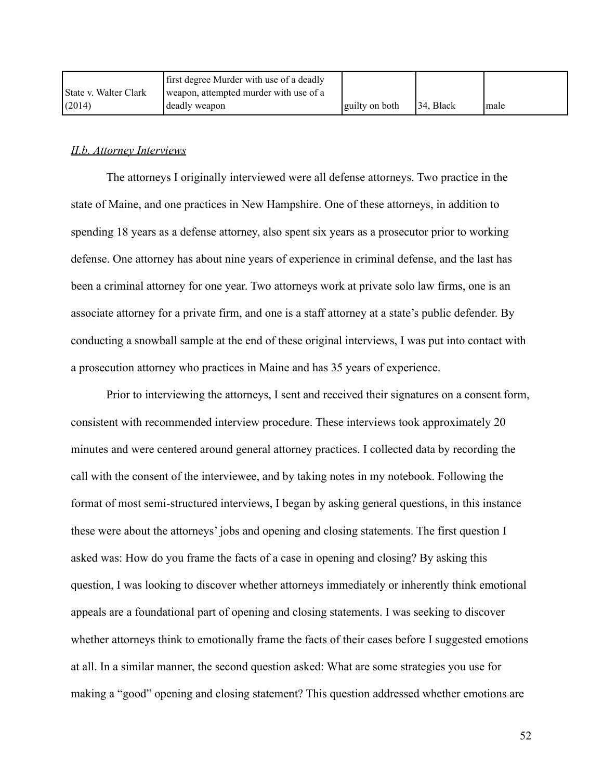|                       | first degree Murder with use of a deadly |                |           |      |
|-----------------------|------------------------------------------|----------------|-----------|------|
| State v. Walter Clark | weapon, attempted murder with use of a   |                |           |      |
| (2014)                | I deadly weapon                          | guilty on both | 34. Black | male |

#### *II.b. Attorney Interviews*

The attorneys I originally interviewed were all defense attorneys. Two practice in the state of Maine, and one practices in New Hampshire. One of these attorneys, in addition to spending 18 years as a defense attorney, also spent six years as a prosecutor prior to working defense. One attorney has about nine years of experience in criminal defense, and the last has been a criminal attorney for one year. Two attorneys work at private solo law firms, one is an associate attorney for a private firm, and one is a staff attorney at a state's public defender. By conducting a snowball sample at the end of these original interviews, I was put into contact with a prosecution attorney who practices in Maine and has 35 years of experience.

Prior to interviewing the attorneys, I sent and received their signatures on a consent form, consistent with recommended interview procedure. These interviews took approximately 20 minutes and were centered around general attorney practices. I collected data by recording the call with the consent of the interviewee, and by taking notes in my notebook. Following the format of most semi-structured interviews, I began by asking general questions, in this instance these were about the attorneys' jobs and opening and closing statements. The first question I asked was: How do you frame the facts of a case in opening and closing? By asking this question, I was looking to discover whether attorneys immediately or inherently think emotional appeals are a foundational part of opening and closing statements. I was seeking to discover whether attorneys think to emotionally frame the facts of their cases before I suggested emotions at all. In a similar manner, the second question asked: What are some strategies you use for making a "good" opening and closing statement? This question addressed whether emotions are

52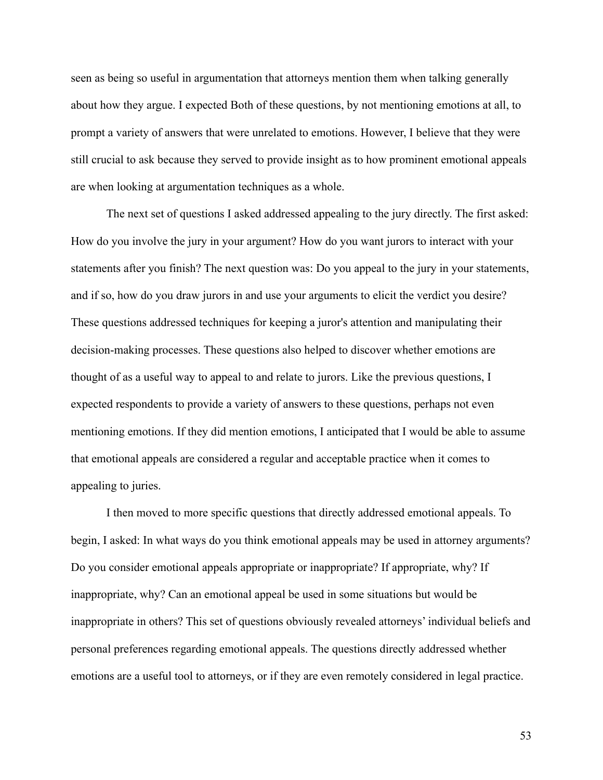seen as being so useful in argumentation that attorneys mention them when talking generally about how they argue. I expected Both of these questions, by not mentioning emotions at all, to prompt a variety of answers that were unrelated to emotions. However, I believe that they were still crucial to ask because they served to provide insight as to how prominent emotional appeals are when looking at argumentation techniques as a whole.

The next set of questions I asked addressed appealing to the jury directly. The first asked: How do you involve the jury in your argument? How do you want jurors to interact with your statements after you finish? The next question was: Do you appeal to the jury in your statements, and if so, how do you draw jurors in and use your arguments to elicit the verdict you desire? These questions addressed techniques for keeping a juror's attention and manipulating their decision-making processes. These questions also helped to discover whether emotions are thought of as a useful way to appeal to and relate to jurors. Like the previous questions, I expected respondents to provide a variety of answers to these questions, perhaps not even mentioning emotions. If they did mention emotions, I anticipated that I would be able to assume that emotional appeals are considered a regular and acceptable practice when it comes to appealing to juries.

I then moved to more specific questions that directly addressed emotional appeals. To begin, I asked: In what ways do you think emotional appeals may be used in attorney arguments? Do you consider emotional appeals appropriate or inappropriate? If appropriate, why? If inappropriate, why? Can an emotional appeal be used in some situations but would be inappropriate in others? This set of questions obviously revealed attorneys' individual beliefs and personal preferences regarding emotional appeals. The questions directly addressed whether emotions are a useful tool to attorneys, or if they are even remotely considered in legal practice.

53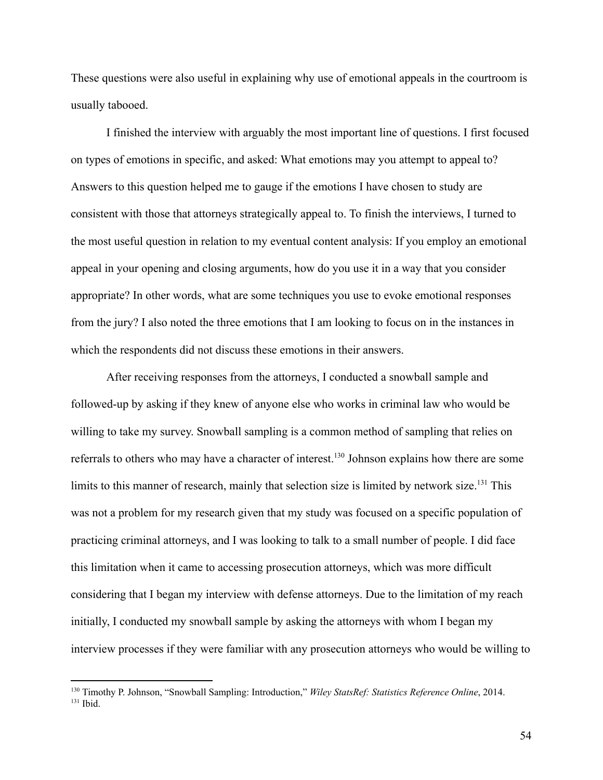These questions were also useful in explaining why use of emotional appeals in the courtroom is usually tabooed.

I finished the interview with arguably the most important line of questions. I first focused on types of emotions in specific, and asked: What emotions may you attempt to appeal to? Answers to this question helped me to gauge if the emotions I have chosen to study are consistent with those that attorneys strategically appeal to. To finish the interviews, I turned to the most useful question in relation to my eventual content analysis: If you employ an emotional appeal in your opening and closing arguments, how do you use it in a way that you consider appropriate? In other words, what are some techniques you use to evoke emotional responses from the jury? I also noted the three emotions that I am looking to focus on in the instances in which the respondents did not discuss these emotions in their answers.

After receiving responses from the attorneys, I conducted a snowball sample and followed-up by asking if they knew of anyone else who works in criminal law who would be willing to take my survey. Snowball sampling is a common method of sampling that relies on referrals to others who may have a character of interest.<sup>130</sup> Johnson explains how there are some limits to this manner of research, mainly that selection size is limited by network size.<sup>131</sup> This was not a problem for my research given that my study was focused on a specific population of practicing criminal attorneys, and I was looking to talk to a small number of people. I did face this limitation when it came to accessing prosecution attorneys, which was more difficult considering that I began my interview with defense attorneys. Due to the limitation of my reach initially, I conducted my snowball sample by asking the attorneys with whom I began my interview processes if they were familiar with any prosecution attorneys who would be willing to

 $131$  Ibid. <sup>130</sup> Timothy P. Johnson, "Snowball Sampling: Introduction," *Wiley StatsRef: Statistics Reference Online*, 2014.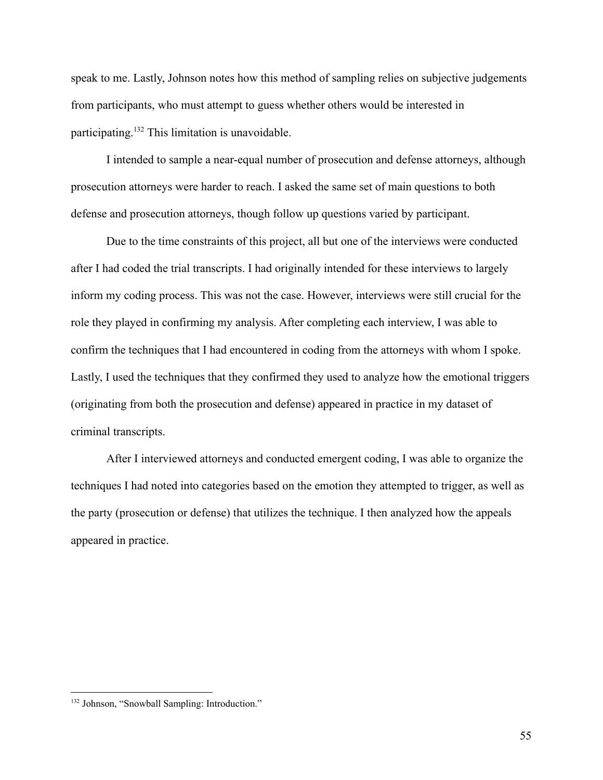speak to me. Lastly, Johnson notes how this method of sampling relies on subjective judgements from participants, who must attempt to guess whether others would be interested in participating.<sup>132</sup> This limitation is unavoidable.

I intended to sample a near-equal number of prosecution and defense attorneys, although prosecution attorneys were harder to reach. I asked the same set of main questions to both defense and prosecution attorneys, though follow up questions varied by participant.

Due to the time constraints of this project, all but one of the interviews were conducted after I had coded the trial transcripts. I had originally intended for these interviews to largely inform my coding process. This was not the case. However, interviews were still crucial for the role they played in confirming my analysis. After completing each interview, I was able to confirm the techniques that I had encountered in coding from the attorneys with whom I spoke. Lastly, I used the techniques that they confirmed they used to analyze how the emotional triggers (originating from both the prosecution and defense) appeared in practice in my dataset of criminal transcripts.

After I interviewed attorneys and conducted emergent coding, I was able to organize the techniques I had noted into categories based on the emotion they attempted to trigger, as well as the party (prosecution or defense) that utilizes the technique. I then analyzed how the appeals appeared in practice.

<sup>&</sup>lt;sup>132</sup> Johnson, "Snowball Sampling: Introduction."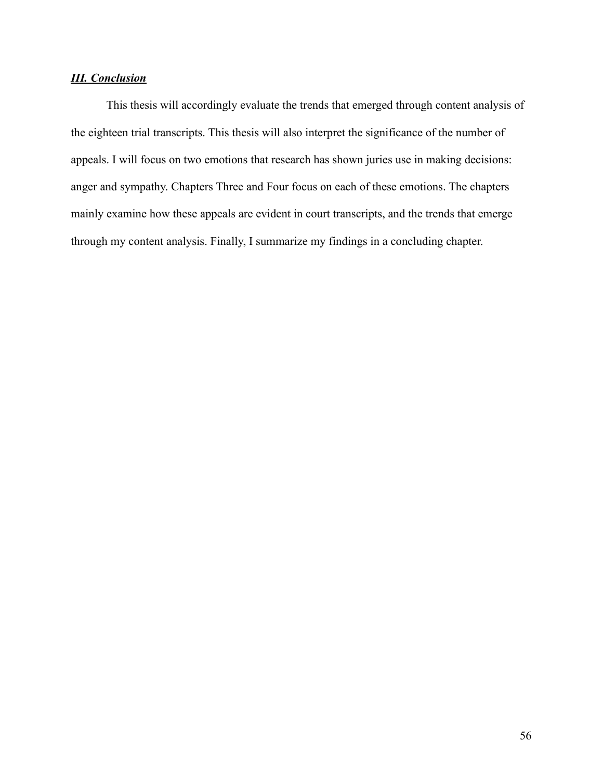# *III. Conclusion*

This thesis will accordingly evaluate the trends that emerged through content analysis of the eighteen trial transcripts. This thesis will also interpret the significance of the number of appeals. I will focus on two emotions that research has shown juries use in making decisions: anger and sympathy. Chapters Three and Four focus on each of these emotions. The chapters mainly examine how these appeals are evident in court transcripts, and the trends that emerge through my content analysis. Finally, I summarize my findings in a concluding chapter.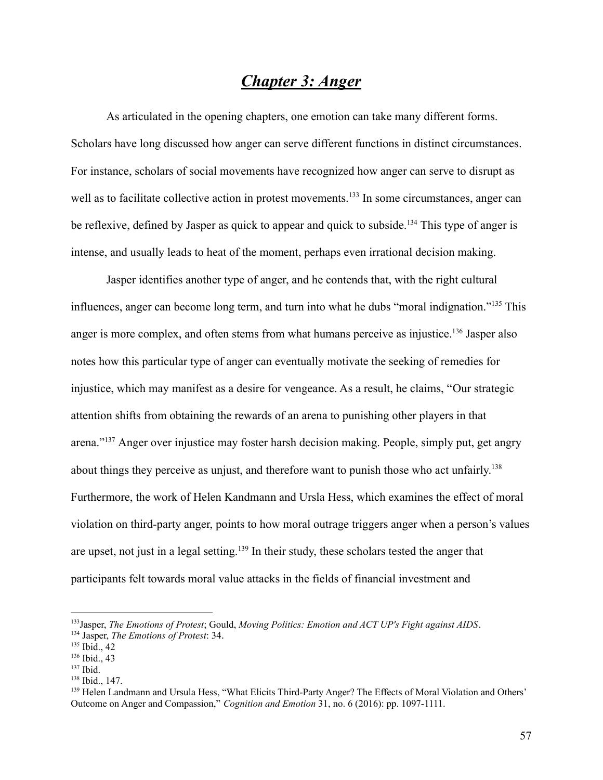# *Chapter 3: Anger*

As articulated in the opening chapters, one emotion can take many different forms. Scholars have long discussed how anger can serve different functions in distinct circumstances. For instance, scholars of social movements have recognized how anger can serve to disrupt as well as to facilitate collective action in protest movements.<sup>133</sup> In some circumstances, anger can be reflexive, defined by Jasper as quick to appear and quick to subside.<sup>134</sup> This type of anger is intense, and usually leads to heat of the moment, perhaps even irrational decision making.

Jasper identifies another type of anger, and he contends that, with the right cultural influences, anger can become long term, and turn into what he dubs "moral indignation."<sup>135</sup> This anger is more complex, and often stems from what humans perceive as injustice.<sup>136</sup> Jasper also notes how this particular type of anger can eventually motivate the seeking of remedies for injustice, which may manifest as a desire for vengeance. As a result, he claims, "Our strategic attention shifts from obtaining the rewards of an arena to punishing other players in that arena."<sup>137</sup> Anger over injustice may foster harsh decision making. People, simply put, get angry about things they perceive as unjust, and therefore want to punish those who act unfairly.<sup>138</sup> Furthermore, the work of Helen Kandmann and Ursla Hess, which examines the effect of moral violation on third-party anger, points to how moral outrage triggers anger when a person's values are upset, not just in a legal setting.<sup>139</sup> In their study, these scholars tested the anger that participants felt towards moral value attacks in the fields of financial investment and

<sup>134</sup> Jasper, *The Emotions of Protest*: 34. <sup>133</sup>Jasper, *The Emotions of Protest*; Gould, *Moving Politics: Emotion and ACT UP's Fight against AIDS*.

 $135$  Ibid., 42

<sup>136</sup> Ibid., 43

 $137$  Ibid.

<sup>138</sup> Ibid., 147.

<sup>&</sup>lt;sup>139</sup> Helen Landmann and Ursula Hess, "What Elicits Third-Party Anger? The Effects of Moral Violation and Others' Outcome on Anger and Compassion," *Cognition and Emotion* 31, no. 6 (2016): pp. 1097-1111.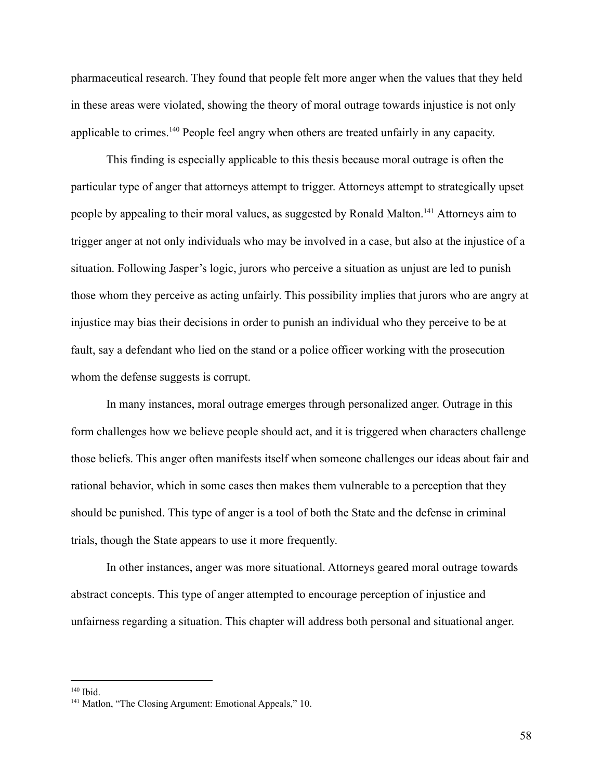pharmaceutical research. They found that people felt more anger when the values that they held in these areas were violated, showing the theory of moral outrage towards injustice is not only applicable to crimes.<sup>140</sup> People feel angry when others are treated unfairly in any capacity.

This finding is especially applicable to this thesis because moral outrage is often the particular type of anger that attorneys attempt to trigger. Attorneys attempt to strategically upset people by appealing to their moral values, as suggested by Ronald Malton.<sup>141</sup> Attorneys aim to trigger anger at not only individuals who may be involved in a case, but also at the injustice of a situation. Following Jasper's logic, jurors who perceive a situation as unjust are led to punish those whom they perceive as acting unfairly. This possibility implies that jurors who are angry at injustice may bias their decisions in order to punish an individual who they perceive to be at fault, say a defendant who lied on the stand or a police officer working with the prosecution whom the defense suggests is corrupt.

In many instances, moral outrage emerges through personalized anger. Outrage in this form challenges how we believe people should act, and it is triggered when characters challenge those beliefs. This anger often manifests itself when someone challenges our ideas about fair and rational behavior, which in some cases then makes them vulnerable to a perception that they should be punished. This type of anger is a tool of both the State and the defense in criminal trials, though the State appears to use it more frequently.

In other instances, anger was more situational. Attorneys geared moral outrage towards abstract concepts. This type of anger attempted to encourage perception of injustice and unfairness regarding a situation. This chapter will address both personal and situational anger.

 $140$  Ibid.

<sup>&</sup>lt;sup>141</sup> Matlon, "The Closing Argument: Emotional Appeals," 10.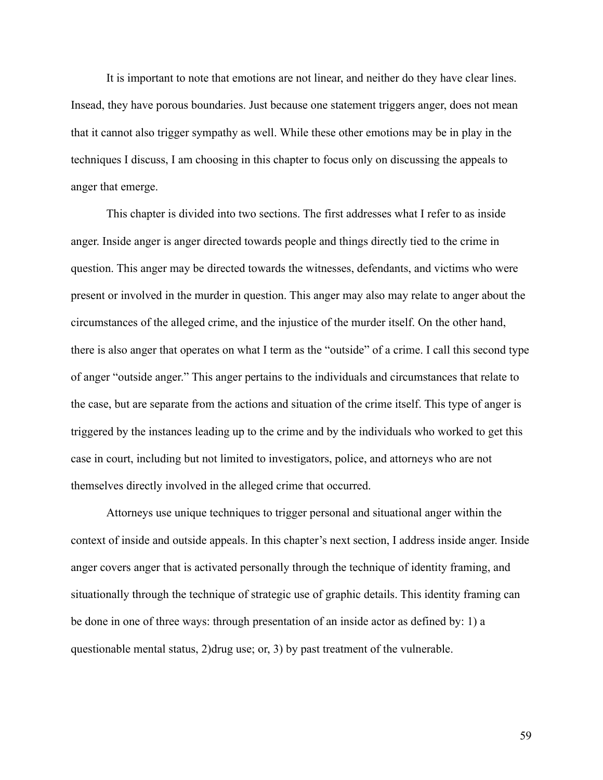It is important to note that emotions are not linear, and neither do they have clear lines. Insead, they have porous boundaries. Just because one statement triggers anger, does not mean that it cannot also trigger sympathy as well. While these other emotions may be in play in the techniques I discuss, I am choosing in this chapter to focus only on discussing the appeals to anger that emerge.

This chapter is divided into two sections. The first addresses what I refer to as inside anger. Inside anger is anger directed towards people and things directly tied to the crime in question. This anger may be directed towards the witnesses, defendants, and victims who were present or involved in the murder in question. This anger may also may relate to anger about the circumstances of the alleged crime, and the injustice of the murder itself. On the other hand, there is also anger that operates on what I term as the "outside" of a crime. I call this second type of anger "outside anger." This anger pertains to the individuals and circumstances that relate to the case, but are separate from the actions and situation of the crime itself. This type of anger is triggered by the instances leading up to the crime and by the individuals who worked to get this case in court, including but not limited to investigators, police, and attorneys who are not themselves directly involved in the alleged crime that occurred.

Attorneys use unique techniques to trigger personal and situational anger within the context of inside and outside appeals. In this chapter's next section, I address inside anger. Inside anger covers anger that is activated personally through the technique of identity framing, and situationally through the technique of strategic use of graphic details. This identity framing can be done in one of three ways: through presentation of an inside actor as defined by: 1) a questionable mental status, 2)drug use; or, 3) by past treatment of the vulnerable.

59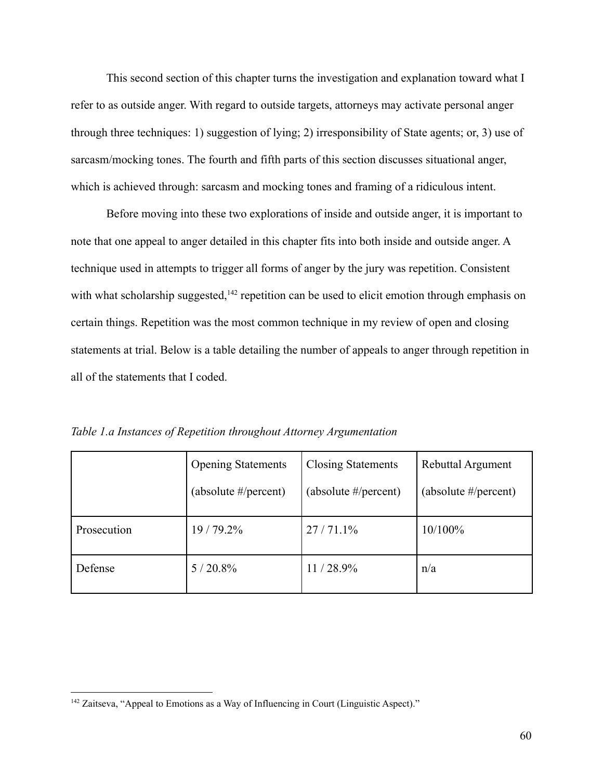This second section of this chapter turns the investigation and explanation toward what I refer to as outside anger. With regard to outside targets, attorneys may activate personal anger through three techniques: 1) suggestion of lying; 2) irresponsibility of State agents; or, 3) use of sarcasm/mocking tones. The fourth and fifth parts of this section discusses situational anger, which is achieved through: sarcasm and mocking tones and framing of a ridiculous intent.

Before moving into these two explorations of inside and outside anger, it is important to note that one appeal to anger detailed in this chapter fits into both inside and outside anger. A technique used in attempts to trigger all forms of anger by the jury was repetition. Consistent with what scholarship suggested,  $142$  repetition can be used to elicit emotion through emphasis on certain things. Repetition was the most common technique in my review of open and closing statements at trial. Below is a table detailing the number of appeals to anger through repetition in all of the statements that I coded.

|             | <b>Opening Statements</b> | <b>Closing Statements</b> | Rebuttal Argument    |
|-------------|---------------------------|---------------------------|----------------------|
|             | (absolute #/percent)      | (absolute #/percent)      | (absolute #/percent) |
| Prosecution | $19/79.2\%$               | 27/71.1%                  | 10/100%              |
| Defense     | $5/20.8\%$                | 11/28.9%                  | n/a                  |

*Table 1.a Instances of Repetition throughout Attorney Argumentation*

<sup>&</sup>lt;sup>142</sup> Zaitseva, "Appeal to Emotions as a Way of Influencing in Court (Linguistic Aspect)."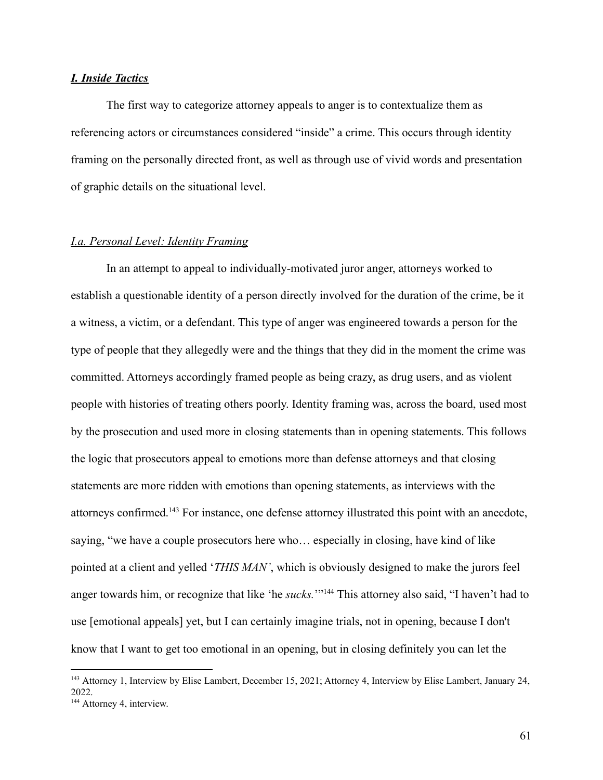# *I. Inside Tactics*

The first way to categorize attorney appeals to anger is to contextualize them as referencing actors or circumstances considered "inside" a crime. This occurs through identity framing on the personally directed front, as well as through use of vivid words and presentation of graphic details on the situational level.

#### *I.a. Personal Level: Identity Framing*

In an attempt to appeal to individually-motivated juror anger, attorneys worked to establish a questionable identity of a person directly involved for the duration of the crime, be it a witness, a victim, or a defendant. This type of anger was engineered towards a person for the type of people that they allegedly were and the things that they did in the moment the crime was committed. Attorneys accordingly framed people as being crazy, as drug users, and as violent people with histories of treating others poorly. Identity framing was, across the board, used most by the prosecution and used more in closing statements than in opening statements. This follows the logic that prosecutors appeal to emotions more than defense attorneys and that closing statements are more ridden with emotions than opening statements, as interviews with the attorneys confirmed.<sup>143</sup> For instance, one defense attorney illustrated this point with an anecdote, saying, "we have a couple prosecutors here who… especially in closing, have kind of like pointed at a client and yelled '*THIS MAN'*, which is obviously designed to make the jurors feel anger towards him, or recognize that like 'he *sucks*.'"<sup>144</sup> This attorney also said, "I haven't had to use [emotional appeals] yet, but I can certainly imagine trials, not in opening, because I don't know that I want to get too emotional in an opening, but in closing definitely you can let the

<sup>&</sup>lt;sup>143</sup> Attorney 1, Interview by Elise Lambert, December 15, 2021; Attorney 4, Interview by Elise Lambert, January 24, 2022.

<sup>&</sup>lt;sup>144</sup> Attorney 4, interview.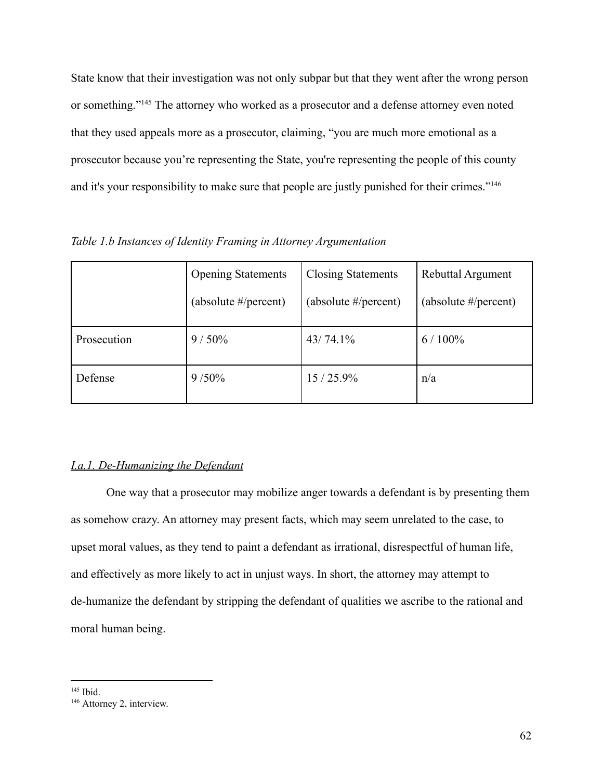State know that their investigation was not only subpar but that they went after the wrong person or something."<sup>145</sup> The attorney who worked as a prosecutor and a defense attorney even noted that they used appeals more as a prosecutor, claiming, "you are much more emotional as a prosecutor because you're representing the State, you're representing the people of this county and it's your responsibility to make sure that people are justly punished for their crimes."<sup>146</sup>

|             | <b>Opening Statements</b> | <b>Closing Statements</b> | Rebuttal Argument    |
|-------------|---------------------------|---------------------------|----------------------|
|             | (absolute #/percent)      | (absolute #/percent)      | (absolute #/percent) |
| Prosecution | $9/50\%$                  | 43/74.1%                  | $6/100\%$            |
| Defense     | $9/50\%$                  | 15/25.9%                  | n/a                  |

*Table 1.b Instances of Identity Framing in Attorney Argumentation*

# *I.a.1. De-Humanizing the Defendant*

One way that a prosecutor may mobilize anger towards a defendant is by presenting them as somehow crazy. An attorney may present facts, which may seem unrelated to the case, to upset moral values, as they tend to paint a defendant as irrational, disrespectful of human life, and effectively as more likely to act in unjust ways. In short, the attorney may attempt to de-humanize the defendant by stripping the defendant of qualities we ascribe to the rational and moral human being.

<sup>&</sup>lt;sup>145</sup> Ibid.

<sup>146</sup> Attorney 2, interview.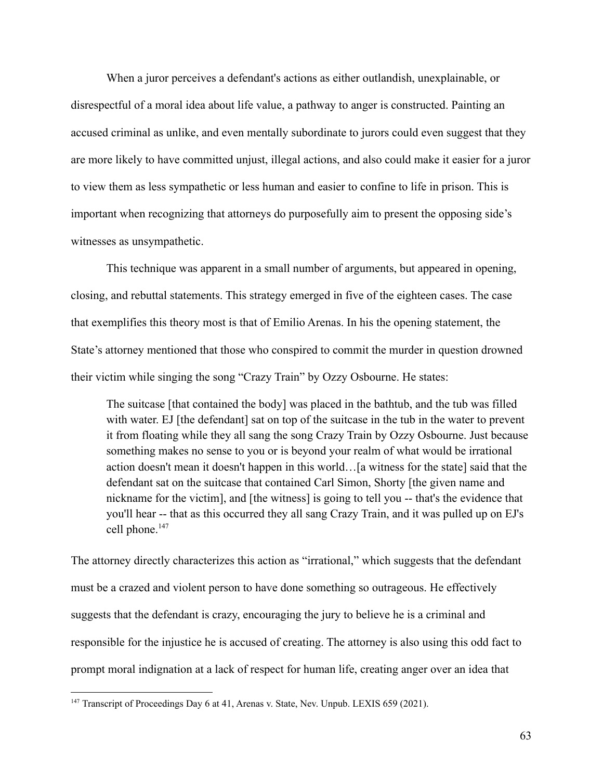When a juror perceives a defendant's actions as either outlandish, unexplainable, or disrespectful of a moral idea about life value, a pathway to anger is constructed. Painting an accused criminal as unlike, and even mentally subordinate to jurors could even suggest that they are more likely to have committed unjust, illegal actions, and also could make it easier for a juror to view them as less sympathetic or less human and easier to confine to life in prison. This is important when recognizing that attorneys do purposefully aim to present the opposing side's witnesses as unsympathetic.

This technique was apparent in a small number of arguments, but appeared in opening, closing, and rebuttal statements. This strategy emerged in five of the eighteen cases. The case that exemplifies this theory most is that of Emilio Arenas. In his the opening statement, the State's attorney mentioned that those who conspired to commit the murder in question drowned their victim while singing the song "Crazy Train" by Ozzy Osbourne. He states:

The suitcase [that contained the body] was placed in the bathtub, and the tub was filled with water. EJ [the defendant] sat on top of the suitcase in the tub in the water to prevent it from floating while they all sang the song Crazy Train by Ozzy Osbourne. Just because something makes no sense to you or is beyond your realm of what would be irrational action doesn't mean it doesn't happen in this world…[a witness for the state] said that the defendant sat on the suitcase that contained Carl Simon, Shorty [the given name and nickname for the victim], and [the witness] is going to tell you -- that's the evidence that you'll hear -- that as this occurred they all sang Crazy Train, and it was pulled up on EJ's cell phone.<sup>147</sup>

The attorney directly characterizes this action as "irrational," which suggests that the defendant must be a crazed and violent person to have done something so outrageous. He effectively suggests that the defendant is crazy, encouraging the jury to believe he is a criminal and responsible for the injustice he is accused of creating. The attorney is also using this odd fact to prompt moral indignation at a lack of respect for human life, creating anger over an idea that

<sup>&</sup>lt;sup>147</sup> Transcript of Proceedings Day 6 at 41, Arenas v. State, Nev. Unpub. LEXIS 659 (2021).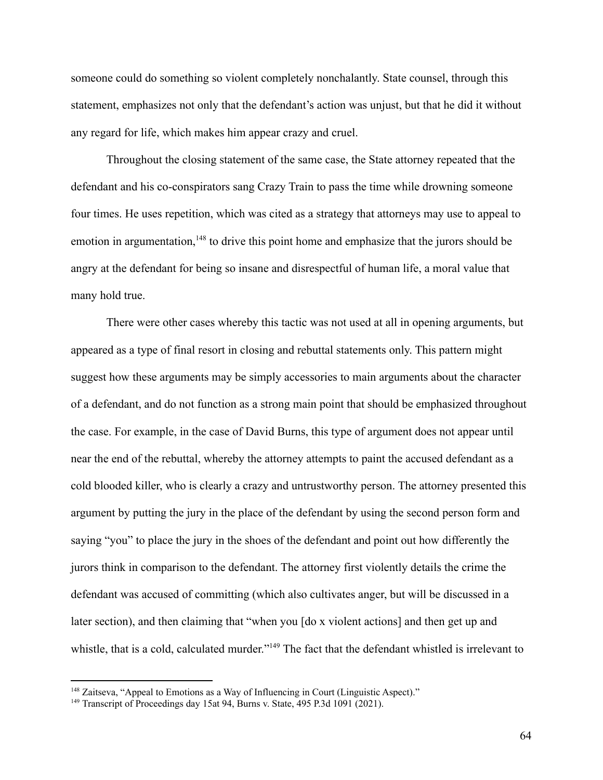someone could do something so violent completely nonchalantly. State counsel, through this statement, emphasizes not only that the defendant's action was unjust, but that he did it without any regard for life, which makes him appear crazy and cruel.

Throughout the closing statement of the same case, the State attorney repeated that the defendant and his co-conspirators sang Crazy Train to pass the time while drowning someone four times. He uses repetition, which was cited as a strategy that attorneys may use to appeal to emotion in argumentation,<sup>148</sup> to drive this point home and emphasize that the jurors should be angry at the defendant for being so insane and disrespectful of human life, a moral value that many hold true.

There were other cases whereby this tactic was not used at all in opening arguments, but appeared as a type of final resort in closing and rebuttal statements only. This pattern might suggest how these arguments may be simply accessories to main arguments about the character of a defendant, and do not function as a strong main point that should be emphasized throughout the case. For example, in the case of David Burns, this type of argument does not appear until near the end of the rebuttal, whereby the attorney attempts to paint the accused defendant as a cold blooded killer, who is clearly a crazy and untrustworthy person. The attorney presented this argument by putting the jury in the place of the defendant by using the second person form and saying "you" to place the jury in the shoes of the defendant and point out how differently the jurors think in comparison to the defendant. The attorney first violently details the crime the defendant was accused of committing (which also cultivates anger, but will be discussed in a later section), and then claiming that "when you [do x violent actions] and then get up and whistle, that is a cold, calculated murder."<sup>149</sup> The fact that the defendant whistled is irrelevant to

<sup>&</sup>lt;sup>148</sup> Zaitseva, "Appeal to Emotions as a Way of Influencing in Court (Linguistic Aspect)."

<sup>149</sup> Transcript of Proceedings day 15at 94, Burns v. State, 495 P.3d 1091 (2021).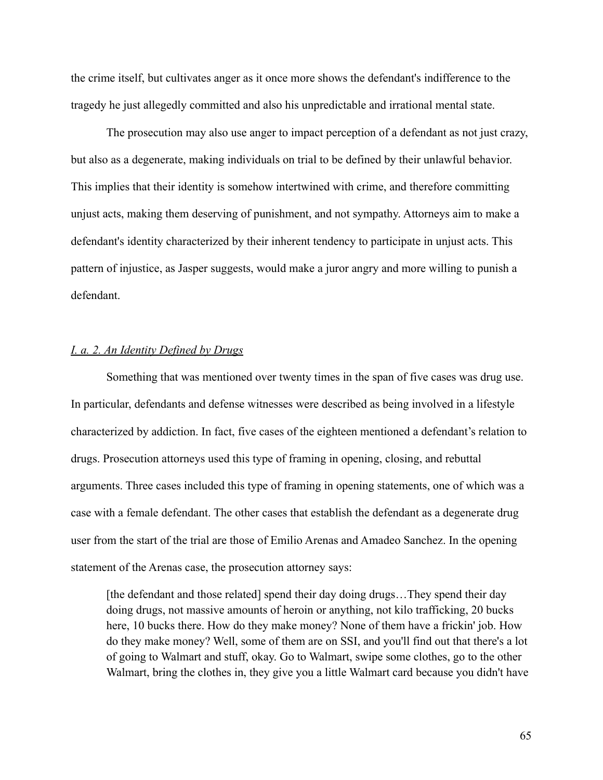the crime itself, but cultivates anger as it once more shows the defendant's indifference to the tragedy he just allegedly committed and also his unpredictable and irrational mental state.

The prosecution may also use anger to impact perception of a defendant as not just crazy, but also as a degenerate, making individuals on trial to be defined by their unlawful behavior. This implies that their identity is somehow intertwined with crime, and therefore committing unjust acts, making them deserving of punishment, and not sympathy. Attorneys aim to make a defendant's identity characterized by their inherent tendency to participate in unjust acts. This pattern of injustice, as Jasper suggests, would make a juror angry and more willing to punish a defendant.

#### *I. a. 2. An Identity Defined by Drugs*

Something that was mentioned over twenty times in the span of five cases was drug use. In particular, defendants and defense witnesses were described as being involved in a lifestyle characterized by addiction. In fact, five cases of the eighteen mentioned a defendant's relation to drugs. Prosecution attorneys used this type of framing in opening, closing, and rebuttal arguments. Three cases included this type of framing in opening statements, one of which was a case with a female defendant. The other cases that establish the defendant as a degenerate drug user from the start of the trial are those of Emilio Arenas and Amadeo Sanchez. In the opening statement of the Arenas case, the prosecution attorney says:

[the defendant and those related] spend their day doing drugs…They spend their day doing drugs, not massive amounts of heroin or anything, not kilo trafficking, 20 bucks here, 10 bucks there. How do they make money? None of them have a frickin' job. How do they make money? Well, some of them are on SSI, and you'll find out that there's a lot of going to Walmart and stuff, okay. Go to Walmart, swipe some clothes, go to the other Walmart, bring the clothes in, they give you a little Walmart card because you didn't have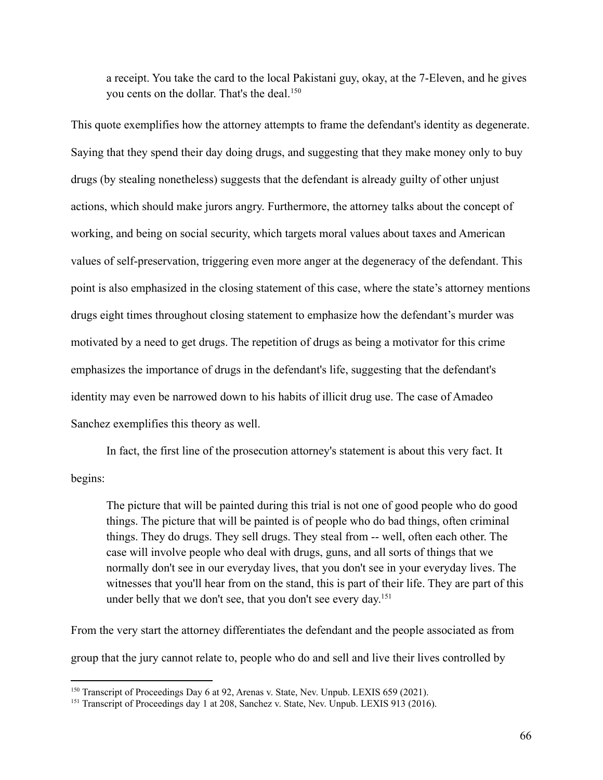a receipt. You take the card to the local Pakistani guy, okay, at the 7-Eleven, and he gives you cents on the dollar. That's the deal.<sup>150</sup>

This quote exemplifies how the attorney attempts to frame the defendant's identity as degenerate. Saying that they spend their day doing drugs, and suggesting that they make money only to buy drugs (by stealing nonetheless) suggests that the defendant is already guilty of other unjust actions, which should make jurors angry. Furthermore, the attorney talks about the concept of working, and being on social security, which targets moral values about taxes and American values of self-preservation, triggering even more anger at the degeneracy of the defendant. This point is also emphasized in the closing statement of this case, where the state's attorney mentions drugs eight times throughout closing statement to emphasize how the defendant's murder was motivated by a need to get drugs. The repetition of drugs as being a motivator for this crime emphasizes the importance of drugs in the defendant's life, suggesting that the defendant's identity may even be narrowed down to his habits of illicit drug use. The case of Amadeo Sanchez exemplifies this theory as well.

In fact, the first line of the prosecution attorney's statement is about this very fact. It begins:

The picture that will be painted during this trial is not one of good people who do good things. The picture that will be painted is of people who do bad things, often criminal things. They do drugs. They sell drugs. They steal from -- well, often each other. The case will involve people who deal with drugs, guns, and all sorts of things that we normally don't see in our everyday lives, that you don't see in your everyday lives. The witnesses that you'll hear from on the stand, this is part of their life. They are part of this under belly that we don't see, that you don't see every day. 151

From the very start the attorney differentiates the defendant and the people associated as from group that the jury cannot relate to, people who do and sell and live their lives controlled by

<sup>&</sup>lt;sup>150</sup> Transcript of Proceedings Day 6 at 92, Arenas v. State, Nev. Unpub. LEXIS 659 (2021).

<sup>&</sup>lt;sup>151</sup> Transcript of Proceedings day 1 at 208, Sanchez v. State, Nev. Unpub. LEXIS 913 (2016).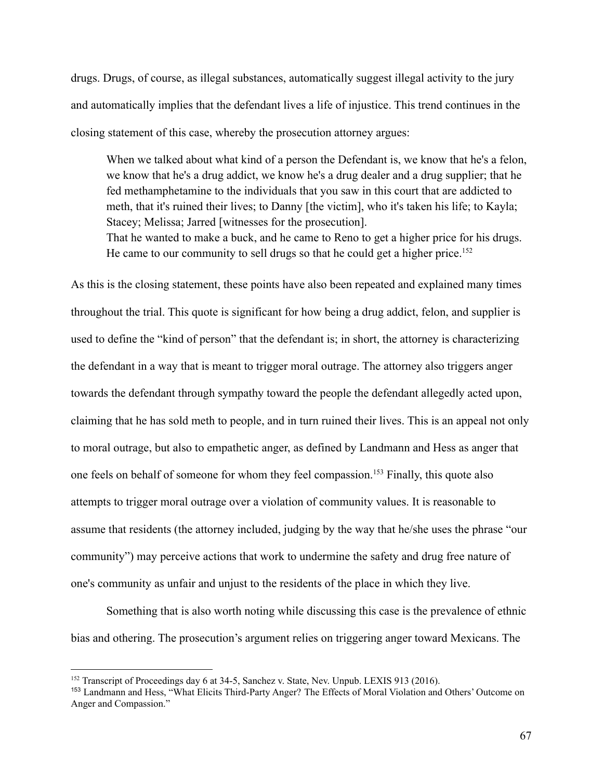drugs. Drugs, of course, as illegal substances, automatically suggest illegal activity to the jury and automatically implies that the defendant lives a life of injustice. This trend continues in the closing statement of this case, whereby the prosecution attorney argues:

When we talked about what kind of a person the Defendant is, we know that he's a felon, we know that he's a drug addict, we know he's a drug dealer and a drug supplier; that he fed methamphetamine to the individuals that you saw in this court that are addicted to meth, that it's ruined their lives; to Danny [the victim], who it's taken his life; to Kayla; Stacey; Melissa; Jarred [witnesses for the prosecution]. That he wanted to make a buck, and he came to Reno to get a higher price for his drugs. He came to our community to sell drugs so that he could get a higher price.<sup>152</sup>

As this is the closing statement, these points have also been repeated and explained many times throughout the trial. This quote is significant for how being a drug addict, felon, and supplier is used to define the "kind of person" that the defendant is; in short, the attorney is characterizing the defendant in a way that is meant to trigger moral outrage. The attorney also triggers anger towards the defendant through sympathy toward the people the defendant allegedly acted upon, claiming that he has sold meth to people, and in turn ruined their lives. This is an appeal not only to moral outrage, but also to empathetic anger, as defined by Landmann and Hess as anger that one feels on behalf of someone for whom they feel compassion.<sup>153</sup> Finally, this quote also attempts to trigger moral outrage over a violation of community values. It is reasonable to assume that residents (the attorney included, judging by the way that he/she uses the phrase "our community") may perceive actions that work to undermine the safety and drug free nature of one's community as unfair and unjust to the residents of the place in which they live.

Something that is also worth noting while discussing this case is the prevalence of ethnic bias and othering. The prosecution's argument relies on triggering anger toward Mexicans. The

<sup>&</sup>lt;sup>152</sup> Transcript of Proceedings day 6 at 34-5, Sanchez v. State, Nev. Unpub. LEXIS 913 (2016).

<sup>153</sup> Landmann and Hess, "What Elicits Third-Party Anger? The Effects of Moral Violation and Others' Outcome on Anger and Compassion."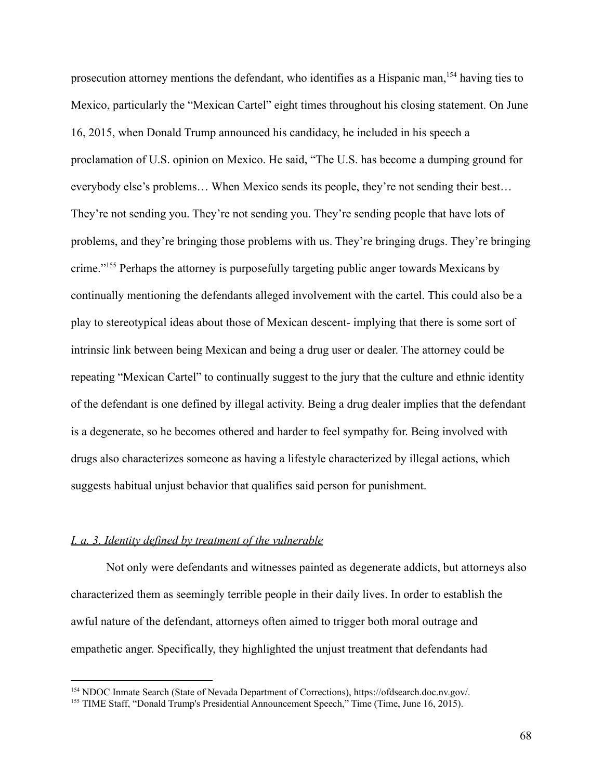prosecution attorney mentions the defendant, who identifies as a Hispanic man,<sup>154</sup> having ties to Mexico, particularly the "Mexican Cartel" eight times throughout his closing statement. On June 16, 2015, when Donald Trump announced his candidacy, he included in his speech a proclamation of U.S. opinion on Mexico. He said, "The U.S. has become a dumping ground for everybody else's problems… When Mexico sends its people, they're not sending their best… They're not sending you. They're not sending you. They're sending people that have lots of problems, and they're bringing those problems with us. They're bringing drugs. They're bringing crime."<sup>155</sup> Perhaps the attorney is purposefully targeting public anger towards Mexicans by continually mentioning the defendants alleged involvement with the cartel. This could also be a play to stereotypical ideas about those of Mexican descent- implying that there is some sort of intrinsic link between being Mexican and being a drug user or dealer. The attorney could be repeating "Mexican Cartel" to continually suggest to the jury that the culture and ethnic identity of the defendant is one defined by illegal activity. Being a drug dealer implies that the defendant is a degenerate, so he becomes othered and harder to feel sympathy for. Being involved with drugs also characterizes someone as having a lifestyle characterized by illegal actions, which suggests habitual unjust behavior that qualifies said person for punishment.

### *I. a. 3. Identity defined by treatment of the vulnerable*

Not only were defendants and witnesses painted as degenerate addicts, but attorneys also characterized them as seemingly terrible people in their daily lives. In order to establish the awful nature of the defendant, attorneys often aimed to trigger both moral outrage and empathetic anger. Specifically, they highlighted the unjust treatment that defendants had

<sup>154</sup> NDOC Inmate Search (State of Nevada Department of Corrections), https://ofdsearch.doc.nv.gov/.

<sup>&</sup>lt;sup>155</sup> TIME Staff, "Donald Trump's Presidential Announcement Speech," Time (Time, June 16, 2015).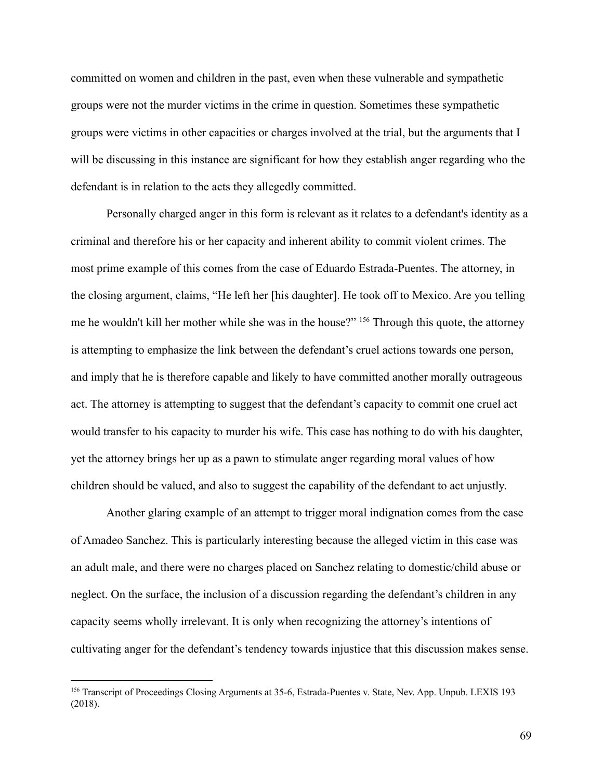committed on women and children in the past, even when these vulnerable and sympathetic groups were not the murder victims in the crime in question. Sometimes these sympathetic groups were victims in other capacities or charges involved at the trial, but the arguments that I will be discussing in this instance are significant for how they establish anger regarding who the defendant is in relation to the acts they allegedly committed.

Personally charged anger in this form is relevant as it relates to a defendant's identity as a criminal and therefore his or her capacity and inherent ability to commit violent crimes. The most prime example of this comes from the case of Eduardo Estrada-Puentes. The attorney, in the closing argument, claims, "He left her [his daughter]. He took off to Mexico. Are you telling me he wouldn't kill her mother while she was in the house?" <sup>156</sup> Through this quote, the attorney is attempting to emphasize the link between the defendant's cruel actions towards one person, and imply that he is therefore capable and likely to have committed another morally outrageous act. The attorney is attempting to suggest that the defendant's capacity to commit one cruel act would transfer to his capacity to murder his wife. This case has nothing to do with his daughter, yet the attorney brings her up as a pawn to stimulate anger regarding moral values of how children should be valued, and also to suggest the capability of the defendant to act unjustly.

Another glaring example of an attempt to trigger moral indignation comes from the case of Amadeo Sanchez. This is particularly interesting because the alleged victim in this case was an adult male, and there were no charges placed on Sanchez relating to domestic/child abuse or neglect. On the surface, the inclusion of a discussion regarding the defendant's children in any capacity seems wholly irrelevant. It is only when recognizing the attorney's intentions of cultivating anger for the defendant's tendency towards injustice that this discussion makes sense.

<sup>&</sup>lt;sup>156</sup> Transcript of Proceedings Closing Arguments at 35-6, Estrada-Puentes v. State, Nev. App. Unpub. LEXIS 193 (2018).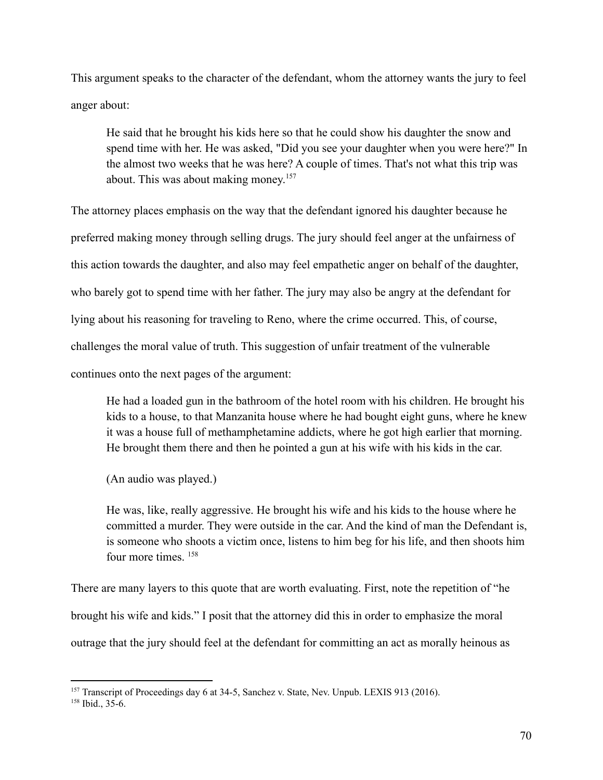This argument speaks to the character of the defendant, whom the attorney wants the jury to feel anger about:

He said that he brought his kids here so that he could show his daughter the snow and spend time with her. He was asked, "Did you see your daughter when you were here?" In the almost two weeks that he was here? A couple of times. That's not what this trip was about. This was about making money. 157

The attorney places emphasis on the way that the defendant ignored his daughter because he preferred making money through selling drugs. The jury should feel anger at the unfairness of this action towards the daughter, and also may feel empathetic anger on behalf of the daughter, who barely got to spend time with her father. The jury may also be angry at the defendant for lying about his reasoning for traveling to Reno, where the crime occurred. This, of course, challenges the moral value of truth. This suggestion of unfair treatment of the vulnerable continues onto the next pages of the argument:

He had a loaded gun in the bathroom of the hotel room with his children. He brought his kids to a house, to that Manzanita house where he had bought eight guns, where he knew it was a house full of methamphetamine addicts, where he got high earlier that morning. He brought them there and then he pointed a gun at his wife with his kids in the car.

(An audio was played.)

He was, like, really aggressive. He brought his wife and his kids to the house where he committed a murder. They were outside in the car. And the kind of man the Defendant is, is someone who shoots a victim once, listens to him beg for his life, and then shoots him four more times  $158$ 

There are many layers to this quote that are worth evaluating. First, note the repetition of "he brought his wife and kids." I posit that the attorney did this in order to emphasize the moral outrage that the jury should feel at the defendant for committing an act as morally heinous as

<sup>&</sup>lt;sup>157</sup> Transcript of Proceedings day 6 at 34-5, Sanchez v. State, Nev. Unpub. LEXIS 913 (2016).

 $158$  Ibid.,  $35-6$ .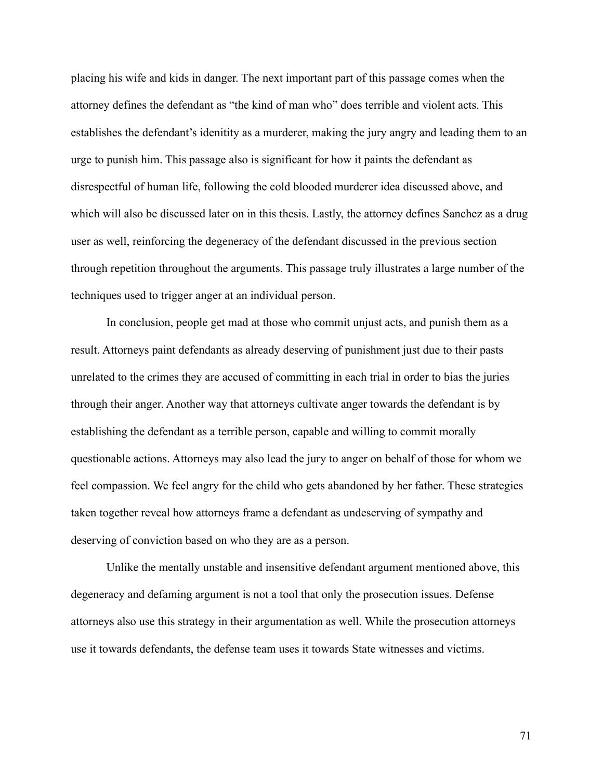placing his wife and kids in danger. The next important part of this passage comes when the attorney defines the defendant as "the kind of man who" does terrible and violent acts. This establishes the defendant's idenitity as a murderer, making the jury angry and leading them to an urge to punish him. This passage also is significant for how it paints the defendant as disrespectful of human life, following the cold blooded murderer idea discussed above, and which will also be discussed later on in this thesis. Lastly, the attorney defines Sanchez as a drug user as well, reinforcing the degeneracy of the defendant discussed in the previous section through repetition throughout the arguments. This passage truly illustrates a large number of the techniques used to trigger anger at an individual person.

In conclusion, people get mad at those who commit unjust acts, and punish them as a result. Attorneys paint defendants as already deserving of punishment just due to their pasts unrelated to the crimes they are accused of committing in each trial in order to bias the juries through their anger. Another way that attorneys cultivate anger towards the defendant is by establishing the defendant as a terrible person, capable and willing to commit morally questionable actions. Attorneys may also lead the jury to anger on behalf of those for whom we feel compassion. We feel angry for the child who gets abandoned by her father. These strategies taken together reveal how attorneys frame a defendant as undeserving of sympathy and deserving of conviction based on who they are as a person.

Unlike the mentally unstable and insensitive defendant argument mentioned above, this degeneracy and defaming argument is not a tool that only the prosecution issues. Defense attorneys also use this strategy in their argumentation as well. While the prosecution attorneys use it towards defendants, the defense team uses it towards State witnesses and victims.

71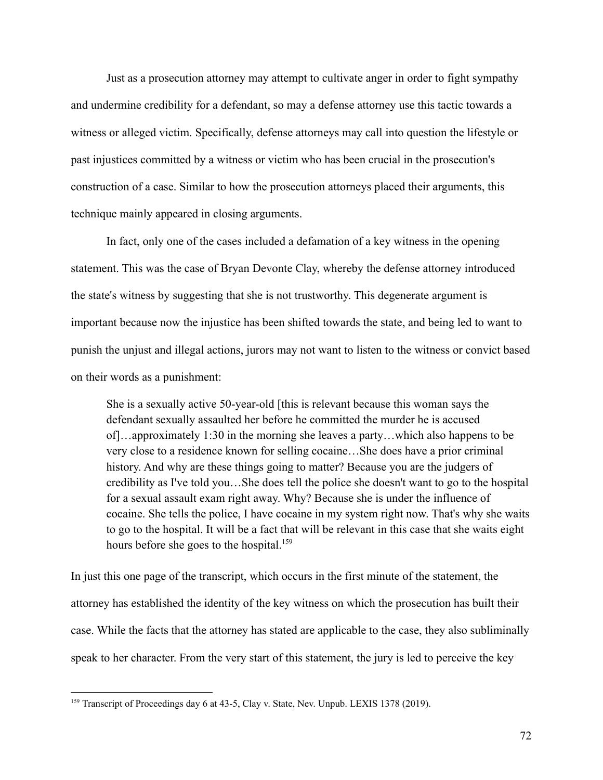Just as a prosecution attorney may attempt to cultivate anger in order to fight sympathy and undermine credibility for a defendant, so may a defense attorney use this tactic towards a witness or alleged victim. Specifically, defense attorneys may call into question the lifestyle or past injustices committed by a witness or victim who has been crucial in the prosecution's construction of a case. Similar to how the prosecution attorneys placed their arguments, this technique mainly appeared in closing arguments.

In fact, only one of the cases included a defamation of a key witness in the opening statement. This was the case of Bryan Devonte Clay, whereby the defense attorney introduced the state's witness by suggesting that she is not trustworthy. This degenerate argument is important because now the injustice has been shifted towards the state, and being led to want to punish the unjust and illegal actions, jurors may not want to listen to the witness or convict based on their words as a punishment:

She is a sexually active 50-year-old [this is relevant because this woman says the defendant sexually assaulted her before he committed the murder he is accused of]…approximately 1:30 in the morning she leaves a party…which also happens to be very close to a residence known for selling cocaine…She does have a prior criminal history. And why are these things going to matter? Because you are the judgers of credibility as I've told you…She does tell the police she doesn't want to go to the hospital for a sexual assault exam right away. Why? Because she is under the influence of cocaine. She tells the police, I have cocaine in my system right now. That's why she waits to go to the hospital. It will be a fact that will be relevant in this case that she waits eight hours before she goes to the hospital.<sup>159</sup>

In just this one page of the transcript, which occurs in the first minute of the statement, the attorney has established the identity of the key witness on which the prosecution has built their case. While the facts that the attorney has stated are applicable to the case, they also subliminally speak to her character. From the very start of this statement, the jury is led to perceive the key

<sup>&</sup>lt;sup>159</sup> Transcript of Proceedings day 6 at 43-5, Clay v. State, Nev. Unpub. LEXIS 1378 (2019).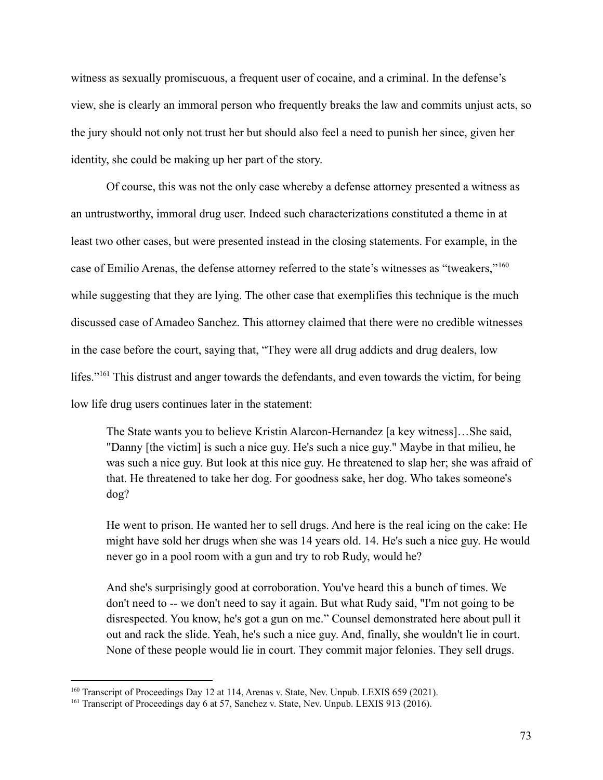witness as sexually promiscuous, a frequent user of cocaine, and a criminal. In the defense's view, she is clearly an immoral person who frequently breaks the law and commits unjust acts, so the jury should not only not trust her but should also feel a need to punish her since, given her identity, she could be making up her part of the story.

Of course, this was not the only case whereby a defense attorney presented a witness as an untrustworthy, immoral drug user. Indeed such characterizations constituted a theme in at least two other cases, but were presented instead in the closing statements. For example, in the case of Emilio Arenas, the defense attorney referred to the state's witnesses as "tweakers,"<sup>160</sup> while suggesting that they are lying. The other case that exemplifies this technique is the much discussed case of Amadeo Sanchez. This attorney claimed that there were no credible witnesses in the case before the court, saying that, "They were all drug addicts and drug dealers, low lifes."<sup>161</sup> This distrust and anger towards the defendants, and even towards the victim, for being low life drug users continues later in the statement:

The State wants you to believe Kristin Alarcon-Hernandez [a key witness]…She said, "Danny [the victim] is such a nice guy. He's such a nice guy." Maybe in that milieu, he was such a nice guy. But look at this nice guy. He threatened to slap her; she was afraid of that. He threatened to take her dog. For goodness sake, her dog. Who takes someone's dog?

He went to prison. He wanted her to sell drugs. And here is the real icing on the cake: He might have sold her drugs when she was 14 years old. 14. He's such a nice guy. He would never go in a pool room with a gun and try to rob Rudy, would he?

And she's surprisingly good at corroboration. You've heard this a bunch of times. We don't need to -- we don't need to say it again. But what Rudy said, "I'm not going to be disrespected. You know, he's got a gun on me." Counsel demonstrated here about pull it out and rack the slide. Yeah, he's such a nice guy. And, finally, she wouldn't lie in court. None of these people would lie in court. They commit major felonies. They sell drugs.

<sup>&</sup>lt;sup>160</sup> Transcript of Proceedings Day 12 at 114, Arenas v. State, Nev. Unpub. LEXIS 659 (2021).

<sup>&</sup>lt;sup>161</sup> Transcript of Proceedings day 6 at 57, Sanchez v. State, Nev. Unpub. LEXIS 913 (2016).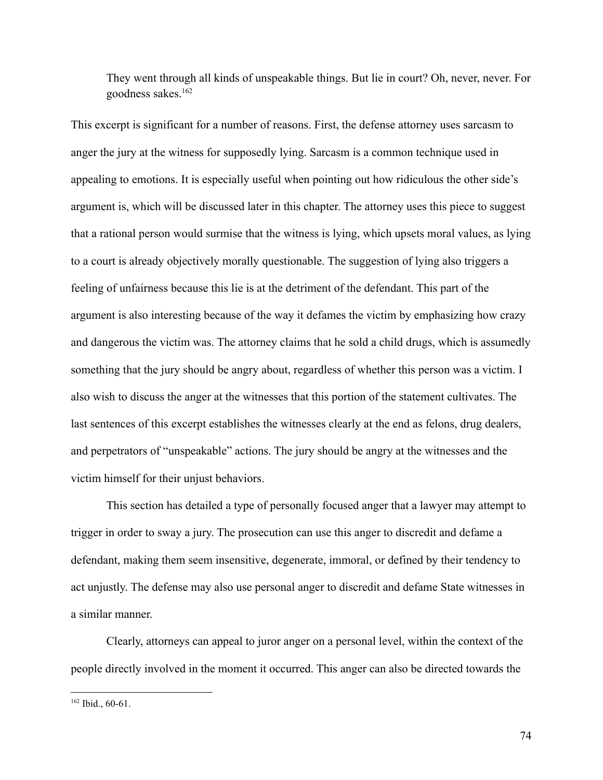They went through all kinds of unspeakable things. But lie in court? Oh, never, never. For goodness sakes.<sup>162</sup>

This excerpt is significant for a number of reasons. First, the defense attorney uses sarcasm to anger the jury at the witness for supposedly lying. Sarcasm is a common technique used in appealing to emotions. It is especially useful when pointing out how ridiculous the other side's argument is, which will be discussed later in this chapter. The attorney uses this piece to suggest that a rational person would surmise that the witness is lying, which upsets moral values, as lying to a court is already objectively morally questionable. The suggestion of lying also triggers a feeling of unfairness because this lie is at the detriment of the defendant. This part of the argument is also interesting because of the way it defames the victim by emphasizing how crazy and dangerous the victim was. The attorney claims that he sold a child drugs, which is assumedly something that the jury should be angry about, regardless of whether this person was a victim. I also wish to discuss the anger at the witnesses that this portion of the statement cultivates. The last sentences of this excerpt establishes the witnesses clearly at the end as felons, drug dealers, and perpetrators of "unspeakable" actions. The jury should be angry at the witnesses and the victim himself for their unjust behaviors.

This section has detailed a type of personally focused anger that a lawyer may attempt to trigger in order to sway a jury. The prosecution can use this anger to discredit and defame a defendant, making them seem insensitive, degenerate, immoral, or defined by their tendency to act unjustly. The defense may also use personal anger to discredit and defame State witnesses in a similar manner.

Clearly, attorneys can appeal to juror anger on a personal level, within the context of the people directly involved in the moment it occurred. This anger can also be directed towards the

 $162$  Ibid., 60-61.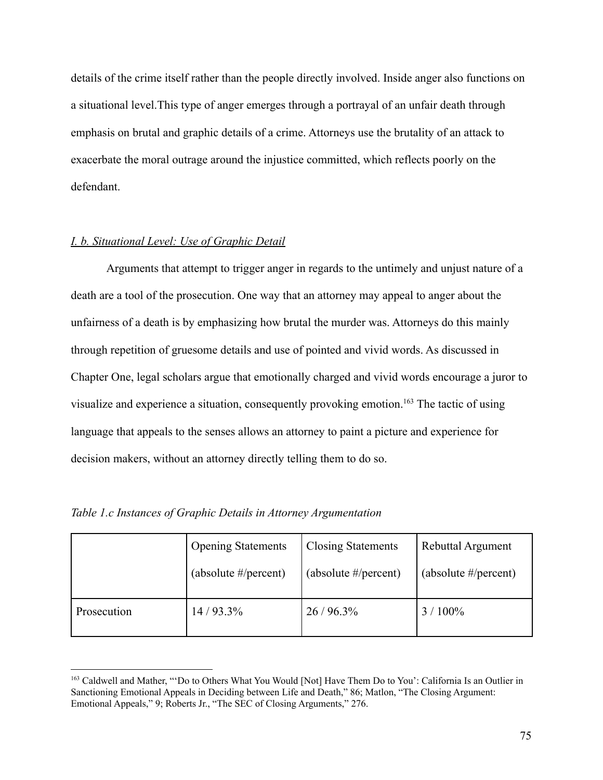details of the crime itself rather than the people directly involved. Inside anger also functions on a situational level.This type of anger emerges through a portrayal of an unfair death through emphasis on brutal and graphic details of a crime. Attorneys use the brutality of an attack to exacerbate the moral outrage around the injustice committed, which reflects poorly on the defendant.

## *I. b. Situational Level: Use of Graphic Detail*

Arguments that attempt to trigger anger in regards to the untimely and unjust nature of a death are a tool of the prosecution. One way that an attorney may appeal to anger about the unfairness of a death is by emphasizing how brutal the murder was. Attorneys do this mainly through repetition of gruesome details and use of pointed and vivid words. As discussed in Chapter One, legal scholars argue that emotionally charged and vivid words encourage a juror to visualize and experience a situation, consequently provoking emotion.<sup>163</sup> The tactic of using language that appeals to the senses allows an attorney to paint a picture and experience for decision makers, without an attorney directly telling them to do so.

|             | <b>Opening Statements</b> | <b>Closing Statements</b> | <b>Rebuttal Argument</b><br>(absolute #/percent) |  |
|-------------|---------------------------|---------------------------|--------------------------------------------------|--|
|             | (absolute #/percent)      | (absolute #/percent)      |                                                  |  |
| Prosecution | $14/93.3\%$               | 26/96.3%                  | $3/100\%$                                        |  |

#### *Table 1.c Instances of Graphic Details in Attorney Argumentation*

<sup>163</sup> Caldwell and Mather, "'Do to Others What You Would [Not] Have Them Do to You': California Is an Outlier in Sanctioning Emotional Appeals in Deciding between Life and Death," 86; Matlon, "The Closing Argument: Emotional Appeals," 9; Roberts Jr., "The SEC of Closing Arguments," 276.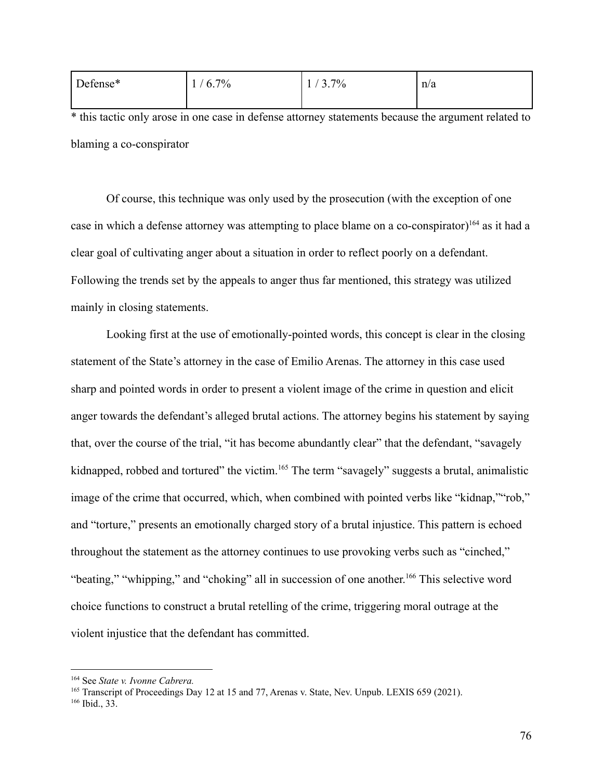| Defense* | $16.7\%$<br>$\mathbf{I}$ | $3.7\%$<br>$\overline{\phantom{a}}$ | n/a |
|----------|--------------------------|-------------------------------------|-----|
|----------|--------------------------|-------------------------------------|-----|

\* this tactic only arose in one case in defense attorney statements because the argument related to blaming a co-conspirator

Of course, this technique was only used by the prosecution (with the exception of one case in which a defense attorney was attempting to place blame on a co-conspirator)<sup>164</sup> as it had a clear goal of cultivating anger about a situation in order to reflect poorly on a defendant. Following the trends set by the appeals to anger thus far mentioned, this strategy was utilized mainly in closing statements.

Looking first at the use of emotionally-pointed words, this concept is clear in the closing statement of the State's attorney in the case of Emilio Arenas. The attorney in this case used sharp and pointed words in order to present a violent image of the crime in question and elicit anger towards the defendant's alleged brutal actions. The attorney begins his statement by saying that, over the course of the trial, "it has become abundantly clear" that the defendant, "savagely kidnapped, robbed and tortured" the victim.<sup>165</sup> The term "savagely" suggests a brutal, animalistic image of the crime that occurred, which, when combined with pointed verbs like "kidnap,""rob," and "torture," presents an emotionally charged story of a brutal injustice. This pattern is echoed throughout the statement as the attorney continues to use provoking verbs such as "cinched," "beating," "whipping," and "choking" all in succession of one another.<sup>166</sup> This selective word choice functions to construct a brutal retelling of the crime, triggering moral outrage at the violent injustice that the defendant has committed.

<sup>164</sup> See *State v. Ivonne Cabrera.*

<sup>&</sup>lt;sup>165</sup> Transcript of Proceedings Day 12 at 15 and 77, Arenas v. State, Nev. Unpub. LEXIS 659 (2021).

 $166$  Ibid., 33.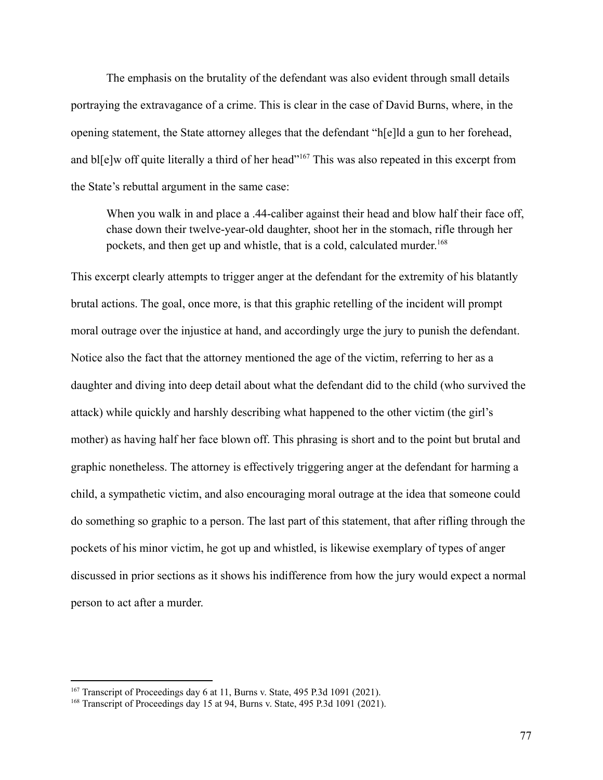The emphasis on the brutality of the defendant was also evident through small details portraying the extravagance of a crime. This is clear in the case of David Burns, where, in the opening statement, the State attorney alleges that the defendant "h[e]ld a gun to her forehead, and bl[e]w off quite literally a third of her head"<sup>167</sup> This was also repeated in this excerpt from the State's rebuttal argument in the same case:

When you walk in and place a .44-caliber against their head and blow half their face off, chase down their twelve-year-old daughter, shoot her in the stomach, rifle through her pockets, and then get up and whistle, that is a cold, calculated murder. 168

This excerpt clearly attempts to trigger anger at the defendant for the extremity of his blatantly brutal actions. The goal, once more, is that this graphic retelling of the incident will prompt moral outrage over the injustice at hand, and accordingly urge the jury to punish the defendant. Notice also the fact that the attorney mentioned the age of the victim, referring to her as a daughter and diving into deep detail about what the defendant did to the child (who survived the attack) while quickly and harshly describing what happened to the other victim (the girl's mother) as having half her face blown off. This phrasing is short and to the point but brutal and graphic nonetheless. The attorney is effectively triggering anger at the defendant for harming a child, a sympathetic victim, and also encouraging moral outrage at the idea that someone could do something so graphic to a person. The last part of this statement, that after rifling through the pockets of his minor victim, he got up and whistled, is likewise exemplary of types of anger discussed in prior sections as it shows his indifference from how the jury would expect a normal person to act after a murder.

<sup>&</sup>lt;sup>167</sup> Transcript of Proceedings day 6 at 11, Burns v. State, 495 P.3d 1091 (2021).

<sup>168</sup> Transcript of Proceedings day 15 at 94, Burns v. State, 495 P.3d 1091 (2021).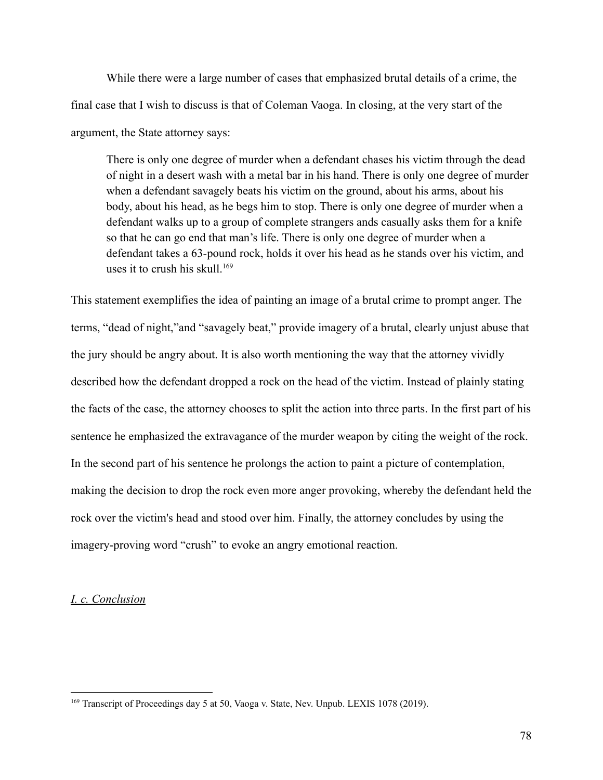While there were a large number of cases that emphasized brutal details of a crime, the final case that I wish to discuss is that of Coleman Vaoga. In closing, at the very start of the argument, the State attorney says:

There is only one degree of murder when a defendant chases his victim through the dead of night in a desert wash with a metal bar in his hand. There is only one degree of murder when a defendant savagely beats his victim on the ground, about his arms, about his body, about his head, as he begs him to stop. There is only one degree of murder when a defendant walks up to a group of complete strangers ands casually asks them for a knife so that he can go end that man's life. There is only one degree of murder when a defendant takes a 63-pound rock, holds it over his head as he stands over his victim, and uses it to crush his skull  $169$ 

This statement exemplifies the idea of painting an image of a brutal crime to prompt anger. The terms, "dead of night,"and "savagely beat," provide imagery of a brutal, clearly unjust abuse that the jury should be angry about. It is also worth mentioning the way that the attorney vividly described how the defendant dropped a rock on the head of the victim. Instead of plainly stating the facts of the case, the attorney chooses to split the action into three parts. In the first part of his sentence he emphasized the extravagance of the murder weapon by citing the weight of the rock. In the second part of his sentence he prolongs the action to paint a picture of contemplation, making the decision to drop the rock even more anger provoking, whereby the defendant held the rock over the victim's head and stood over him. Finally, the attorney concludes by using the imagery-proving word "crush" to evoke an angry emotional reaction.

## *I. c. Conclusion*

<sup>&</sup>lt;sup>169</sup> Transcript of Proceedings day 5 at 50, Vaoga v. State, Nev. Unpub. LEXIS 1078 (2019).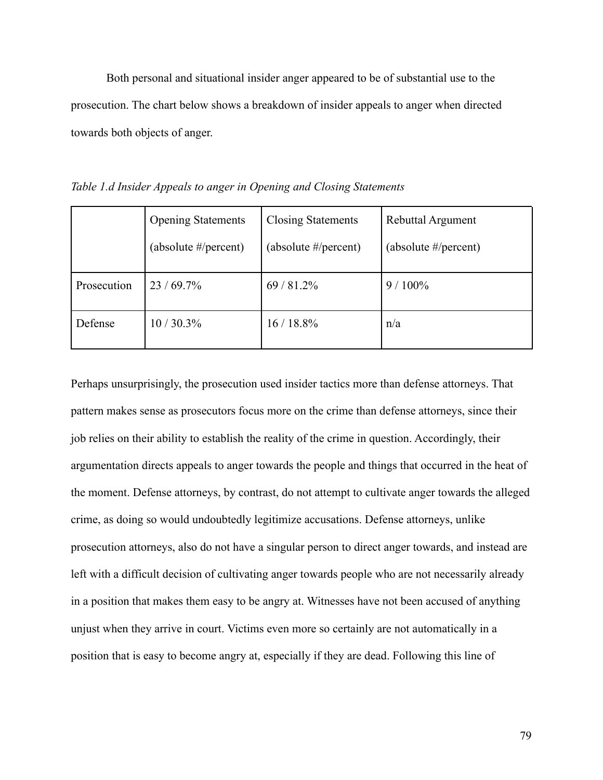Both personal and situational insider anger appeared to be of substantial use to the prosecution. The chart below shows a breakdown of insider appeals to anger when directed towards both objects of anger.

|             | <b>Opening Statements</b> | <b>Closing Statements</b> | Rebuttal Argument    |
|-------------|---------------------------|---------------------------|----------------------|
|             | (absolute #/percent)      | (absolute #/percent)      | (absolute #/percent) |
| Prosecution | 23/69.7%                  | 69/81.2%                  | $9/100\%$            |
| Defense     | $10/30.3\%$               | $16/18.8\%$               | n/a                  |

*Table 1.d Insider Appeals to anger in Opening and Closing Statements*

Perhaps unsurprisingly, the prosecution used insider tactics more than defense attorneys. That pattern makes sense as prosecutors focus more on the crime than defense attorneys, since their job relies on their ability to establish the reality of the crime in question. Accordingly, their argumentation directs appeals to anger towards the people and things that occurred in the heat of the moment. Defense attorneys, by contrast, do not attempt to cultivate anger towards the alleged crime, as doing so would undoubtedly legitimize accusations. Defense attorneys, unlike prosecution attorneys, also do not have a singular person to direct anger towards, and instead are left with a difficult decision of cultivating anger towards people who are not necessarily already in a position that makes them easy to be angry at. Witnesses have not been accused of anything unjust when they arrive in court. Victims even more so certainly are not automatically in a position that is easy to become angry at, especially if they are dead. Following this line of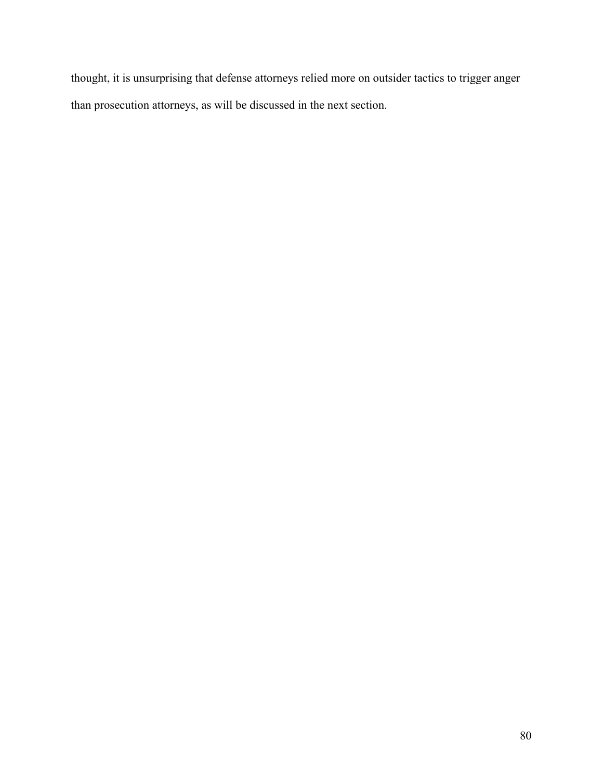thought, it is unsurprising that defense attorneys relied more on outsider tactics to trigger anger than prosecution attorneys, as will be discussed in the next section.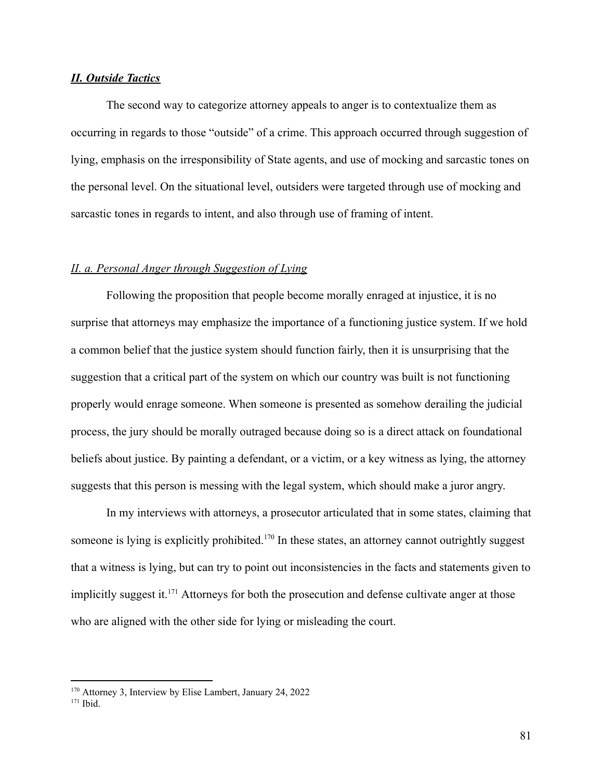## *II. Outside Tactics*

The second way to categorize attorney appeals to anger is to contextualize them as occurring in regards to those "outside" of a crime. This approach occurred through suggestion of lying, emphasis on the irresponsibility of State agents, and use of mocking and sarcastic tones on the personal level. On the situational level, outsiders were targeted through use of mocking and sarcastic tones in regards to intent, and also through use of framing of intent.

#### *II. a. Personal Anger through Suggestion of Lying*

Following the proposition that people become morally enraged at injustice, it is no surprise that attorneys may emphasize the importance of a functioning justice system. If we hold a common belief that the justice system should function fairly, then it is unsurprising that the suggestion that a critical part of the system on which our country was built is not functioning properly would enrage someone. When someone is presented as somehow derailing the judicial process, the jury should be morally outraged because doing so is a direct attack on foundational beliefs about justice. By painting a defendant, or a victim, or a key witness as lying, the attorney suggests that this person is messing with the legal system, which should make a juror angry.

In my interviews with attorneys, a prosecutor articulated that in some states, claiming that someone is lying is explicitly prohibited.<sup>170</sup> In these states, an attorney cannot outrightly suggest that a witness is lying, but can try to point out inconsistencies in the facts and statements given to implicitly suggest it.<sup>171</sup> Attorneys for both the prosecution and defense cultivate anger at those who are aligned with the other side for lying or misleading the court.

<sup>170</sup> Attorney 3, Interview by Elise Lambert, January 24, 2022

 $171$  Ibid.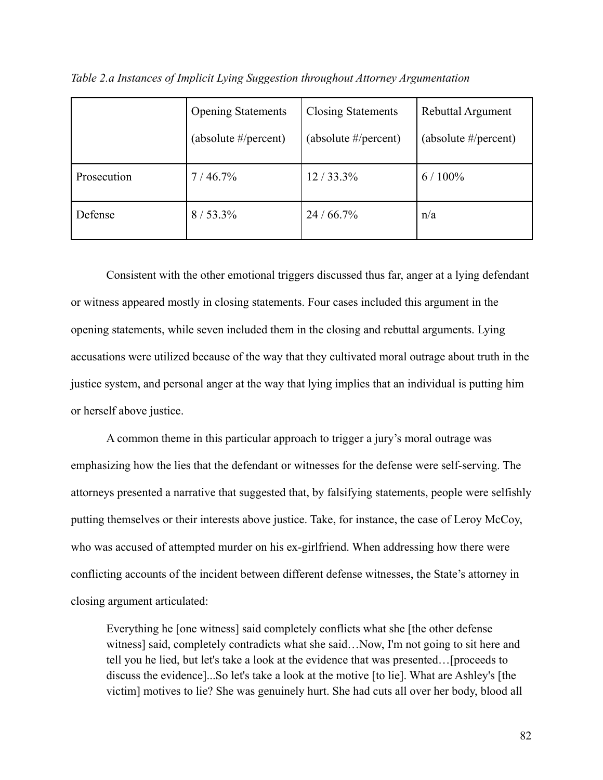|             | <b>Opening Statements</b> | <b>Closing Statements</b> | Rebuttal Argument    |  |
|-------------|---------------------------|---------------------------|----------------------|--|
|             | (absolute #/percent)      |                           | (absolute #/percent) |  |
| Prosecution | 7/46.7%                   | $12/33.3\%$               | $6/100\%$            |  |
| Defense     | 8/53.3%                   | 24/66.7%                  | n/a                  |  |

*Table 2.a Instances of Implicit Lying Suggestion throughout Attorney Argumentation*

Consistent with the other emotional triggers discussed thus far, anger at a lying defendant or witness appeared mostly in closing statements. Four cases included this argument in the opening statements, while seven included them in the closing and rebuttal arguments. Lying accusations were utilized because of the way that they cultivated moral outrage about truth in the justice system, and personal anger at the way that lying implies that an individual is putting him or herself above justice.

A common theme in this particular approach to trigger a jury's moral outrage was emphasizing how the lies that the defendant or witnesses for the defense were self-serving. The attorneys presented a narrative that suggested that, by falsifying statements, people were selfishly putting themselves or their interests above justice. Take, for instance, the case of Leroy McCoy, who was accused of attempted murder on his ex-girlfriend. When addressing how there were conflicting accounts of the incident between different defense witnesses, the State's attorney in closing argument articulated:

Everything he [one witness] said completely conflicts what she [the other defense witness] said, completely contradicts what she said...Now, I'm not going to sit here and tell you he lied, but let's take a look at the evidence that was presented…[proceeds to discuss the evidence]...So let's take a look at the motive [to lie]. What are Ashley's [the victim] motives to lie? She was genuinely hurt. She had cuts all over her body, blood all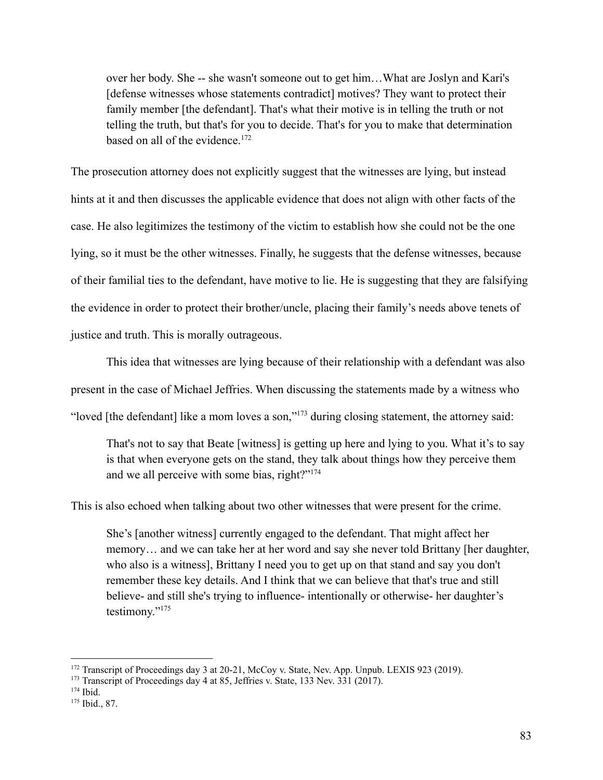over her body. She -- she wasn't someone out to get him…What are Joslyn and Kari's [defense witnesses whose statements contradict] motives? They want to protect their family member [the defendant]. That's what their motive is in telling the truth or not telling the truth, but that's for you to decide. That's for you to make that determination based on all of the evidence.<sup>172</sup>

The prosecution attorney does not explicitly suggest that the witnesses are lying, but instead hints at it and then discusses the applicable evidence that does not align with other facts of the case. He also legitimizes the testimony of the victim to establish how she could not be the one lying, so it must be the other witnesses. Finally, he suggests that the defense witnesses, because of their familial ties to the defendant, have motive to lie. He is suggesting that they are falsifying the evidence in order to protect their brother/uncle, placing their family's needs above tenets of justice and truth. This is morally outrageous.

This idea that witnesses are lying because of their relationship with a defendant was also present in the case of Michael Jeffries. When discussing the statements made by a witness who "loved [the defendant] like a mom loves a son,"<sup>173</sup> during closing statement, the attorney said:

That's not to say that Beate [witness] is getting up here and lying to you. What it's to say is that when everyone gets on the stand, they talk about things how they perceive them and we all perceive with some bias, right?"<sup>174</sup>

This is also echoed when talking about two other witnesses that were present for the crime.

She's [another witness] currently engaged to the defendant. That might affect her memory… and we can take her at her word and say she never told Brittany [her daughter, who also is a witness], Brittany I need you to get up on that stand and say you don't remember these key details. And I think that we can believe that that's true and still believe- and still she's trying to influence- intentionally or otherwise- her daughter's testimony."<sup>175</sup>

<sup>&</sup>lt;sup>172</sup> Transcript of Proceedings day 3 at 20-21, McCoy v. State, Nev. App. Unpub. LEXIS 923 (2019).

 $173$  Transcript of Proceedings day 4 at 85, Jeffries v. State, 133 Nev.  $331$  (2017).

 $174$  Ibid.

<sup>175</sup> Ibid., 87.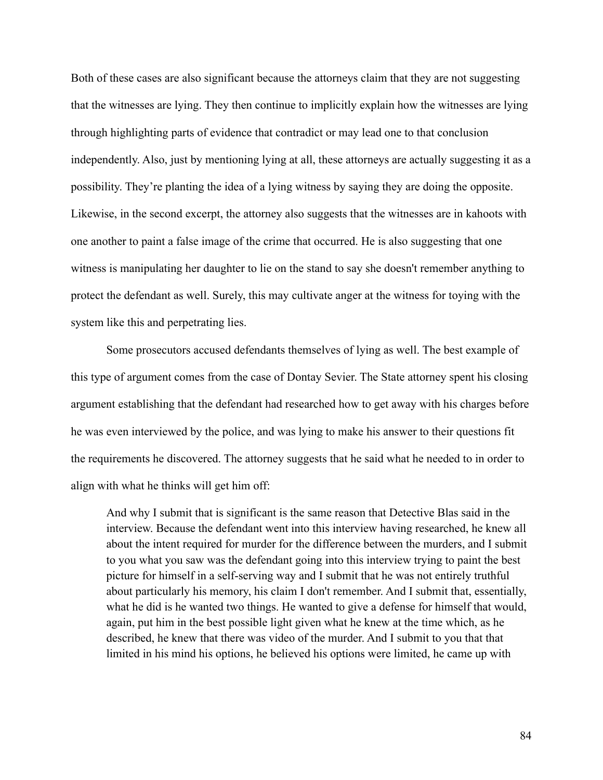Both of these cases are also significant because the attorneys claim that they are not suggesting that the witnesses are lying. They then continue to implicitly explain how the witnesses are lying through highlighting parts of evidence that contradict or may lead one to that conclusion independently. Also, just by mentioning lying at all, these attorneys are actually suggesting it as a possibility. They're planting the idea of a lying witness by saying they are doing the opposite. Likewise, in the second excerpt, the attorney also suggests that the witnesses are in kahoots with one another to paint a false image of the crime that occurred. He is also suggesting that one witness is manipulating her daughter to lie on the stand to say she doesn't remember anything to protect the defendant as well. Surely, this may cultivate anger at the witness for toying with the system like this and perpetrating lies.

Some prosecutors accused defendants themselves of lying as well. The best example of this type of argument comes from the case of Dontay Sevier. The State attorney spent his closing argument establishing that the defendant had researched how to get away with his charges before he was even interviewed by the police, and was lying to make his answer to their questions fit the requirements he discovered. The attorney suggests that he said what he needed to in order to align with what he thinks will get him off:

And why I submit that is significant is the same reason that Detective Blas said in the interview. Because the defendant went into this interview having researched, he knew all about the intent required for murder for the difference between the murders, and I submit to you what you saw was the defendant going into this interview trying to paint the best picture for himself in a self-serving way and I submit that he was not entirely truthful about particularly his memory, his claim I don't remember. And I submit that, essentially, what he did is he wanted two things. He wanted to give a defense for himself that would, again, put him in the best possible light given what he knew at the time which, as he described, he knew that there was video of the murder. And I submit to you that that limited in his mind his options, he believed his options were limited, he came up with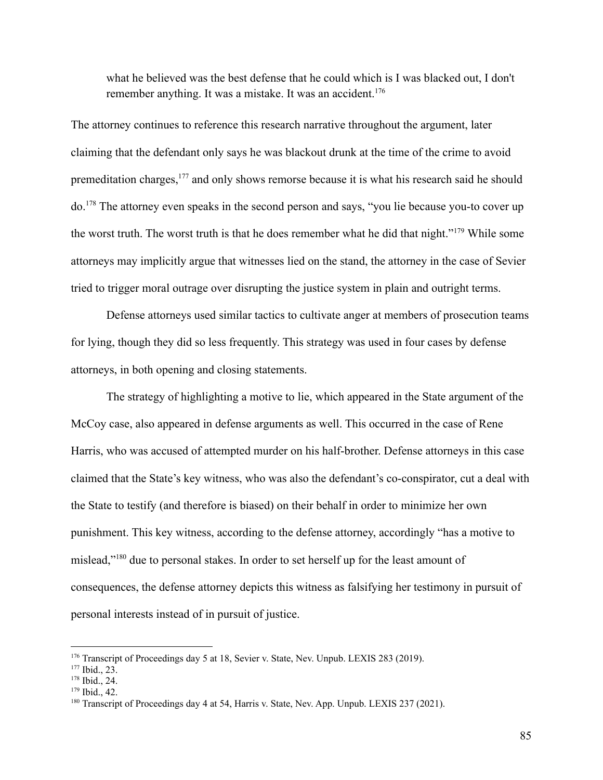what he believed was the best defense that he could which is I was blacked out, I don't remember anything. It was a mistake. It was an accident.<sup>176</sup>

The attorney continues to reference this research narrative throughout the argument, later claiming that the defendant only says he was blackout drunk at the time of the crime to avoid premeditation charges,<sup>177</sup> and only shows remorse because it is what his research said he should do.<sup>178</sup> The attorney even speaks in the second person and says, "you lie because you-to cover up the worst truth. The worst truth is that he does remember what he did that night."<sup>179</sup> While some attorneys may implicitly argue that witnesses lied on the stand, the attorney in the case of Sevier tried to trigger moral outrage over disrupting the justice system in plain and outright terms.

Defense attorneys used similar tactics to cultivate anger at members of prosecution teams for lying, though they did so less frequently. This strategy was used in four cases by defense attorneys, in both opening and closing statements.

The strategy of highlighting a motive to lie, which appeared in the State argument of the McCoy case, also appeared in defense arguments as well. This occurred in the case of Rene Harris, who was accused of attempted murder on his half-brother. Defense attorneys in this case claimed that the State's key witness, who was also the defendant's co-conspirator, cut a deal with the State to testify (and therefore is biased) on their behalf in order to minimize her own punishment. This key witness, according to the defense attorney, accordingly "has a motive to mislead,"<sup>180</sup> due to personal stakes. In order to set herself up for the least amount of consequences, the defense attorney depicts this witness as falsifying her testimony in pursuit of personal interests instead of in pursuit of justice.

<sup>&</sup>lt;sup>176</sup> Transcript of Proceedings day 5 at 18, Sevier v. State, Nev. Unpub. LEXIS 283 (2019).

<sup>177</sup> Ibid., 23.

<sup>178</sup> Ibid., 24.

 $179$  Ibid., 42.

<sup>&</sup>lt;sup>180</sup> Transcript of Proceedings day 4 at 54, Harris v. State, Nev. App. Unpub. LEXIS 237 (2021).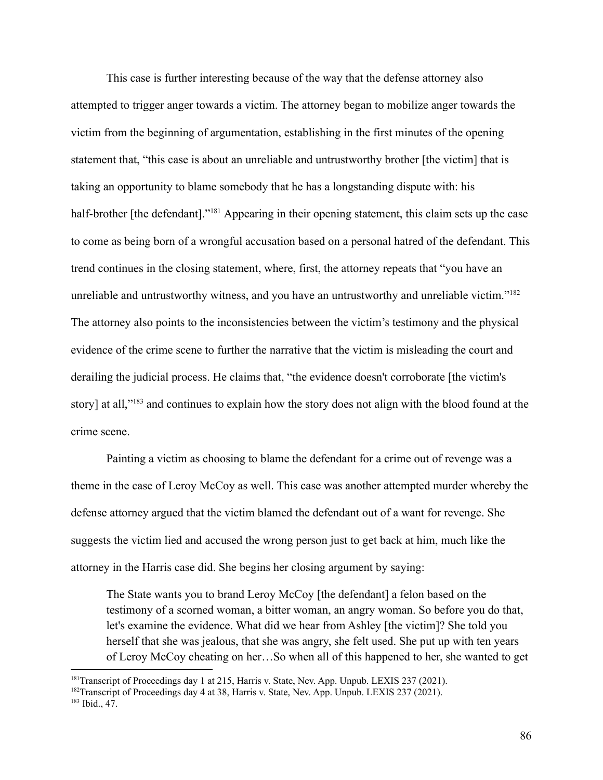This case is further interesting because of the way that the defense attorney also attempted to trigger anger towards a victim. The attorney began to mobilize anger towards the victim from the beginning of argumentation, establishing in the first minutes of the opening statement that, "this case is about an unreliable and untrustworthy brother [the victim] that is taking an opportunity to blame somebody that he has a longstanding dispute with: his half-brother [the defendant]."<sup>181</sup> Appearing in their opening statement, this claim sets up the case to come as being born of a wrongful accusation based on a personal hatred of the defendant. This trend continues in the closing statement, where, first, the attorney repeats that "you have an unreliable and untrustworthy witness, and you have an untrustworthy and unreliable victim."<sup>182</sup> The attorney also points to the inconsistencies between the victim's testimony and the physical evidence of the crime scene to further the narrative that the victim is misleading the court and derailing the judicial process. He claims that, "the evidence doesn't corroborate [the victim's story] at all,"<sup>183</sup> and continues to explain how the story does not align with the blood found at the crime scene.

Painting a victim as choosing to blame the defendant for a crime out of revenge was a theme in the case of Leroy McCoy as well. This case was another attempted murder whereby the defense attorney argued that the victim blamed the defendant out of a want for revenge. She suggests the victim lied and accused the wrong person just to get back at him, much like the attorney in the Harris case did. She begins her closing argument by saying:

The State wants you to brand Leroy McCoy [the defendant] a felon based on the testimony of a scorned woman, a bitter woman, an angry woman. So before you do that, let's examine the evidence. What did we hear from Ashley [the victim]? She told you herself that she was jealous, that she was angry, she felt used. She put up with ten years of Leroy McCoy cheating on her…So when all of this happened to her, she wanted to get

<sup>&</sup>lt;sup>181</sup>Transcript of Proceedings day 1 at 215, Harris v. State, Nev. App. Unpub. LEXIS 237 (2021).

<sup>&</sup>lt;sup>182</sup>Transcript of Proceedings day 4 at 38, Harris v. State, Nev. App. Unpub. LEXIS 237 (2021).

 $183$  Ibid.,  $47$ .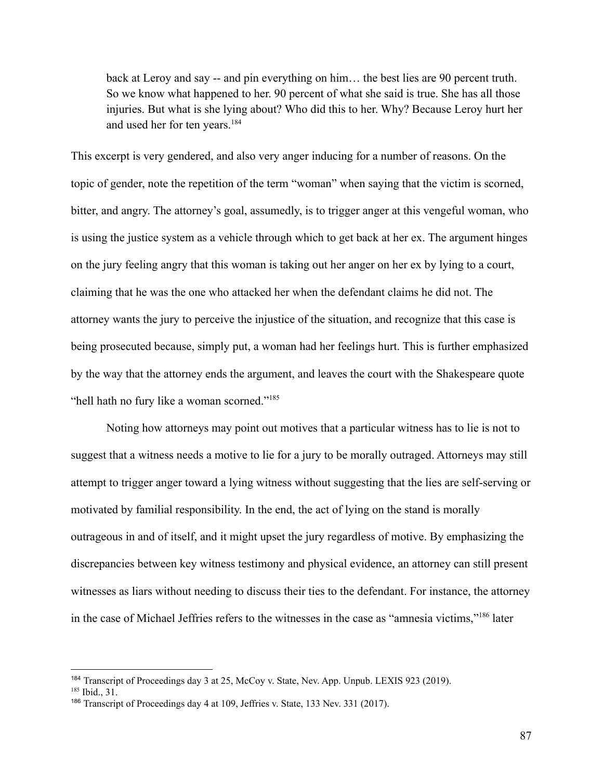back at Leroy and say -- and pin everything on him… the best lies are 90 percent truth. So we know what happened to her. 90 percent of what she said is true. She has all those injuries. But what is she lying about? Who did this to her. Why? Because Leroy hurt her and used her for ten years.<sup>184</sup>

This excerpt is very gendered, and also very anger inducing for a number of reasons. On the topic of gender, note the repetition of the term "woman" when saying that the victim is scorned, bitter, and angry. The attorney's goal, assumedly, is to trigger anger at this vengeful woman, who is using the justice system as a vehicle through which to get back at her ex. The argument hinges on the jury feeling angry that this woman is taking out her anger on her ex by lying to a court, claiming that he was the one who attacked her when the defendant claims he did not. The attorney wants the jury to perceive the injustice of the situation, and recognize that this case is being prosecuted because, simply put, a woman had her feelings hurt. This is further emphasized by the way that the attorney ends the argument, and leaves the court with the Shakespeare quote "hell hath no fury like a woman scorned."<sup>185</sup>

Noting how attorneys may point out motives that a particular witness has to lie is not to suggest that a witness needs a motive to lie for a jury to be morally outraged. Attorneys may still attempt to trigger anger toward a lying witness without suggesting that the lies are self-serving or motivated by familial responsibility. In the end, the act of lying on the stand is morally outrageous in and of itself, and it might upset the jury regardless of motive. By emphasizing the discrepancies between key witness testimony and physical evidence, an attorney can still present witnesses as liars without needing to discuss their ties to the defendant. For instance, the attorney in the case of Michael Jeffries refers to the witnesses in the case as "amnesia victims,"<sup>186</sup> later

<sup>184</sup> Transcript of Proceedings day 3 at 25, McCoy v. State, Nev. App. Unpub. LEXIS 923 (2019).

 $185$  Ibid., 31.

<sup>186</sup> Transcript of Proceedings day 4 at 109, Jeffries v. State, 133 Nev. 331 (2017).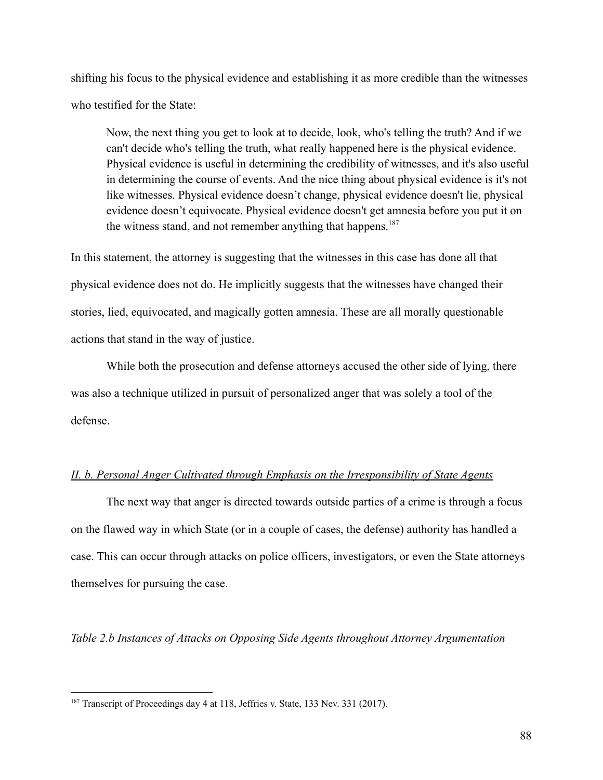shifting his focus to the physical evidence and establishing it as more credible than the witnesses who testified for the State:

Now, the next thing you get to look at to decide, look, who's telling the truth? And if we can't decide who's telling the truth, what really happened here is the physical evidence. Physical evidence is useful in determining the credibility of witnesses, and it's also useful in determining the course of events. And the nice thing about physical evidence is it's not like witnesses. Physical evidence doesn't change, physical evidence doesn't lie, physical evidence doesn't equivocate. Physical evidence doesn't get amnesia before you put it on the witness stand, and not remember anything that happens.<sup>187</sup>

In this statement, the attorney is suggesting that the witnesses in this case has done all that physical evidence does not do. He implicitly suggests that the witnesses have changed their stories, lied, equivocated, and magically gotten amnesia. These are all morally questionable actions that stand in the way of justice.

While both the prosecution and defense attorneys accused the other side of lying, there was also a technique utilized in pursuit of personalized anger that was solely a tool of the defense.

#### *II. b. Personal Anger Cultivated through Emphasis on the Irresponsibility of State Agents*

The next way that anger is directed towards outside parties of a crime is through a focus on the flawed way in which State (or in a couple of cases, the defense) authority has handled a case. This can occur through attacks on police officers, investigators, or even the State attorneys themselves for pursuing the case.

*Table 2.b Instances of Attacks on Opposing Side Agents throughout Attorney Argumentation*

<sup>&</sup>lt;sup>187</sup> Transcript of Proceedings day 4 at 118, Jeffries v. State, 133 Nev. 331 (2017).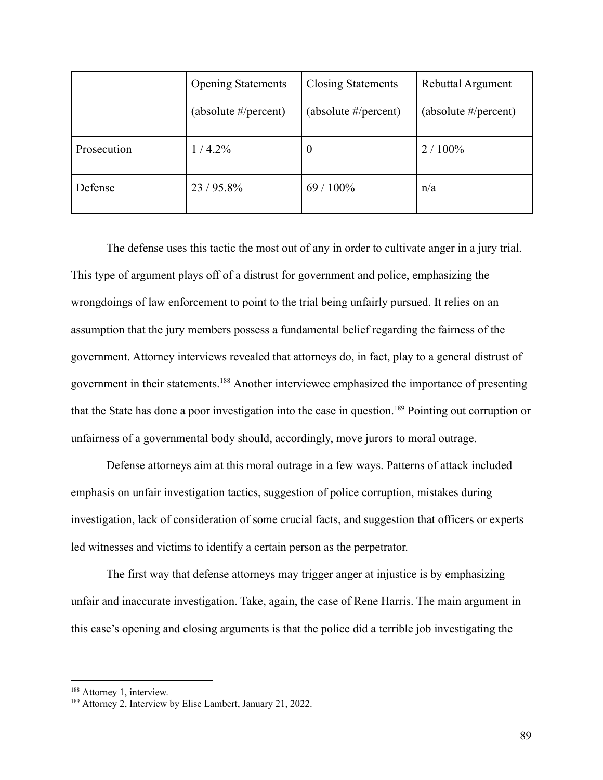|             | <b>Opening Statements</b> | <b>Closing Statements</b> | Rebuttal Argument<br>(absolute #/percent) |  |
|-------------|---------------------------|---------------------------|-------------------------------------------|--|
|             | (absolute #/percent)      | (absolute #/percent)      |                                           |  |
| Prosecution | $1/4.2\%$                 | $\theta$                  | $2/100\%$                                 |  |
| Defense     | $23/95.8\%$               | $69/100\%$                | n/a                                       |  |

The defense uses this tactic the most out of any in order to cultivate anger in a jury trial. This type of argument plays off of a distrust for government and police, emphasizing the wrongdoings of law enforcement to point to the trial being unfairly pursued. It relies on an assumption that the jury members possess a fundamental belief regarding the fairness of the government. Attorney interviews revealed that attorneys do, in fact, play to a general distrust of government in their statements.<sup>188</sup> Another interviewee emphasized the importance of presenting that the State has done a poor investigation into the case in question.<sup>189</sup> Pointing out corruption or unfairness of a governmental body should, accordingly, move jurors to moral outrage.

Defense attorneys aim at this moral outrage in a few ways. Patterns of attack included emphasis on unfair investigation tactics, suggestion of police corruption, mistakes during investigation, lack of consideration of some crucial facts, and suggestion that officers or experts led witnesses and victims to identify a certain person as the perpetrator.

The first way that defense attorneys may trigger anger at injustice is by emphasizing unfair and inaccurate investigation. Take, again, the case of Rene Harris. The main argument in this case's opening and closing arguments is that the police did a terrible job investigating the

<sup>&</sup>lt;sup>188</sup> Attorney 1, interview.

<sup>&</sup>lt;sup>189</sup> Attorney 2, Interview by Elise Lambert, January 21, 2022.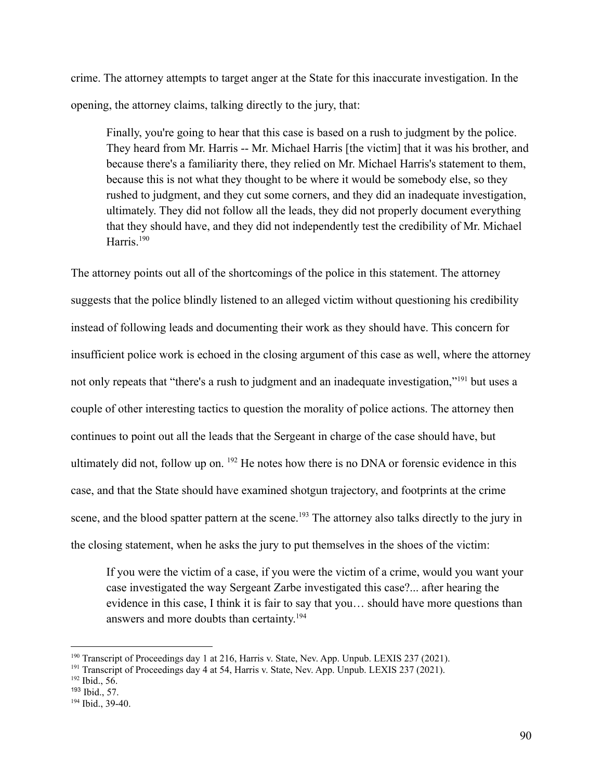crime. The attorney attempts to target anger at the State for this inaccurate investigation. In the opening, the attorney claims, talking directly to the jury, that:

Finally, you're going to hear that this case is based on a rush to judgment by the police. They heard from Mr. Harris -- Mr. Michael Harris [the victim] that it was his brother, and because there's a familiarity there, they relied on Mr. Michael Harris's statement to them, because this is not what they thought to be where it would be somebody else, so they rushed to judgment, and they cut some corners, and they did an inadequate investigation, ultimately. They did not follow all the leads, they did not properly document everything that they should have, and they did not independently test the credibility of Mr. Michael Harris.<sup>190</sup>

The attorney points out all of the shortcomings of the police in this statement. The attorney suggests that the police blindly listened to an alleged victim without questioning his credibility instead of following leads and documenting their work as they should have. This concern for insufficient police work is echoed in the closing argument of this case as well, where the attorney not only repeats that "there's a rush to judgment and an inadequate investigation,"<sup>191</sup> but uses a couple of other interesting tactics to question the morality of police actions. The attorney then continues to point out all the leads that the Sergeant in charge of the case should have, but ultimately did not, follow up on. <sup>192</sup> He notes how there is no DNA or forensic evidence in this case, and that the State should have examined shotgun trajectory, and footprints at the crime scene, and the blood spatter pattern at the scene.<sup>193</sup> The attorney also talks directly to the jury in the closing statement, when he asks the jury to put themselves in the shoes of the victim:

If you were the victim of a case, if you were the victim of a crime, would you want your case investigated the way Sergeant Zarbe investigated this case?... after hearing the evidence in this case, I think it is fair to say that you… should have more questions than answers and more doubts than certainty.<sup>194</sup>

<sup>&</sup>lt;sup>190</sup> Transcript of Proceedings day 1 at 216, Harris v. State, Nev. App. Unpub. LEXIS 237 (2021).

<sup>191</sup> Transcript of Proceedings day 4 at 54, Harris v. State, Nev. App. Unpub. LEXIS 237 (2021).

 $192$  Ibid., 56.

<sup>193</sup> Ibid., 57.

<sup>194</sup> Ibid., 39-40.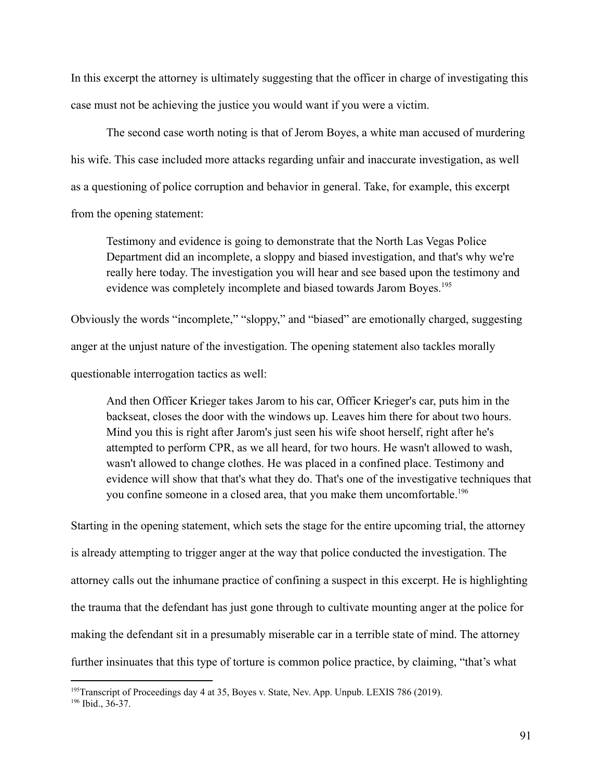In this excerpt the attorney is ultimately suggesting that the officer in charge of investigating this case must not be achieving the justice you would want if you were a victim.

The second case worth noting is that of Jerom Boyes, a white man accused of murdering his wife. This case included more attacks regarding unfair and inaccurate investigation, as well as a questioning of police corruption and behavior in general. Take, for example, this excerpt from the opening statement:

Testimony and evidence is going to demonstrate that the North Las Vegas Police Department did an incomplete, a sloppy and biased investigation, and that's why we're really here today. The investigation you will hear and see based upon the testimony and evidence was completely incomplete and biased towards Jarom Boyes.<sup>195</sup>

Obviously the words "incomplete," "sloppy," and "biased" are emotionally charged, suggesting anger at the unjust nature of the investigation. The opening statement also tackles morally questionable interrogation tactics as well:

And then Officer Krieger takes Jarom to his car, Officer Krieger's car, puts him in the backseat, closes the door with the windows up. Leaves him there for about two hours. Mind you this is right after Jarom's just seen his wife shoot herself, right after he's attempted to perform CPR, as we all heard, for two hours. He wasn't allowed to wash, wasn't allowed to change clothes. He was placed in a confined place. Testimony and evidence will show that that's what they do. That's one of the investigative techniques that you confine someone in a closed area, that you make them uncomfortable.<sup>196</sup>

Starting in the opening statement, which sets the stage for the entire upcoming trial, the attorney is already attempting to trigger anger at the way that police conducted the investigation. The attorney calls out the inhumane practice of confining a suspect in this excerpt. He is highlighting the trauma that the defendant has just gone through to cultivate mounting anger at the police for making the defendant sit in a presumably miserable car in a terrible state of mind. The attorney further insinuates that this type of torture is common police practice, by claiming, "that's what

<sup>&</sup>lt;sup>195</sup>Transcript of Proceedings day 4 at 35, Boyes v. State, Nev. App. Unpub. LEXIS 786 (2019).

 $196$  Ibid.,  $36-37$ .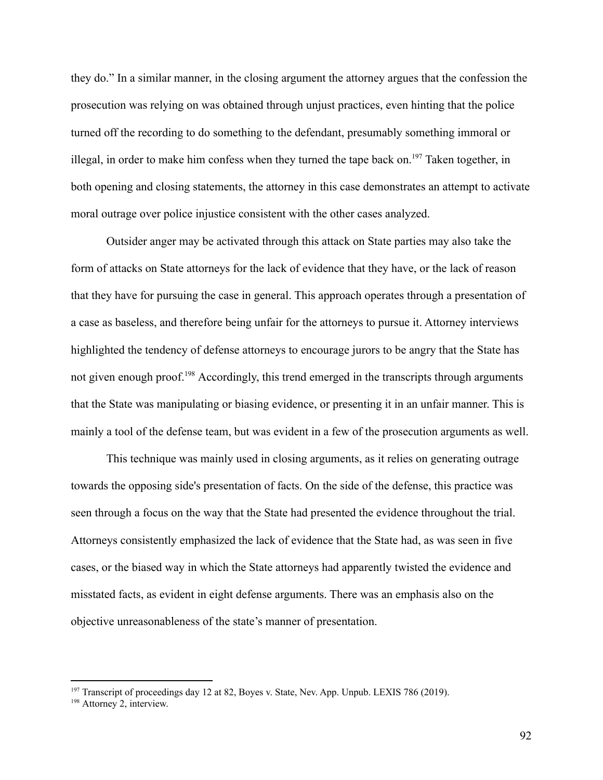they do." In a similar manner, in the closing argument the attorney argues that the confession the prosecution was relying on was obtained through unjust practices, even hinting that the police turned off the recording to do something to the defendant, presumably something immoral or illegal, in order to make him confess when they turned the tape back on.<sup>197</sup> Taken together, in both opening and closing statements, the attorney in this case demonstrates an attempt to activate moral outrage over police injustice consistent with the other cases analyzed.

Outsider anger may be activated through this attack on State parties may also take the form of attacks on State attorneys for the lack of evidence that they have, or the lack of reason that they have for pursuing the case in general. This approach operates through a presentation of a case as baseless, and therefore being unfair for the attorneys to pursue it. Attorney interviews highlighted the tendency of defense attorneys to encourage jurors to be angry that the State has not given enough proof.<sup>198</sup> Accordingly, this trend emerged in the transcripts through arguments that the State was manipulating or biasing evidence, or presenting it in an unfair manner. This is mainly a tool of the defense team, but was evident in a few of the prosecution arguments as well.

This technique was mainly used in closing arguments, as it relies on generating outrage towards the opposing side's presentation of facts. On the side of the defense, this practice was seen through a focus on the way that the State had presented the evidence throughout the trial. Attorneys consistently emphasized the lack of evidence that the State had, as was seen in five cases, or the biased way in which the State attorneys had apparently twisted the evidence and misstated facts, as evident in eight defense arguments. There was an emphasis also on the objective unreasonableness of the state's manner of presentation.

<sup>&</sup>lt;sup>197</sup> Transcript of proceedings day 12 at 82, Boyes v. State, Nev. App. Unpub. LEXIS 786 (2019).

<sup>198</sup> Attorney 2, interview.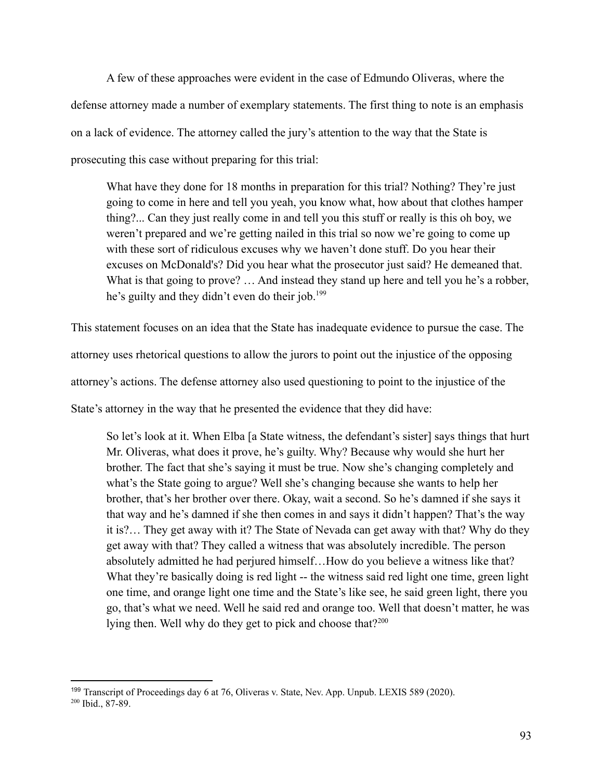A few of these approaches were evident in the case of Edmundo Oliveras, where the defense attorney made a number of exemplary statements. The first thing to note is an emphasis on a lack of evidence. The attorney called the jury's attention to the way that the State is prosecuting this case without preparing for this trial:

What have they done for 18 months in preparation for this trial? Nothing? They're just going to come in here and tell you yeah, you know what, how about that clothes hamper thing?... Can they just really come in and tell you this stuff or really is this oh boy, we weren't prepared and we're getting nailed in this trial so now we're going to come up with these sort of ridiculous excuses why we haven't done stuff. Do you hear their excuses on McDonald's? Did you hear what the prosecutor just said? He demeaned that. What is that going to prove? ... And instead they stand up here and tell you he's a robber, he's guilty and they didn't even do their job.<sup>199</sup>

This statement focuses on an idea that the State has inadequate evidence to pursue the case. The attorney uses rhetorical questions to allow the jurors to point out the injustice of the opposing attorney's actions. The defense attorney also used questioning to point to the injustice of the State's attorney in the way that he presented the evidence that they did have:

So let's look at it. When Elba [a State witness, the defendant's sister] says things that hurt Mr. Oliveras, what does it prove, he's guilty. Why? Because why would she hurt her brother. The fact that she's saying it must be true. Now she's changing completely and what's the State going to argue? Well she's changing because she wants to help her brother, that's her brother over there. Okay, wait a second. So he's damned if she says it that way and he's damned if she then comes in and says it didn't happen? That's the way it is?… They get away with it? The State of Nevada can get away with that? Why do they get away with that? They called a witness that was absolutely incredible. The person absolutely admitted he had perjured himself…How do you believe a witness like that? What they're basically doing is red light -- the witness said red light one time, green light one time, and orange light one time and the State's like see, he said green light, there you go, that's what we need. Well he said red and orange too. Well that doesn't matter, he was lying then. Well why do they get to pick and choose that?<sup>200</sup>

<sup>200</sup> Ibid., 87-89. <sup>199</sup> Transcript of Proceedings day 6 at 76, Oliveras v. State, Nev. App. Unpub. LEXIS 589 (2020).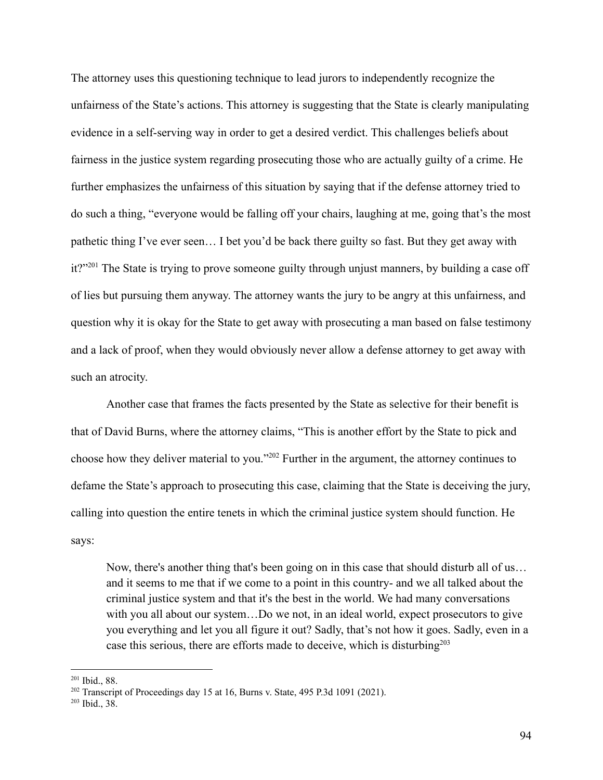The attorney uses this questioning technique to lead jurors to independently recognize the unfairness of the State's actions. This attorney is suggesting that the State is clearly manipulating evidence in a self-serving way in order to get a desired verdict. This challenges beliefs about fairness in the justice system regarding prosecuting those who are actually guilty of a crime. He further emphasizes the unfairness of this situation by saying that if the defense attorney tried to do such a thing, "everyone would be falling off your chairs, laughing at me, going that's the most pathetic thing I've ever seen… I bet you'd be back there guilty so fast. But they get away with it?"<sup>201</sup> The State is trying to prove someone guilty through unjust manners, by building a case off of lies but pursuing them anyway. The attorney wants the jury to be angry at this unfairness, and question why it is okay for the State to get away with prosecuting a man based on false testimony and a lack of proof, when they would obviously never allow a defense attorney to get away with such an atrocity.

Another case that frames the facts presented by the State as selective for their benefit is that of David Burns, where the attorney claims, "This is another effort by the State to pick and choose how they deliver material to you."<sup>202</sup> Further in the argument, the attorney continues to defame the State's approach to prosecuting this case, claiming that the State is deceiving the jury, calling into question the entire tenets in which the criminal justice system should function. He says:

Now, there's another thing that's been going on in this case that should disturb all of us… and it seems to me that if we come to a point in this country- and we all talked about the criminal justice system and that it's the best in the world. We had many conversations with you all about our system...Do we not, in an ideal world, expect prosecutors to give you everything and let you all figure it out? Sadly, that's not how it goes. Sadly, even in a case this serious, there are efforts made to deceive, which is disturbing<sup>203</sup>

<sup>201</sup> Ibid., 88.

 $202$  Transcript of Proceedings day 15 at 16, Burns v. State, 495 P.3d 1091 (2021).

<sup>203</sup> Ibid., 38.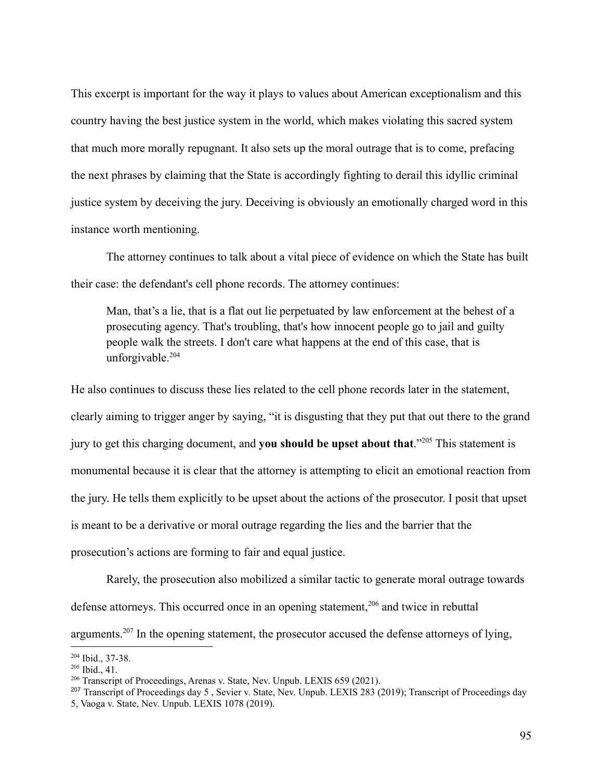This excerpt is important for the way it plays to values about American exceptionalism and this country having the best justice system in the world, which makes violating this sacred system that much more morally repugnant. It also sets up the moral outrage that is to come, prefacing the next phrases by claiming that the State is accordingly fighting to derail this idyllic criminal justice system by deceiving the jury. Deceiving is obviously an emotionally charged word in this instance worth mentioning.

The attorney continues to talk about a vital piece of evidence on which the State has built their case: the defendant's cell phone records. The attorney continues:

Man, that's a lie, that is a flat out lie perpetuated by law enforcement at the behest of a prosecuting agency. That's troubling, that's how innocent people go to jail and guilty people walk the streets. I don't care what happens at the end of this case, that is unforgivable. $204$ 

He also continues to discuss these lies related to the cell phone records later in the statement, clearly aiming to trigger anger by saying, "it is disgusting that they put that out there to the grand jury to get this charging document, and **you should be upset about that**."<sup>205</sup> This statement is monumental because it is clear that the attorney is attempting to elicit an emotional reaction from the jury. He tells them explicitly to be upset about the actions of the prosecutor. I posit that upset is meant to be a derivative or moral outrage regarding the lies and the barrier that the prosecution's actions are forming to fair and equal justice.

Rarely, the prosecution also mobilized a similar tactic to generate moral outrage towards defense attorneys. This occurred once in an opening statement,<sup>206</sup> and twice in rebuttal arguments.<sup>207</sup> In the opening statement, the prosecutor accused the defense attorneys of lying,

<sup>204</sup> Ibid., 37-38.

 $205$  Ibid., 41.

<sup>206</sup> Transcript of Proceedings, Arenas v. State, Nev. Unpub. LEXIS 659 (2021).

<sup>&</sup>lt;sup>207</sup> Transcript of Proceedings day 5, Sevier v. State, Nev. Unpub. LEXIS 283 (2019); Transcript of Proceedings day 5, Vaoga v. State, Nev. Unpub. LEXIS 1078 (2019).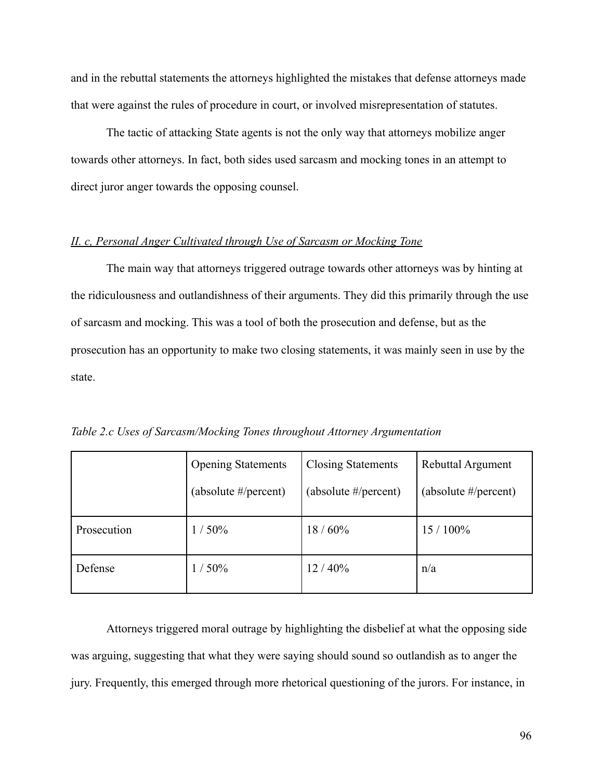and in the rebuttal statements the attorneys highlighted the mistakes that defense attorneys made that were against the rules of procedure in court, or involved misrepresentation of statutes.

The tactic of attacking State agents is not the only way that attorneys mobilize anger towards other attorneys. In fact, both sides used sarcasm and mocking tones in an attempt to direct juror anger towards the opposing counsel.

#### *II. c, Personal Anger Cultivated through Use of Sarcasm or Mocking Tone*

The main way that attorneys triggered outrage towards other attorneys was by hinting at the ridiculousness and outlandishness of their arguments. They did this primarily through the use of sarcasm and mocking. This was a tool of both the prosecution and defense, but as the prosecution has an opportunity to make two closing statements, it was mainly seen in use by the state.

|             | <b>Opening Statements</b> | <b>Closing Statements</b> | <b>Rebuttal Argument</b> |  |
|-------------|---------------------------|---------------------------|--------------------------|--|
|             | (absolute #/percent)      |                           | (absolute #/percent)     |  |
| Prosecution | $1/50\%$                  | $18/60\%$                 | $15/100\%$               |  |
| Defense     | $1/50\%$                  | 12/40%                    | n/a                      |  |

*Table 2.c Uses of Sarcasm/Mocking Tones throughout Attorney Argumentation*

Attorneys triggered moral outrage by highlighting the disbelief at what the opposing side was arguing, suggesting that what they were saying should sound so outlandish as to anger the jury. Frequently, this emerged through more rhetorical questioning of the jurors. For instance, in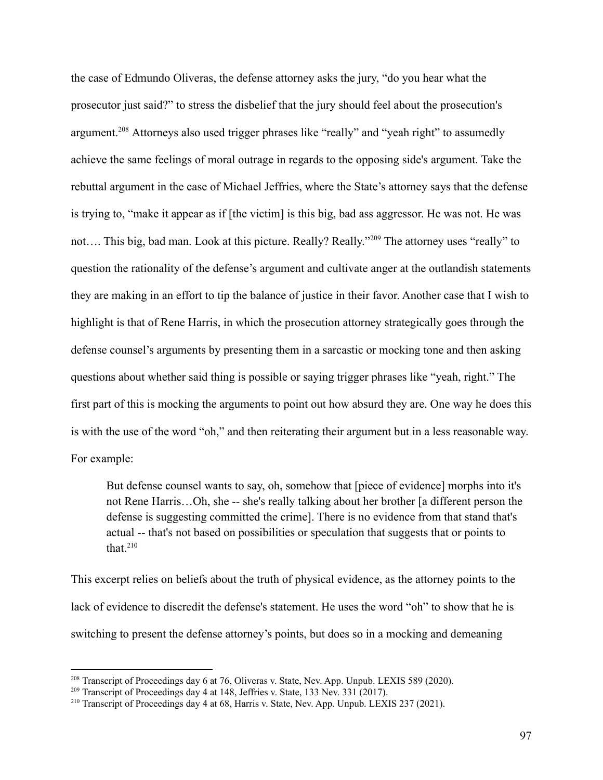the case of Edmundo Oliveras, the defense attorney asks the jury, "do you hear what the prosecutor just said?" to stress the disbelief that the jury should feel about the prosecution's argument.<sup>208</sup> Attorneys also used trigger phrases like "really" and "yeah right" to assumedly achieve the same feelings of moral outrage in regards to the opposing side's argument. Take the rebuttal argument in the case of Michael Jeffries, where the State's attorney says that the defense is trying to, "make it appear as if [the victim] is this big, bad ass aggressor. He was not. He was not…. This big, bad man. Look at this picture. Really? Really."<sup>209</sup> The attorney uses "really" to question the rationality of the defense's argument and cultivate anger at the outlandish statements they are making in an effort to tip the balance of justice in their favor. Another case that I wish to highlight is that of Rene Harris, in which the prosecution attorney strategically goes through the defense counsel's arguments by presenting them in a sarcastic or mocking tone and then asking questions about whether said thing is possible or saying trigger phrases like "yeah, right." The first part of this is mocking the arguments to point out how absurd they are. One way he does this is with the use of the word "oh," and then reiterating their argument but in a less reasonable way. For example:

But defense counsel wants to say, oh, somehow that [piece of evidence] morphs into it's not Rene Harris…Oh, she -- she's really talking about her brother [a different person the defense is suggesting committed the crime]. There is no evidence from that stand that's actual -- that's not based on possibilities or speculation that suggests that or points to that. $210$ 

This excerpt relies on beliefs about the truth of physical evidence, as the attorney points to the lack of evidence to discredit the defense's statement. He uses the word "oh" to show that he is switching to present the defense attorney's points, but does so in a mocking and demeaning

<sup>208</sup> Transcript of Proceedings day 6 at 76, Oliveras v. State, Nev. App. Unpub. LEXIS 589 (2020).

<sup>&</sup>lt;sup>209</sup> Transcript of Proceedings day 4 at 148, Jeffries v. State, 133 Nev. 331 (2017).

<sup>210</sup> Transcript of Proceedings day 4 at 68, Harris v. State, Nev. App. Unpub. LEXIS 237 (2021).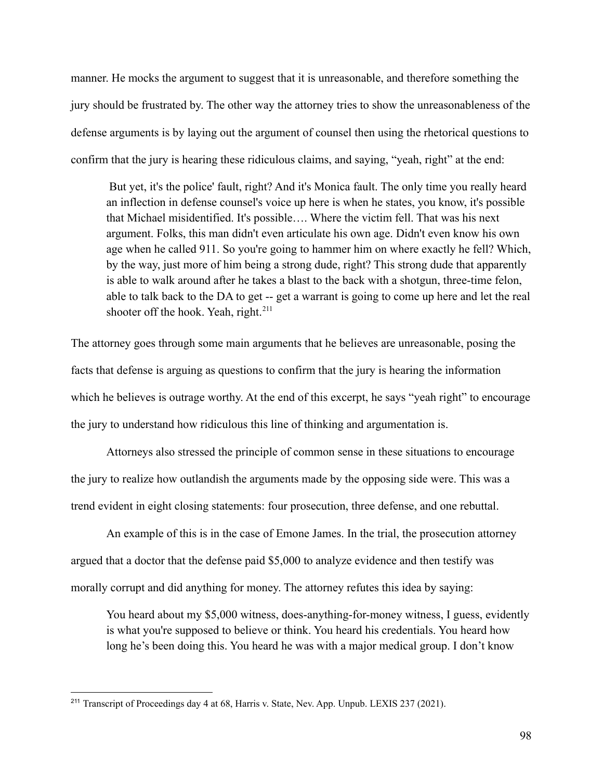manner. He mocks the argument to suggest that it is unreasonable, and therefore something the jury should be frustrated by. The other way the attorney tries to show the unreasonableness of the defense arguments is by laying out the argument of counsel then using the rhetorical questions to confirm that the jury is hearing these ridiculous claims, and saying, "yeah, right" at the end:

But yet, it's the police' fault, right? And it's Monica fault. The only time you really heard an inflection in defense counsel's voice up here is when he states, you know, it's possible that Michael misidentified. It's possible…. Where the victim fell. That was his next argument. Folks, this man didn't even articulate his own age. Didn't even know his own age when he called 911. So you're going to hammer him on where exactly he fell? Which, by the way, just more of him being a strong dude, right? This strong dude that apparently is able to walk around after he takes a blast to the back with a shotgun, three-time felon, able to talk back to the DA to get -- get a warrant is going to come up here and let the real shooter off the hook. Yeah, right. $211$ 

The attorney goes through some main arguments that he believes are unreasonable, posing the facts that defense is arguing as questions to confirm that the jury is hearing the information which he believes is outrage worthy. At the end of this excerpt, he says "yeah right" to encourage the jury to understand how ridiculous this line of thinking and argumentation is.

Attorneys also stressed the principle of common sense in these situations to encourage the jury to realize how outlandish the arguments made by the opposing side were. This was a trend evident in eight closing statements: four prosecution, three defense, and one rebuttal.

An example of this is in the case of Emone James. In the trial, the prosecution attorney argued that a doctor that the defense paid \$5,000 to analyze evidence and then testify was morally corrupt and did anything for money. The attorney refutes this idea by saying:

You heard about my \$5,000 witness, does-anything-for-money witness, I guess, evidently is what you're supposed to believe or think. You heard his credentials. You heard how long he's been doing this. You heard he was with a major medical group. I don't know

<sup>&</sup>lt;sup>211</sup> Transcript of Proceedings day 4 at 68, Harris v. State, Nev. App. Unpub. LEXIS 237 (2021).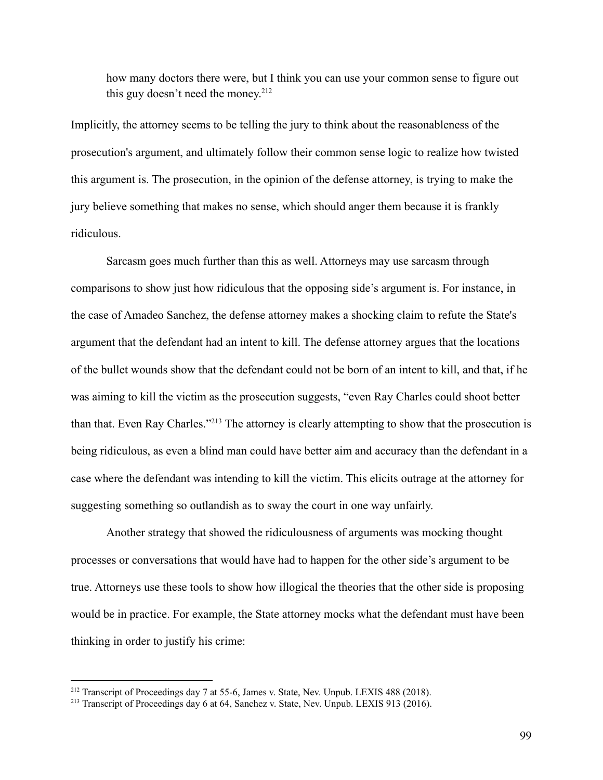how many doctors there were, but I think you can use your common sense to figure out this guy doesn't need the money. 212

Implicitly, the attorney seems to be telling the jury to think about the reasonableness of the prosecution's argument, and ultimately follow their common sense logic to realize how twisted this argument is. The prosecution, in the opinion of the defense attorney, is trying to make the jury believe something that makes no sense, which should anger them because it is frankly ridiculous.

Sarcasm goes much further than this as well. Attorneys may use sarcasm through comparisons to show just how ridiculous that the opposing side's argument is. For instance, in the case of Amadeo Sanchez, the defense attorney makes a shocking claim to refute the State's argument that the defendant had an intent to kill. The defense attorney argues that the locations of the bullet wounds show that the defendant could not be born of an intent to kill, and that, if he was aiming to kill the victim as the prosecution suggests, "even Ray Charles could shoot better than that. Even Ray Charles."<sup>213</sup> The attorney is clearly attempting to show that the prosecution is being ridiculous, as even a blind man could have better aim and accuracy than the defendant in a case where the defendant was intending to kill the victim. This elicits outrage at the attorney for suggesting something so outlandish as to sway the court in one way unfairly.

Another strategy that showed the ridiculousness of arguments was mocking thought processes or conversations that would have had to happen for the other side's argument to be true. Attorneys use these tools to show how illogical the theories that the other side is proposing would be in practice. For example, the State attorney mocks what the defendant must have been thinking in order to justify his crime:

<sup>&</sup>lt;sup>212</sup> Transcript of Proceedings day 7 at 55-6, James v. State, Nev. Unpub. LEXIS 488 (2018).

<sup>&</sup>lt;sup>213</sup> Transcript of Proceedings day 6 at 64, Sanchez v. State, Nev. Unpub. LEXIS 913 (2016).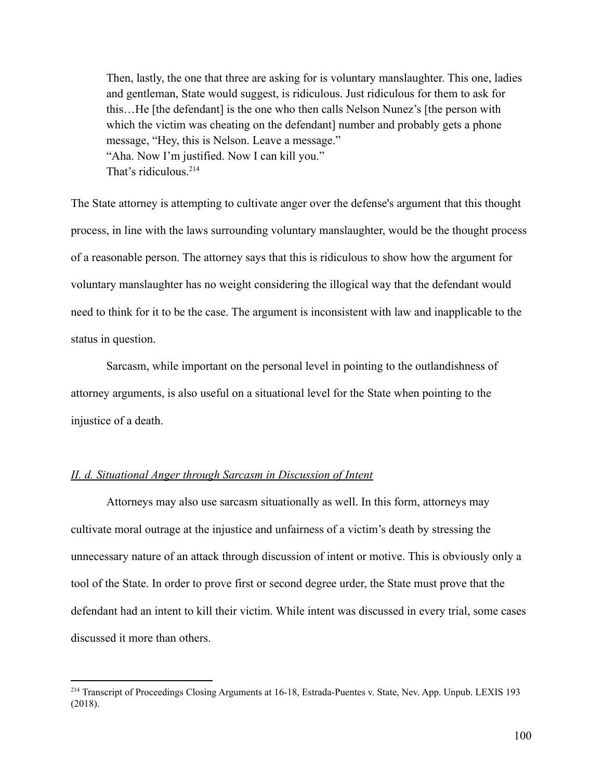Then, lastly, the one that three are asking for is voluntary manslaughter. This one, ladies and gentleman, State would suggest, is ridiculous. Just ridiculous for them to ask for this…He [the defendant] is the one who then calls Nelson Nunez's [the person with which the victim was cheating on the defendant] number and probably gets a phone message, "Hey, this is Nelson. Leave a message." "Aha. Now I'm justified. Now I can kill you." That's ridiculous. $214$ 

The State attorney is attempting to cultivate anger over the defense's argument that this thought process, in line with the laws surrounding voluntary manslaughter, would be the thought process of a reasonable person. The attorney says that this is ridiculous to show how the argument for voluntary manslaughter has no weight considering the illogical way that the defendant would need to think for it to be the case. The argument is inconsistent with law and inapplicable to the status in question.

Sarcasm, while important on the personal level in pointing to the outlandishness of attorney arguments, is also useful on a situational level for the State when pointing to the injustice of a death.

### *II. d. Situational Anger through Sarcasm in Discussion of Intent*

Attorneys may also use sarcasm situationally as well. In this form, attorneys may cultivate moral outrage at the injustice and unfairness of a victim's death by stressing the unnecessary nature of an attack through discussion of intent or motive. This is obviously only a tool of the State. In order to prove first or second degree urder, the State must prove that the defendant had an intent to kill their victim. While intent was discussed in every trial, some cases discussed it more than others.

<sup>&</sup>lt;sup>214</sup> Transcript of Proceedings Closing Arguments at 16-18, Estrada-Puentes v. State, Nev. App. Unpub. LEXIS 193 (2018).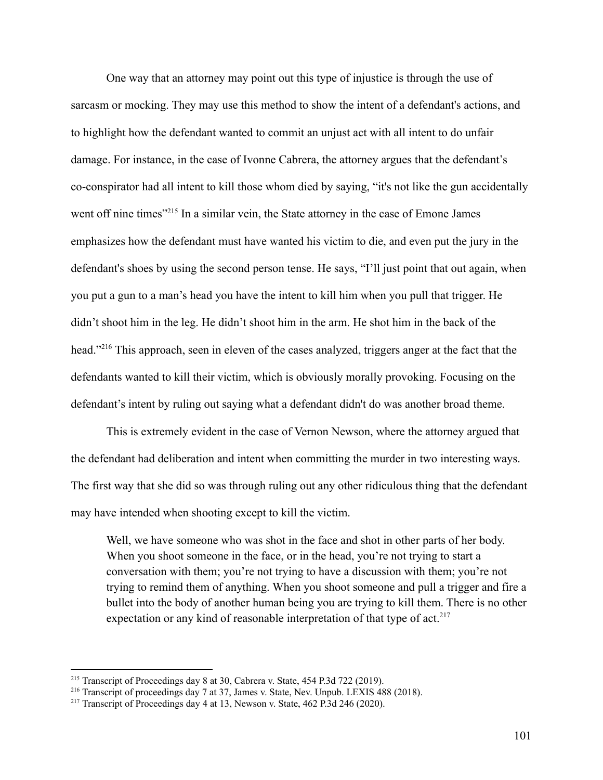One way that an attorney may point out this type of injustice is through the use of sarcasm or mocking. They may use this method to show the intent of a defendant's actions, and to highlight how the defendant wanted to commit an unjust act with all intent to do unfair damage. For instance, in the case of Ivonne Cabrera, the attorney argues that the defendant's co-conspirator had all intent to kill those whom died by saying, "it's not like the gun accidentally went off nine times"<sup>215</sup> In a similar vein, the State attorney in the case of Emone James emphasizes how the defendant must have wanted his victim to die, and even put the jury in the defendant's shoes by using the second person tense. He says, "I'll just point that out again, when you put a gun to a man's head you have the intent to kill him when you pull that trigger. He didn't shoot him in the leg. He didn't shoot him in the arm. He shot him in the back of the head."<sup>216</sup> This approach, seen in eleven of the cases analyzed, triggers anger at the fact that the defendants wanted to kill their victim, which is obviously morally provoking. Focusing on the defendant's intent by ruling out saying what a defendant didn't do was another broad theme.

This is extremely evident in the case of Vernon Newson, where the attorney argued that the defendant had deliberation and intent when committing the murder in two interesting ways. The first way that she did so was through ruling out any other ridiculous thing that the defendant may have intended when shooting except to kill the victim.

Well, we have someone who was shot in the face and shot in other parts of her body. When you shoot someone in the face, or in the head, you're not trying to start a conversation with them; you're not trying to have a discussion with them; you're not trying to remind them of anything. When you shoot someone and pull a trigger and fire a bullet into the body of another human being you are trying to kill them. There is no other expectation or any kind of reasonable interpretation of that type of  $act.^{217}$ .

<sup>215</sup> Transcript of Proceedings day 8 at 30, Cabrera v. State, 454 P.3d 722 (2019).

<sup>216</sup> Transcript of proceedings day 7 at 37, James v. State, Nev. Unpub. LEXIS 488 (2018).

<sup>217</sup> Transcript of Proceedings day 4 at 13, Newson v. State, 462 P.3d 246 (2020).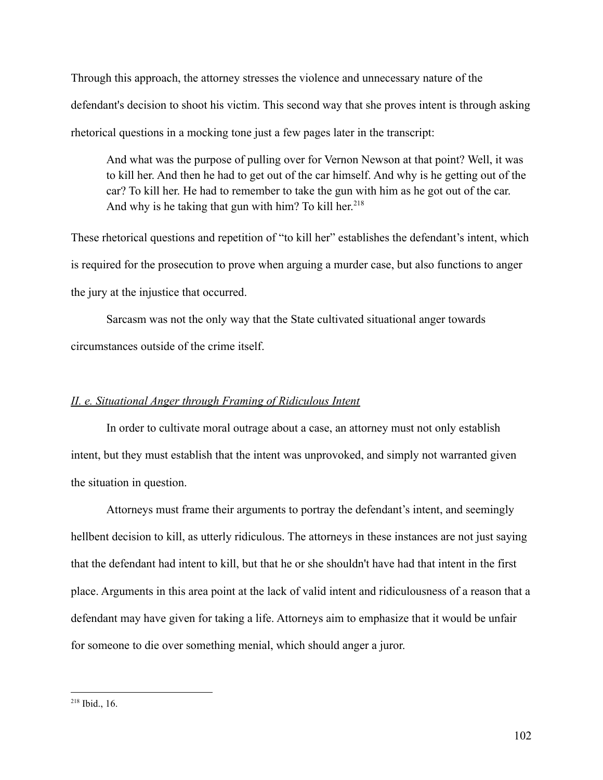Through this approach, the attorney stresses the violence and unnecessary nature of the defendant's decision to shoot his victim. This second way that she proves intent is through asking rhetorical questions in a mocking tone just a few pages later in the transcript:

And what was the purpose of pulling over for Vernon Newson at that point? Well, it was to kill her. And then he had to get out of the car himself. And why is he getting out of the car? To kill her. He had to remember to take the gun with him as he got out of the car. And why is he taking that gun with him? To kill her.<sup>218</sup>

These rhetorical questions and repetition of "to kill her" establishes the defendant's intent, which is required for the prosecution to prove when arguing a murder case, but also functions to anger the jury at the injustice that occurred.

Sarcasm was not the only way that the State cultivated situational anger towards circumstances outside of the crime itself.

## *II. e. Situational Anger through Framing of Ridiculous Intent*

In order to cultivate moral outrage about a case, an attorney must not only establish intent, but they must establish that the intent was unprovoked, and simply not warranted given the situation in question.

Attorneys must frame their arguments to portray the defendant's intent, and seemingly hellbent decision to kill, as utterly ridiculous. The attorneys in these instances are not just saying that the defendant had intent to kill, but that he or she shouldn't have had that intent in the first place. Arguments in this area point at the lack of valid intent and ridiculousness of a reason that a defendant may have given for taking a life. Attorneys aim to emphasize that it would be unfair for someone to die over something menial, which should anger a juror.

<sup>218</sup> Ibid., 16.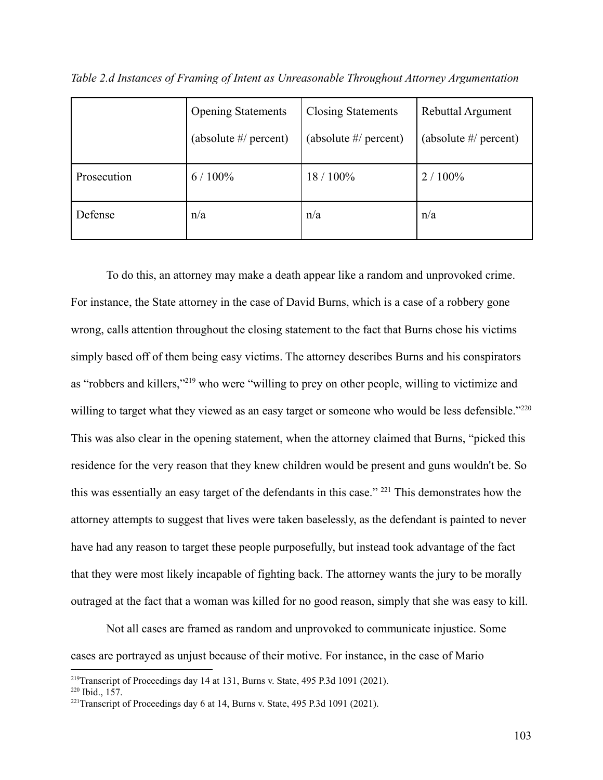|             | <b>Opening Statements</b> | <b>Closing Statements</b> | Rebuttal Argument<br>(absolute $\#$ percent) |  |
|-------------|---------------------------|---------------------------|----------------------------------------------|--|
|             | (absolute $\#$ percent)   | (absolute $#/$ percent)   |                                              |  |
| Prosecution | $6/100\%$                 | 18 / 100%                 | $2/100\%$                                    |  |
| Defense     | n/a                       | n/a                       | n/a                                          |  |

*Table 2.d Instances of Framing of Intent as Unreasonable Throughout Attorney Argumentation*

To do this, an attorney may make a death appear like a random and unprovoked crime. For instance, the State attorney in the case of David Burns, which is a case of a robbery gone wrong, calls attention throughout the closing statement to the fact that Burns chose his victims simply based off of them being easy victims. The attorney describes Burns and his conspirators as "robbers and killers,"<sup>219</sup> who were "willing to prey on other people, willing to victimize and willing to target what they viewed as an easy target or someone who would be less defensible."<sup>220</sup> This was also clear in the opening statement, when the attorney claimed that Burns, "picked this residence for the very reason that they knew children would be present and guns wouldn't be. So this was essentially an easy target of the defendants in this case." <sup>221</sup> This demonstrates how the attorney attempts to suggest that lives were taken baselessly, as the defendant is painted to never have had any reason to target these people purposefully, but instead took advantage of the fact that they were most likely incapable of fighting back. The attorney wants the jury to be morally outraged at the fact that a woman was killed for no good reason, simply that she was easy to kill.

Not all cases are framed as random and unprovoked to communicate injustice. Some cases are portrayed as unjust because of their motive. For instance, in the case of Mario

<sup>&</sup>lt;sup>219</sup>Transcript of Proceedings day 14 at 131, Burns v. State,  $495$  P.3d 1091 (2021).

 $220$  Ibid., 157.

<sup>&</sup>lt;sup>221</sup>Transcript of Proceedings day 6 at 14, Burns v. State, 495 P.3d 1091 (2021).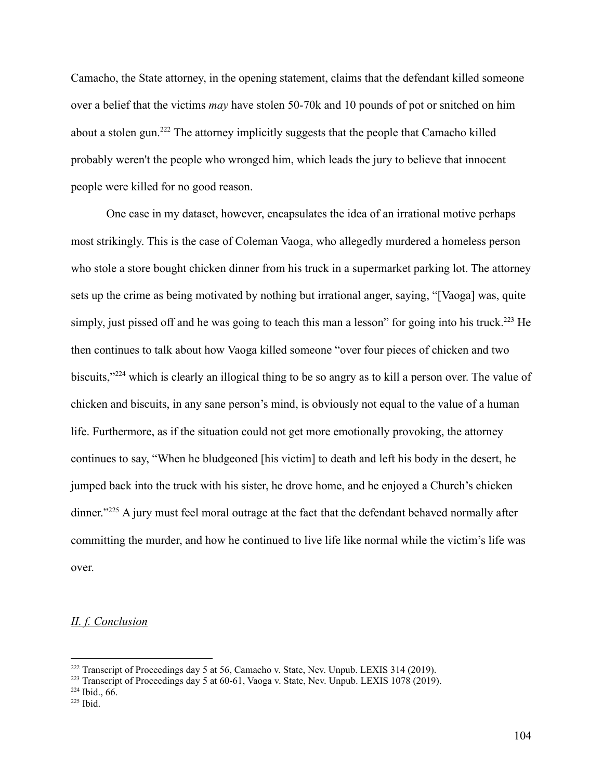Camacho, the State attorney, in the opening statement, claims that the defendant killed someone over a belief that the victims *may* have stolen 50-70k and 10 pounds of pot or snitched on him about a stolen gun.<sup>222</sup> The attorney implicitly suggests that the people that Camacho killed probably weren't the people who wronged him, which leads the jury to believe that innocent people were killed for no good reason.

One case in my dataset, however, encapsulates the idea of an irrational motive perhaps most strikingly. This is the case of Coleman Vaoga, who allegedly murdered a homeless person who stole a store bought chicken dinner from his truck in a supermarket parking lot. The attorney sets up the crime as being motivated by nothing but irrational anger, saying, "[Vaoga] was, quite simply, just pissed off and he was going to teach this man a lesson" for going into his truck.<sup>223</sup> He then continues to talk about how Vaoga killed someone "over four pieces of chicken and two biscuits,"<sup>224</sup> which is clearly an illogical thing to be so angry as to kill a person over. The value of chicken and biscuits, in any sane person's mind, is obviously not equal to the value of a human life. Furthermore, as if the situation could not get more emotionally provoking, the attorney continues to say, "When he bludgeoned [his victim] to death and left his body in the desert, he jumped back into the truck with his sister, he drove home, and he enjoyed a Church's chicken dinner."<sup>225</sup> A jury must feel moral outrage at the fact that the defendant behaved normally after committing the murder, and how he continued to live life like normal while the victim's life was over.

# *II. f. Conclusion*

<sup>&</sup>lt;sup>222</sup> Transcript of Proceedings day 5 at 56, Camacho v. State, Nev. Unpub. LEXIS 314 (2019).

<sup>&</sup>lt;sup>223</sup> Transcript of Proceedings day 5 at 60-61, Vaoga v. State, Nev. Unpub. LEXIS 1078 (2019).

<sup>224</sup> Ibid., 66.

<sup>225</sup> Ibid.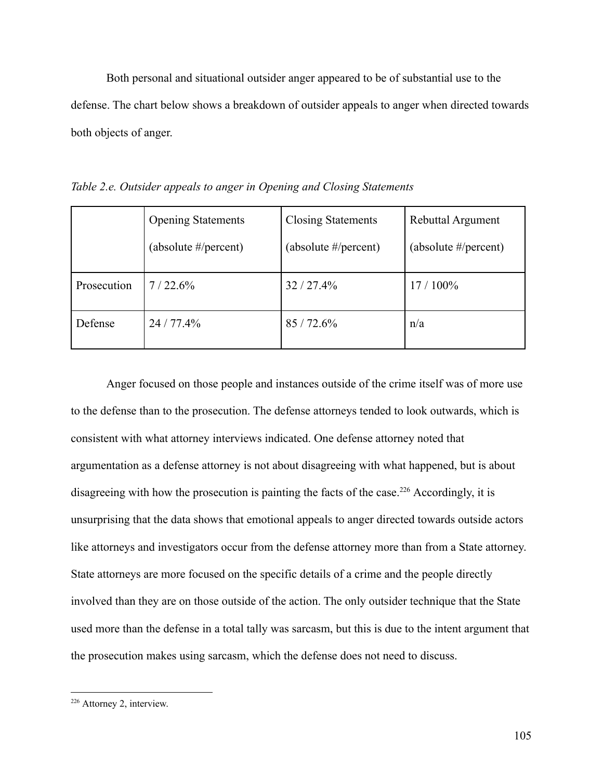Both personal and situational outsider anger appeared to be of substantial use to the defense. The chart below shows a breakdown of outsider appeals to anger when directed towards both objects of anger.

| <b>Opening Statements</b><br>(absolute #/percent) |          | <b>Closing Statements</b><br>(absolute #/percent) | Rebuttal Argument<br>(absolute #/percent) |  |
|---------------------------------------------------|----------|---------------------------------------------------|-------------------------------------------|--|
| Prosecution                                       | 7/22.6%  | 32/27.4%                                          | $17/100\%$                                |  |
| Defense                                           | 24/77.4% | 85/72.6%                                          | n/a                                       |  |

*Table 2.e. Outsider appeals to anger in Opening and Closing Statements*

Anger focused on those people and instances outside of the crime itself was of more use to the defense than to the prosecution. The defense attorneys tended to look outwards, which is consistent with what attorney interviews indicated. One defense attorney noted that argumentation as a defense attorney is not about disagreeing with what happened, but is about disagreeing with how the prosecution is painting the facts of the case.<sup>226</sup> Accordingly, it is unsurprising that the data shows that emotional appeals to anger directed towards outside actors like attorneys and investigators occur from the defense attorney more than from a State attorney. State attorneys are more focused on the specific details of a crime and the people directly involved than they are on those outside of the action. The only outsider technique that the State used more than the defense in a total tally was sarcasm, but this is due to the intent argument that the prosecution makes using sarcasm, which the defense does not need to discuss.

<sup>226</sup> Attorney 2, interview.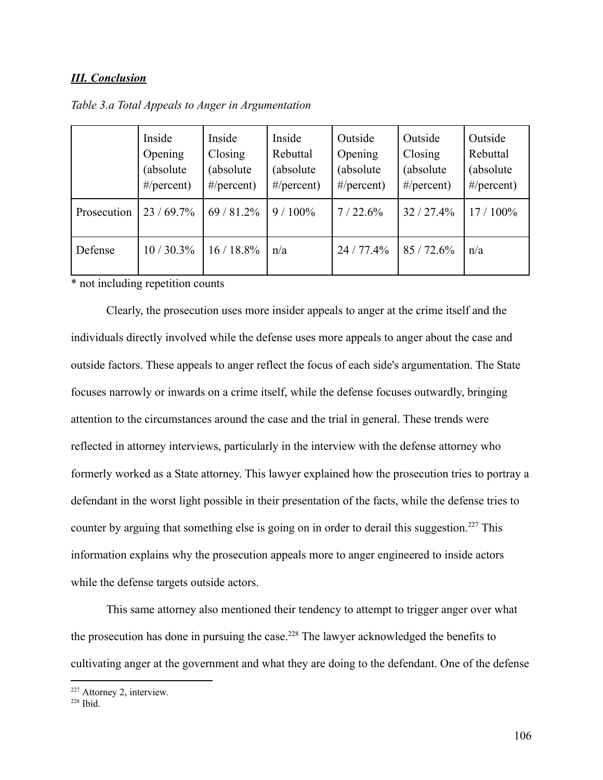## *III. Conclusion*

|             | Inside<br>Opening<br>(absolute)<br>$\#/percent$ ) | Inside<br>Closing<br>(absolute)<br>#/percent) | Inside<br>Rebuttal<br>(absolute)<br>#/percent) | Outside<br>Opening<br>(absolute)<br>#/percent) | Outside<br>Closing<br>(absolute)<br>$\#/percent$ ) | Outside<br>Rebuttal<br>(absolute)<br>$\#/percent$ ) |
|-------------|---------------------------------------------------|-----------------------------------------------|------------------------------------------------|------------------------------------------------|----------------------------------------------------|-----------------------------------------------------|
| Prosecution | 23/69.7%                                          | 69/81.2%                                      | $9/100\%$                                      | 7/22.6%                                        | 32/27.4%                                           | $17/100\%$                                          |
| Defense     | 10/30.3%                                          | $16/18.8\%$                                   | n/a                                            | 24 / 77.4%                                     | 85/72.6%                                           | n/a                                                 |

*Table 3.a Total Appeals to Anger in Argumentation*

\* not including repetition counts

Clearly, the prosecution uses more insider appeals to anger at the crime itself and the individuals directly involved while the defense uses more appeals to anger about the case and outside factors. These appeals to anger reflect the focus of each side's argumentation. The State focuses narrowly or inwards on a crime itself, while the defense focuses outwardly, bringing attention to the circumstances around the case and the trial in general. These trends were reflected in attorney interviews, particularly in the interview with the defense attorney who formerly worked as a State attorney. This lawyer explained how the prosecution tries to portray a defendant in the worst light possible in their presentation of the facts, while the defense tries to counter by arguing that something else is going on in order to derail this suggestion.<sup>227</sup> This information explains why the prosecution appeals more to anger engineered to inside actors while the defense targets outside actors.

This same attorney also mentioned their tendency to attempt to trigger anger over what the prosecution has done in pursuing the case.<sup>228</sup> The lawyer acknowledged the benefits to cultivating anger at the government and what they are doing to the defendant. One of the defense

<sup>227</sup> Attorney 2, interview.

 $228$  Ibid.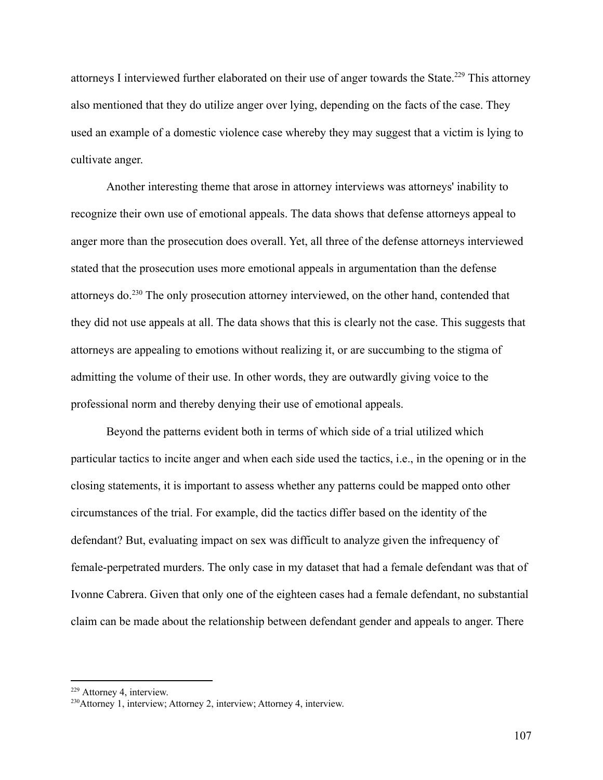attorneys I interviewed further elaborated on their use of anger towards the State.<sup>229</sup> This attorney also mentioned that they do utilize anger over lying, depending on the facts of the case. They used an example of a domestic violence case whereby they may suggest that a victim is lying to cultivate anger.

Another interesting theme that arose in attorney interviews was attorneys' inability to recognize their own use of emotional appeals. The data shows that defense attorneys appeal to anger more than the prosecution does overall. Yet, all three of the defense attorneys interviewed stated that the prosecution uses more emotional appeals in argumentation than the defense attorneys do.<sup>230</sup> The only prosecution attorney interviewed, on the other hand, contended that they did not use appeals at all. The data shows that this is clearly not the case. This suggests that attorneys are appealing to emotions without realizing it, or are succumbing to the stigma of admitting the volume of their use. In other words, they are outwardly giving voice to the professional norm and thereby denying their use of emotional appeals.

Beyond the patterns evident both in terms of which side of a trial utilized which particular tactics to incite anger and when each side used the tactics, i.e., in the opening or in the closing statements, it is important to assess whether any patterns could be mapped onto other circumstances of the trial. For example, did the tactics differ based on the identity of the defendant? But, evaluating impact on sex was difficult to analyze given the infrequency of female-perpetrated murders. The only case in my dataset that had a female defendant was that of Ivonne Cabrera. Given that only one of the eighteen cases had a female defendant, no substantial claim can be made about the relationship between defendant gender and appeals to anger. There

<sup>229</sup> Attorney 4, interview.

<sup>230</sup>Attorney 1, interview; Attorney 2, interview; Attorney 4, interview.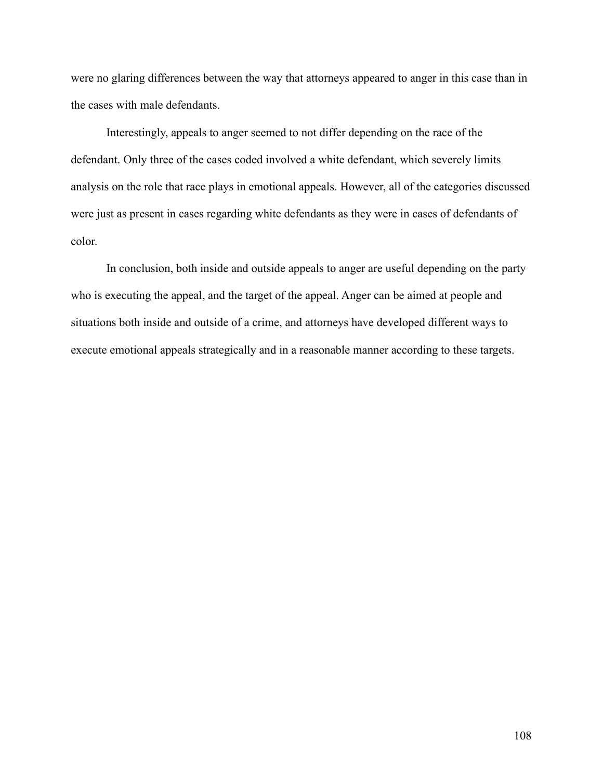were no glaring differences between the way that attorneys appeared to anger in this case than in the cases with male defendants.

Interestingly, appeals to anger seemed to not differ depending on the race of the defendant. Only three of the cases coded involved a white defendant, which severely limits analysis on the role that race plays in emotional appeals. However, all of the categories discussed were just as present in cases regarding white defendants as they were in cases of defendants of color.

In conclusion, both inside and outside appeals to anger are useful depending on the party who is executing the appeal, and the target of the appeal. Anger can be aimed at people and situations both inside and outside of a crime, and attorneys have developed different ways to execute emotional appeals strategically and in a reasonable manner according to these targets.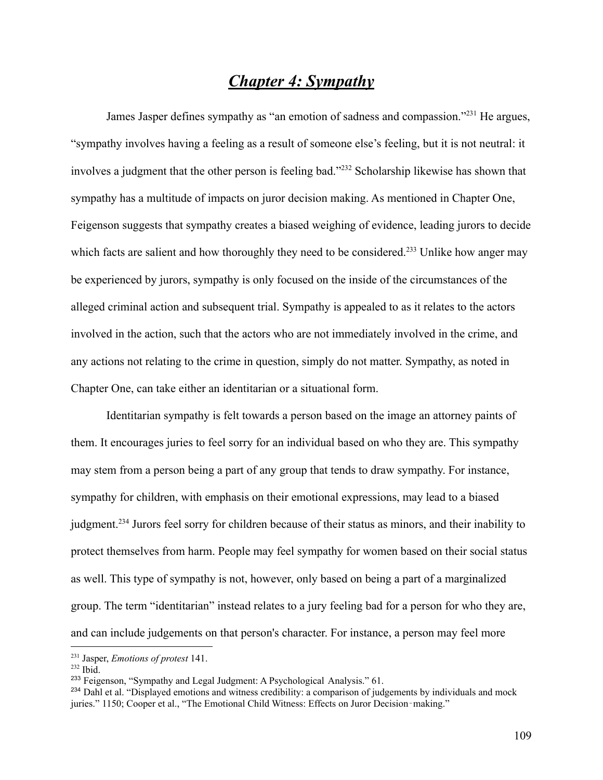# *Chapter 4: Sympathy*

James Jasper defines sympathy as "an emotion of sadness and compassion."<sup>231</sup> He argues, "sympathy involves having a feeling as a result of someone else's feeling, but it is not neutral: it involves a judgment that the other person is feeling bad."<sup>232</sup> Scholarship likewise has shown that sympathy has a multitude of impacts on juror decision making. As mentioned in Chapter One, Feigenson suggests that sympathy creates a biased weighing of evidence, leading jurors to decide which facts are salient and how thoroughly they need to be considered.<sup>233</sup> Unlike how anger may be experienced by jurors, sympathy is only focused on the inside of the circumstances of the alleged criminal action and subsequent trial. Sympathy is appealed to as it relates to the actors involved in the action, such that the actors who are not immediately involved in the crime, and any actions not relating to the crime in question, simply do not matter. Sympathy, as noted in Chapter One, can take either an identitarian or a situational form.

Identitarian sympathy is felt towards a person based on the image an attorney paints of them. It encourages juries to feel sorry for an individual based on who they are. This sympathy may stem from a person being a part of any group that tends to draw sympathy. For instance, sympathy for children, with emphasis on their emotional expressions, may lead to a biased judgment.<sup>234</sup> Jurors feel sorry for children because of their status as minors, and their inability to protect themselves from harm. People may feel sympathy for women based on their social status as well. This type of sympathy is not, however, only based on being a part of a marginalized group. The term "identitarian" instead relates to a jury feeling bad for a person for who they are, and can include judgements on that person's character. For instance, a person may feel more

<sup>231</sup> Jasper, *Emotions of protest* 141.

<sup>232</sup> Ibid.

<sup>233</sup> Feigenson, "Sympathy and Legal Judgment: A Psychological Analysis." 61.

<sup>&</sup>lt;sup>234</sup> Dahl et al. "Displayed emotions and witness credibility: a comparison of judgements by individuals and mock juries." 1150; Cooper et al., "The Emotional Child Witness: Effects on Juror Decision-making."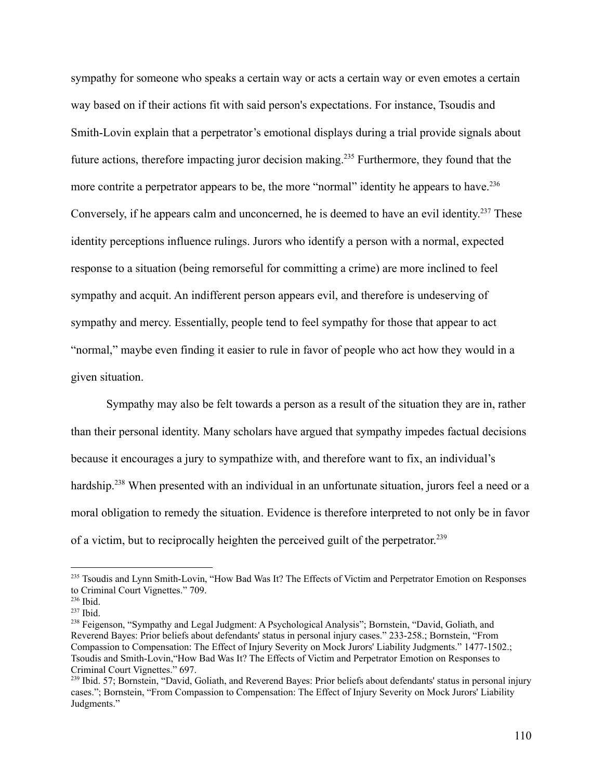sympathy for someone who speaks a certain way or acts a certain way or even emotes a certain way based on if their actions fit with said person's expectations. For instance, Tsoudis and Smith-Lovin explain that a perpetrator's emotional displays during a trial provide signals about future actions, therefore impacting juror decision making.<sup>235</sup> Furthermore, they found that the more contrite a perpetrator appears to be, the more "normal" identity he appears to have.<sup>236</sup> Conversely, if he appears calm and unconcerned, he is deemed to have an evil identity.<sup>237</sup> These identity perceptions influence rulings. Jurors who identify a person with a normal, expected response to a situation (being remorseful for committing a crime) are more inclined to feel sympathy and acquit. An indifferent person appears evil, and therefore is undeserving of sympathy and mercy. Essentially, people tend to feel sympathy for those that appear to act "normal," maybe even finding it easier to rule in favor of people who act how they would in a given situation.

Sympathy may also be felt towards a person as a result of the situation they are in, rather than their personal identity. Many scholars have argued that sympathy impedes factual decisions because it encourages a jury to sympathize with, and therefore want to fix, an individual's hardship.<sup>238</sup> When presented with an individual in an unfortunate situation, jurors feel a need or a moral obligation to remedy the situation. Evidence is therefore interpreted to not only be in favor of a victim, but to reciprocally heighten the perceived guilt of the perpetrator.<sup>239</sup>

<sup>&</sup>lt;sup>235</sup> Tsoudis and Lynn Smith-Lovin, "How Bad Was It? The Effects of Victim and Perpetrator Emotion on Responses to Criminal Court Vignettes." 709.

 $236$  Ibid.

<sup>237</sup> Ibid.

<sup>&</sup>lt;sup>238</sup> Feigenson, "Sympathy and Legal Judgment: A Psychological Analysis"; Bornstein, "David, Goliath, and Reverend Bayes: Prior beliefs about defendants' status in personal injury cases." 233-258.; Bornstein, "From Compassion to Compensation: The Effect of Injury Severity on Mock Jurors' Liability Judgments." 1477-1502.; Tsoudis and Smith-Lovin,"How Bad Was It? The Effects of Victim and Perpetrator Emotion on Responses to Criminal Court Vignettes." 697.

<sup>&</sup>lt;sup>239</sup> Ibid. 57; Bornstein, "David, Goliath, and Reverend Bayes: Prior beliefs about defendants' status in personal injury cases."; Bornstein, "From Compassion to Compensation: The Effect of Injury Severity on Mock Jurors' Liability Judgments."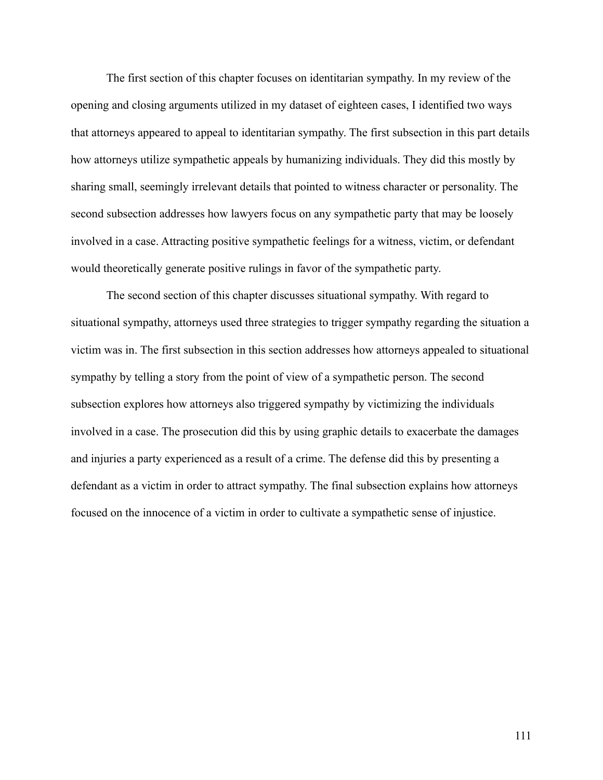The first section of this chapter focuses on identitarian sympathy. In my review of the opening and closing arguments utilized in my dataset of eighteen cases, I identified two ways that attorneys appeared to appeal to identitarian sympathy. The first subsection in this part details how attorneys utilize sympathetic appeals by humanizing individuals. They did this mostly by sharing small, seemingly irrelevant details that pointed to witness character or personality. The second subsection addresses how lawyers focus on any sympathetic party that may be loosely involved in a case. Attracting positive sympathetic feelings for a witness, victim, or defendant would theoretically generate positive rulings in favor of the sympathetic party.

The second section of this chapter discusses situational sympathy. With regard to situational sympathy, attorneys used three strategies to trigger sympathy regarding the situation a victim was in. The first subsection in this section addresses how attorneys appealed to situational sympathy by telling a story from the point of view of a sympathetic person. The second subsection explores how attorneys also triggered sympathy by victimizing the individuals involved in a case. The prosecution did this by using graphic details to exacerbate the damages and injuries a party experienced as a result of a crime. The defense did this by presenting a defendant as a victim in order to attract sympathy. The final subsection explains how attorneys focused on the innocence of a victim in order to cultivate a sympathetic sense of injustice.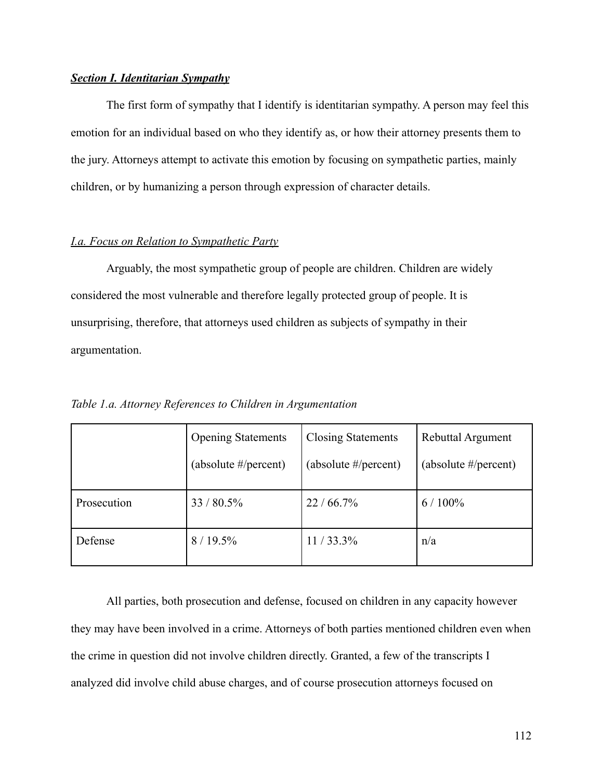#### *Section I. Identitarian Sympathy*

The first form of sympathy that I identify is identitarian sympathy. A person may feel this emotion for an individual based on who they identify as, or how their attorney presents them to the jury. Attorneys attempt to activate this emotion by focusing on sympathetic parties, mainly children, or by humanizing a person through expression of character details.

#### *I.a. Focus on Relation to Sympathetic Party*

Arguably, the most sympathetic group of people are children. Children are widely considered the most vulnerable and therefore legally protected group of people. It is unsurprising, therefore, that attorneys used children as subjects of sympathy in their argumentation.

|                      | <b>Opening Statements</b> | <b>Closing Statements</b> | <b>Rebuttal Argument</b> |  |
|----------------------|---------------------------|---------------------------|--------------------------|--|
| (absolute #/percent) |                           | (absolute #/percent)      | (absolute #/percent)     |  |
| Prosecution          | $33 / 80.5\%$             | 22/66.7%                  | $6/100\%$                |  |
| Defense              | 8/19.5%                   | $11/33.3\%$               | n/a                      |  |

*Table 1.a. Attorney References to Children in Argumentation*

All parties, both prosecution and defense, focused on children in any capacity however they may have been involved in a crime. Attorneys of both parties mentioned children even when the crime in question did not involve children directly. Granted, a few of the transcripts I analyzed did involve child abuse charges, and of course prosecution attorneys focused on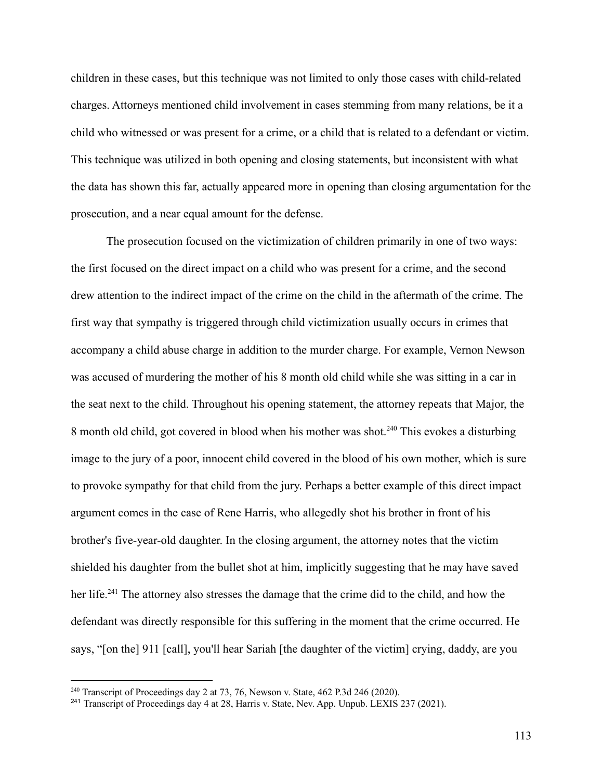children in these cases, but this technique was not limited to only those cases with child-related charges. Attorneys mentioned child involvement in cases stemming from many relations, be it a child who witnessed or was present for a crime, or a child that is related to a defendant or victim. This technique was utilized in both opening and closing statements, but inconsistent with what the data has shown this far, actually appeared more in opening than closing argumentation for the prosecution, and a near equal amount for the defense.

The prosecution focused on the victimization of children primarily in one of two ways: the first focused on the direct impact on a child who was present for a crime, and the second drew attention to the indirect impact of the crime on the child in the aftermath of the crime. The first way that sympathy is triggered through child victimization usually occurs in crimes that accompany a child abuse charge in addition to the murder charge. For example, Vernon Newson was accused of murdering the mother of his 8 month old child while she was sitting in a car in the seat next to the child. Throughout his opening statement, the attorney repeats that Major, the 8 month old child, got covered in blood when his mother was shot.<sup>240</sup> This evokes a disturbing image to the jury of a poor, innocent child covered in the blood of his own mother, which is sure to provoke sympathy for that child from the jury. Perhaps a better example of this direct impact argument comes in the case of Rene Harris, who allegedly shot his brother in front of his brother's five-year-old daughter. In the closing argument, the attorney notes that the victim shielded his daughter from the bullet shot at him, implicitly suggesting that he may have saved her life.<sup>241</sup> The attorney also stresses the damage that the crime did to the child, and how the defendant was directly responsible for this suffering in the moment that the crime occurred. He says, "[on the] 911 [call], you'll hear Sariah [the daughter of the victim] crying, daddy, are you

<sup>&</sup>lt;sup>240</sup> Transcript of Proceedings day 2 at 73, 76, Newson v. State, 462 P.3d 246 (2020).

<sup>&</sup>lt;sup>241</sup> Transcript of Proceedings day 4 at 28, Harris v. State, Nev. App. Unpub. LEXIS 237 (2021).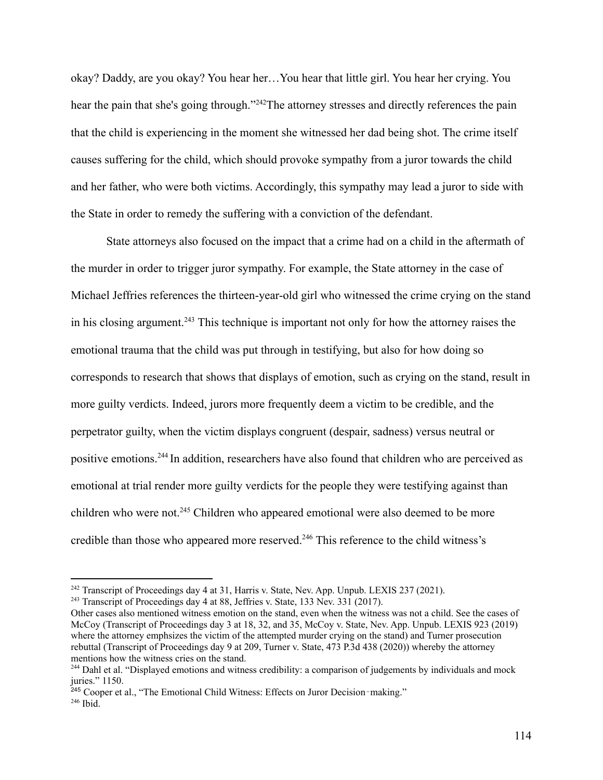okay? Daddy, are you okay? You hear her…You hear that little girl. You hear her crying. You hear the pain that she's going through."<sup>242</sup>The attorney stresses and directly references the pain that the child is experiencing in the moment she witnessed her dad being shot. The crime itself causes suffering for the child, which should provoke sympathy from a juror towards the child and her father, who were both victims. Accordingly, this sympathy may lead a juror to side with the State in order to remedy the suffering with a conviction of the defendant.

State attorneys also focused on the impact that a crime had on a child in the aftermath of the murder in order to trigger juror sympathy. For example, the State attorney in the case of Michael Jeffries references the thirteen-year-old girl who witnessed the crime crying on the stand in his closing argument.<sup>243</sup> This technique is important not only for how the attorney raises the emotional trauma that the child was put through in testifying, but also for how doing so corresponds to research that shows that displays of emotion, such as crying on the stand, result in more guilty verdicts. Indeed, jurors more frequently deem a victim to be credible, and the perpetrator guilty, when the victim displays congruent (despair, sadness) versus neutral or positive emotions.<sup>244</sup> In addition, researchers have also found that children who are perceived as emotional at trial render more guilty verdicts for the people they were testifying against than children who were not.<sup>245</sup> Children who appeared emotional were also deemed to be more credible than those who appeared more reserved.<sup>246</sup> This reference to the child witness's

<sup>&</sup>lt;sup>242</sup> Transcript of Proceedings day 4 at 31, Harris v. State, Nev. App. Unpub. LEXIS 237 (2021).

<sup>&</sup>lt;sup>243</sup> Transcript of Proceedings day 4 at 88, Jeffries v. State, 133 Nev. 331 (2017).

Other cases also mentioned witness emotion on the stand, even when the witness was not a child. See the cases of McCoy (Transcript of Proceedings day 3 at 18, 32, and 35, McCoy v. State, Nev. App. Unpub. LEXIS 923 (2019) where the attorney emphsizes the victim of the attempted murder crying on the stand) and Turner prosecution rebuttal (Transcript of Proceedings day 9 at 209, Turner v. State, 473 P.3d 438 (2020)) whereby the attorney mentions how the witness cries on the stand.

<sup>&</sup>lt;sup>244</sup> Dahl et al. "Displayed emotions and witness credibility: a comparison of judgements by individuals and mock juries." 1150.

<sup>&</sup>lt;sup>245</sup> Cooper et al., "The Emotional Child Witness: Effects on Juror Decision-making."

 $246$  Ibid.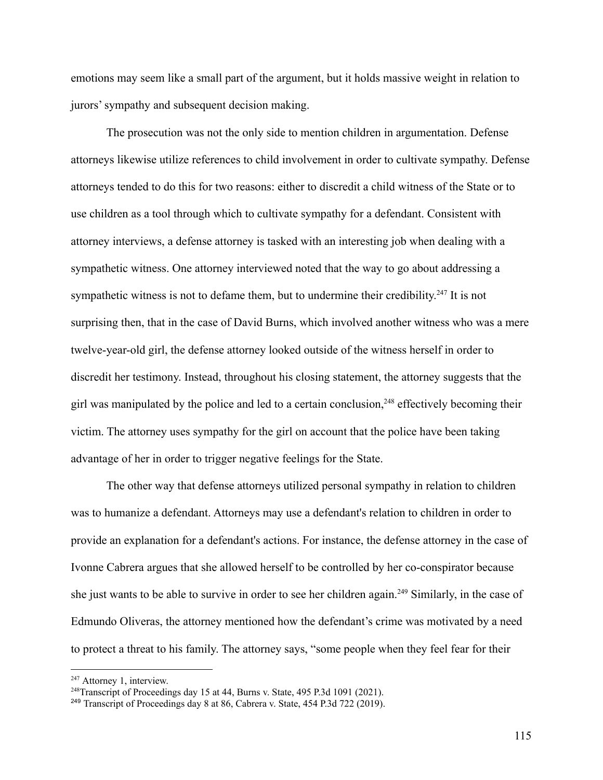emotions may seem like a small part of the argument, but it holds massive weight in relation to jurors' sympathy and subsequent decision making.

The prosecution was not the only side to mention children in argumentation. Defense attorneys likewise utilize references to child involvement in order to cultivate sympathy. Defense attorneys tended to do this for two reasons: either to discredit a child witness of the State or to use children as a tool through which to cultivate sympathy for a defendant. Consistent with attorney interviews, a defense attorney is tasked with an interesting job when dealing with a sympathetic witness. One attorney interviewed noted that the way to go about addressing a sympathetic witness is not to defame them, but to undermine their credibility.<sup>247</sup> It is not surprising then, that in the case of David Burns, which involved another witness who was a mere twelve-year-old girl, the defense attorney looked outside of the witness herself in order to discredit her testimony. Instead, throughout his closing statement, the attorney suggests that the girl was manipulated by the police and led to a certain conclusion, $248$  effectively becoming their victim. The attorney uses sympathy for the girl on account that the police have been taking advantage of her in order to trigger negative feelings for the State.

The other way that defense attorneys utilized personal sympathy in relation to children was to humanize a defendant. Attorneys may use a defendant's relation to children in order to provide an explanation for a defendant's actions. For instance, the defense attorney in the case of Ivonne Cabrera argues that she allowed herself to be controlled by her co-conspirator because she just wants to be able to survive in order to see her children again.<sup>249</sup> Similarly, in the case of Edmundo Oliveras, the attorney mentioned how the defendant's crime was motivated by a need to protect a threat to his family. The attorney says, "some people when they feel fear for their

<sup>&</sup>lt;sup>247</sup> Attorney 1, interview.

<sup>&</sup>lt;sup>248</sup>Transcript of Proceedings day 15 at 44, Burns v. State, 495 P.3d 1091 (2021).

<sup>&</sup>lt;sup>249</sup> Transcript of Proceedings day 8 at 86, Cabrera v. State, 454 P.3d 722 (2019).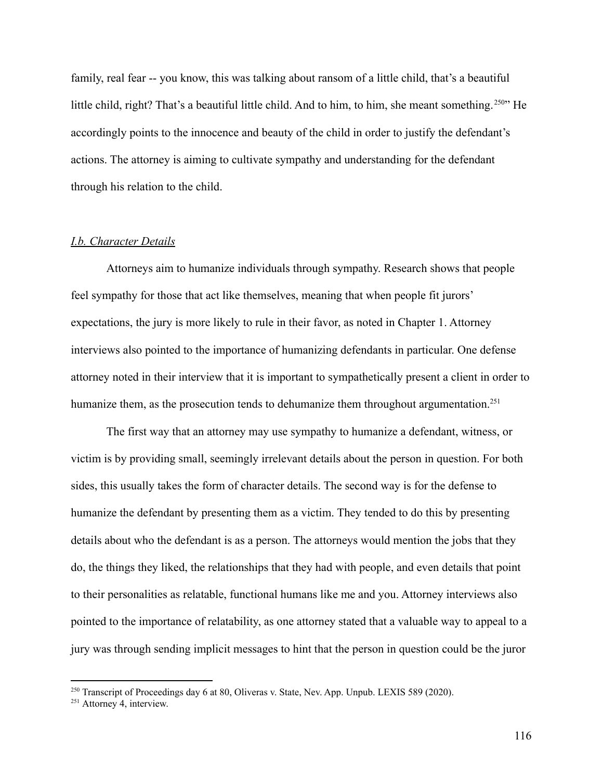family, real fear -- you know, this was talking about ransom of a little child, that's a beautiful little child, right? That's a beautiful little child. And to him, to him, she meant something. <sup>250</sup> He accordingly points to the innocence and beauty of the child in order to justify the defendant's actions. The attorney is aiming to cultivate sympathy and understanding for the defendant through his relation to the child.

#### *I.b. Character Details*

Attorneys aim to humanize individuals through sympathy. Research shows that people feel sympathy for those that act like themselves, meaning that when people fit jurors' expectations, the jury is more likely to rule in their favor, as noted in Chapter 1. Attorney interviews also pointed to the importance of humanizing defendants in particular. One defense attorney noted in their interview that it is important to sympathetically present a client in order to humanize them, as the prosecution tends to dehumanize them throughout argumentation.<sup>251</sup>

The first way that an attorney may use sympathy to humanize a defendant, witness, or victim is by providing small, seemingly irrelevant details about the person in question. For both sides, this usually takes the form of character details. The second way is for the defense to humanize the defendant by presenting them as a victim. They tended to do this by presenting details about who the defendant is as a person. The attorneys would mention the jobs that they do, the things they liked, the relationships that they had with people, and even details that point to their personalities as relatable, functional humans like me and you. Attorney interviews also pointed to the importance of relatability, as one attorney stated that a valuable way to appeal to a jury was through sending implicit messages to hint that the person in question could be the juror

<sup>&</sup>lt;sup>250</sup> Transcript of Proceedings day 6 at 80, Oliveras v. State, Nev. App. Unpub. LEXIS 589 (2020).

 $251$  Attorney 4, interview.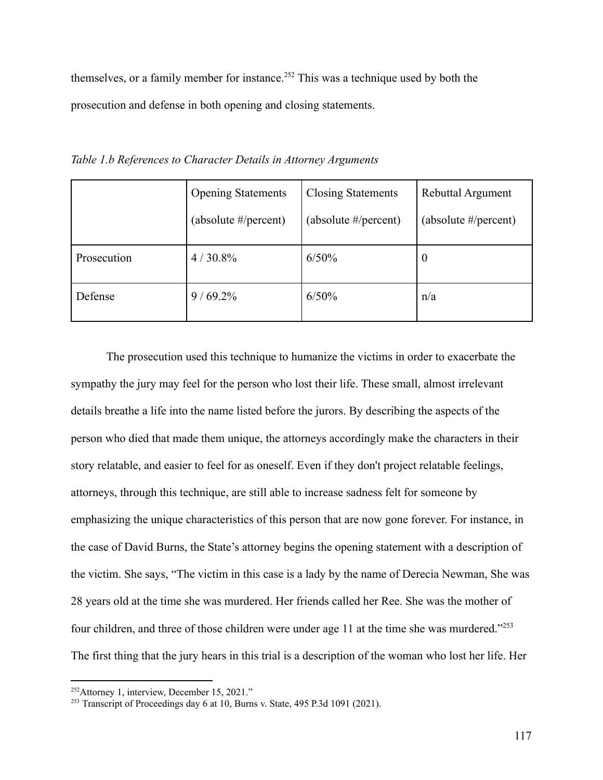themselves, or a family member for instance.<sup>252</sup> This was a technique used by both the prosecution and defense in both opening and closing statements.

|             | <b>Opening Statements</b> | <b>Closing Statements</b> | Rebuttal Argument    |  |
|-------------|---------------------------|---------------------------|----------------------|--|
|             | (absolute #/percent)      | (absolute #/percent)      | (absolute #/percent) |  |
| Prosecution | $4/30.8\%$                | 6/50%                     | U                    |  |
| Defense     | $9/69.2\%$                | 6/50%                     | n/a                  |  |

*Table 1.b References to Character Details in Attorney Arguments*

The prosecution used this technique to humanize the victims in order to exacerbate the sympathy the jury may feel for the person who lost their life. These small, almost irrelevant details breathe a life into the name listed before the jurors. By describing the aspects of the person who died that made them unique, the attorneys accordingly make the characters in their story relatable, and easier to feel for as oneself. Even if they don't project relatable feelings, attorneys, through this technique, are still able to increase sadness felt for someone by emphasizing the unique characteristics of this person that are now gone forever. For instance, in the case of David Burns, the State's attorney begins the opening statement with a description of the victim. She says, "The victim in this case is a lady by the name of Derecia Newman, She was 28 years old at the time she was murdered. Her friends called her Ree. She was the mother of four children, and three of those children were under age 11 at the time she was murdered."<sup>253</sup> The first thing that the jury hears in this trial is a description of the woman who lost her life. Her

<sup>&</sup>lt;sup>252</sup>Attorney 1, interview, December 15, 2021."

<sup>&</sup>lt;sup>253</sup> Transcript of Proceedings day 6 at 10, Burns v. State, 495 P.3d 1091 (2021).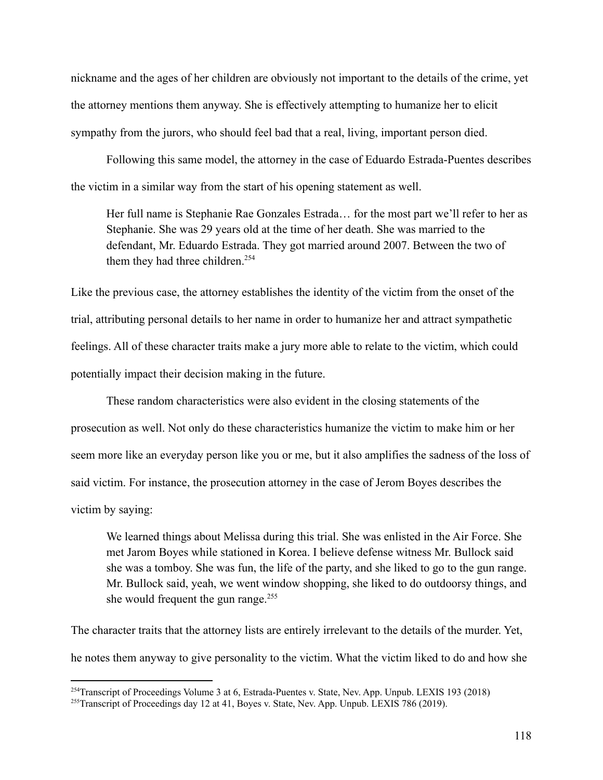nickname and the ages of her children are obviously not important to the details of the crime, yet the attorney mentions them anyway. She is effectively attempting to humanize her to elicit sympathy from the jurors, who should feel bad that a real, living, important person died.

Following this same model, the attorney in the case of Eduardo Estrada-Puentes describes the victim in a similar way from the start of his opening statement as well.

Her full name is Stephanie Rae Gonzales Estrada… for the most part we'll refer to her as Stephanie. She was 29 years old at the time of her death. She was married to the defendant, Mr. Eduardo Estrada. They got married around 2007. Between the two of them they had three children.<sup>254</sup>

Like the previous case, the attorney establishes the identity of the victim from the onset of the trial, attributing personal details to her name in order to humanize her and attract sympathetic feelings. All of these character traits make a jury more able to relate to the victim, which could potentially impact their decision making in the future.

These random characteristics were also evident in the closing statements of the prosecution as well. Not only do these characteristics humanize the victim to make him or her seem more like an everyday person like you or me, but it also amplifies the sadness of the loss of said victim. For instance, the prosecution attorney in the case of Jerom Boyes describes the victim by saying:

We learned things about Melissa during this trial. She was enlisted in the Air Force. She met Jarom Boyes while stationed in Korea. I believe defense witness Mr. Bullock said she was a tomboy. She was fun, the life of the party, and she liked to go to the gun range. Mr. Bullock said, yeah, we went window shopping, she liked to do outdoorsy things, and she would frequent the gun range.<sup>255</sup>

The character traits that the attorney lists are entirely irrelevant to the details of the murder. Yet, he notes them anyway to give personality to the victim. What the victim liked to do and how she

<sup>&</sup>lt;sup>254</sup>Transcript of Proceedings Volume 3 at 6, Estrada-Puentes v. State, Nev. App. Unpub. LEXIS 193 (2018)

<sup>&</sup>lt;sup>255</sup>Transcript of Proceedings day 12 at 41, Boyes v. State, Nev. App. Unpub. LEXIS 786 (2019).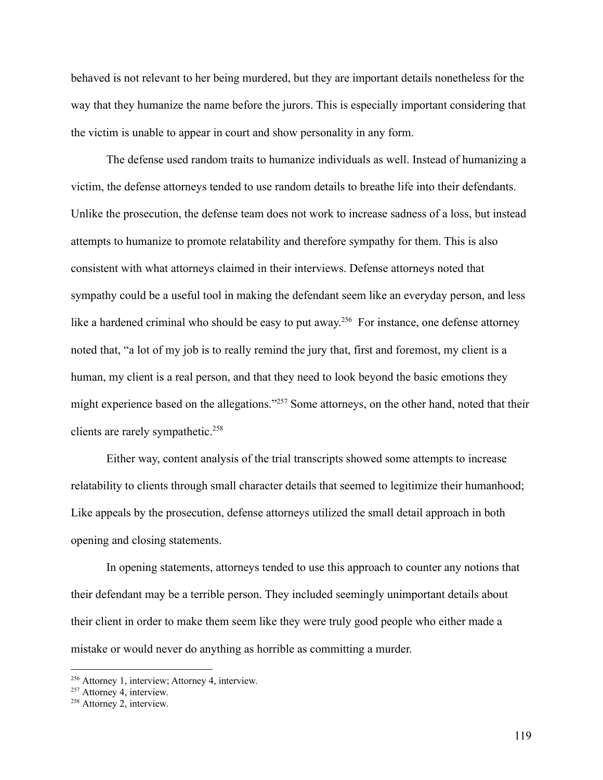behaved is not relevant to her being murdered, but they are important details nonetheless for the way that they humanize the name before the jurors. This is especially important considering that the victim is unable to appear in court and show personality in any form.

The defense used random traits to humanize individuals as well. Instead of humanizing a victim, the defense attorneys tended to use random details to breathe life into their defendants. Unlike the prosecution, the defense team does not work to increase sadness of a loss, but instead attempts to humanize to promote relatability and therefore sympathy for them. This is also consistent with what attorneys claimed in their interviews. Defense attorneys noted that sympathy could be a useful tool in making the defendant seem like an everyday person, and less like a hardened criminal who should be easy to put away.<sup>256</sup> For instance, one defense attorney noted that, "a lot of my job is to really remind the jury that, first and foremost, my client is a human, my client is a real person, and that they need to look beyond the basic emotions they might experience based on the allegations."<sup>257</sup> Some attorneys, on the other hand, noted that their clients are rarely sympathetic.<sup>258</sup>

Either way, content analysis of the trial transcripts showed some attempts to increase relatability to clients through small character details that seemed to legitimize their humanhood; Like appeals by the prosecution, defense attorneys utilized the small detail approach in both opening and closing statements.

In opening statements, attorneys tended to use this approach to counter any notions that their defendant may be a terrible person. They included seemingly unimportant details about their client in order to make them seem like they were truly good people who either made a mistake or would never do anything as horrible as committing a murder.

<sup>256</sup> Attorney 1, interview; Attorney 4, interview.

<sup>&</sup>lt;sup>257</sup> Attorney 4, interview.

<sup>258</sup> Attorney 2, interview.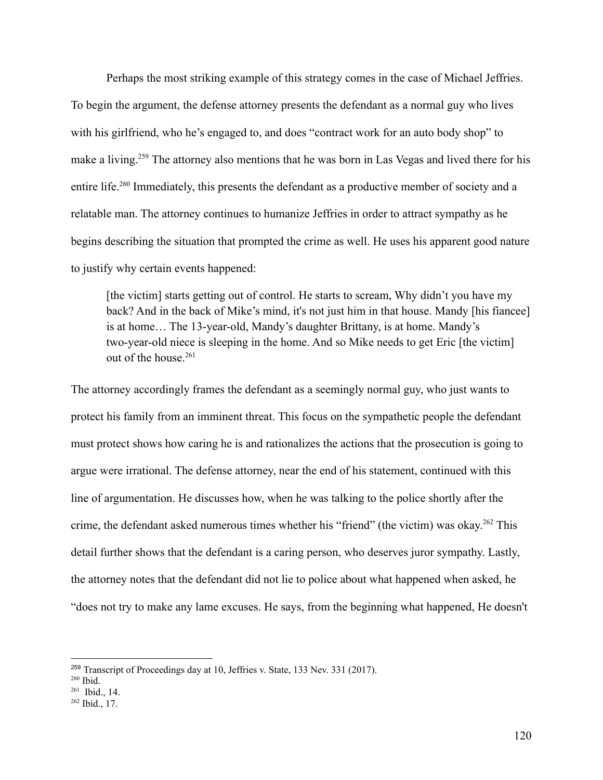Perhaps the most striking example of this strategy comes in the case of Michael Jeffries. To begin the argument, the defense attorney presents the defendant as a normal guy who lives with his girlfriend, who he's engaged to, and does "contract work for an auto body shop" to make a living.<sup>259</sup> The attorney also mentions that he was born in Las Vegas and lived there for his entire life.<sup>260</sup> Immediately, this presents the defendant as a productive member of society and a relatable man. The attorney continues to humanize Jeffries in order to attract sympathy as he begins describing the situation that prompted the crime as well. He uses his apparent good nature to justify why certain events happened:

[the victim] starts getting out of control. He starts to scream, Why didn't you have my back? And in the back of Mike's mind, it's not just him in that house. Mandy [his fiancee] is at home… The 13-year-old, Mandy's daughter Brittany, is at home. Mandy's two-year-old niece is sleeping in the home. And so Mike needs to get Eric [the victim] out of the house.<sup>261</sup>

The attorney accordingly frames the defendant as a seemingly normal guy, who just wants to protect his family from an imminent threat. This focus on the sympathetic people the defendant must protect shows how caring he is and rationalizes the actions that the prosecution is going to argue were irrational. The defense attorney, near the end of his statement, continued with this line of argumentation. He discusses how, when he was talking to the police shortly after the crime, the defendant asked numerous times whether his "friend" (the victim) was okay.<sup>262</sup> This detail further shows that the defendant is a caring person, who deserves juror sympathy. Lastly, the attorney notes that the defendant did not lie to police about what happened when asked, he "does not try to make any lame excuses. He says, from the beginning what happened, He doesn't

<sup>259</sup> Transcript of Proceedings day at 10, Jeffries v. State, 133 Nev. 331 (2017).

<sup>260</sup> Ibid.

<sup>261</sup> Ibid., 14.

 $262$  Ibid., 17.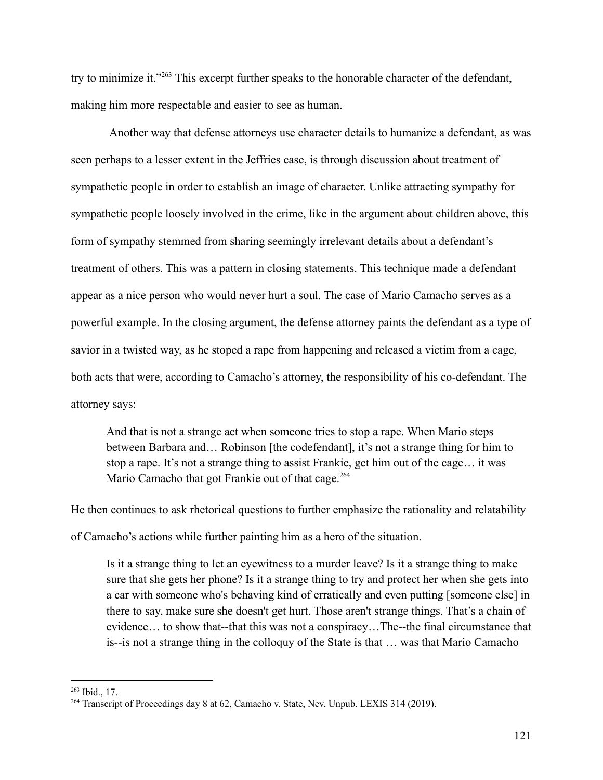try to minimize it."<sup>263</sup> This excerpt further speaks to the honorable character of the defendant, making him more respectable and easier to see as human.

Another way that defense attorneys use character details to humanize a defendant, as was seen perhaps to a lesser extent in the Jeffries case, is through discussion about treatment of sympathetic people in order to establish an image of character. Unlike attracting sympathy for sympathetic people loosely involved in the crime, like in the argument about children above, this form of sympathy stemmed from sharing seemingly irrelevant details about a defendant's treatment of others. This was a pattern in closing statements. This technique made a defendant appear as a nice person who would never hurt a soul. The case of Mario Camacho serves as a powerful example. In the closing argument, the defense attorney paints the defendant as a type of savior in a twisted way, as he stoped a rape from happening and released a victim from a cage, both acts that were, according to Camacho's attorney, the responsibility of his co-defendant. The attorney says:

And that is not a strange act when someone tries to stop a rape. When Mario steps between Barbara and… Robinson [the codefendant], it's not a strange thing for him to stop a rape. It's not a strange thing to assist Frankie, get him out of the cage… it was Mario Camacho that got Frankie out of that cage.<sup>264</sup>

He then continues to ask rhetorical questions to further emphasize the rationality and relatability of Camacho's actions while further painting him as a hero of the situation.

Is it a strange thing to let an eyewitness to a murder leave? Is it a strange thing to make sure that she gets her phone? Is it a strange thing to try and protect her when she gets into a car with someone who's behaving kind of erratically and even putting [someone else] in there to say, make sure she doesn't get hurt. Those aren't strange things. That's a chain of evidence… to show that--that this was not a conspiracy…The--the final circumstance that is--is not a strange thing in the colloquy of the State is that … was that Mario Camacho

<sup>263</sup> Ibid., 17.

<sup>&</sup>lt;sup>264</sup> Transcript of Proceedings day 8 at 62, Camacho v. State, Nev. Unpub. LEXIS 314 (2019).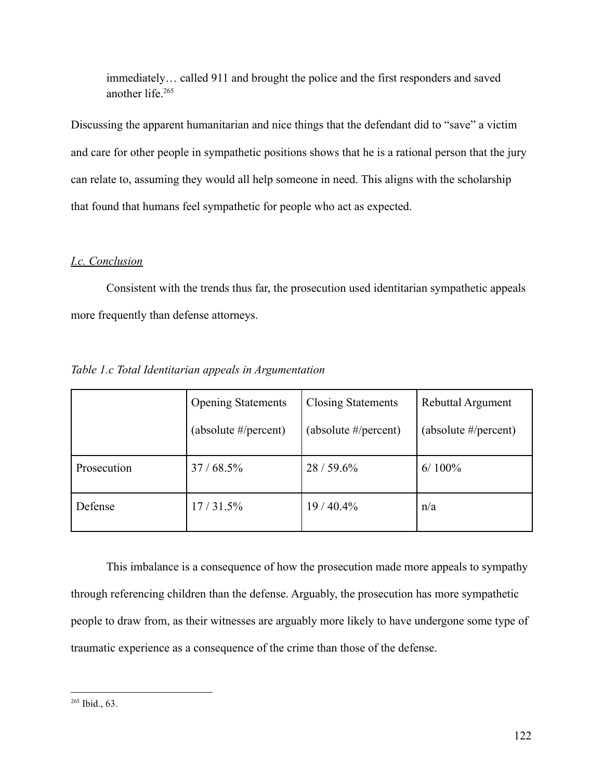immediately… called 911 and brought the police and the first responders and saved another life.<sup>265</sup>

Discussing the apparent humanitarian and nice things that the defendant did to "save" a victim and care for other people in sympathetic positions shows that he is a rational person that the jury can relate to, assuming they would all help someone in need. This aligns with the scholarship that found that humans feel sympathetic for people who act as expected.

### *I.c. Conclusion*

Consistent with the trends thus far, the prosecution used identitarian sympathetic appeals more frequently than defense attorneys.

|             | <b>Opening Statements</b><br><b>Closing Statements</b> |                      | Rebuttal Argument    |  |
|-------------|--------------------------------------------------------|----------------------|----------------------|--|
|             | (absolute #/percent)                                   | (absolute #/percent) | (absolute #/percent) |  |
| Prosecution | 37/68.5%                                               | 28/59.6%             | $6/100\%$            |  |
| Defense     | 17/31.5%                                               | 19/40.4%             | n/a                  |  |

*Table 1.c Total Identitarian appeals in Argumentation*

This imbalance is a consequence of how the prosecution made more appeals to sympathy through referencing children than the defense. Arguably, the prosecution has more sympathetic people to draw from, as their witnesses are arguably more likely to have undergone some type of traumatic experience as a consequence of the crime than those of the defense.

<sup>265</sup> Ibid., 63.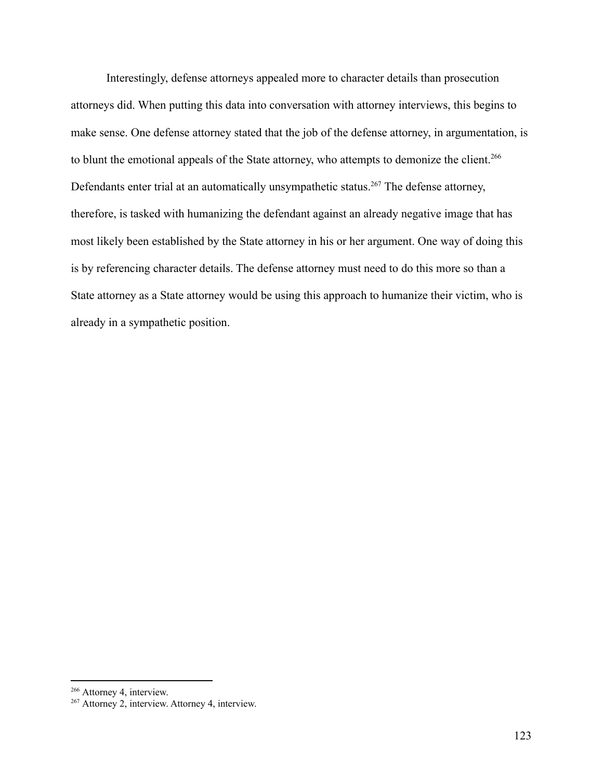Interestingly, defense attorneys appealed more to character details than prosecution attorneys did. When putting this data into conversation with attorney interviews, this begins to make sense. One defense attorney stated that the job of the defense attorney, in argumentation, is to blunt the emotional appeals of the State attorney, who attempts to demonize the client.<sup>266</sup> Defendants enter trial at an automatically unsympathetic status.<sup>267</sup> The defense attorney, therefore, is tasked with humanizing the defendant against an already negative image that has most likely been established by the State attorney in his or her argument. One way of doing this is by referencing character details. The defense attorney must need to do this more so than a State attorney as a State attorney would be using this approach to humanize their victim, who is already in a sympathetic position.

<sup>&</sup>lt;sup>266</sup> Attorney 4, interview.

<sup>267</sup> Attorney 2, interview. Attorney 4, interview.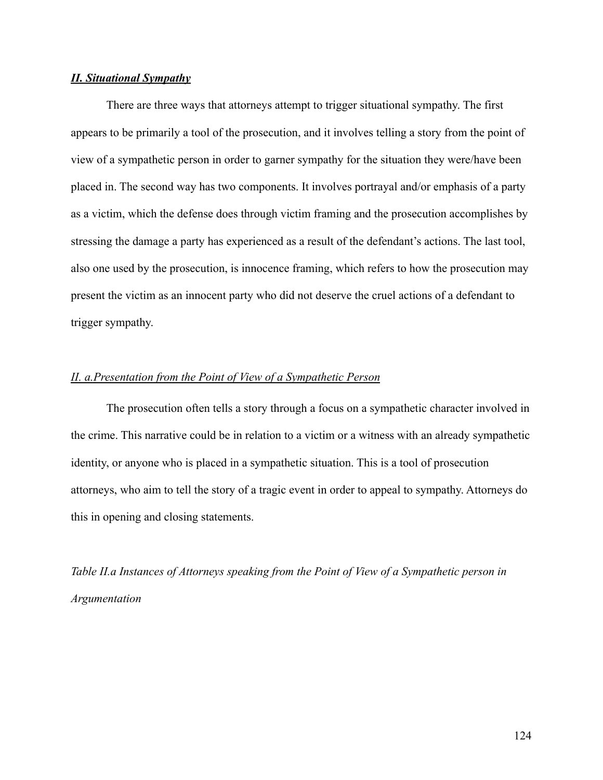#### *II. Situational Sympathy*

There are three ways that attorneys attempt to trigger situational sympathy. The first appears to be primarily a tool of the prosecution, and it involves telling a story from the point of view of a sympathetic person in order to garner sympathy for the situation they were/have been placed in. The second way has two components. It involves portrayal and/or emphasis of a party as a victim, which the defense does through victim framing and the prosecution accomplishes by stressing the damage a party has experienced as a result of the defendant's actions. The last tool, also one used by the prosecution, is innocence framing, which refers to how the prosecution may present the victim as an innocent party who did not deserve the cruel actions of a defendant to trigger sympathy.

#### *II. a.Presentation from the Point of View of a Sympathetic Person*

The prosecution often tells a story through a focus on a sympathetic character involved in the crime. This narrative could be in relation to a victim or a witness with an already sympathetic identity, or anyone who is placed in a sympathetic situation. This is a tool of prosecution attorneys, who aim to tell the story of a tragic event in order to appeal to sympathy. Attorneys do this in opening and closing statements.

*Table II.a Instances of Attorneys speaking from the Point of View of a Sympathetic person in Argumentation*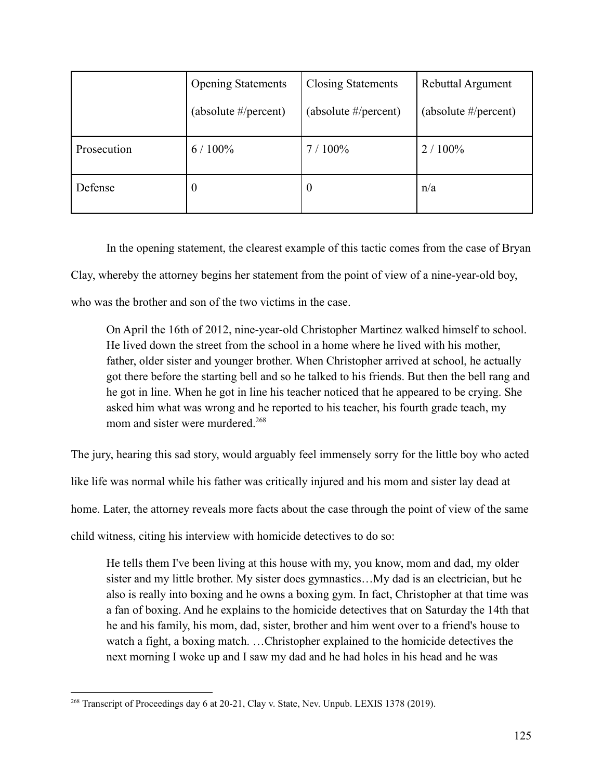|             | <b>Opening Statements</b> | <b>Closing Statements</b><br>Rebuttal Argument |                      |  |
|-------------|---------------------------|------------------------------------------------|----------------------|--|
|             | (absolute #/percent)      | (absolute #/percent)                           | (absolute #/percent) |  |
| Prosecution | $6/100\%$                 |                                                | $2/100\%$            |  |
| Defense     | U                         |                                                | n/a                  |  |

In the opening statement, the clearest example of this tactic comes from the case of Bryan Clay, whereby the attorney begins her statement from the point of view of a nine-year-old boy, who was the brother and son of the two victims in the case.

On April the 16th of 2012, nine-year-old Christopher Martinez walked himself to school. He lived down the street from the school in a home where he lived with his mother, father, older sister and younger brother. When Christopher arrived at school, he actually got there before the starting bell and so he talked to his friends. But then the bell rang and he got in line. When he got in line his teacher noticed that he appeared to be crying. She asked him what was wrong and he reported to his teacher, his fourth grade teach, my mom and sister were murdered.<sup>268</sup>

The jury, hearing this sad story, would arguably feel immensely sorry for the little boy who acted

like life was normal while his father was critically injured and his mom and sister lay dead at

home. Later, the attorney reveals more facts about the case through the point of view of the same

child witness, citing his interview with homicide detectives to do so:

He tells them I've been living at this house with my, you know, mom and dad, my older sister and my little brother. My sister does gymnastics…My dad is an electrician, but he also is really into boxing and he owns a boxing gym. In fact, Christopher at that time was a fan of boxing. And he explains to the homicide detectives that on Saturday the 14th that he and his family, his mom, dad, sister, brother and him went over to a friend's house to watch a fight, a boxing match. …Christopher explained to the homicide detectives the next morning I woke up and I saw my dad and he had holes in his head and he was

<sup>&</sup>lt;sup>268</sup> Transcript of Proceedings day 6 at 20-21, Clay v. State, Nev. Unpub. LEXIS 1378 (2019).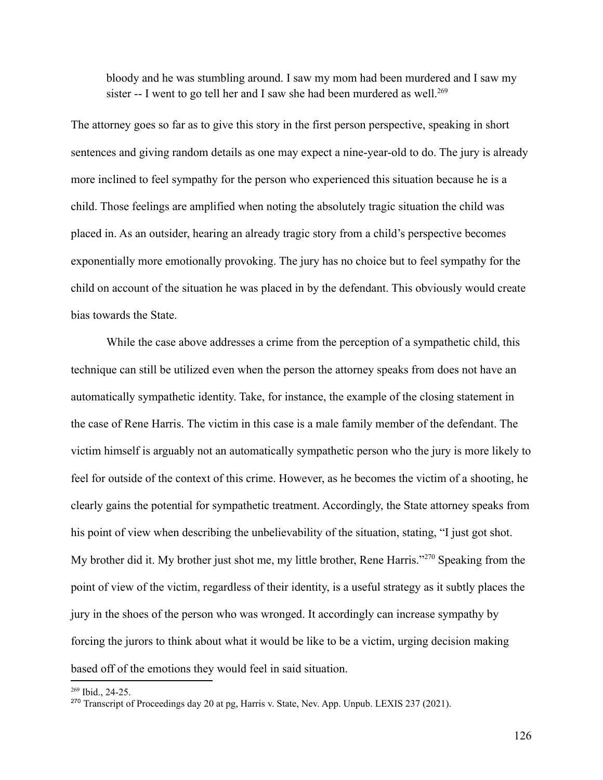bloody and he was stumbling around. I saw my mom had been murdered and I saw my sister  $-$  I went to go tell her and I saw she had been murdered as well.<sup>269</sup>

The attorney goes so far as to give this story in the first person perspective, speaking in short sentences and giving random details as one may expect a nine-year-old to do. The jury is already more inclined to feel sympathy for the person who experienced this situation because he is a child. Those feelings are amplified when noting the absolutely tragic situation the child was placed in. As an outsider, hearing an already tragic story from a child's perspective becomes exponentially more emotionally provoking. The jury has no choice but to feel sympathy for the child on account of the situation he was placed in by the defendant. This obviously would create bias towards the State.

While the case above addresses a crime from the perception of a sympathetic child, this technique can still be utilized even when the person the attorney speaks from does not have an automatically sympathetic identity. Take, for instance, the example of the closing statement in the case of Rene Harris. The victim in this case is a male family member of the defendant. The victim himself is arguably not an automatically sympathetic person who the jury is more likely to feel for outside of the context of this crime. However, as he becomes the victim of a shooting, he clearly gains the potential for sympathetic treatment. Accordingly, the State attorney speaks from his point of view when describing the unbelievability of the situation, stating, "I just got shot. My brother did it. My brother just shot me, my little brother, Rene Harris."<sup>270</sup> Speaking from the point of view of the victim, regardless of their identity, is a useful strategy as it subtly places the jury in the shoes of the person who was wronged. It accordingly can increase sympathy by forcing the jurors to think about what it would be like to be a victim, urging decision making based off of the emotions they would feel in said situation.

<sup>269</sup> Ibid., 24-25.

<sup>&</sup>lt;sup>270</sup> Transcript of Proceedings day 20 at pg, Harris v. State, Nev. App. Unpub. LEXIS 237 (2021).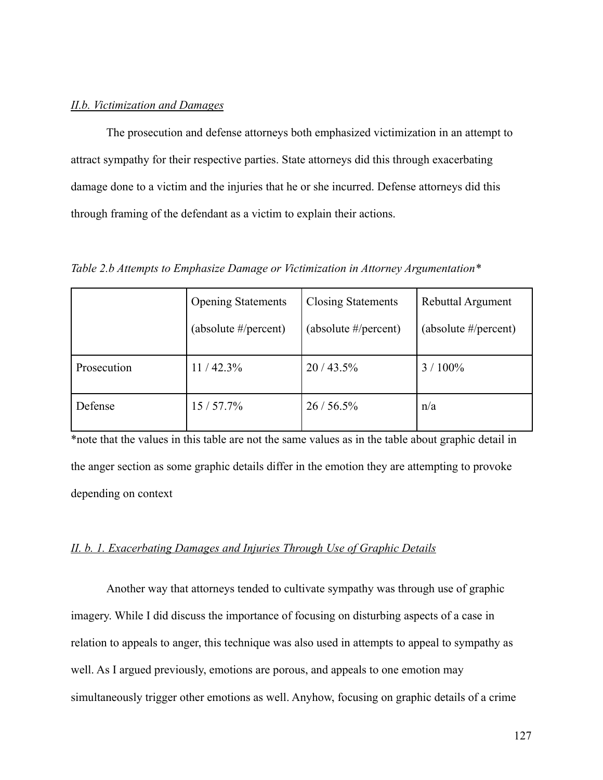#### *II.b. Victimization and Damages*

The prosecution and defense attorneys both emphasized victimization in an attempt to attract sympathy for their respective parties. State attorneys did this through exacerbating damage done to a victim and the injuries that he or she incurred. Defense attorneys did this through framing of the defendant as a victim to explain their actions.

*Table 2.b Attempts to Emphasize Damage or Victimization in Attorney Argumentation\**

|             | <b>Closing Statements</b><br><b>Opening Statements</b><br>(absolute #/percent)<br>(absolute #/percent) |          | Rebuttal Argument<br>(absolute #/percent) |  |
|-------------|--------------------------------------------------------------------------------------------------------|----------|-------------------------------------------|--|
|             |                                                                                                        |          |                                           |  |
| Prosecution | $11/42.3\%$                                                                                            | 20/43.5% | $3/100\%$                                 |  |
| Defense     | $15/57.7\%$                                                                                            | 26/56.5% | n/a                                       |  |

\*note that the values in this table are not the same values as in the table about graphic detail in the anger section as some graphic details differ in the emotion they are attempting to provoke depending on context

### *II. b. 1. Exacerbating Damages and Injuries Through Use of Graphic Details*

Another way that attorneys tended to cultivate sympathy was through use of graphic imagery. While I did discuss the importance of focusing on disturbing aspects of a case in relation to appeals to anger, this technique was also used in attempts to appeal to sympathy as well. As I argued previously, emotions are porous, and appeals to one emotion may simultaneously trigger other emotions as well. Anyhow, focusing on graphic details of a crime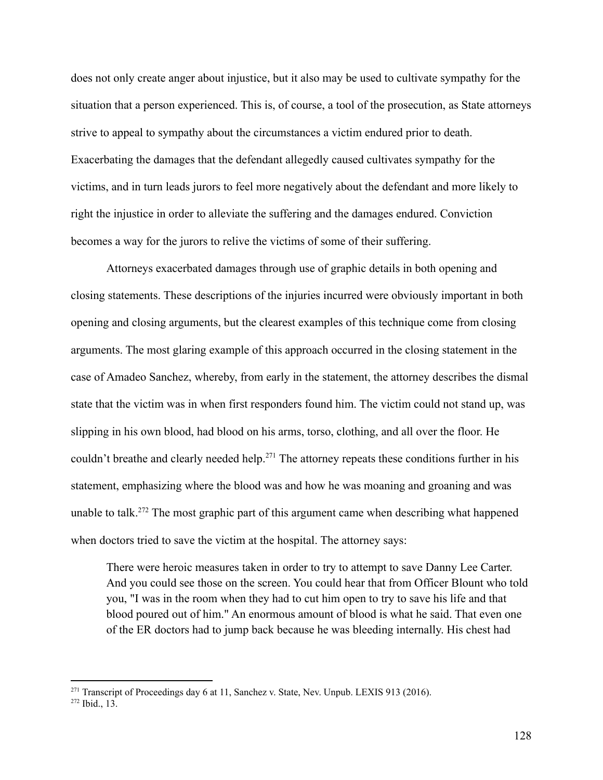does not only create anger about injustice, but it also may be used to cultivate sympathy for the situation that a person experienced. This is, of course, a tool of the prosecution, as State attorneys strive to appeal to sympathy about the circumstances a victim endured prior to death. Exacerbating the damages that the defendant allegedly caused cultivates sympathy for the victims, and in turn leads jurors to feel more negatively about the defendant and more likely to right the injustice in order to alleviate the suffering and the damages endured. Conviction becomes a way for the jurors to relive the victims of some of their suffering.

Attorneys exacerbated damages through use of graphic details in both opening and closing statements. These descriptions of the injuries incurred were obviously important in both opening and closing arguments, but the clearest examples of this technique come from closing arguments. The most glaring example of this approach occurred in the closing statement in the case of Amadeo Sanchez, whereby, from early in the statement, the attorney describes the dismal state that the victim was in when first responders found him. The victim could not stand up, was slipping in his own blood, had blood on his arms, torso, clothing, and all over the floor. He couldn't breathe and clearly needed help.<sup>271</sup> The attorney repeats these conditions further in his statement, emphasizing where the blood was and how he was moaning and groaning and was unable to talk.<sup>272</sup> The most graphic part of this argument came when describing what happened when doctors tried to save the victim at the hospital. The attorney says:

There were heroic measures taken in order to try to attempt to save Danny Lee Carter. And you could see those on the screen. You could hear that from Officer Blount who told you, "I was in the room when they had to cut him open to try to save his life and that blood poured out of him." An enormous amount of blood is what he said. That even one of the ER doctors had to jump back because he was bleeding internally. His chest had

<sup>&</sup>lt;sup>271</sup> Transcript of Proceedings day 6 at 11, Sanchez v. State, Nev. Unpub. LEXIS 913 (2016).

<sup>272</sup> Ibid., 13.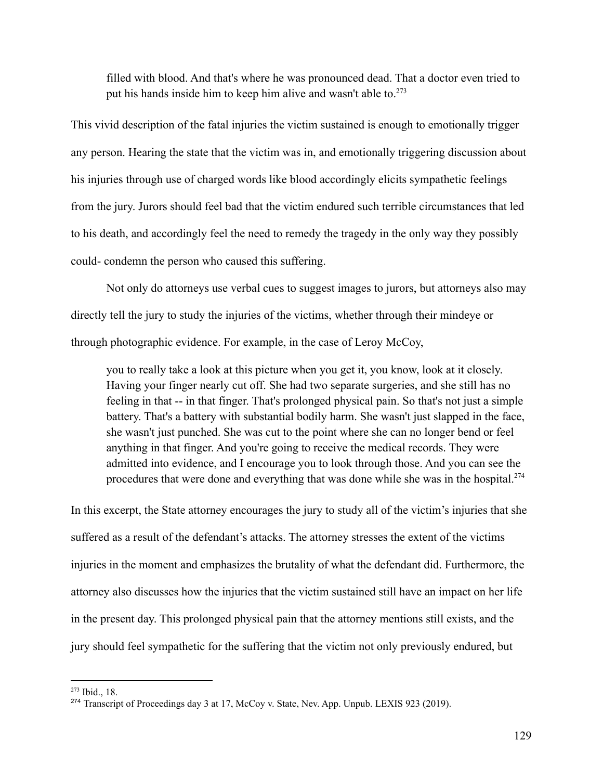filled with blood. And that's where he was pronounced dead. That a doctor even tried to put his hands inside him to keep him alive and wasn't able to.<sup>273</sup>

This vivid description of the fatal injuries the victim sustained is enough to emotionally trigger any person. Hearing the state that the victim was in, and emotionally triggering discussion about his injuries through use of charged words like blood accordingly elicits sympathetic feelings from the jury. Jurors should feel bad that the victim endured such terrible circumstances that led to his death, and accordingly feel the need to remedy the tragedy in the only way they possibly could- condemn the person who caused this suffering.

Not only do attorneys use verbal cues to suggest images to jurors, but attorneys also may directly tell the jury to study the injuries of the victims, whether through their mindeye or through photographic evidence. For example, in the case of Leroy McCoy,

you to really take a look at this picture when you get it, you know, look at it closely. Having your finger nearly cut off. She had two separate surgeries, and she still has no feeling in that -- in that finger. That's prolonged physical pain. So that's not just a simple battery. That's a battery with substantial bodily harm. She wasn't just slapped in the face, she wasn't just punched. She was cut to the point where she can no longer bend or feel anything in that finger. And you're going to receive the medical records. They were admitted into evidence, and I encourage you to look through those. And you can see the procedures that were done and everything that was done while she was in the hospital.<sup>274</sup>

In this excerpt, the State attorney encourages the jury to study all of the victim's injuries that she suffered as a result of the defendant's attacks. The attorney stresses the extent of the victims injuries in the moment and emphasizes the brutality of what the defendant did. Furthermore, the attorney also discusses how the injuries that the victim sustained still have an impact on her life in the present day. This prolonged physical pain that the attorney mentions still exists, and the jury should feel sympathetic for the suffering that the victim not only previously endured, but

<sup>273</sup> Ibid., 18.

<sup>&</sup>lt;sup>274</sup> Transcript of Proceedings day 3 at 17, McCoy v. State, Nev. App. Unpub. LEXIS 923 (2019).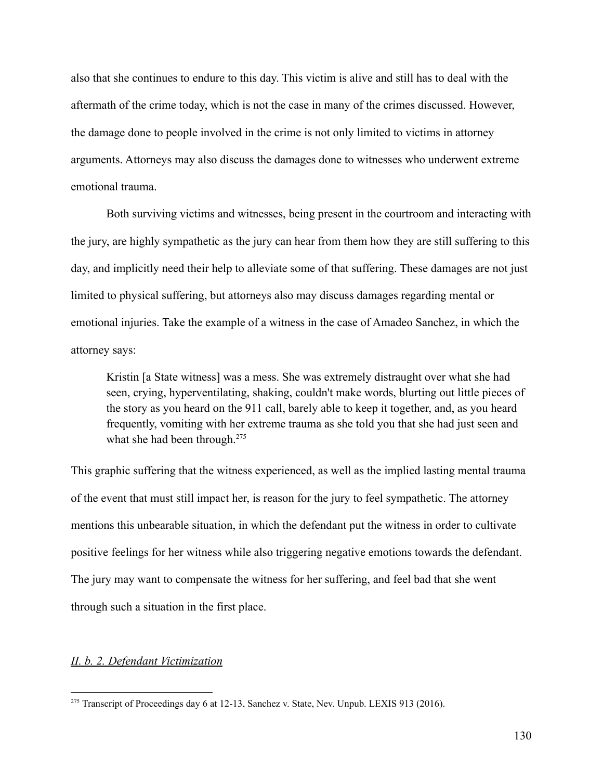also that she continues to endure to this day. This victim is alive and still has to deal with the aftermath of the crime today, which is not the case in many of the crimes discussed. However, the damage done to people involved in the crime is not only limited to victims in attorney arguments. Attorneys may also discuss the damages done to witnesses who underwent extreme emotional trauma.

Both surviving victims and witnesses, being present in the courtroom and interacting with the jury, are highly sympathetic as the jury can hear from them how they are still suffering to this day, and implicitly need their help to alleviate some of that suffering. These damages are not just limited to physical suffering, but attorneys also may discuss damages regarding mental or emotional injuries. Take the example of a witness in the case of Amadeo Sanchez, in which the attorney says:

Kristin [a State witness] was a mess. She was extremely distraught over what she had seen, crying, hyperventilating, shaking, couldn't make words, blurting out little pieces of the story as you heard on the 911 call, barely able to keep it together, and, as you heard frequently, vomiting with her extreme trauma as she told you that she had just seen and what she had been through.<sup>275</sup>

This graphic suffering that the witness experienced, as well as the implied lasting mental trauma of the event that must still impact her, is reason for the jury to feel sympathetic. The attorney mentions this unbearable situation, in which the defendant put the witness in order to cultivate positive feelings for her witness while also triggering negative emotions towards the defendant. The jury may want to compensate the witness for her suffering, and feel bad that she went through such a situation in the first place.

#### *II. b. 2. Defendant Victimization*

<sup>&</sup>lt;sup>275</sup> Transcript of Proceedings day 6 at 12-13, Sanchez v. State, Nev. Unpub. LEXIS 913 (2016).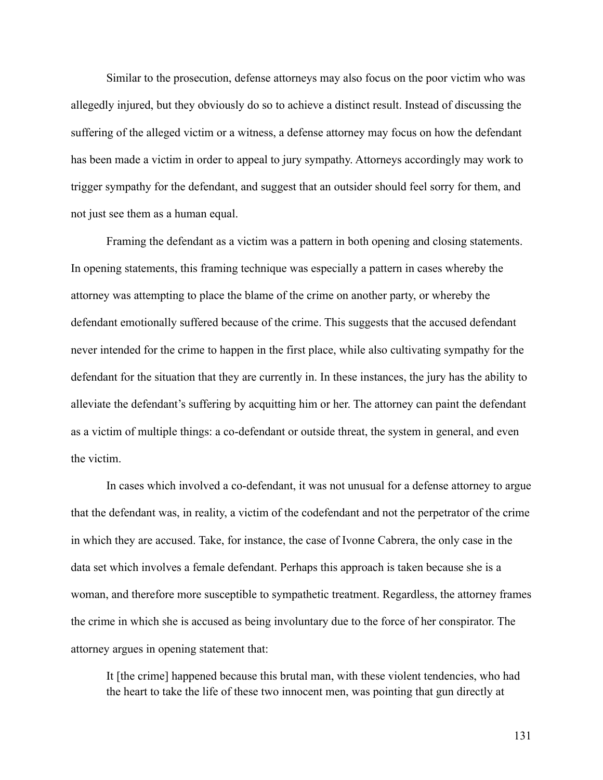Similar to the prosecution, defense attorneys may also focus on the poor victim who was allegedly injured, but they obviously do so to achieve a distinct result. Instead of discussing the suffering of the alleged victim or a witness, a defense attorney may focus on how the defendant has been made a victim in order to appeal to jury sympathy. Attorneys accordingly may work to trigger sympathy for the defendant, and suggest that an outsider should feel sorry for them, and not just see them as a human equal.

Framing the defendant as a victim was a pattern in both opening and closing statements. In opening statements, this framing technique was especially a pattern in cases whereby the attorney was attempting to place the blame of the crime on another party, or whereby the defendant emotionally suffered because of the crime. This suggests that the accused defendant never intended for the crime to happen in the first place, while also cultivating sympathy for the defendant for the situation that they are currently in. In these instances, the jury has the ability to alleviate the defendant's suffering by acquitting him or her. The attorney can paint the defendant as a victim of multiple things: a co-defendant or outside threat, the system in general, and even the victim.

In cases which involved a co-defendant, it was not unusual for a defense attorney to argue that the defendant was, in reality, a victim of the codefendant and not the perpetrator of the crime in which they are accused. Take, for instance, the case of Ivonne Cabrera, the only case in the data set which involves a female defendant. Perhaps this approach is taken because she is a woman, and therefore more susceptible to sympathetic treatment. Regardless, the attorney frames the crime in which she is accused as being involuntary due to the force of her conspirator. The attorney argues in opening statement that:

It [the crime] happened because this brutal man, with these violent tendencies, who had the heart to take the life of these two innocent men, was pointing that gun directly at

131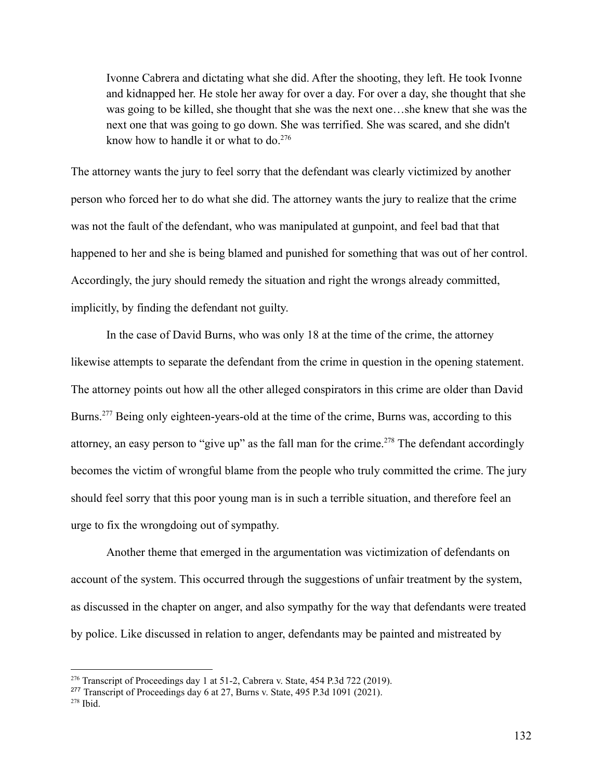Ivonne Cabrera and dictating what she did. After the shooting, they left. He took Ivonne and kidnapped her. He stole her away for over a day. For over a day, she thought that she was going to be killed, she thought that she was the next one…she knew that she was the next one that was going to go down. She was terrified. She was scared, and she didn't know how to handle it or what to do.<sup>276</sup>

The attorney wants the jury to feel sorry that the defendant was clearly victimized by another person who forced her to do what she did. The attorney wants the jury to realize that the crime was not the fault of the defendant, who was manipulated at gunpoint, and feel bad that that happened to her and she is being blamed and punished for something that was out of her control. Accordingly, the jury should remedy the situation and right the wrongs already committed, implicitly, by finding the defendant not guilty.

In the case of David Burns, who was only 18 at the time of the crime, the attorney likewise attempts to separate the defendant from the crime in question in the opening statement. The attorney points out how all the other alleged conspirators in this crime are older than David Burns.<sup>277</sup> Being only eighteen-years-old at the time of the crime, Burns was, according to this attorney, an easy person to "give up" as the fall man for the crime.<sup>278</sup> The defendant accordingly becomes the victim of wrongful blame from the people who truly committed the crime. The jury should feel sorry that this poor young man is in such a terrible situation, and therefore feel an urge to fix the wrongdoing out of sympathy.

Another theme that emerged in the argumentation was victimization of defendants on account of the system. This occurred through the suggestions of unfair treatment by the system, as discussed in the chapter on anger, and also sympathy for the way that defendants were treated by police. Like discussed in relation to anger, defendants may be painted and mistreated by

<sup>276</sup> Transcript of Proceedings day 1 at 51-2, Cabrera v. State, 454 P.3d 722 (2019).

<sup>&</sup>lt;sup>277</sup> Transcript of Proceedings day 6 at 27, Burns v. State, 495 P.3d 1091 (2021).

<sup>278</sup> Ibid.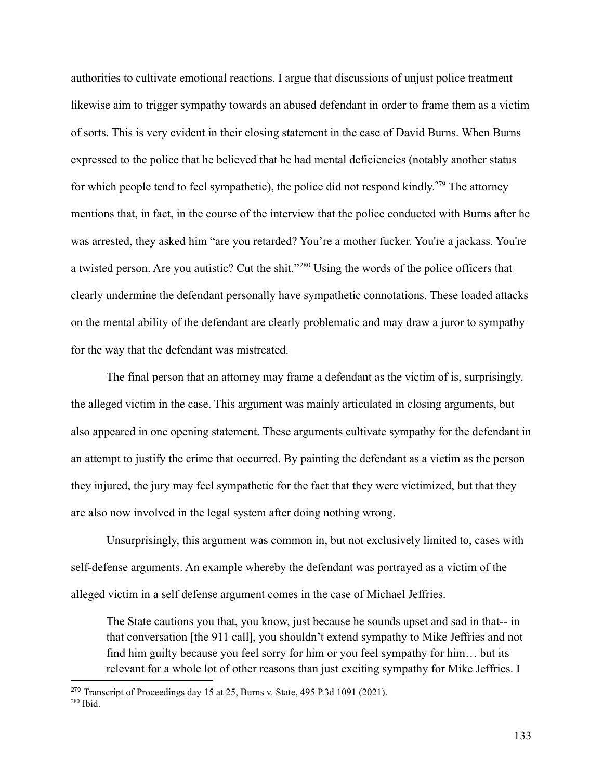authorities to cultivate emotional reactions. I argue that discussions of unjust police treatment likewise aim to trigger sympathy towards an abused defendant in order to frame them as a victim of sorts. This is very evident in their closing statement in the case of David Burns. When Burns expressed to the police that he believed that he had mental deficiencies (notably another status for which people tend to feel sympathetic), the police did not respond kindly.<sup>279</sup> The attorney mentions that, in fact, in the course of the interview that the police conducted with Burns after he was arrested, they asked him "are you retarded? You're a mother fucker. You're a jackass. You're a twisted person. Are you autistic? Cut the shit."<sup>280</sup> Using the words of the police officers that clearly undermine the defendant personally have sympathetic connotations. These loaded attacks on the mental ability of the defendant are clearly problematic and may draw a juror to sympathy for the way that the defendant was mistreated.

The final person that an attorney may frame a defendant as the victim of is, surprisingly, the alleged victim in the case. This argument was mainly articulated in closing arguments, but also appeared in one opening statement. These arguments cultivate sympathy for the defendant in an attempt to justify the crime that occurred. By painting the defendant as a victim as the person they injured, the jury may feel sympathetic for the fact that they were victimized, but that they are also now involved in the legal system after doing nothing wrong.

Unsurprisingly, this argument was common in, but not exclusively limited to, cases with self-defense arguments. An example whereby the defendant was portrayed as a victim of the alleged victim in a self defense argument comes in the case of Michael Jeffries.

The State cautions you that, you know, just because he sounds upset and sad in that-- in that conversation [the 911 call], you shouldn't extend sympathy to Mike Jeffries and not find him guilty because you feel sorry for him or you feel sympathy for him… but its relevant for a whole lot of other reasons than just exciting sympathy for Mike Jeffries. I

 $279$  Transcript of Proceedings day 15 at 25, Burns v. State, 495 P.3d 1091 (2021).

<sup>280</sup> Ibid.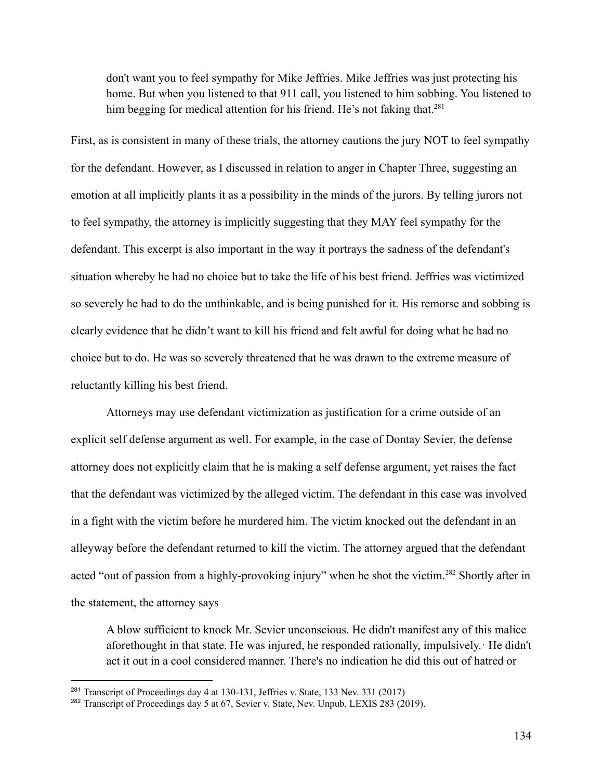don't want you to feel sympathy for Mike Jeffries. Mike Jeffries was just protecting his home. But when you listened to that 911 call, you listened to him sobbing. You listened to him begging for medical attention for his friend. He's not faking that.<sup>281</sup>

First, as is consistent in many of these trials, the attorney cautions the jury NOT to feel sympathy for the defendant. However, as I discussed in relation to anger in Chapter Three, suggesting an emotion at all implicitly plants it as a possibility in the minds of the jurors. By telling jurors not to feel sympathy, the attorney is implicitly suggesting that they MAY feel sympathy for the defendant. This excerpt is also important in the way it portrays the sadness of the defendant's situation whereby he had no choice but to take the life of his best friend. Jeffries was victimized so severely he had to do the unthinkable, and is being punished for it. His remorse and sobbing is clearly evidence that he didn't want to kill his friend and felt awful for doing what he had no choice but to do. He was so severely threatened that he was drawn to the extreme measure of reluctantly killing his best friend.

Attorneys may use defendant victimization as justification for a crime outside of an explicit self defense argument as well. For example, in the case of Dontay Sevier, the defense attorney does not explicitly claim that he is making a self defense argument, yet raises the fact that the defendant was victimized by the alleged victim. The defendant in this case was involved in a fight with the victim before he murdered him. The victim knocked out the defendant in an alleyway before the defendant returned to kill the victim. The attorney argued that the defendant acted "out of passion from a highly-provoking injury" when he shot the victim.<sup>282</sup> Shortly after in the statement, the attorney says

A blow sufficient to knock Mr. Sevier unconscious. He didn't manifest any of this malice aforethought in that state. He was injured, he responded rationally, impulsively.· He didn't act it out in a cool considered manner. There's no indication he did this out of hatred or

<sup>&</sup>lt;sup>281</sup> Transcript of Proceedings day 4 at 130-131, Jeffries v. State, 133 Nev. 331 (2017)

<sup>&</sup>lt;sup>282</sup> Transcript of Proceedings day 5 at 67, Sevier v. State, Nev. Unpub. LEXIS 283 (2019).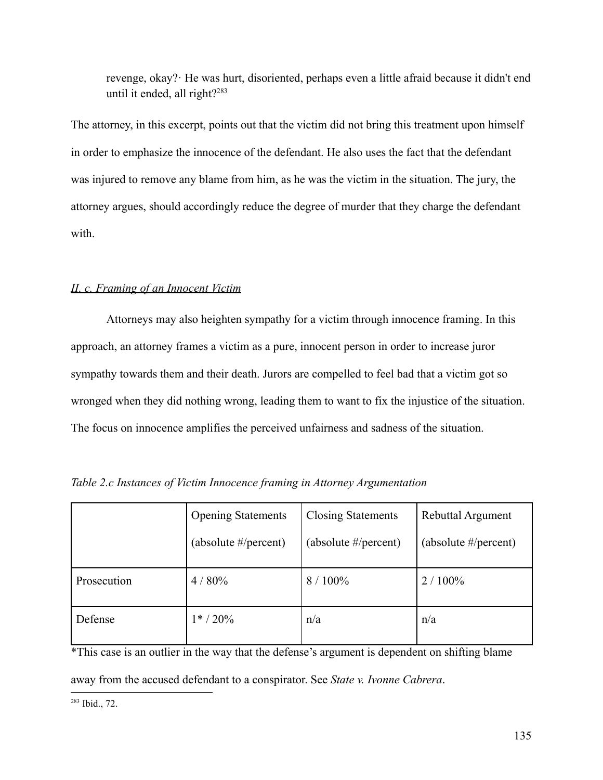revenge, okay?· He was hurt, disoriented, perhaps even a little afraid because it didn't end until it ended, all right? $283$ 

The attorney, in this excerpt, points out that the victim did not bring this treatment upon himself in order to emphasize the innocence of the defendant. He also uses the fact that the defendant was injured to remove any blame from him, as he was the victim in the situation. The jury, the attorney argues, should accordingly reduce the degree of murder that they charge the defendant with.

## *II. c. Framing of an Innocent Victim*

Attorneys may also heighten sympathy for a victim through innocence framing. In this approach, an attorney frames a victim as a pure, innocent person in order to increase juror sympathy towards them and their death. Jurors are compelled to feel bad that a victim got so wronged when they did nothing wrong, leading them to want to fix the injustice of the situation. The focus on innocence amplifies the perceived unfairness and sadness of the situation.

|             | <b>Closing Statements</b><br><b>Opening Statements</b> |                      | Rebuttal Argument    |  |
|-------------|--------------------------------------------------------|----------------------|----------------------|--|
|             | (absolute #/percent)                                   | (absolute #/percent) | (absolute #/percent) |  |
| Prosecution | 4/80%                                                  | $8/100\%$            | 2/100%               |  |
| Defense     | $1* / 20\%$                                            | n/a                  | n/a                  |  |

*Table 2.c Instances of Victim Innocence framing in Attorney Argumentation*

\*This case is an outlier in the way that the defense's argument is dependent on shifting blame

away from the accused defendant to a conspirator. See *State v. Ivonne Cabrera*.

<sup>283</sup> Ibid., 72.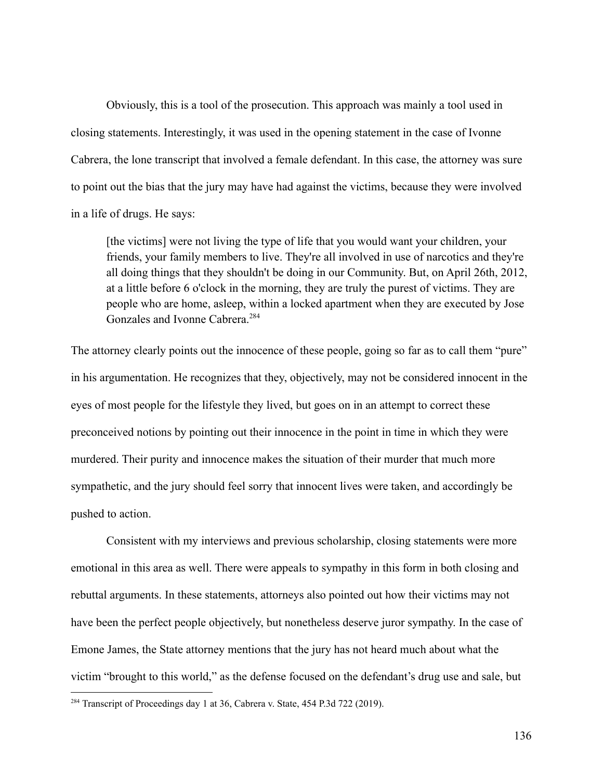Obviously, this is a tool of the prosecution. This approach was mainly a tool used in closing statements. Interestingly, it was used in the opening statement in the case of Ivonne Cabrera, the lone transcript that involved a female defendant. In this case, the attorney was sure to point out the bias that the jury may have had against the victims, because they were involved in a life of drugs. He says:

[the victims] were not living the type of life that you would want your children, your friends, your family members to live. They're all involved in use of narcotics and they're all doing things that they shouldn't be doing in our Community. But, on April 26th, 2012, at a little before 6 o'clock in the morning, they are truly the purest of victims. They are people who are home, asleep, within a locked apartment when they are executed by Jose Gonzales and Ivonne Cabrera.<sup>284</sup>

The attorney clearly points out the innocence of these people, going so far as to call them "pure" in his argumentation. He recognizes that they, objectively, may not be considered innocent in the eyes of most people for the lifestyle they lived, but goes on in an attempt to correct these preconceived notions by pointing out their innocence in the point in time in which they were murdered. Their purity and innocence makes the situation of their murder that much more sympathetic, and the jury should feel sorry that innocent lives were taken, and accordingly be pushed to action.

Consistent with my interviews and previous scholarship, closing statements were more emotional in this area as well. There were appeals to sympathy in this form in both closing and rebuttal arguments. In these statements, attorneys also pointed out how their victims may not have been the perfect people objectively, but nonetheless deserve juror sympathy. In the case of Emone James, the State attorney mentions that the jury has not heard much about what the victim "brought to this world," as the defense focused on the defendant's drug use and sale, but

<sup>&</sup>lt;sup>284</sup> Transcript of Proceedings day 1 at 36, Cabrera v. State, 454 P.3d 722 (2019).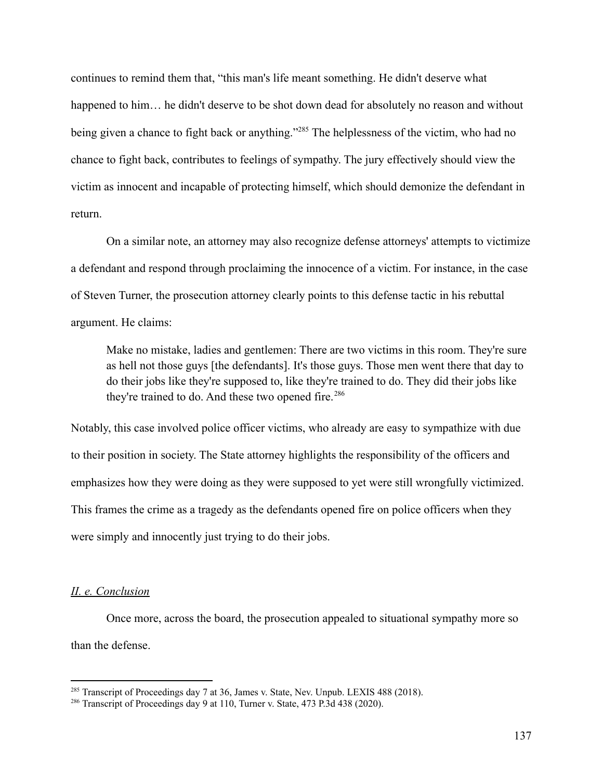continues to remind them that, "this man's life meant something. He didn't deserve what happened to him... he didn't deserve to be shot down dead for absolutely no reason and without being given a chance to fight back or anything."<sup>285</sup> The helplessness of the victim, who had no chance to fight back, contributes to feelings of sympathy. The jury effectively should view the victim as innocent and incapable of protecting himself, which should demonize the defendant in return.

On a similar note, an attorney may also recognize defense attorneys' attempts to victimize a defendant and respond through proclaiming the innocence of a victim. For instance, in the case of Steven Turner, the prosecution attorney clearly points to this defense tactic in his rebuttal argument. He claims:

Make no mistake, ladies and gentlemen: There are two victims in this room. They're sure as hell not those guys [the defendants]. It's those guys. Those men went there that day to do their jobs like they're supposed to, like they're trained to do. They did their jobs like they're trained to do. And these two opened fire.<sup>286</sup>

Notably, this case involved police officer victims, who already are easy to sympathize with due to their position in society. The State attorney highlights the responsibility of the officers and emphasizes how they were doing as they were supposed to yet were still wrongfully victimized. This frames the crime as a tragedy as the defendants opened fire on police officers when they were simply and innocently just trying to do their jobs.

#### *II. e. Conclusion*

Once more, across the board, the prosecution appealed to situational sympathy more so than the defense.

<sup>&</sup>lt;sup>285</sup> Transcript of Proceedings day 7 at 36, James v. State, Nev. Unpub. LEXIS 488 (2018).

<sup>286</sup> Transcript of Proceedings day 9 at 110, Turner v. State, 473 P.3d 438 (2020).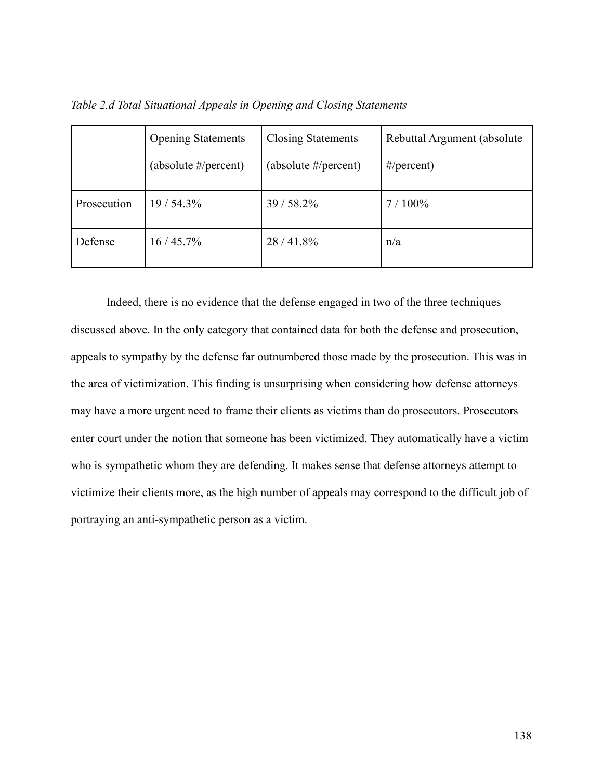|             | <b>Opening Statements</b> | <b>Closing Statements</b> | Rebuttal Argument (absolute) |
|-------------|---------------------------|---------------------------|------------------------------|
|             | (absolute #/percent)      | (absolute #/percent)      | $\#/percent$ )               |
| Prosecution | 19/54.3%                  | $39/58.2\%$               | $7/100\%$                    |
| Defense     | 16/45.7%                  | 28/41.8%                  | n/a                          |

*Table 2.d Total Situational Appeals in Opening and Closing Statements*

Indeed, there is no evidence that the defense engaged in two of the three techniques discussed above. In the only category that contained data for both the defense and prosecution, appeals to sympathy by the defense far outnumbered those made by the prosecution. This was in the area of victimization. This finding is unsurprising when considering how defense attorneys may have a more urgent need to frame their clients as victims than do prosecutors. Prosecutors enter court under the notion that someone has been victimized. They automatically have a victim who is sympathetic whom they are defending. It makes sense that defense attorneys attempt to victimize their clients more, as the high number of appeals may correspond to the difficult job of portraying an anti-sympathetic person as a victim.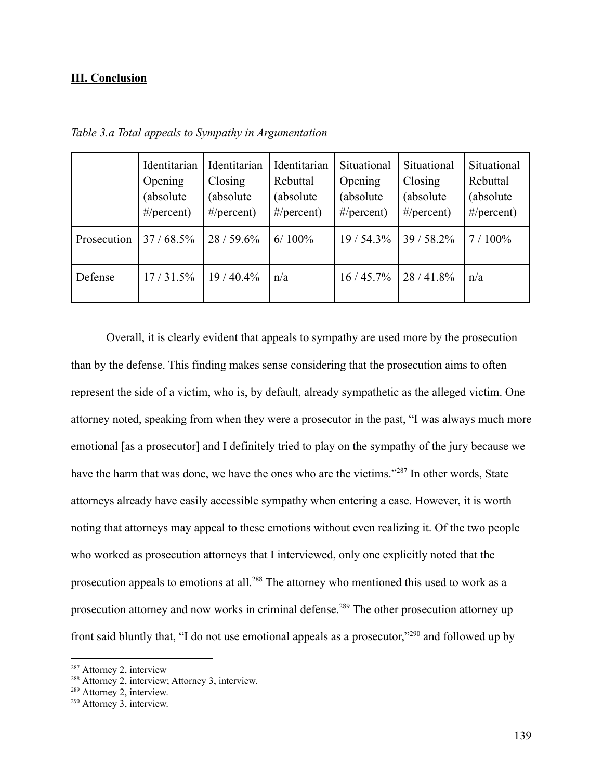#### **III. Conclusion**

|             | Identitarian<br>Opening<br>(absolute<br>$\#/percent$ ) | Identitarian<br>Closing<br>(absolute)<br>$\#/percent$ ) | Identitarian<br>Rebuttal<br>(absolute)<br>$\#/percent$ ) | Situational<br>Opening<br>(absolute)<br>$\#/percent$ ) | Situational<br>Closing<br>(absolute)<br>$\#/percent$ ) | Situational<br>Rebuttal<br>(absolute)<br>#/percent) |
|-------------|--------------------------------------------------------|---------------------------------------------------------|----------------------------------------------------------|--------------------------------------------------------|--------------------------------------------------------|-----------------------------------------------------|
| Prosecution | 37/68.5%                                               | 28/59.6%                                                | $6/100\%$                                                | $19/54.3\%$                                            | $39/58.2\%$                                            | $7/100\%$                                           |
| Defense     | 17/31.5%                                               | $19/40.4\%$                                             | n/a                                                      | $16/45.7\%$                                            | 28/41.8%                                               | n/a                                                 |

*Table 3.a Total appeals to Sympathy in Argumentation*

Overall, it is clearly evident that appeals to sympathy are used more by the prosecution than by the defense. This finding makes sense considering that the prosecution aims to often represent the side of a victim, who is, by default, already sympathetic as the alleged victim. One attorney noted, speaking from when they were a prosecutor in the past, "I was always much more emotional [as a prosecutor] and I definitely tried to play on the sympathy of the jury because we have the harm that was done, we have the ones who are the victims."<sup>287</sup> In other words, State attorneys already have easily accessible sympathy when entering a case. However, it is worth noting that attorneys may appeal to these emotions without even realizing it. Of the two people who worked as prosecution attorneys that I interviewed, only one explicitly noted that the prosecution appeals to emotions at all.<sup>288</sup> The attorney who mentioned this used to work as a prosecution attorney and now works in criminal defense.<sup>289</sup> The other prosecution attorney up front said bluntly that, "I do not use emotional appeals as a prosecutor,"<sup>290</sup> and followed up by

<sup>&</sup>lt;sup>287</sup> Attorney 2, interview

<sup>288</sup> Attorney 2, interview; Attorney 3, interview.

<sup>289</sup> Attorney 2, interview.

<sup>290</sup> Attorney 3, interview.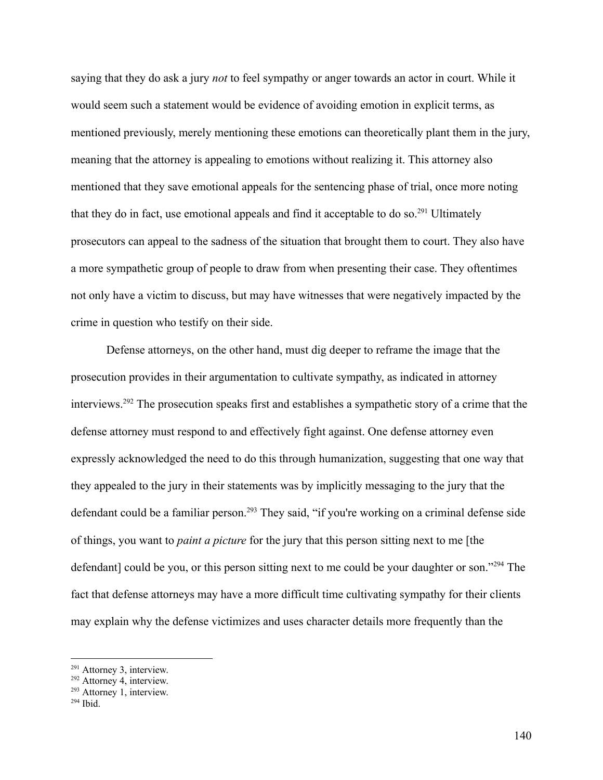saying that they do ask a jury *not* to feel sympathy or anger towards an actor in court. While it would seem such a statement would be evidence of avoiding emotion in explicit terms, as mentioned previously, merely mentioning these emotions can theoretically plant them in the jury, meaning that the attorney is appealing to emotions without realizing it. This attorney also mentioned that they save emotional appeals for the sentencing phase of trial, once more noting that they do in fact, use emotional appeals and find it acceptable to do so.<sup>291</sup> Ultimately prosecutors can appeal to the sadness of the situation that brought them to court. They also have a more sympathetic group of people to draw from when presenting their case. They oftentimes not only have a victim to discuss, but may have witnesses that were negatively impacted by the crime in question who testify on their side.

Defense attorneys, on the other hand, must dig deeper to reframe the image that the prosecution provides in their argumentation to cultivate sympathy, as indicated in attorney interviews.<sup>292</sup> The prosecution speaks first and establishes a sympathetic story of a crime that the defense attorney must respond to and effectively fight against. One defense attorney even expressly acknowledged the need to do this through humanization, suggesting that one way that they appealed to the jury in their statements was by implicitly messaging to the jury that the defendant could be a familiar person.<sup>293</sup> They said, "if you're working on a criminal defense side of things, you want to *paint a picture* for the jury that this person sitting next to me [the defendant] could be you, or this person sitting next to me could be your daughter or son."<sup>294</sup> The fact that defense attorneys may have a more difficult time cultivating sympathy for their clients may explain why the defense victimizes and uses character details more frequently than the

<sup>291</sup> Attorney 3, interview.

<sup>292</sup> Attorney 4, interview.

<sup>&</sup>lt;sup>293</sup> Attorney 1, interview.

<sup>294</sup> Ibid.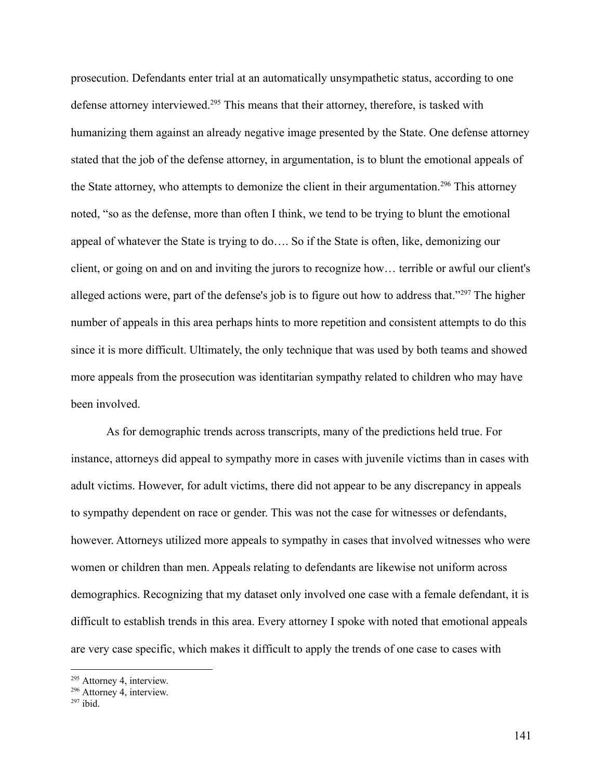prosecution. Defendants enter trial at an automatically unsympathetic status, according to one defense attorney interviewed.<sup>295</sup> This means that their attorney, therefore, is tasked with humanizing them against an already negative image presented by the State. One defense attorney stated that the job of the defense attorney, in argumentation, is to blunt the emotional appeals of the State attorney, who attempts to demonize the client in their argumentation.<sup>296</sup> This attorney noted, "so as the defense, more than often I think, we tend to be trying to blunt the emotional appeal of whatever the State is trying to do…. So if the State is often, like, demonizing our client, or going on and on and inviting the jurors to recognize how… terrible or awful our client's alleged actions were, part of the defense's job is to figure out how to address that."<sup>297</sup> The higher number of appeals in this area perhaps hints to more repetition and consistent attempts to do this since it is more difficult. Ultimately, the only technique that was used by both teams and showed more appeals from the prosecution was identitarian sympathy related to children who may have been involved.

As for demographic trends across transcripts, many of the predictions held true. For instance, attorneys did appeal to sympathy more in cases with juvenile victims than in cases with adult victims. However, for adult victims, there did not appear to be any discrepancy in appeals to sympathy dependent on race or gender. This was not the case for witnesses or defendants, however. Attorneys utilized more appeals to sympathy in cases that involved witnesses who were women or children than men. Appeals relating to defendants are likewise not uniform across demographics. Recognizing that my dataset only involved one case with a female defendant, it is difficult to establish trends in this area. Every attorney I spoke with noted that emotional appeals are very case specific, which makes it difficult to apply the trends of one case to cases with

<sup>295</sup> Attorney 4, interview.

<sup>296</sup> Attorney 4, interview.

<sup>297</sup> ibid.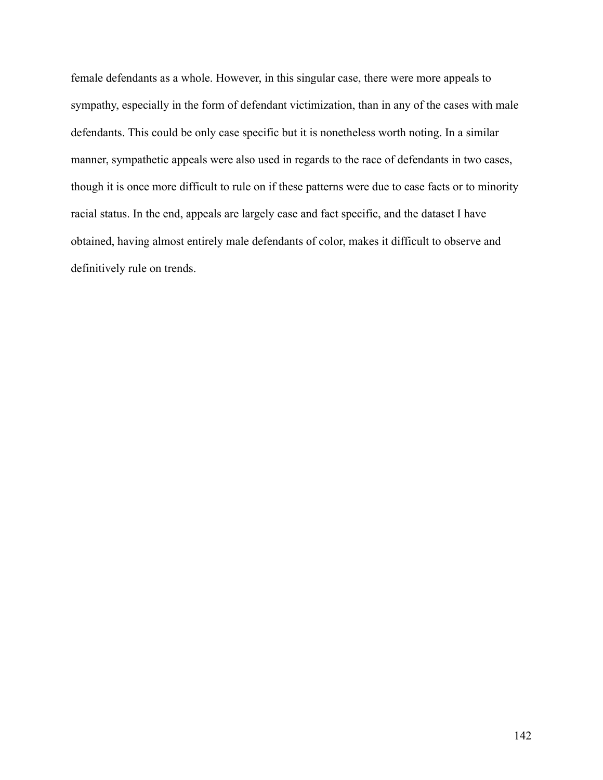female defendants as a whole. However, in this singular case, there were more appeals to sympathy, especially in the form of defendant victimization, than in any of the cases with male defendants. This could be only case specific but it is nonetheless worth noting. In a similar manner, sympathetic appeals were also used in regards to the race of defendants in two cases, though it is once more difficult to rule on if these patterns were due to case facts or to minority racial status. In the end, appeals are largely case and fact specific, and the dataset I have obtained, having almost entirely male defendants of color, makes it difficult to observe and definitively rule on trends.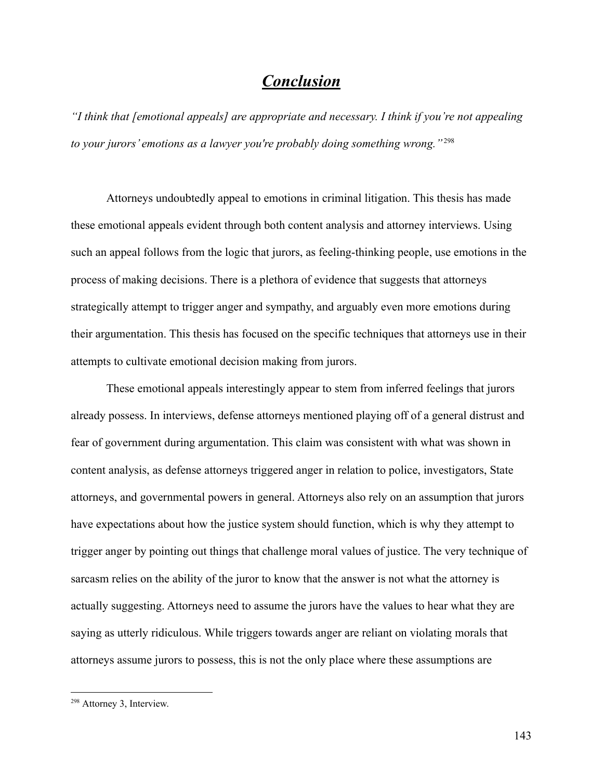## *Conclusion*

*"I think that [emotional appeals] are appropriate and necessary. I think if you're not appealing to your jurors' emotions as a lawyer you're probably doing something wrong."*<sup>298</sup>

Attorneys undoubtedly appeal to emotions in criminal litigation. This thesis has made these emotional appeals evident through both content analysis and attorney interviews. Using such an appeal follows from the logic that jurors, as feeling-thinking people, use emotions in the process of making decisions. There is a plethora of evidence that suggests that attorneys strategically attempt to trigger anger and sympathy, and arguably even more emotions during their argumentation. This thesis has focused on the specific techniques that attorneys use in their attempts to cultivate emotional decision making from jurors.

These emotional appeals interestingly appear to stem from inferred feelings that jurors already possess. In interviews, defense attorneys mentioned playing off of a general distrust and fear of government during argumentation. This claim was consistent with what was shown in content analysis, as defense attorneys triggered anger in relation to police, investigators, State attorneys, and governmental powers in general. Attorneys also rely on an assumption that jurors have expectations about how the justice system should function, which is why they attempt to trigger anger by pointing out things that challenge moral values of justice. The very technique of sarcasm relies on the ability of the juror to know that the answer is not what the attorney is actually suggesting. Attorneys need to assume the jurors have the values to hear what they are saying as utterly ridiculous. While triggers towards anger are reliant on violating morals that attorneys assume jurors to possess, this is not the only place where these assumptions are

<sup>298</sup> Attorney 3, Interview.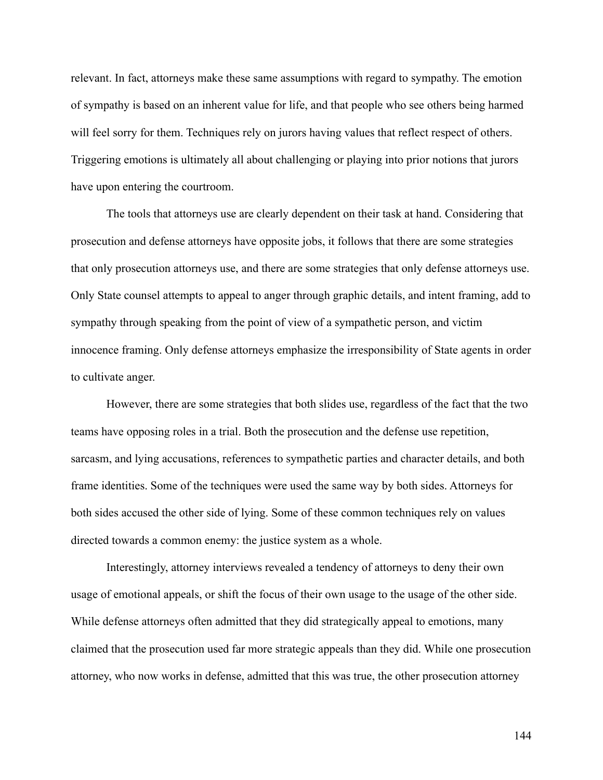relevant. In fact, attorneys make these same assumptions with regard to sympathy. The emotion of sympathy is based on an inherent value for life, and that people who see others being harmed will feel sorry for them. Techniques rely on jurors having values that reflect respect of others. Triggering emotions is ultimately all about challenging or playing into prior notions that jurors have upon entering the courtroom.

The tools that attorneys use are clearly dependent on their task at hand. Considering that prosecution and defense attorneys have opposite jobs, it follows that there are some strategies that only prosecution attorneys use, and there are some strategies that only defense attorneys use. Only State counsel attempts to appeal to anger through graphic details, and intent framing, add to sympathy through speaking from the point of view of a sympathetic person, and victim innocence framing. Only defense attorneys emphasize the irresponsibility of State agents in order to cultivate anger.

However, there are some strategies that both slides use, regardless of the fact that the two teams have opposing roles in a trial. Both the prosecution and the defense use repetition, sarcasm, and lying accusations, references to sympathetic parties and character details, and both frame identities. Some of the techniques were used the same way by both sides. Attorneys for both sides accused the other side of lying. Some of these common techniques rely on values directed towards a common enemy: the justice system as a whole.

Interestingly, attorney interviews revealed a tendency of attorneys to deny their own usage of emotional appeals, or shift the focus of their own usage to the usage of the other side. While defense attorneys often admitted that they did strategically appeal to emotions, many claimed that the prosecution used far more strategic appeals than they did. While one prosecution attorney, who now works in defense, admitted that this was true, the other prosecution attorney

144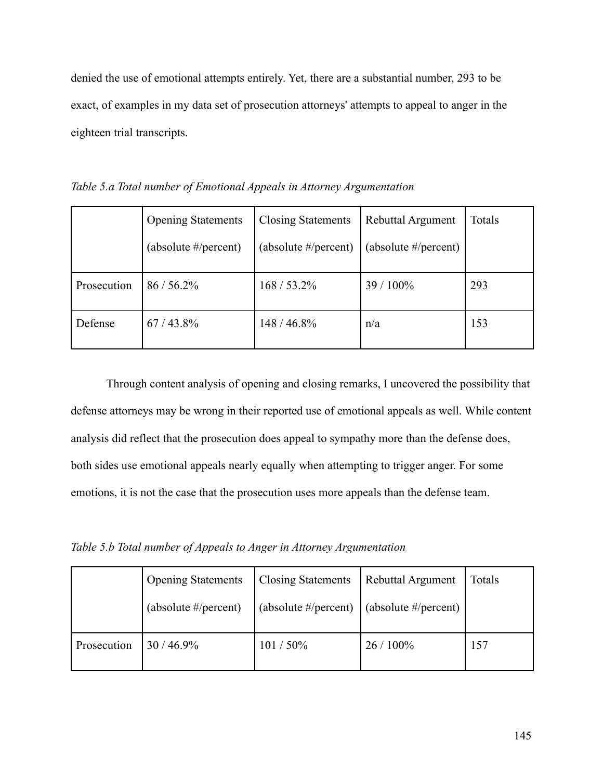denied the use of emotional attempts entirely. Yet, there are a substantial number, 293 to be exact, of examples in my data set of prosecution attorneys' attempts to appeal to anger in the eighteen trial transcripts.

|             | <b>Opening Statements</b> | <b>Closing Statements</b> | Rebuttal Argument    | Totals |
|-------------|---------------------------|---------------------------|----------------------|--------|
|             | (absolute #/percent)      | (absolute #/percent)      | (absolute #/percent) |        |
| Prosecution | $86/56.2\%$               | $168/53.2\%$              | 39 / 100%            | 293    |
| Defense     | $67/43.8\%$               | $148/46.8\%$              | n/a                  | 153    |

*Table 5.a Total number of Emotional Appeals in Attorney Argumentation*

Through content analysis of opening and closing remarks, I uncovered the possibility that defense attorneys may be wrong in their reported use of emotional appeals as well. While content analysis did reflect that the prosecution does appeal to sympathy more than the defense does, both sides use emotional appeals nearly equally when attempting to trigger anger. For some emotions, it is not the case that the prosecution uses more appeals than the defense team.

*Table 5.b Total number of Appeals to Anger in Attorney Argumentation*

|             | <b>Opening Statements</b> | <b>Closing Statements</b> | Rebuttal Argument    | Totals |
|-------------|---------------------------|---------------------------|----------------------|--------|
|             | (absolute #/percent)      | (absolute #/percent)      | (absolute #/percent) |        |
| Prosecution | $30/46.9\%$               | $101 / 50\%$              | $26/100\%$           | 157    |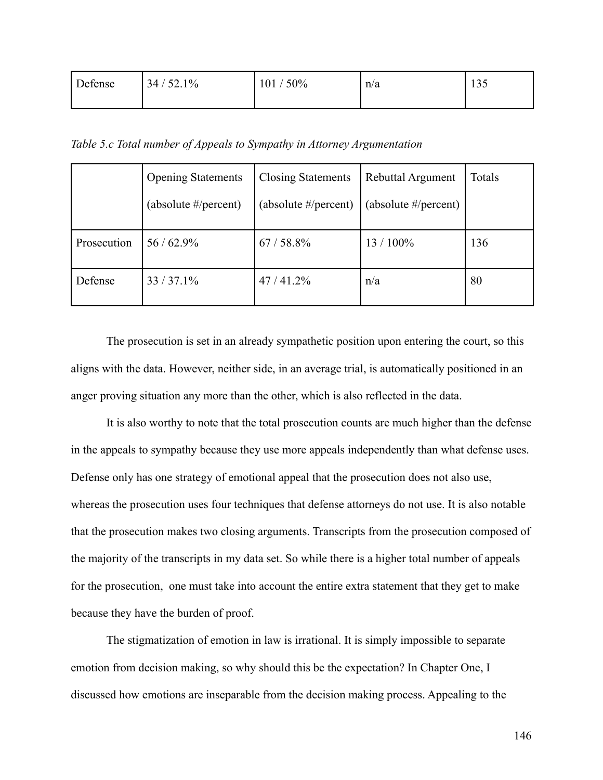| Defense | 52<br>52.1%<br>34 <sub>1</sub><br>ب | 50%<br>101 | n/a | $\sim$ $\sim$<br>1 J J |
|---------|-------------------------------------|------------|-----|------------------------|
|         |                                     |            |     |                        |

*Table 5.c Total number of Appeals to Sympathy in Attorney Argumentation*

|             | <b>Opening Statements</b> | <b>Closing Statements</b> | <b>Rebuttal Argument</b> | Totals |
|-------------|---------------------------|---------------------------|--------------------------|--------|
|             | (absolute #/percent)      | (absolute #/percent)      | (absolute #/percent)     |        |
| Prosecution | 56/62.9%                  | $67/58.8\%$               | 13 / 100%                | 136    |
| Defense     | 33/37.1%                  | 47/41.2%                  | n/a                      | 80     |

The prosecution is set in an already sympathetic position upon entering the court, so this aligns with the data. However, neither side, in an average trial, is automatically positioned in an anger proving situation any more than the other, which is also reflected in the data.

It is also worthy to note that the total prosecution counts are much higher than the defense in the appeals to sympathy because they use more appeals independently than what defense uses. Defense only has one strategy of emotional appeal that the prosecution does not also use, whereas the prosecution uses four techniques that defense attorneys do not use. It is also notable that the prosecution makes two closing arguments. Transcripts from the prosecution composed of the majority of the transcripts in my data set. So while there is a higher total number of appeals for the prosecution, one must take into account the entire extra statement that they get to make because they have the burden of proof.

The stigmatization of emotion in law is irrational. It is simply impossible to separate emotion from decision making, so why should this be the expectation? In Chapter One, I discussed how emotions are inseparable from the decision making process. Appealing to the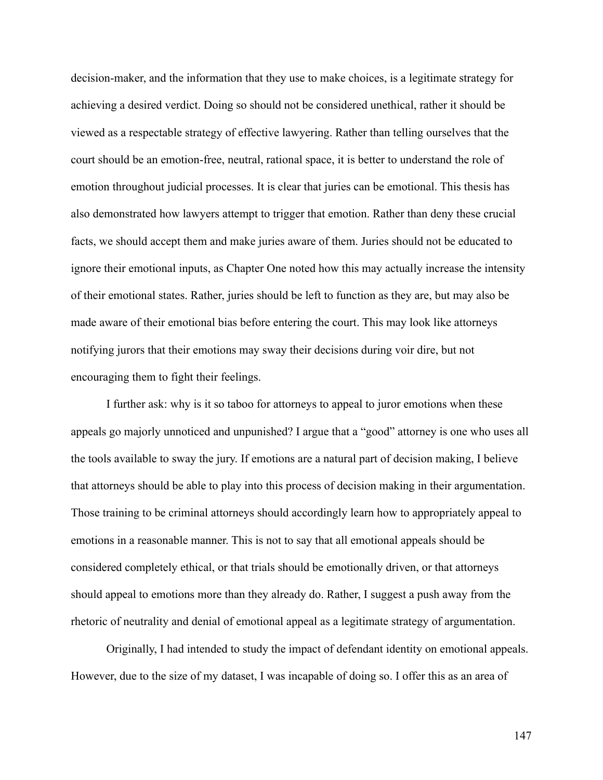decision-maker, and the information that they use to make choices, is a legitimate strategy for achieving a desired verdict. Doing so should not be considered unethical, rather it should be viewed as a respectable strategy of effective lawyering. Rather than telling ourselves that the court should be an emotion-free, neutral, rational space, it is better to understand the role of emotion throughout judicial processes. It is clear that juries can be emotional. This thesis has also demonstrated how lawyers attempt to trigger that emotion. Rather than deny these crucial facts, we should accept them and make juries aware of them. Juries should not be educated to ignore their emotional inputs, as Chapter One noted how this may actually increase the intensity of their emotional states. Rather, juries should be left to function as they are, but may also be made aware of their emotional bias before entering the court. This may look like attorneys notifying jurors that their emotions may sway their decisions during voir dire, but not encouraging them to fight their feelings.

I further ask: why is it so taboo for attorneys to appeal to juror emotions when these appeals go majorly unnoticed and unpunished? I argue that a "good" attorney is one who uses all the tools available to sway the jury. If emotions are a natural part of decision making, I believe that attorneys should be able to play into this process of decision making in their argumentation. Those training to be criminal attorneys should accordingly learn how to appropriately appeal to emotions in a reasonable manner. This is not to say that all emotional appeals should be considered completely ethical, or that trials should be emotionally driven, or that attorneys should appeal to emotions more than they already do. Rather, I suggest a push away from the rhetoric of neutrality and denial of emotional appeal as a legitimate strategy of argumentation.

Originally, I had intended to study the impact of defendant identity on emotional appeals. However, due to the size of my dataset, I was incapable of doing so. I offer this as an area of

147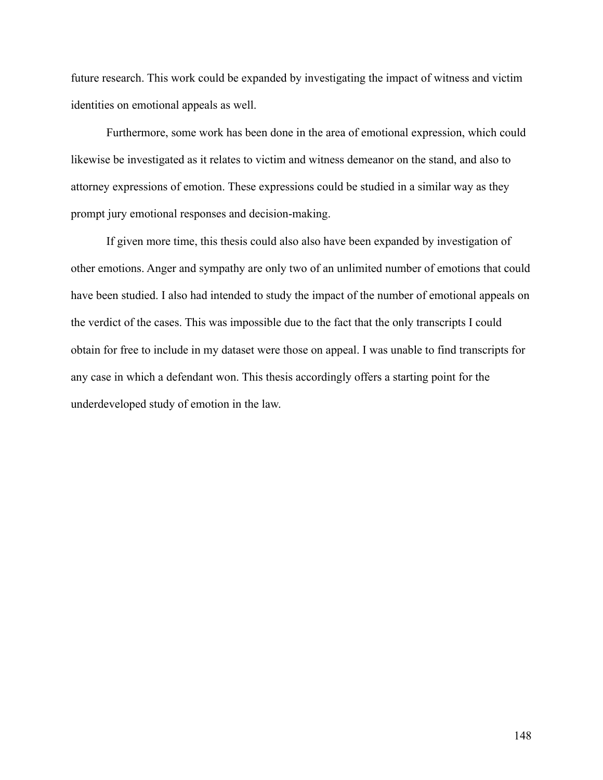future research. This work could be expanded by investigating the impact of witness and victim identities on emotional appeals as well.

Furthermore, some work has been done in the area of emotional expression, which could likewise be investigated as it relates to victim and witness demeanor on the stand, and also to attorney expressions of emotion. These expressions could be studied in a similar way as they prompt jury emotional responses and decision-making.

If given more time, this thesis could also also have been expanded by investigation of other emotions. Anger and sympathy are only two of an unlimited number of emotions that could have been studied. I also had intended to study the impact of the number of emotional appeals on the verdict of the cases. This was impossible due to the fact that the only transcripts I could obtain for free to include in my dataset were those on appeal. I was unable to find transcripts for any case in which a defendant won. This thesis accordingly offers a starting point for the underdeveloped study of emotion in the law.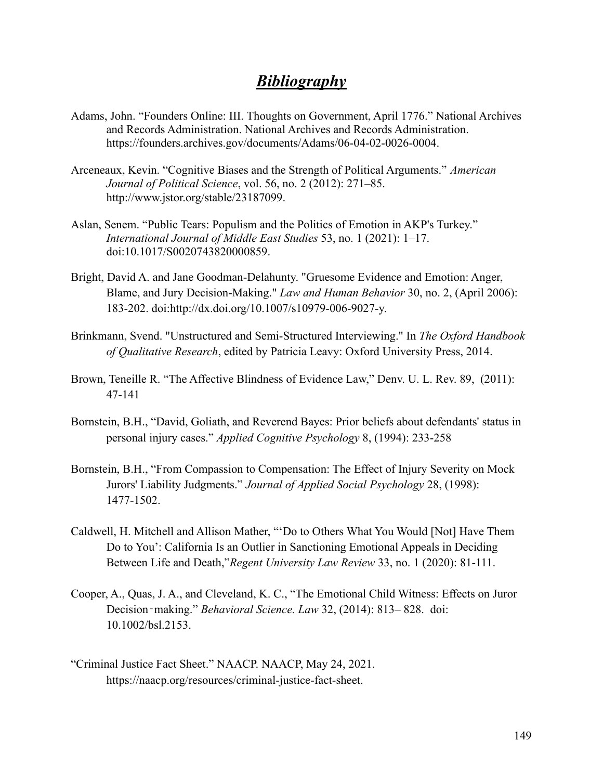## *Bibliography*

- Adams, John. "Founders Online: III. Thoughts on Government, April 1776." National Archives and Records Administration. National Archives and Records Administration. https://founders.archives.gov/documents/Adams/06-04-02-0026-0004.
- Arceneaux, Kevin. "Cognitive Biases and the Strength of Political Arguments." *American Journal of Political Science*, vol. 56, no. 2 (2012): 271–85. [http://www.jstor.org/stable/23187099.](http://www.jstor.org/stable/23187099)
- Aslan, Senem. "Public Tears: Populism and the Politics of Emotion in AKP's Turkey." *International Journal of Middle East Studies* 53, no. 1 (2021): 1–17. doi:10.1017/S0020743820000859.
- Bright, David A. and Jane Goodman-Delahunty. "Gruesome Evidence and Emotion: Anger, Blame, and Jury Decision-Making." *Law and Human Behavior* 30, no. 2, (April 2006): 183-202. doi:http://dx.doi.org/10.1007/s10979-006-9027-y.
- Brinkmann, Svend. "Unstructured and Semi-Structured Interviewing." In *The Oxford Handbook of Qualitative Research*, edited by Patricia Leavy: Oxford University Press, 2014.
- Brown, Teneille R. "The Affective Blindness of Evidence Law," Denv. U. L. Rev. 89, (2011): 47-141
- Bornstein, B.H., "David, Goliath, and Reverend Bayes: Prior beliefs about defendants' status in personal injury cases." *Applied Cognitive Psychology* 8, (1994): 233-258
- Bornstein, B.H., "From Compassion to Compensation: The Effect of Injury Severity on Mock Jurors' Liability Judgments." *Journal of Applied Social Psychology* 28, (1998): 1477-1502.
- Caldwell, H. Mitchell and Allison Mather, "'Do to Others What You Would [Not] Have Them Do to You': California Is an Outlier in Sanctioning Emotional Appeals in Deciding Between Life and Death,"*Regent University Law Review* 33, no. 1 (2020): 81-111.
- Cooper, A., Quas, J. A., and Cleveland, K. C., "The Emotional Child Witness: Effects on Juror Decision‐making." *Behavioral Science. Law* 32, (2014): 813– 828. doi: [10.1002/bsl.2153](https://doi.org/10.1002/bsl.2153).
- "Criminal Justice Fact Sheet." NAACP. NAACP, May 24, 2021. https://naacp.org/resources/criminal-justice-fact-sheet.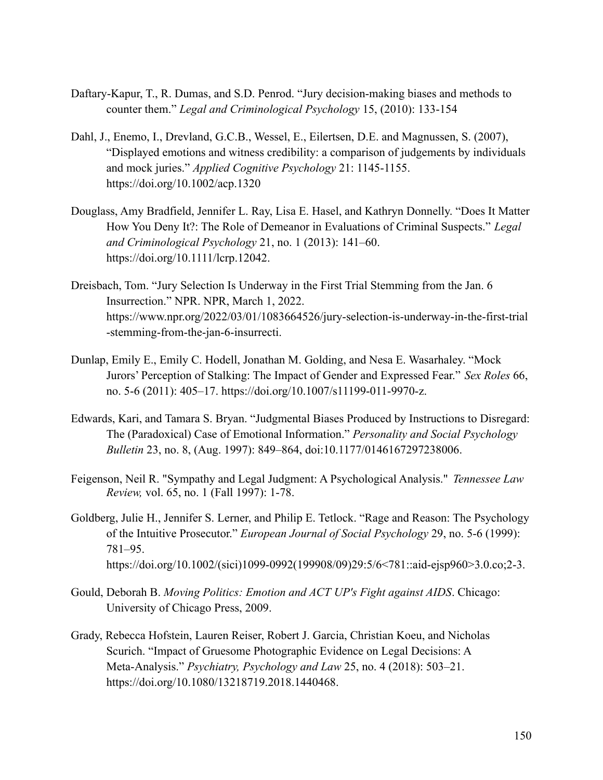- Daftary-Kapur, T., R. Dumas, and S.D. Penrod. "Jury decision-making biases and methods to counter them." *Legal and Criminological Psychology* 15, (2010): 133-154
- Dahl, J., Enemo, I., Drevland, G.C.B., Wessel, E., Eilertsen, D.E. and Magnussen, S. (2007), "Displayed emotions and witness credibility: a comparison of judgements by individuals and mock juries." *Applied Cognitive Psychology* 21: 1145-1155. <https://doi.org/10.1002/acp.1320>
- Douglass, Amy Bradfield, Jennifer L. Ray, Lisa E. Hasel, and Kathryn Donnelly. "Does It Matter How You Deny It?: The Role of Demeanor in Evaluations of Criminal Suspects." *Legal and Criminological Psychology* 21, no. 1 (2013): 141–60. https://doi.org/10.1111/lcrp.12042.
- Dreisbach, Tom. "Jury Selection Is Underway in the First Trial Stemming from the Jan. 6 Insurrection." NPR. NPR, March 1, 2022. https://www.npr.org/2022/03/01/1083664526/jury-selection-is-underway-in-the-first-trial -stemming-from-the-jan-6-insurrecti.
- Dunlap, Emily E., Emily C. Hodell, Jonathan M. Golding, and Nesa E. Wasarhaley. "Mock Jurors' Perception of Stalking: The Impact of Gender and Expressed Fear." *Sex Roles* 66, no. 5-6 (2011): 405–17. https://doi.org/10.1007/s11199-011-9970-z.
- Edwards, Kari, and Tamara S. Bryan. "Judgmental Biases Produced by Instructions to Disregard: The (Paradoxical) Case of Emotional Information." *Personality and Social Psychology Bulletin* 23, no. 8, (Aug. 1997): 849–864, doi:[10.1177/0146167297238006.](https://doi.org/10.1177/0146167297238006)
- Feigenson, Neil R. "Sympathy and Legal Judgment: A Psychological Analysis." *Tennessee Law Review,* vol. 65, no. 1 (Fall 1997): 1-78.
- Goldberg, Julie H., Jennifer S. Lerner, and Philip E. Tetlock. "Rage and Reason: The Psychology of the Intuitive Prosecutor." *European Journal of Social Psychology* 29, no. 5-6 (1999): 781–95. https://doi.org/10.1002/(sici)1099-0992(199908/09)29:5/6<781::aid-ejsp960>3.0.co;2-3.
- Gould, Deborah B. *Moving Politics: Emotion and ACT UP's Fight against AIDS*. Chicago: University of Chicago Press, 2009.
- Grady, Rebecca Hofstein, Lauren Reiser, Robert J. Garcia, Christian Koeu, and Nicholas Scurich. "Impact of Gruesome Photographic Evidence on Legal Decisions: A Meta-Analysis." *Psychiatry, Psychology and Law* 25, no. 4 (2018): 503–21. https://doi.org/10.1080/13218719.2018.1440468.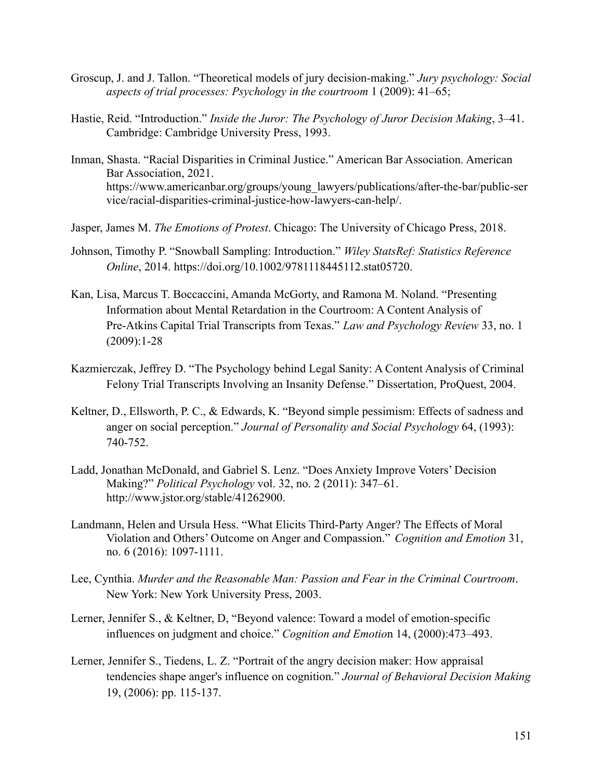- Groscup, J. and J. Tallon. "Theoretical models of jury decision-making." *Jury psychology: Social aspects of trial processes: Psychology in the courtroom* 1 (2009): 41–65;
- Hastie, Reid. "Introduction." *Inside the Juror: The Psychology of Juror Decision Making*, 3–41. Cambridge: Cambridge University Press, 1993.
- Inman, Shasta. "Racial Disparities in Criminal Justice." American Bar Association. American Bar Association, 2021. [https://www.americanbar.org/groups/young\\_lawyers/publications/after-the-bar/public-ser](https://www.americanbar.org/groups/young_lawyers/publications/after-the-bar/public-service/racial-disparities-criminal-justice-how-lawyers-can-help/) [vice/racial-disparities-criminal-justice-how-lawyers-can-help/](https://www.americanbar.org/groups/young_lawyers/publications/after-the-bar/public-service/racial-disparities-criminal-justice-how-lawyers-can-help/).
- Jasper, James M. *The Emotions of Protest*. Chicago: The University of Chicago Press, 2018.
- Johnson, Timothy P. "Snowball Sampling: Introduction." *Wiley StatsRef: Statistics Reference Online*, 2014. https://doi.org/10.1002/9781118445112.stat05720.
- Kan, Lisa, Marcus T. Boccaccini, Amanda McGorty, and Ramona M. Noland. "Presenting Information about Mental Retardation in the Courtroom: A Content Analysis of Pre-Atkins Capital Trial Transcripts from Texas." *Law and Psychology Review* 33, no. 1 (2009):1-28
- Kazmierczak, Jeffrey D. "The Psychology behind Legal Sanity: A Content Analysis of Criminal Felony Trial Transcripts Involving an Insanity Defense." Dissertation, ProQuest, 2004.
- Keltner, D., Ellsworth, P. C., & Edwards, K. "Beyond simple pessimism: Effects of sadness and anger on social perception." *Journal of Personality and Social Psychology* 64, (1993): 740-752.
- Ladd, Jonathan McDonald, and Gabriel S. Lenz. "Does Anxiety Improve Voters' Decision Making?" *Political Psychology* vol. 32, no. 2 (2011): 347–61. http://www.jstor.org/stable/41262900.
- Landmann, Helen and Ursula Hess. "What Elicits Third-Party Anger? The Effects of Moral Violation and Others' Outcome on Anger and Compassion." *Cognition and Emotion* 31, no. 6 (2016): 1097-1111.
- Lee, Cynthia. *Murder and the Reasonable Man: Passion and Fear in the Criminal Courtroom*. New York: New York University Press, 2003.
- Lerner, Jennifer S., & Keltner, D, "Beyond valence: Toward a model of emotion-specific influences on judgment and choice." *Cognition and Emotio*n 14, (2000):473–493.
- Lerner, Jennifer S., Tiedens, L. Z. "Portrait of the angry decision maker: How appraisal tendencies shape anger's influence on cognition." *Journal of Behavioral Decision Making* 19, (2006): pp. 115-137.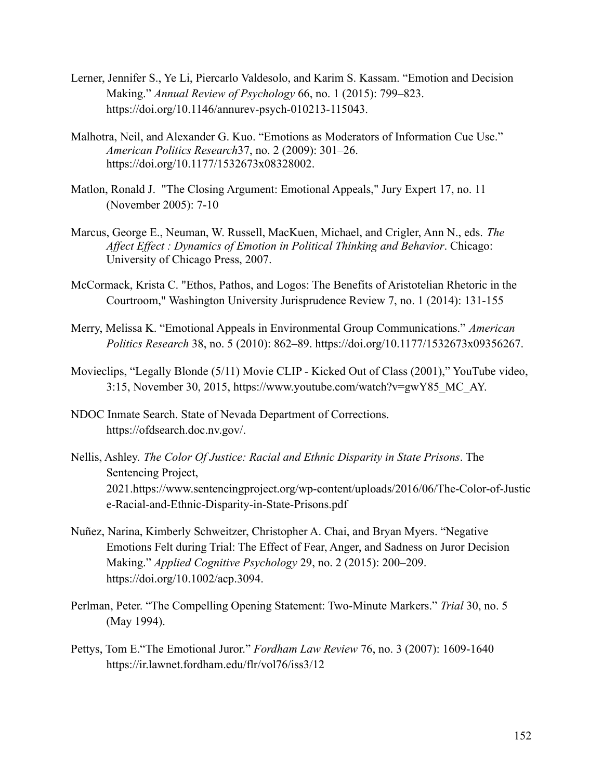- Lerner, Jennifer S., Ye Li, Piercarlo Valdesolo, and Karim S. Kassam. "Emotion and Decision Making." *Annual Review of Psychology* 66, no. 1 (2015): 799–823. https://doi.org/10.1146/annurev-psych-010213-115043.
- Malhotra, Neil, and Alexander G. Kuo. "Emotions as Moderators of Information Cue Use." *American Politics Research*37, no. 2 (2009): 301–26. https://doi.org/10.1177/1532673x08328002.
- Matlon, Ronald J. "The Closing Argument: Emotional Appeals," Jury Expert 17, no. 11 (November 2005): 7-10
- Marcus, George E., Neuman, W. Russell, MacKuen, Michael, and Crigler, Ann N., eds. *The Affect Effect : Dynamics of Emotion in Political Thinking and Behavior*. Chicago: University of Chicago Press, 2007.
- McCormack, Krista C. "Ethos, Pathos, and Logos: The Benefits of Aristotelian Rhetoric in the Courtroom," Washington University Jurisprudence Review 7, no. 1 (2014): 131-155
- Merry, Melissa K. "Emotional Appeals in Environmental Group Communications." *American Politics Research* 38, no. 5 (2010): 862–89. https://doi.org/10.1177/1532673x09356267.
- Movieclips, "Legally Blonde (5/11) Movie CLIP Kicked Out of Class (2001)," YouTube video, 3:15, November 30, 2015, https://www.youtube.com/watch?v=gwY85\_MC\_AY.
- NDOC Inmate Search. State of Nevada Department of Corrections. https://ofdsearch.doc.nv.gov/.
- Nellis, Ashley. *The Color Of Justice: Racial and Ethnic Disparity in State Prisons*. The Sentencing Project, 2021.[https://www.sentencingproject.org/wp-content/uploads/2016/06/The-Color-of-Justic](https://www.sentencingproject.org/wp-content/uploads/2016/06/The-Color-of-Justice-Racial-and-Ethnic-Disparity-in-State-Prisons.pdf) [e-Racial-and-Ethnic-Disparity-in-State-Prisons.pdf](https://www.sentencingproject.org/wp-content/uploads/2016/06/The-Color-of-Justice-Racial-and-Ethnic-Disparity-in-State-Prisons.pdf)
- Nuñez, Narina, Kimberly Schweitzer, Christopher A. Chai, and Bryan Myers. "Negative Emotions Felt during Trial: The Effect of Fear, Anger, and Sadness on Juror Decision Making." *Applied Cognitive Psychology* 29, no. 2 (2015): 200–209. https://doi.org/10.1002/acp.3094.
- Perlman, Peter. "The Compelling Opening Statement: Two-Minute Markers." *Trial* 30, no. 5 (May 1994).
- Pettys, Tom E."The Emotional Juror." *Fordham Law Review* 76, no. 3 (2007): 1609-1640 <https://ir.lawnet.fordham.edu/flr/vol76/iss3/12>